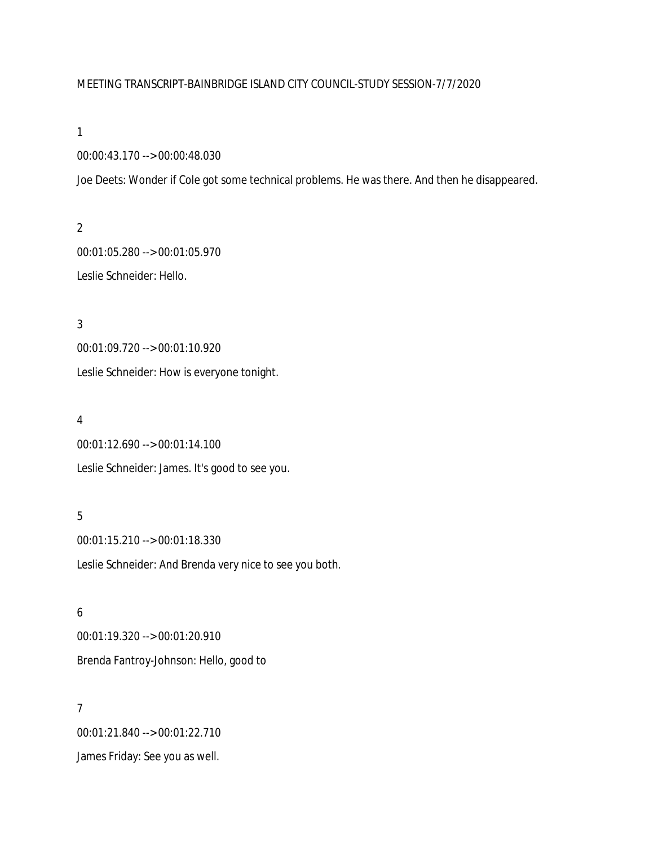# MEETING TRANSCRIPT-BAINBRIDGE ISLAND CITY COUNCIL-STUDY SESSION-7/7/2020

#### 1

00:00:43.170 --> 00:00:48.030

Joe Deets: Wonder if Cole got some technical problems. He was there. And then he disappeared.

2 00:01:05.280 --> 00:01:05.970 Leslie Schneider: Hello.

3 00:01:09.720 --> 00:01:10.920 Leslie Schneider: How is everyone tonight.

### 4

00:01:12.690 --> 00:01:14.100 Leslie Schneider: James. It's good to see you.

## 5

00:01:15.210 --> 00:01:18.330 Leslie Schneider: And Brenda very nice to see you both.

6 00:01:19.320 --> 00:01:20.910 Brenda Fantroy-Johnson: Hello, good to

7 00:01:21.840 --> 00:01:22.710 James Friday: See you as well.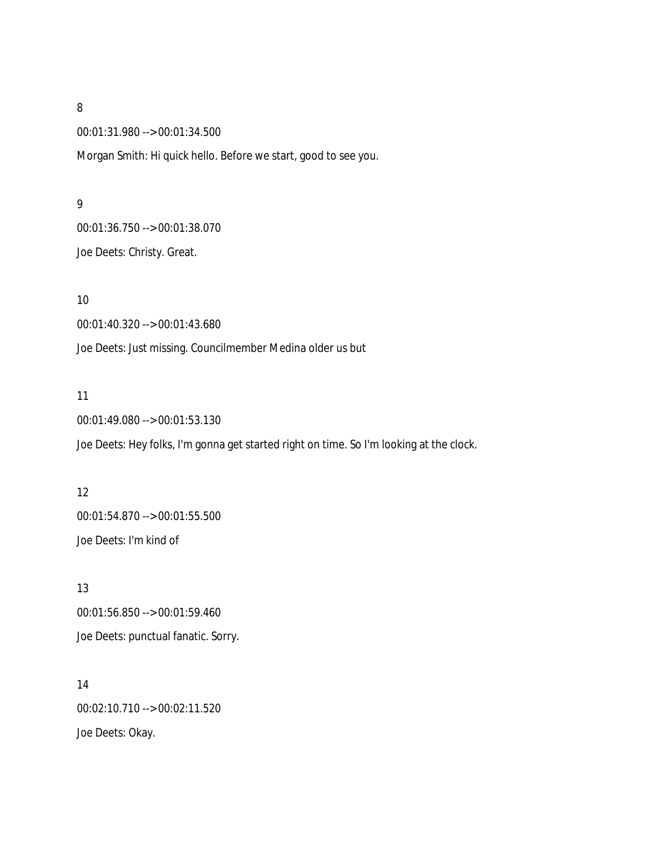00:01:31.980 --> 00:01:34.500

Morgan Smith: Hi quick hello. Before we start, good to see you.

#### 9

00:01:36.750 --> 00:01:38.070 Joe Deets: Christy. Great.

10

00:01:40.320 --> 00:01:43.680

Joe Deets: Just missing. Councilmember Medina older us but

#### 11

00:01:49.080 --> 00:01:53.130

Joe Deets: Hey folks, I'm gonna get started right on time. So I'm looking at the clock.

# 12 00:01:54.870 --> 00:01:55.500 Joe Deets: I'm kind of

13 00:01:56.850 --> 00:01:59.460 Joe Deets: punctual fanatic. Sorry.

14 00:02:10.710 --> 00:02:11.520 Joe Deets: Okay.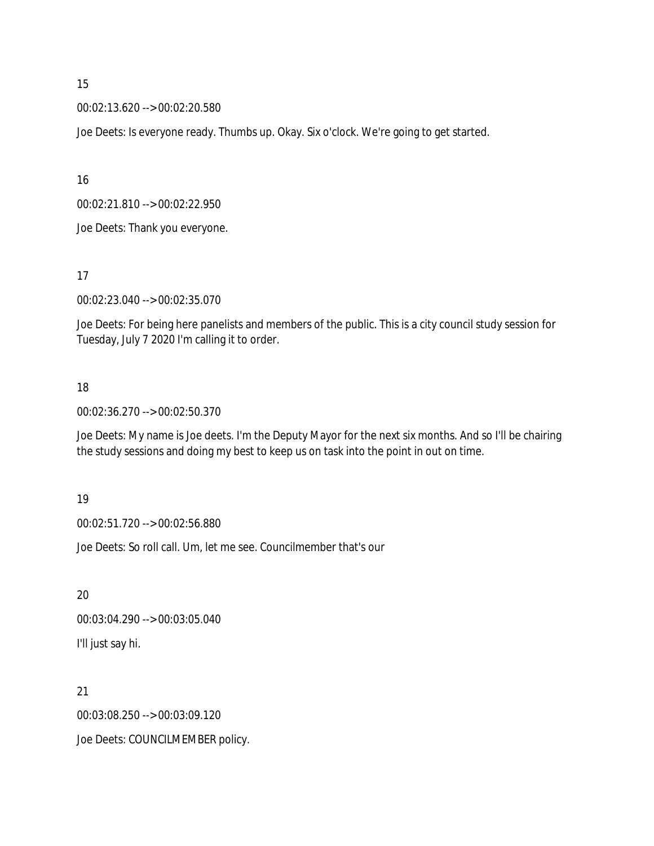00:02:13.620 --> 00:02:20.580

Joe Deets: Is everyone ready. Thumbs up. Okay. Six o'clock. We're going to get started.

16

00:02:21.810 --> 00:02:22.950

Joe Deets: Thank you everyone.

17

00:02:23.040 --> 00:02:35.070

Joe Deets: For being here panelists and members of the public. This is a city council study session for Tuesday, July 7 2020 I'm calling it to order.

## 18

00:02:36.270 --> 00:02:50.370

Joe Deets: My name is Joe deets. I'm the Deputy Mayor for the next six months. And so I'll be chairing the study sessions and doing my best to keep us on task into the point in out on time.

19

00:02:51.720 --> 00:02:56.880

Joe Deets: So roll call. Um, let me see. Councilmember that's our

20 00:03:04.290 --> 00:03:05.040 I'll just say hi.

21 00:03:08.250 --> 00:03:09.120 Joe Deets: COUNCILMEMBER policy.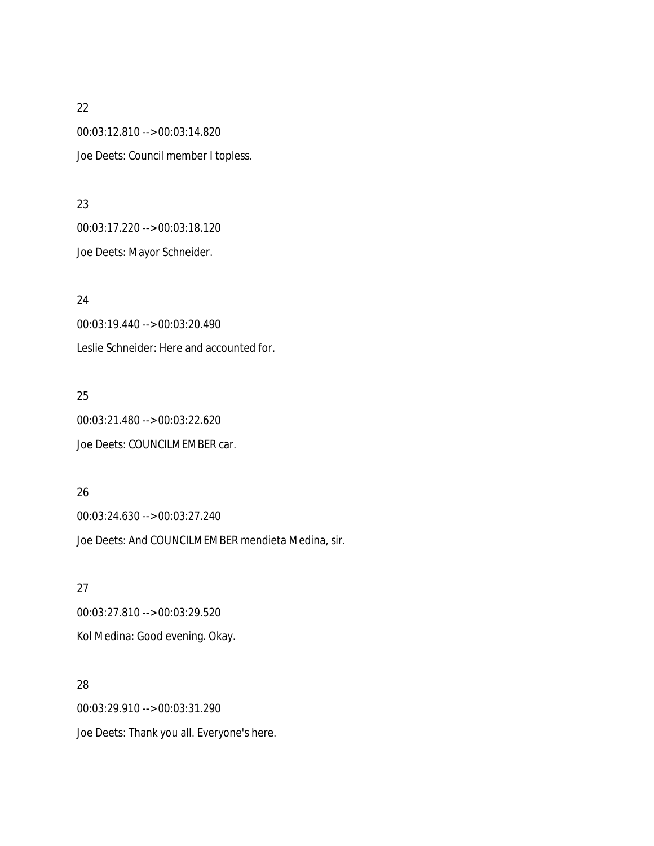00:03:12.810 --> 00:03:14.820 Joe Deets: Council member I topless.

#### 23

00:03:17.220 --> 00:03:18.120 Joe Deets: Mayor Schneider.

24 00:03:19.440 --> 00:03:20.490 Leslie Schneider: Here and accounted for.

# 25

00:03:21.480 --> 00:03:22.620 Joe Deets: COUNCILMEMBER car.

# 26

00:03:24.630 --> 00:03:27.240 Joe Deets: And COUNCILMEMBER mendieta Medina, sir.

# 27 00:03:27.810 --> 00:03:29.520 Kol Medina: Good evening. Okay.

28 00:03:29.910 --> 00:03:31.290 Joe Deets: Thank you all. Everyone's here.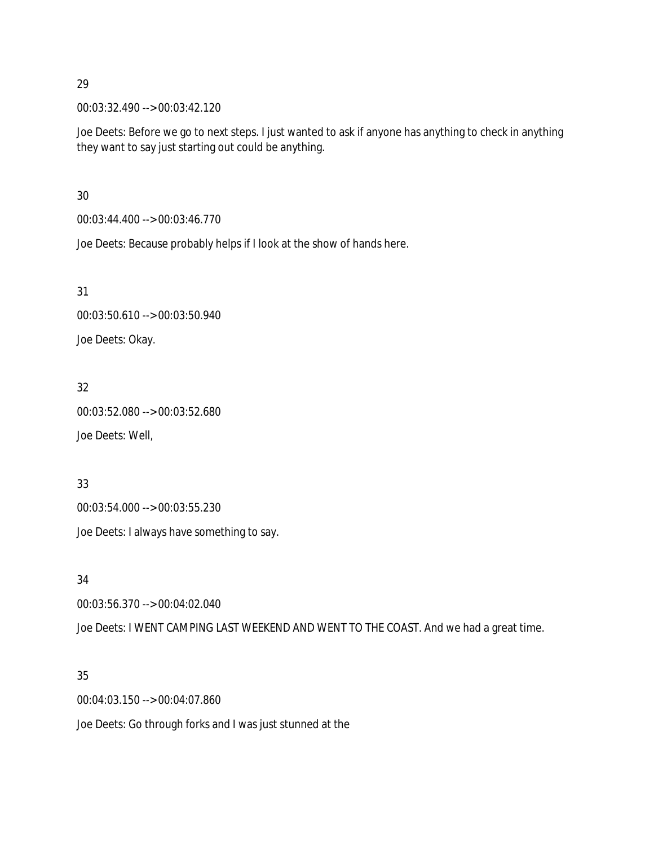00:03:32.490 --> 00:03:42.120

Joe Deets: Before we go to next steps. I just wanted to ask if anyone has anything to check in anything they want to say just starting out could be anything.

30

00:03:44.400 --> 00:03:46.770

Joe Deets: Because probably helps if I look at the show of hands here.

31

```
00:03:50.610 --> 00:03:50.940
```
Joe Deets: Okay.

# 32

00:03:52.080 --> 00:03:52.680 Joe Deets: Well,

# 33

00:03:54.000 --> 00:03:55.230 Joe Deets: I always have something to say.

34

00:03:56.370 --> 00:04:02.040

Joe Deets: I WENT CAMPING LAST WEEKEND AND WENT TO THE COAST. And we had a great time.

# 35

00:04:03.150 --> 00:04:07.860

Joe Deets: Go through forks and I was just stunned at the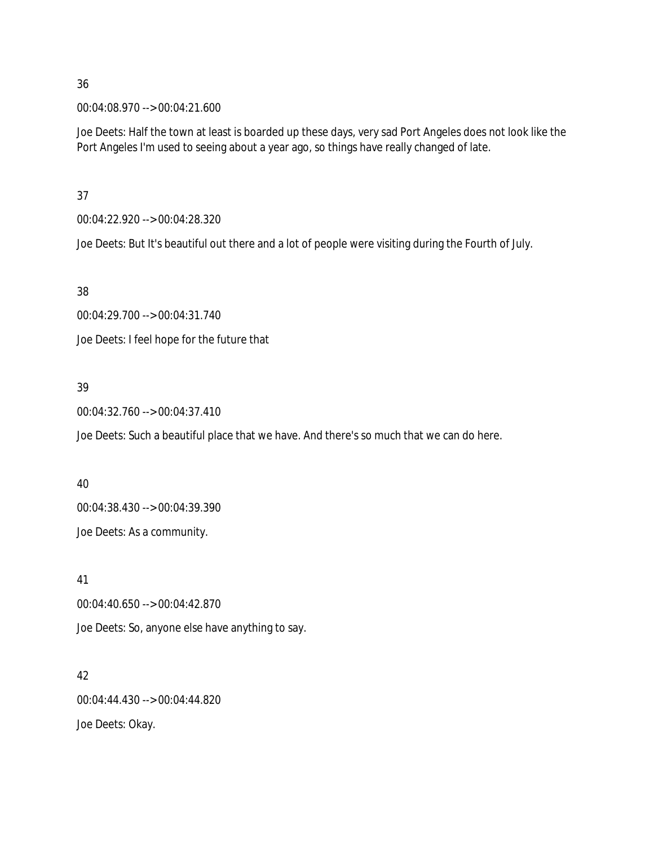00:04:08.970 --> 00:04:21.600

Joe Deets: Half the town at least is boarded up these days, very sad Port Angeles does not look like the Port Angeles I'm used to seeing about a year ago, so things have really changed of late.

37

00:04:22.920 --> 00:04:28.320

Joe Deets: But It's beautiful out there and a lot of people were visiting during the Fourth of July.

38

00:04:29.700 --> 00:04:31.740

Joe Deets: I feel hope for the future that

# 39

00:04:32.760 --> 00:04:37.410

Joe Deets: Such a beautiful place that we have. And there's so much that we can do here.

### 40

00:04:38.430 --> 00:04:39.390 Joe Deets: As a community.

41

00:04:40.650 --> 00:04:42.870

Joe Deets: So, anyone else have anything to say.

# 42

00:04:44.430 --> 00:04:44.820

Joe Deets: Okay.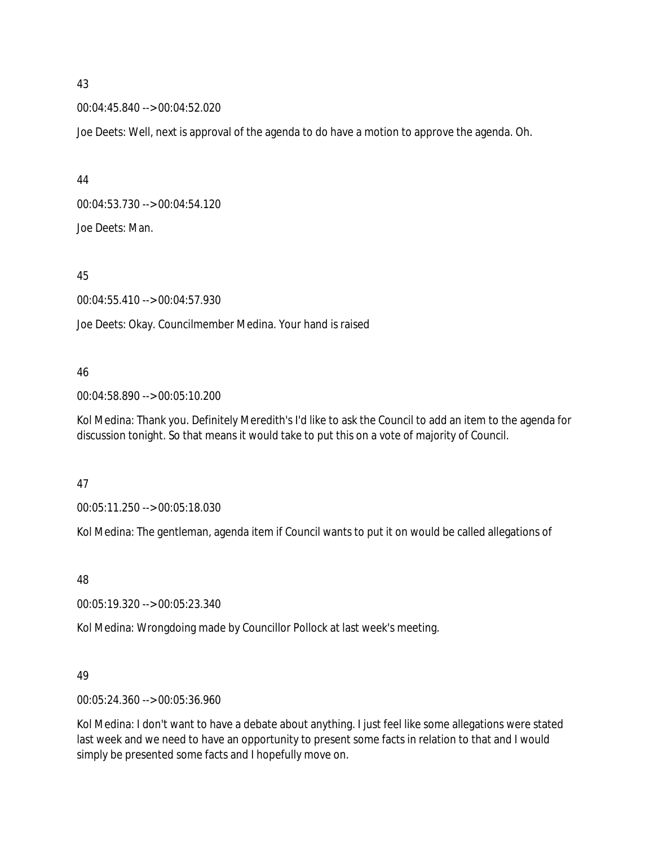00:04:45.840 --> 00:04:52.020

Joe Deets: Well, next is approval of the agenda to do have a motion to approve the agenda. Oh.

44 00:04:53.730 --> 00:04:54.120 Joe Deets: Man.

45

00:04:55.410 --> 00:04:57.930

Joe Deets: Okay. Councilmember Medina. Your hand is raised

### 46

00:04:58.890 --> 00:05:10.200

Kol Medina: Thank you. Definitely Meredith's I'd like to ask the Council to add an item to the agenda for discussion tonight. So that means it would take to put this on a vote of majority of Council.

### 47

00:05:11.250 --> 00:05:18.030

Kol Medina: The gentleman, agenda item if Council wants to put it on would be called allegations of

### 48

00:05:19.320 --> 00:05:23.340

Kol Medina: Wrongdoing made by Councillor Pollock at last week's meeting.

### 49

00:05:24.360 --> 00:05:36.960

Kol Medina: I don't want to have a debate about anything. I just feel like some allegations were stated last week and we need to have an opportunity to present some facts in relation to that and I would simply be presented some facts and I hopefully move on.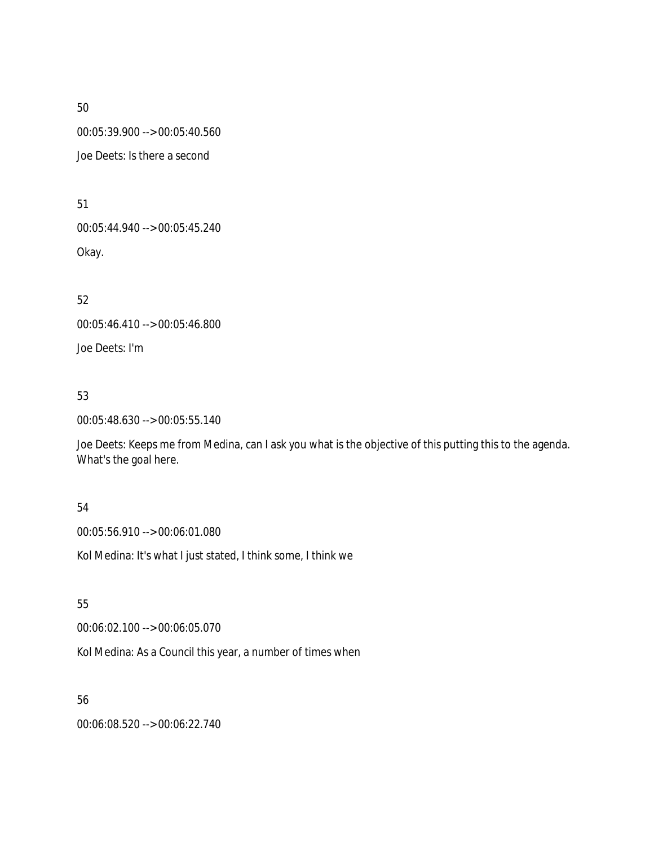00:05:39.900 --> 00:05:40.560

Joe Deets: Is there a second

51

00:05:44.940 --> 00:05:45.240

Okay.

52

00:05:46.410 --> 00:05:46.800

Joe Deets: I'm

# 53

00:05:48.630 --> 00:05:55.140

Joe Deets: Keeps me from Medina, can I ask you what is the objective of this putting this to the agenda. What's the goal here.

# 54

00:05:56.910 --> 00:06:01.080

Kol Medina: It's what I just stated, I think some, I think we

# 55

00:06:02.100 --> 00:06:05.070

Kol Medina: As a Council this year, a number of times when

# 56

00:06:08.520 --> 00:06:22.740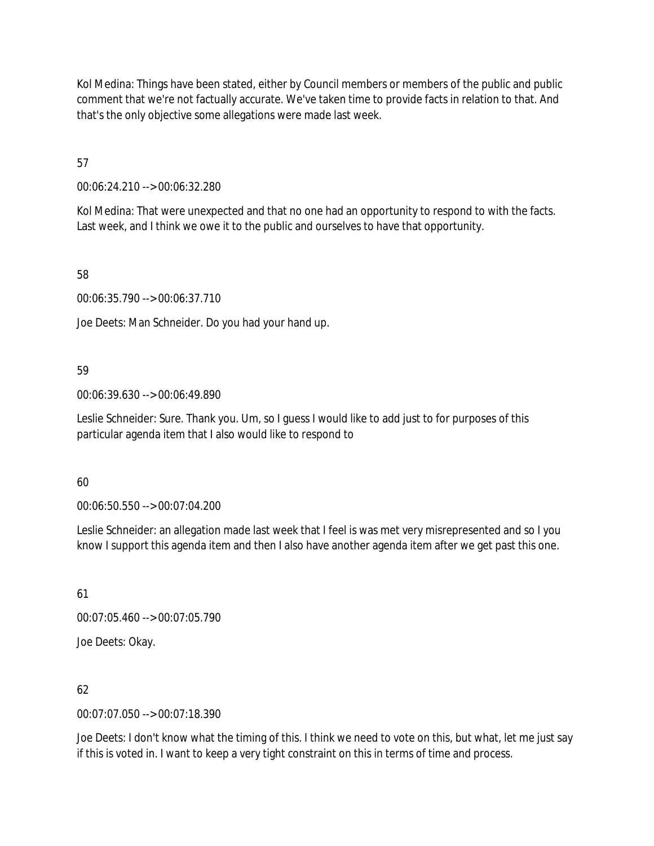Kol Medina: Things have been stated, either by Council members or members of the public and public comment that we're not factually accurate. We've taken time to provide facts in relation to that. And that's the only objective some allegations were made last week.

57

00:06:24.210 --> 00:06:32.280

Kol Medina: That were unexpected and that no one had an opportunity to respond to with the facts. Last week, and I think we owe it to the public and ourselves to have that opportunity.

58

00:06:35.790 --> 00:06:37.710

Joe Deets: Man Schneider. Do you had your hand up.

# 59

00:06:39.630 --> 00:06:49.890

Leslie Schneider: Sure. Thank you. Um, so I guess I would like to add just to for purposes of this particular agenda item that I also would like to respond to

# 60

00:06:50.550 --> 00:07:04.200

Leslie Schneider: an allegation made last week that I feel is was met very misrepresented and so I you know I support this agenda item and then I also have another agenda item after we get past this one.

61

00:07:05.460 --> 00:07:05.790

Joe Deets: Okay.

62

00:07:07.050 --> 00:07:18.390

Joe Deets: I don't know what the timing of this. I think we need to vote on this, but what, let me just say if this is voted in. I want to keep a very tight constraint on this in terms of time and process.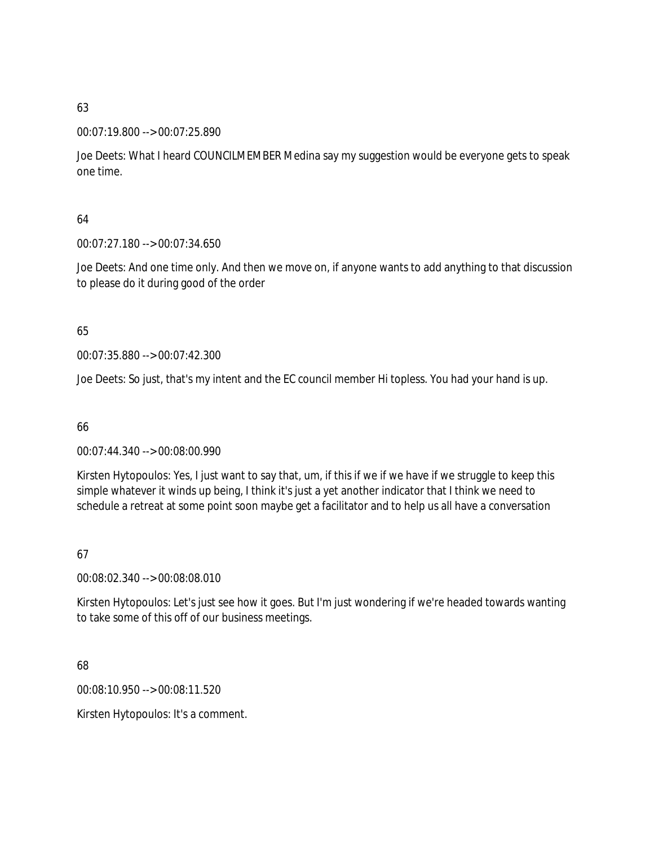### 00:07:19.800 --> 00:07:25.890

Joe Deets: What I heard COUNCILMEMBER Medina say my suggestion would be everyone gets to speak one time.

# 64

00:07:27.180 --> 00:07:34.650

Joe Deets: And one time only. And then we move on, if anyone wants to add anything to that discussion to please do it during good of the order

# 65

00:07:35.880 --> 00:07:42.300

Joe Deets: So just, that's my intent and the EC council member Hi topless. You had your hand is up.

# 66

00:07:44.340 --> 00:08:00.990

Kirsten Hytopoulos: Yes, I just want to say that, um, if this if we if we have if we struggle to keep this simple whatever it winds up being, I think it's just a yet another indicator that I think we need to schedule a retreat at some point soon maybe get a facilitator and to help us all have a conversation

# 67

00:08:02.340 --> 00:08:08.010

Kirsten Hytopoulos: Let's just see how it goes. But I'm just wondering if we're headed towards wanting to take some of this off of our business meetings.

# 68

00:08:10.950 --> 00:08:11.520

Kirsten Hytopoulos: It's a comment.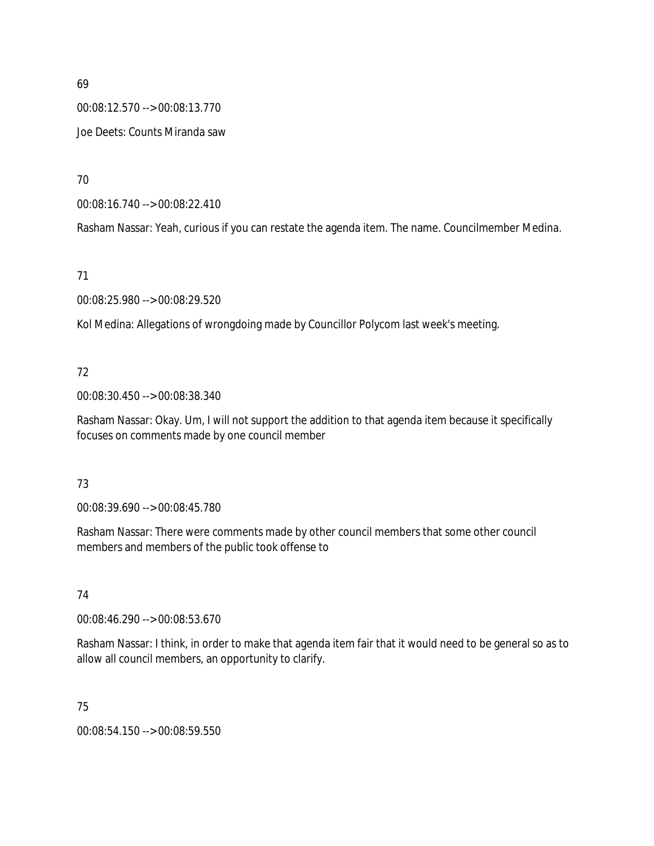00:08:12.570 --> 00:08:13.770 Joe Deets: Counts Miranda saw

70

00:08:16.740 --> 00:08:22.410

Rasham Nassar: Yeah, curious if you can restate the agenda item. The name. Councilmember Medina.

71

00:08:25.980 --> 00:08:29.520

Kol Medina: Allegations of wrongdoing made by Councillor Polycom last week's meeting.

# 72

00:08:30.450 --> 00:08:38.340

Rasham Nassar: Okay. Um, I will not support the addition to that agenda item because it specifically focuses on comments made by one council member

# 73

00:08:39.690 --> 00:08:45.780

Rasham Nassar: There were comments made by other council members that some other council members and members of the public took offense to

# 74

00:08:46.290 --> 00:08:53.670

Rasham Nassar: I think, in order to make that agenda item fair that it would need to be general so as to allow all council members, an opportunity to clarify.

75

00:08:54.150 --> 00:08:59.550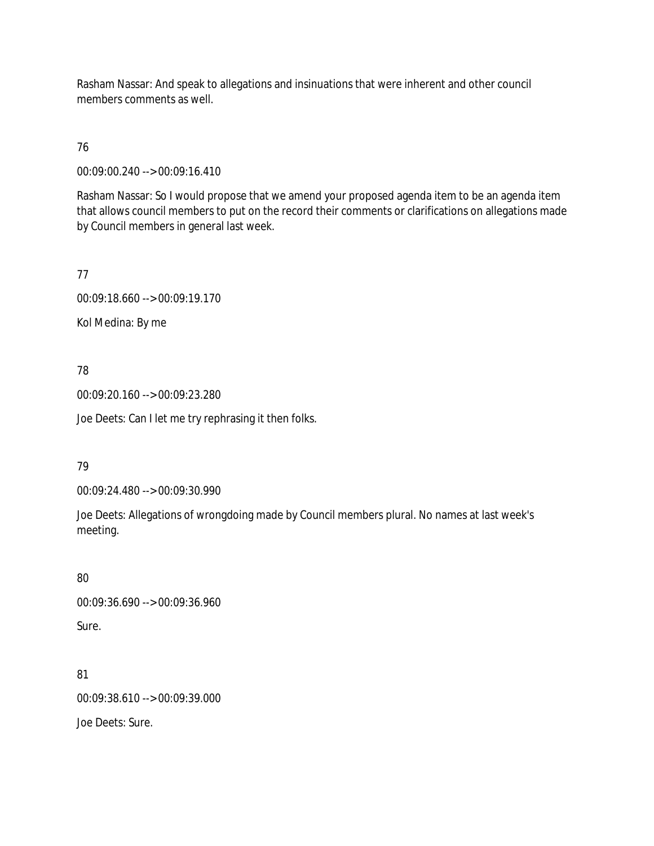Rasham Nassar: And speak to allegations and insinuations that were inherent and other council members comments as well.

# 76

00:09:00.240 --> 00:09:16.410

Rasham Nassar: So I would propose that we amend your proposed agenda item to be an agenda item that allows council members to put on the record their comments or clarifications on allegations made by Council members in general last week.

# 77

00:09:18.660 --> 00:09:19.170

Kol Medina: By me

# 78

00:09:20.160 --> 00:09:23.280

Joe Deets: Can I let me try rephrasing it then folks.

# 79

00:09:24.480 --> 00:09:30.990

Joe Deets: Allegations of wrongdoing made by Council members plural. No names at last week's meeting.

# 80

00:09:36.690 --> 00:09:36.960 Sure.

81 00:09:38.610 --> 00:09:39.000

Joe Deets: Sure.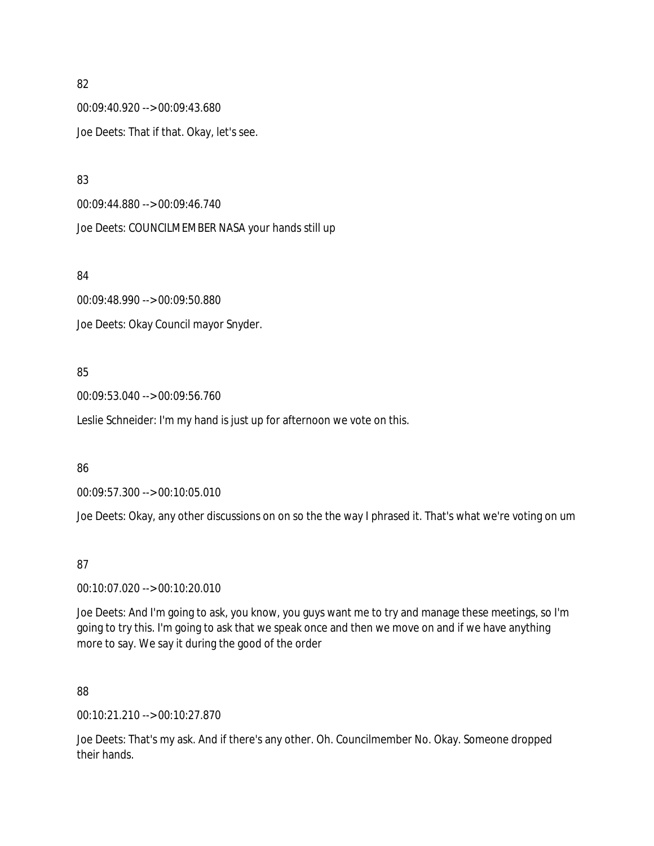00:09:40.920 --> 00:09:43.680 Joe Deets: That if that. Okay, let's see.

83

00:09:44.880 --> 00:09:46.740

Joe Deets: COUNCILMEMBER NASA your hands still up

84

00:09:48.990 --> 00:09:50.880 Joe Deets: Okay Council mayor Snyder.

## 85

00:09:53.040 --> 00:09:56.760

Leslie Schneider: I'm my hand is just up for afternoon we vote on this.

### 86

00:09:57.300 --> 00:10:05.010

Joe Deets: Okay, any other discussions on on so the the way I phrased it. That's what we're voting on um

87

00:10:07.020 --> 00:10:20.010

Joe Deets: And I'm going to ask, you know, you guys want me to try and manage these meetings, so I'm going to try this. I'm going to ask that we speak once and then we move on and if we have anything more to say. We say it during the good of the order

88

00:10:21.210 --> 00:10:27.870

Joe Deets: That's my ask. And if there's any other. Oh. Councilmember No. Okay. Someone dropped their hands.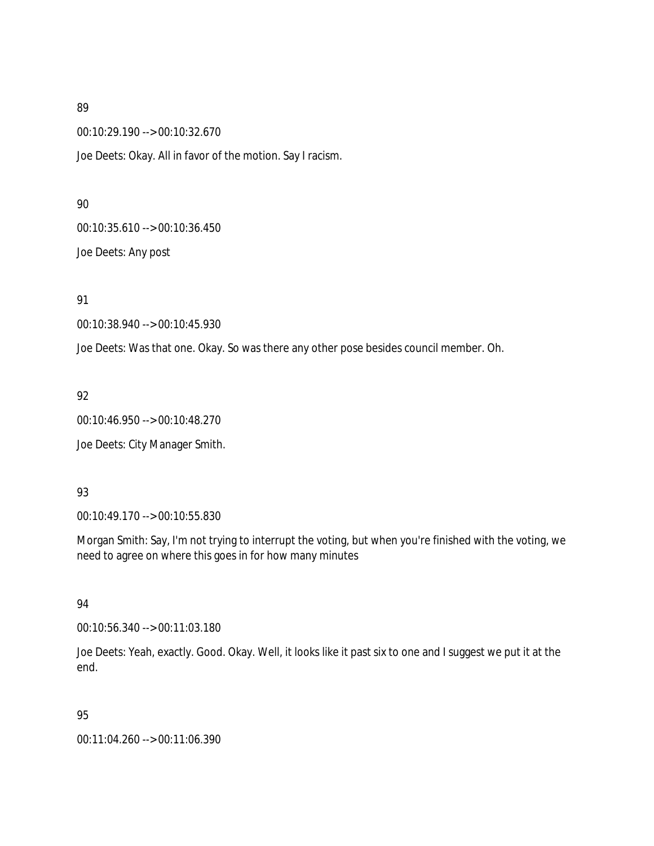00:10:29.190 --> 00:10:32.670

Joe Deets: Okay. All in favor of the motion. Say I racism.

#### 90

00:10:35.610 --> 00:10:36.450

Joe Deets: Any post

### 91

00:10:38.940 --> 00:10:45.930

Joe Deets: Was that one. Okay. So was there any other pose besides council member. Oh.

### 92

00:10:46.950 --> 00:10:48.270

Joe Deets: City Manager Smith.

### 93

00:10:49.170 --> 00:10:55.830

Morgan Smith: Say, I'm not trying to interrupt the voting, but when you're finished with the voting, we need to agree on where this goes in for how many minutes

### 94

00:10:56.340 --> 00:11:03.180

Joe Deets: Yeah, exactly. Good. Okay. Well, it looks like it past six to one and I suggest we put it at the end.

# 95

00:11:04.260 --> 00:11:06.390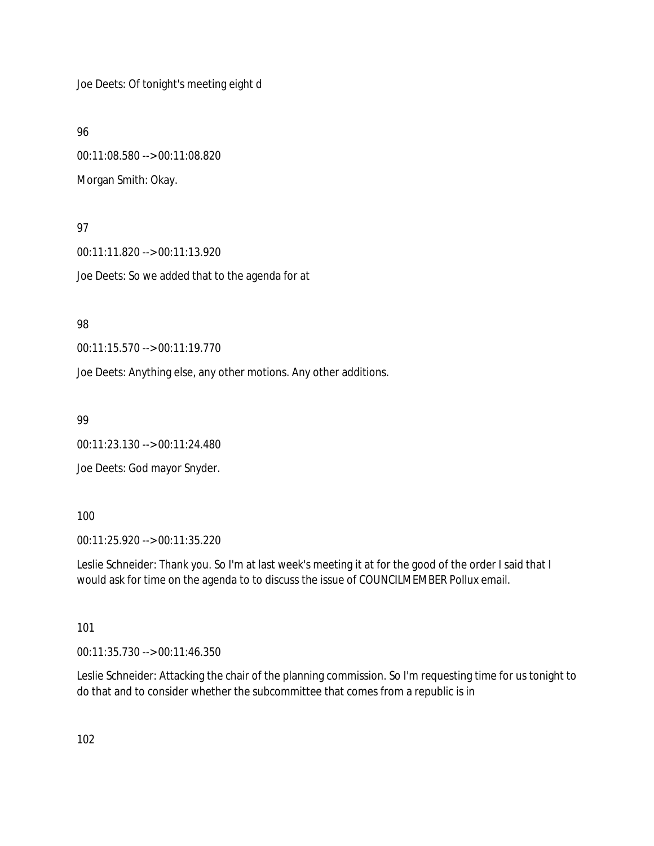Joe Deets: Of tonight's meeting eight d

96

00:11:08.580 --> 00:11:08.820 Morgan Smith: Okay.

## 97

00:11:11.820 --> 00:11:13.920 Joe Deets: So we added that to the agenda for at

# 98

00:11:15.570 --> 00:11:19.770

Joe Deets: Anything else, any other motions. Any other additions.

99

00:11:23.130 --> 00:11:24.480

Joe Deets: God mayor Snyder.

### 100

00:11:25.920 --> 00:11:35.220

Leslie Schneider: Thank you. So I'm at last week's meeting it at for the good of the order I said that I would ask for time on the agenda to to discuss the issue of COUNCILMEMBER Pollux email.

# 101

00:11:35.730 --> 00:11:46.350

Leslie Schneider: Attacking the chair of the planning commission. So I'm requesting time for us tonight to do that and to consider whether the subcommittee that comes from a republic is in

102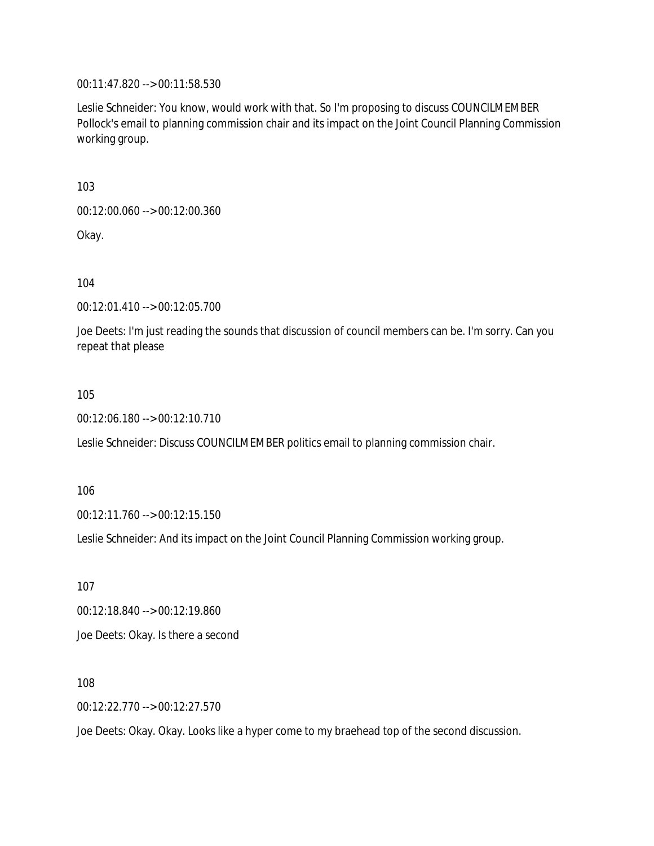00:11:47.820 --> 00:11:58.530

Leslie Schneider: You know, would work with that. So I'm proposing to discuss COUNCILMEMBER Pollock's email to planning commission chair and its impact on the Joint Council Planning Commission working group.

103

00:12:00.060 --> 00:12:00.360

Okay.

104

00:12:01.410 --> 00:12:05.700

Joe Deets: I'm just reading the sounds that discussion of council members can be. I'm sorry. Can you repeat that please

105

00:12:06.180 --> 00:12:10.710

Leslie Schneider: Discuss COUNCILMEMBER politics email to planning commission chair.

106

00:12:11.760 --> 00:12:15.150

Leslie Schneider: And its impact on the Joint Council Planning Commission working group.

107 00:12:18.840 --> 00:12:19.860 Joe Deets: Okay. Is there a second

108

00:12:22.770 --> 00:12:27.570

Joe Deets: Okay. Okay. Looks like a hyper come to my braehead top of the second discussion.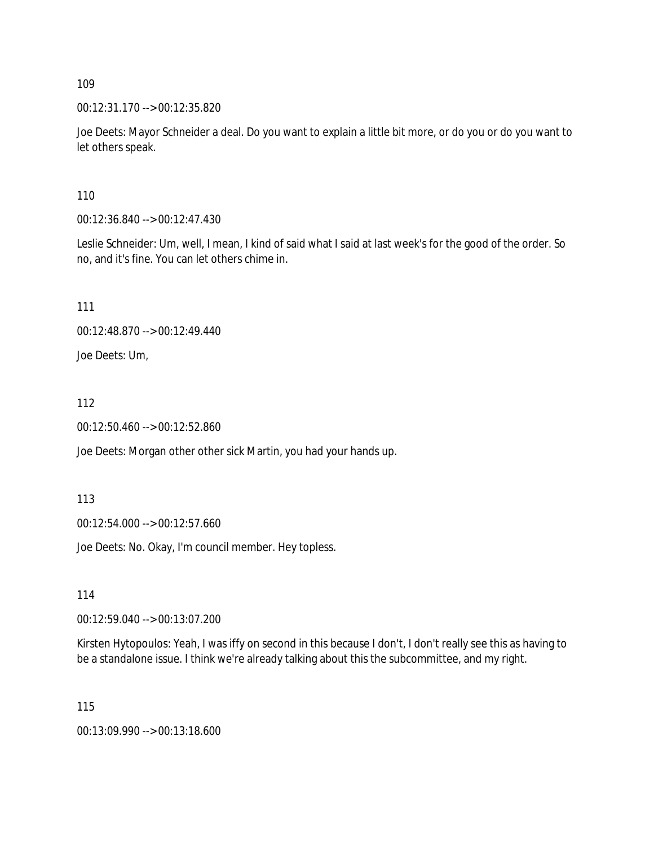00:12:31.170 --> 00:12:35.820

Joe Deets: Mayor Schneider a deal. Do you want to explain a little bit more, or do you or do you want to let others speak.

110

00:12:36.840 --> 00:12:47.430

Leslie Schneider: Um, well, I mean, I kind of said what I said at last week's for the good of the order. So no, and it's fine. You can let others chime in.

111

00:12:48.870 --> 00:12:49.440

Joe Deets: Um,

112

00:12:50.460 --> 00:12:52.860

Joe Deets: Morgan other other sick Martin, you had your hands up.

113

00:12:54.000 --> 00:12:57.660

Joe Deets: No. Okay, I'm council member. Hey topless.

114

00:12:59.040 --> 00:13:07.200

Kirsten Hytopoulos: Yeah, I was iffy on second in this because I don't, I don't really see this as having to be a standalone issue. I think we're already talking about this the subcommittee, and my right.

115

00:13:09.990 --> 00:13:18.600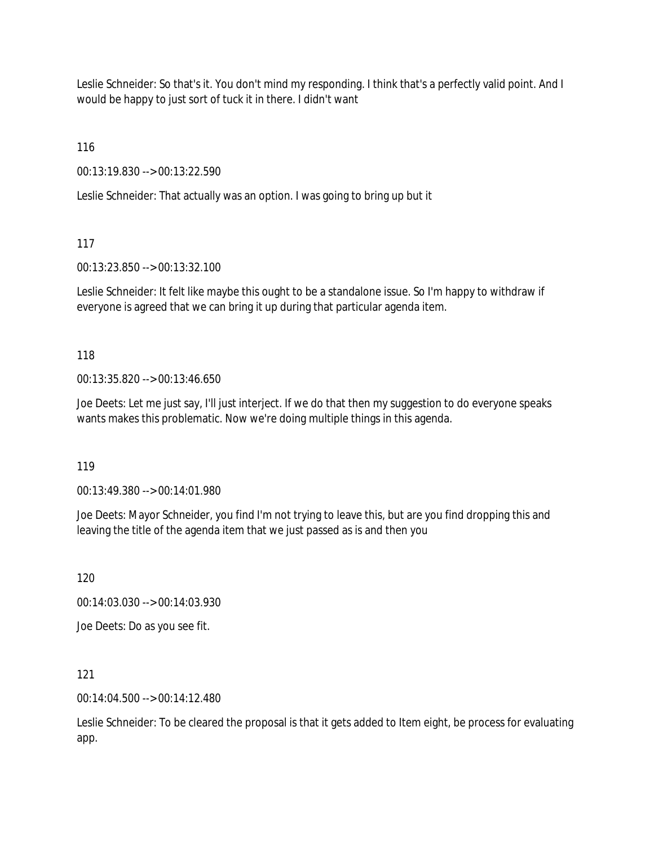Leslie Schneider: So that's it. You don't mind my responding. I think that's a perfectly valid point. And I would be happy to just sort of tuck it in there. I didn't want

116

00:13:19.830 --> 00:13:22.590

Leslie Schneider: That actually was an option. I was going to bring up but it

117

00:13:23.850 --> 00:13:32.100

Leslie Schneider: It felt like maybe this ought to be a standalone issue. So I'm happy to withdraw if everyone is agreed that we can bring it up during that particular agenda item.

118

00:13:35.820 --> 00:13:46.650

Joe Deets: Let me just say, I'll just interject. If we do that then my suggestion to do everyone speaks wants makes this problematic. Now we're doing multiple things in this agenda.

119

00:13:49.380 --> 00:14:01.980

Joe Deets: Mayor Schneider, you find I'm not trying to leave this, but are you find dropping this and leaving the title of the agenda item that we just passed as is and then you

120

00:14:03.030 --> 00:14:03.930

Joe Deets: Do as you see fit.

121

00:14:04.500 --> 00:14:12.480

Leslie Schneider: To be cleared the proposal is that it gets added to Item eight, be process for evaluating app.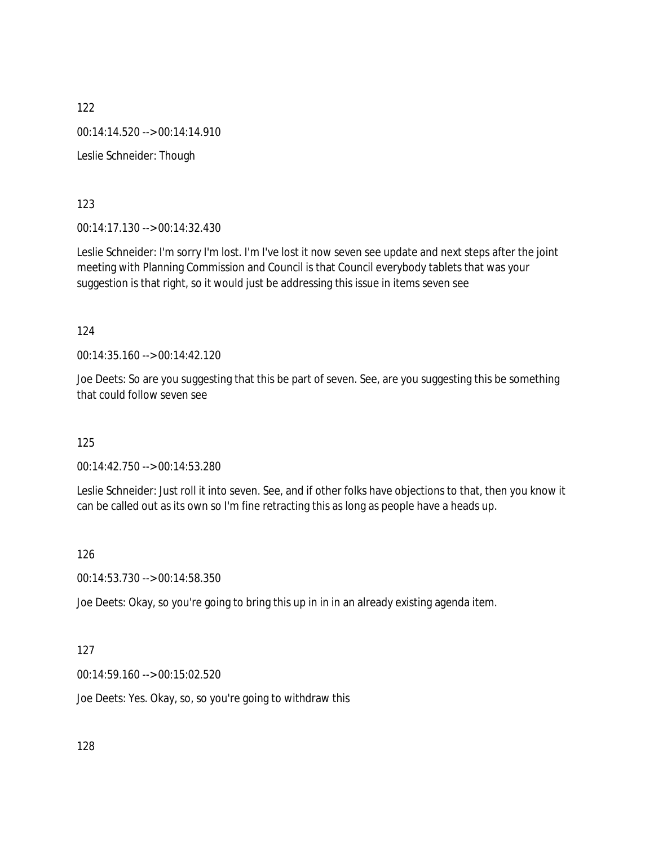122 00:14:14.520 --> 00:14:14.910 Leslie Schneider: Though

123

00:14:17.130 --> 00:14:32.430

Leslie Schneider: I'm sorry I'm lost. I'm I've lost it now seven see update and next steps after the joint meeting with Planning Commission and Council is that Council everybody tablets that was your suggestion is that right, so it would just be addressing this issue in items seven see

124

00:14:35.160 --> 00:14:42.120

Joe Deets: So are you suggesting that this be part of seven. See, are you suggesting this be something that could follow seven see

125

00:14:42.750 --> 00:14:53.280

Leslie Schneider: Just roll it into seven. See, and if other folks have objections to that, then you know it can be called out as its own so I'm fine retracting this as long as people have a heads up.

126

00:14:53.730 --> 00:14:58.350

Joe Deets: Okay, so you're going to bring this up in in in an already existing agenda item.

127

00:14:59.160 --> 00:15:02.520

Joe Deets: Yes. Okay, so, so you're going to withdraw this

128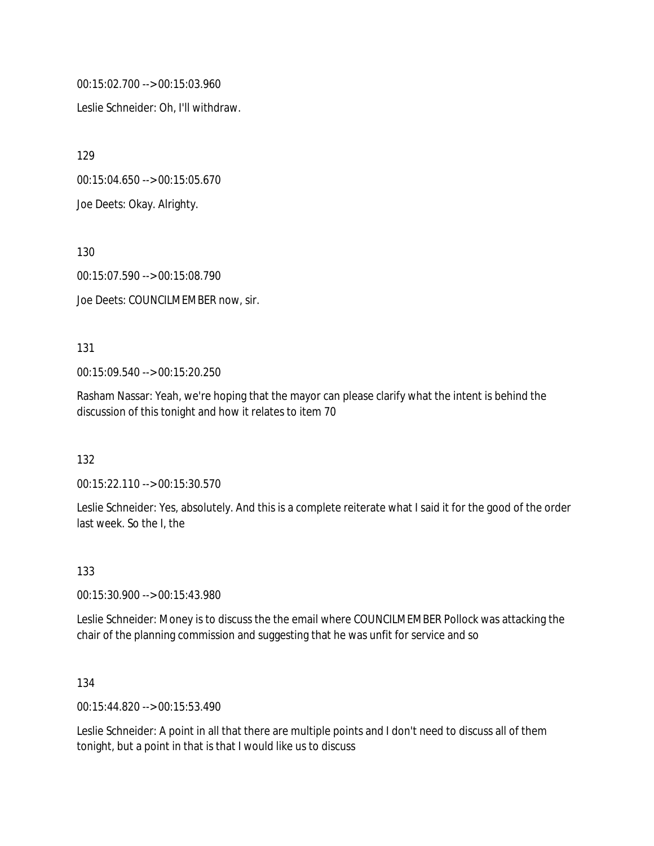00:15:02.700 --> 00:15:03.960

Leslie Schneider: Oh, I'll withdraw.

129

00:15:04.650 --> 00:15:05.670

Joe Deets: Okay. Alrighty.

130

00:15:07.590 --> 00:15:08.790

Joe Deets: COUNCILMEMBER now, sir.

#### 131

00:15:09.540 --> 00:15:20.250

Rasham Nassar: Yeah, we're hoping that the mayor can please clarify what the intent is behind the discussion of this tonight and how it relates to item 70

132

00:15:22.110 --> 00:15:30.570

Leslie Schneider: Yes, absolutely. And this is a complete reiterate what I said it for the good of the order last week. So the I, the

133

00:15:30.900 --> 00:15:43.980

Leslie Schneider: Money is to discuss the the email where COUNCILMEMBER Pollock was attacking the chair of the planning commission and suggesting that he was unfit for service and so

134

00:15:44.820 --> 00:15:53.490

Leslie Schneider: A point in all that there are multiple points and I don't need to discuss all of them tonight, but a point in that is that I would like us to discuss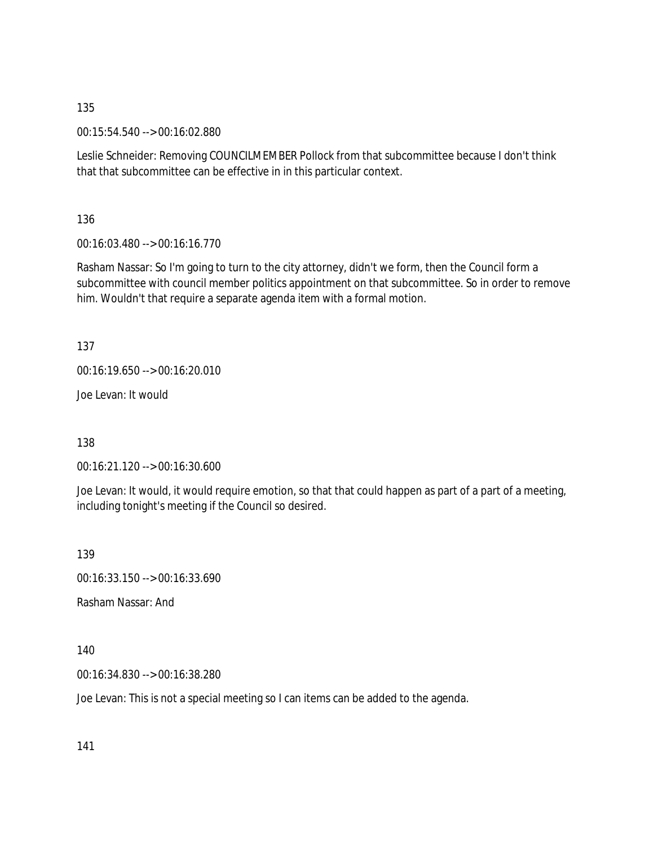00:15:54.540 --> 00:16:02.880

Leslie Schneider: Removing COUNCILMEMBER Pollock from that subcommittee because I don't think that that subcommittee can be effective in in this particular context.

136

00:16:03.480 --> 00:16:16.770

Rasham Nassar: So I'm going to turn to the city attorney, didn't we form, then the Council form a subcommittee with council member politics appointment on that subcommittee. So in order to remove him. Wouldn't that require a separate agenda item with a formal motion.

137

00:16:19.650 --> 00:16:20.010

Joe Levan: It would

138

00:16:21.120 --> 00:16:30.600

Joe Levan: It would, it would require emotion, so that that could happen as part of a part of a meeting, including tonight's meeting if the Council so desired.

139

00:16:33.150 --> 00:16:33.690

Rasham Nassar: And

140

00:16:34.830 --> 00:16:38.280

Joe Levan: This is not a special meeting so I can items can be added to the agenda.

141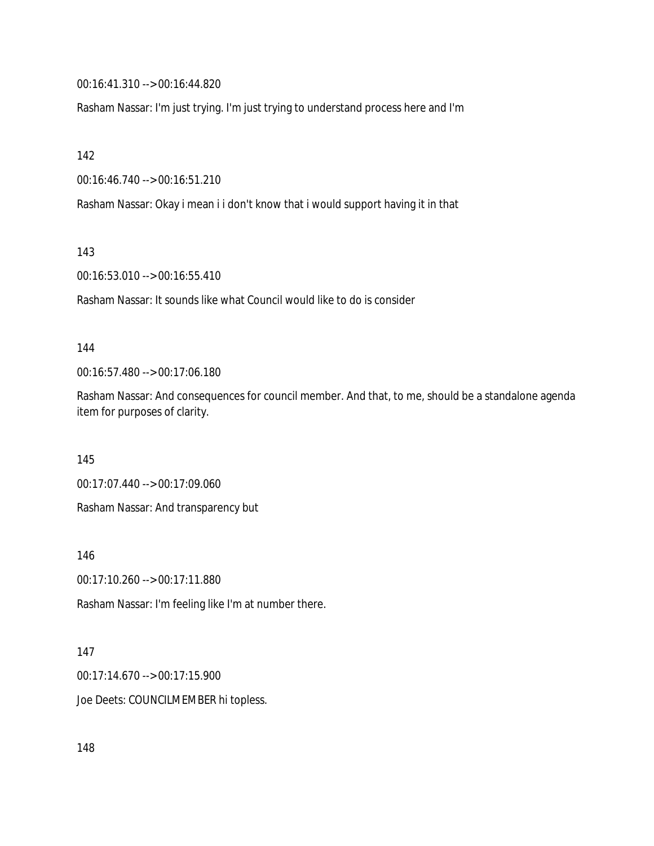00:16:41.310 --> 00:16:44.820

Rasham Nassar: I'm just trying. I'm just trying to understand process here and I'm

142

00:16:46.740 --> 00:16:51.210

Rasham Nassar: Okay i mean i i don't know that i would support having it in that

143

00:16:53.010 --> 00:16:55.410

Rasham Nassar: It sounds like what Council would like to do is consider

#### 144

00:16:57.480 --> 00:17:06.180

Rasham Nassar: And consequences for council member. And that, to me, should be a standalone agenda item for purposes of clarity.

145

00:17:07.440 --> 00:17:09.060

Rasham Nassar: And transparency but

146

00:17:10.260 --> 00:17:11.880

Rasham Nassar: I'm feeling like I'm at number there.

#### 147

00:17:14.670 --> 00:17:15.900

Joe Deets: COUNCILMEMBER hi topless.

148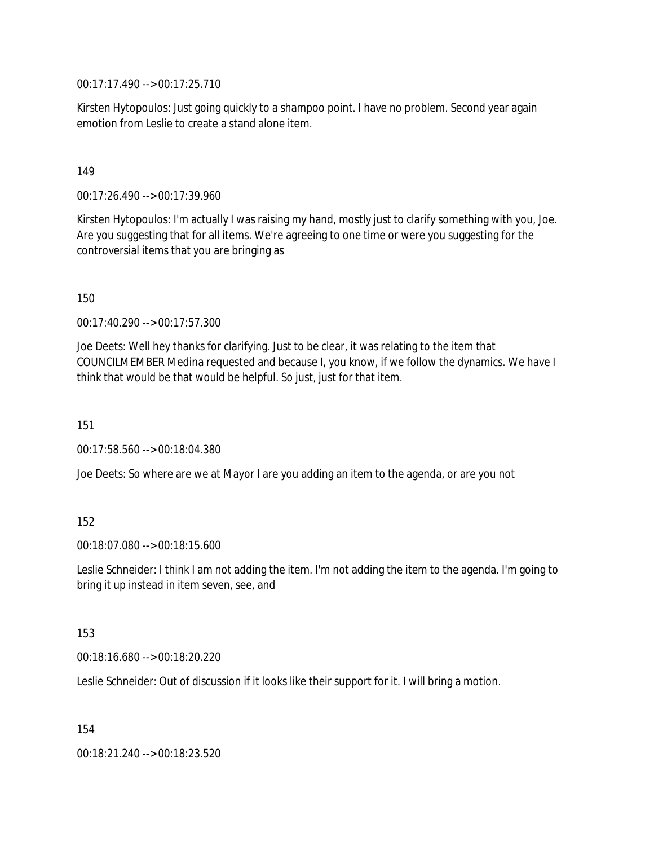00:17:17.490 --> 00:17:25.710

Kirsten Hytopoulos: Just going quickly to a shampoo point. I have no problem. Second year again emotion from Leslie to create a stand alone item.

### 149

00:17:26.490 --> 00:17:39.960

Kirsten Hytopoulos: I'm actually I was raising my hand, mostly just to clarify something with you, Joe. Are you suggesting that for all items. We're agreeing to one time or were you suggesting for the controversial items that you are bringing as

150

00:17:40.290 --> 00:17:57.300

Joe Deets: Well hey thanks for clarifying. Just to be clear, it was relating to the item that COUNCILMEMBER Medina requested and because I, you know, if we follow the dynamics. We have I think that would be that would be helpful. So just, just for that item.

151

00:17:58.560 --> 00:18:04.380

Joe Deets: So where are we at Mayor I are you adding an item to the agenda, or are you not

### 152

00:18:07.080 --> 00:18:15.600

Leslie Schneider: I think I am not adding the item. I'm not adding the item to the agenda. I'm going to bring it up instead in item seven, see, and

#### 153

00:18:16.680 --> 00:18:20.220

Leslie Schneider: Out of discussion if it looks like their support for it. I will bring a motion.

154

00:18:21.240 --> 00:18:23.520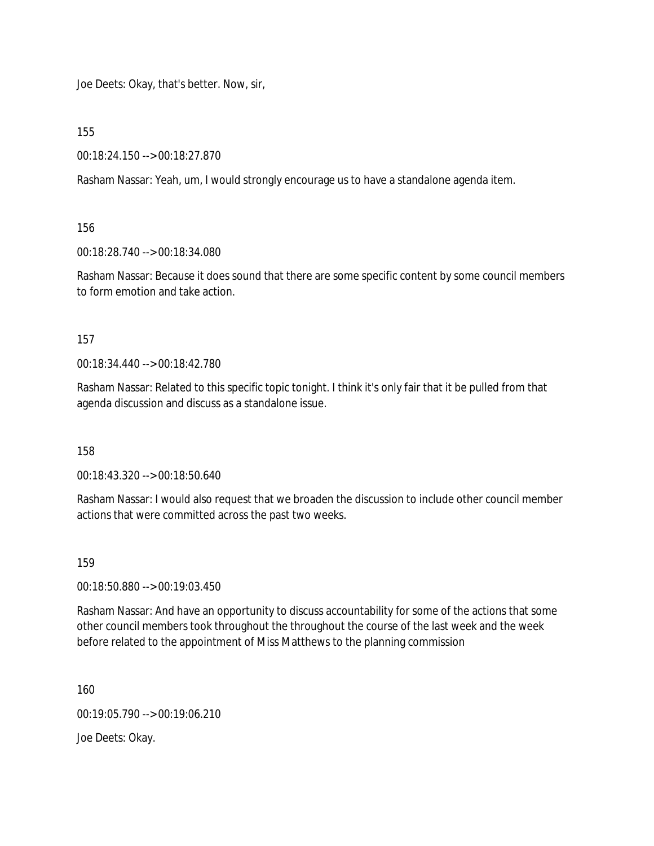Joe Deets: Okay, that's better. Now, sir,

155

00:18:24.150 --> 00:18:27.870

Rasham Nassar: Yeah, um, I would strongly encourage us to have a standalone agenda item.

156

00:18:28.740 --> 00:18:34.080

Rasham Nassar: Because it does sound that there are some specific content by some council members to form emotion and take action.

157

00:18:34.440 --> 00:18:42.780

Rasham Nassar: Related to this specific topic tonight. I think it's only fair that it be pulled from that agenda discussion and discuss as a standalone issue.

158

00:18:43.320 --> 00:18:50.640

Rasham Nassar: I would also request that we broaden the discussion to include other council member actions that were committed across the past two weeks.

159

00:18:50.880 --> 00:19:03.450

Rasham Nassar: And have an opportunity to discuss accountability for some of the actions that some other council members took throughout the throughout the course of the last week and the week before related to the appointment of Miss Matthews to the planning commission

160

00:19:05.790 --> 00:19:06.210

Joe Deets: Okay.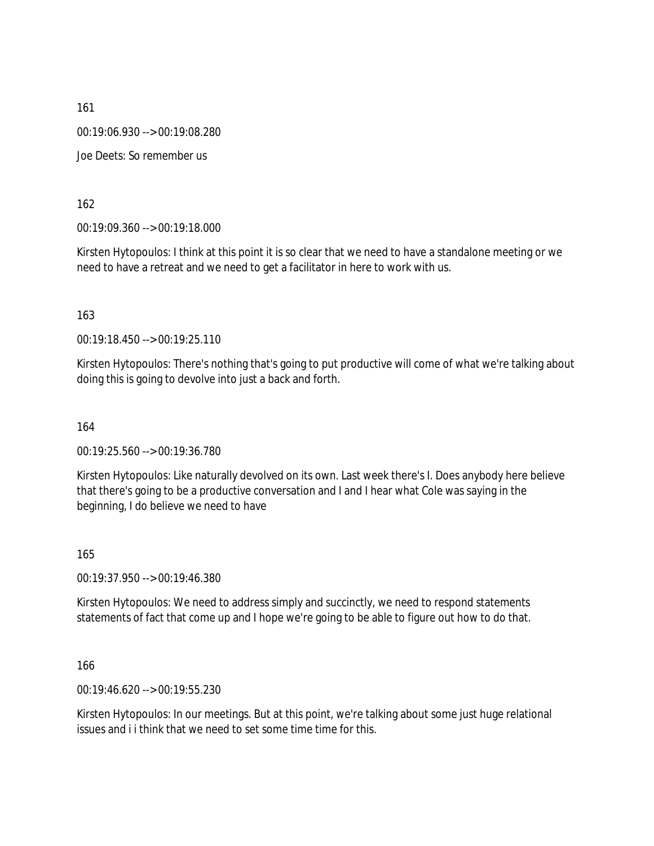161 00:19:06.930 --> 00:19:08.280 Joe Deets: So remember us

162

00:19:09.360 --> 00:19:18.000

Kirsten Hytopoulos: I think at this point it is so clear that we need to have a standalone meeting or we need to have a retreat and we need to get a facilitator in here to work with us.

163

00:19:18.450 --> 00:19:25.110

Kirsten Hytopoulos: There's nothing that's going to put productive will come of what we're talking about doing this is going to devolve into just a back and forth.

164

00:19:25.560 --> 00:19:36.780

Kirsten Hytopoulos: Like naturally devolved on its own. Last week there's I. Does anybody here believe that there's going to be a productive conversation and I and I hear what Cole was saying in the beginning, I do believe we need to have

165

00:19:37.950 --> 00:19:46.380

Kirsten Hytopoulos: We need to address simply and succinctly, we need to respond statements statements of fact that come up and I hope we're going to be able to figure out how to do that.

166

00:19:46.620 --> 00:19:55.230

Kirsten Hytopoulos: In our meetings. But at this point, we're talking about some just huge relational issues and i i think that we need to set some time time for this.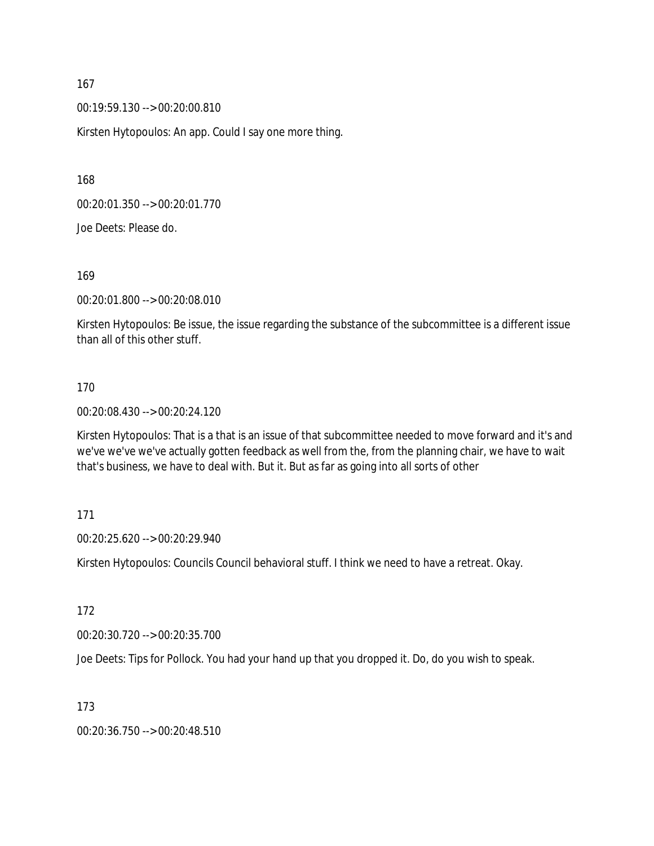00:19:59.130 --> 00:20:00.810

Kirsten Hytopoulos: An app. Could I say one more thing.

168

00:20:01.350 --> 00:20:01.770

Joe Deets: Please do.

169

00:20:01.800 --> 00:20:08.010

Kirsten Hytopoulos: Be issue, the issue regarding the substance of the subcommittee is a different issue than all of this other stuff.

#### 170

00:20:08.430 --> 00:20:24.120

Kirsten Hytopoulos: That is a that is an issue of that subcommittee needed to move forward and it's and we've we've we've actually gotten feedback as well from the, from the planning chair, we have to wait that's business, we have to deal with. But it. But as far as going into all sorts of other

171

00:20:25.620 --> 00:20:29.940

Kirsten Hytopoulos: Councils Council behavioral stuff. I think we need to have a retreat. Okay.

172

00:20:30.720 --> 00:20:35.700

Joe Deets: Tips for Pollock. You had your hand up that you dropped it. Do, do you wish to speak.

173

00:20:36.750 --> 00:20:48.510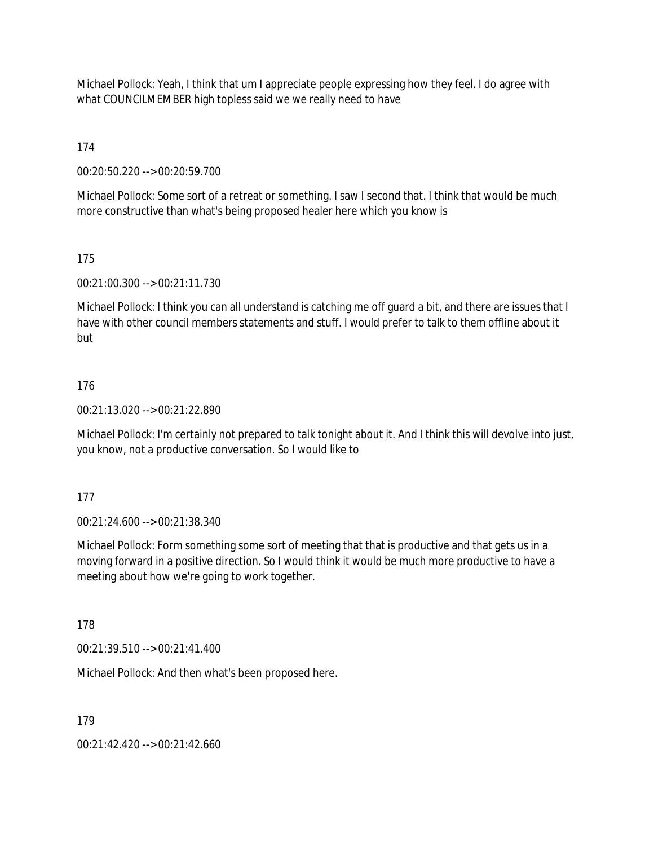Michael Pollock: Yeah, I think that um I appreciate people expressing how they feel. I do agree with what COUNCILMEMBER high topless said we we really need to have

174

00:20:50.220 --> 00:20:59.700

Michael Pollock: Some sort of a retreat or something. I saw I second that. I think that would be much more constructive than what's being proposed healer here which you know is

## 175

00:21:00.300 --> 00:21:11.730

Michael Pollock: I think you can all understand is catching me off guard a bit, and there are issues that I have with other council members statements and stuff. I would prefer to talk to them offline about it but

## 176

00:21:13.020 --> 00:21:22.890

Michael Pollock: I'm certainly not prepared to talk tonight about it. And I think this will devolve into just, you know, not a productive conversation. So I would like to

### 177

00:21:24.600 --> 00:21:38.340

Michael Pollock: Form something some sort of meeting that that is productive and that gets us in a moving forward in a positive direction. So I would think it would be much more productive to have a meeting about how we're going to work together.

178

00:21:39.510 --> 00:21:41.400

Michael Pollock: And then what's been proposed here.

179

00:21:42.420 --> 00:21:42.660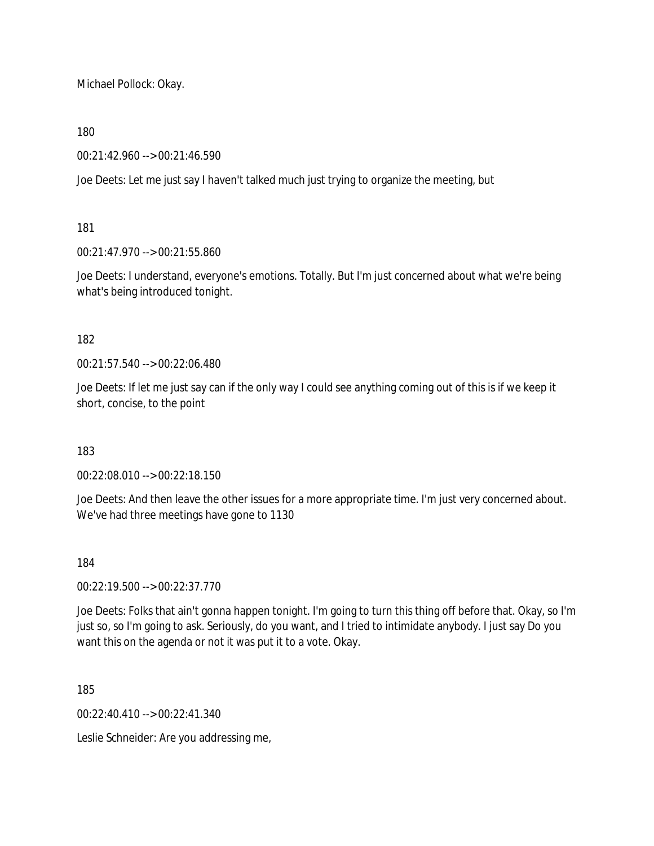Michael Pollock: Okay.

## 180

00:21:42.960 --> 00:21:46.590

Joe Deets: Let me just say I haven't talked much just trying to organize the meeting, but

## 181

00:21:47.970 --> 00:21:55.860

Joe Deets: I understand, everyone's emotions. Totally. But I'm just concerned about what we're being what's being introduced tonight.

## 182

00:21:57.540 --> 00:22:06.480

Joe Deets: If let me just say can if the only way I could see anything coming out of this is if we keep it short, concise, to the point

### 183

00:22:08.010 --> 00:22:18.150

Joe Deets: And then leave the other issues for a more appropriate time. I'm just very concerned about. We've had three meetings have gone to 1130

### 184

00:22:19.500 --> 00:22:37.770

Joe Deets: Folks that ain't gonna happen tonight. I'm going to turn this thing off before that. Okay, so I'm just so, so I'm going to ask. Seriously, do you want, and I tried to intimidate anybody. I just say Do you want this on the agenda or not it was put it to a vote. Okay.

185

00:22:40.410 --> 00:22:41.340

Leslie Schneider: Are you addressing me,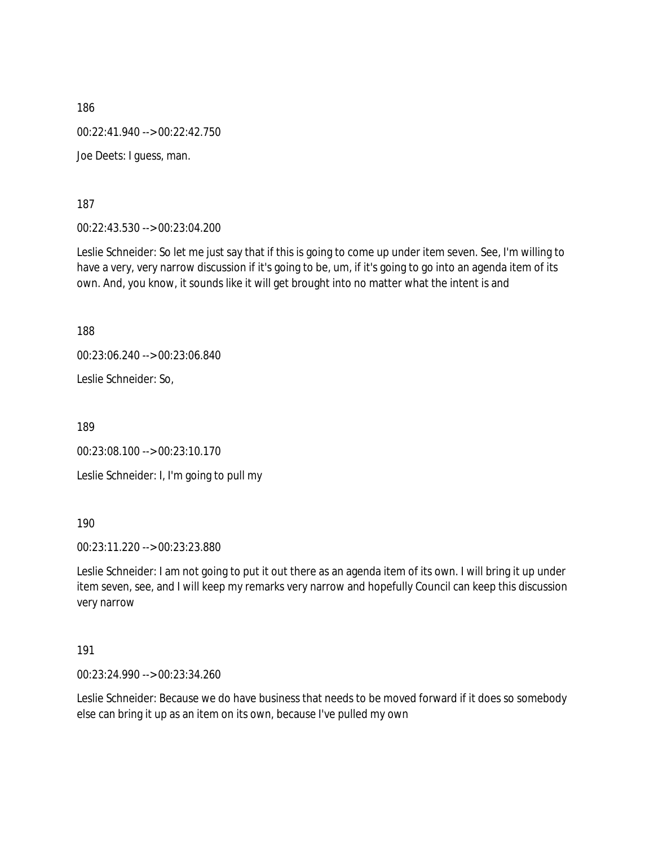186 00:22:41.940 --> 00:22:42.750 Joe Deets: I guess, man.

187

00:22:43.530 --> 00:23:04.200

Leslie Schneider: So let me just say that if this is going to come up under item seven. See, I'm willing to have a very, very narrow discussion if it's going to be, um, if it's going to go into an agenda item of its own. And, you know, it sounds like it will get brought into no matter what the intent is and

188

00:23:06.240 --> 00:23:06.840

Leslie Schneider: So,

189

00:23:08.100 --> 00:23:10.170 Leslie Schneider: I, I'm going to pull my

190

00:23:11.220 --> 00:23:23.880

Leslie Schneider: I am not going to put it out there as an agenda item of its own. I will bring it up under item seven, see, and I will keep my remarks very narrow and hopefully Council can keep this discussion very narrow

191

00:23:24.990 --> 00:23:34.260

Leslie Schneider: Because we do have business that needs to be moved forward if it does so somebody else can bring it up as an item on its own, because I've pulled my own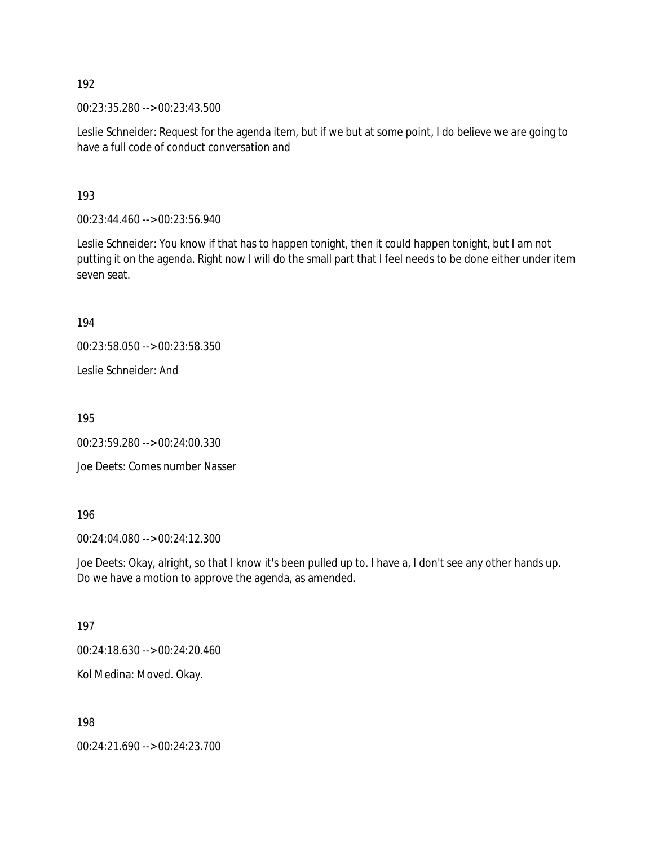00:23:35.280 --> 00:23:43.500

Leslie Schneider: Request for the agenda item, but if we but at some point, I do believe we are going to have a full code of conduct conversation and

193

00:23:44.460 --> 00:23:56.940

Leslie Schneider: You know if that has to happen tonight, then it could happen tonight, but I am not putting it on the agenda. Right now I will do the small part that I feel needs to be done either under item seven seat.

194

00:23:58.050 --> 00:23:58.350

Leslie Schneider: And

195

00:23:59.280 --> 00:24:00.330

Joe Deets: Comes number Nasser

196

00:24:04.080 --> 00:24:12.300

Joe Deets: Okay, alright, so that I know it's been pulled up to. I have a, I don't see any other hands up. Do we have a motion to approve the agenda, as amended.

197

00:24:18.630 --> 00:24:20.460

Kol Medina: Moved. Okay.

198

00:24:21.690 --> 00:24:23.700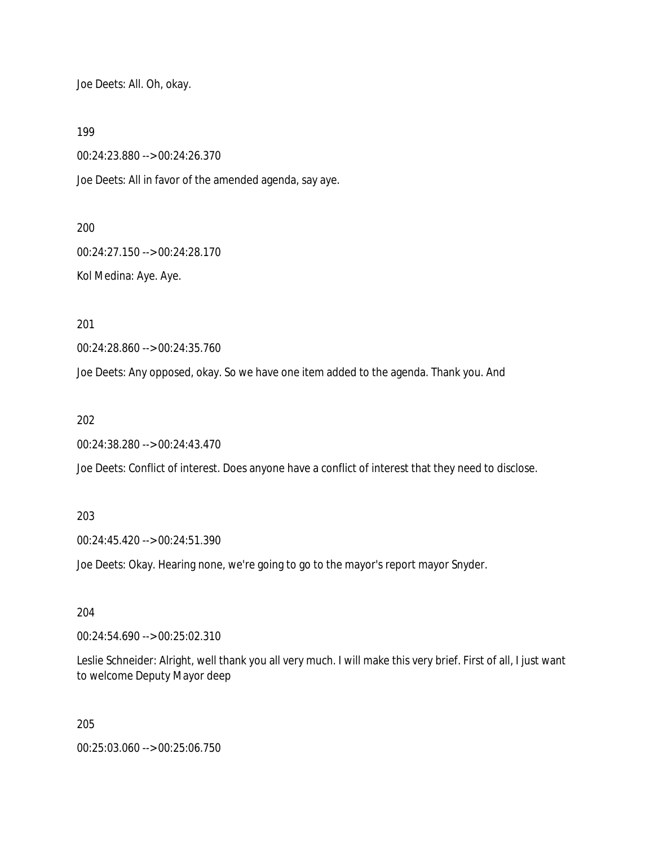Joe Deets: All. Oh, okay.

199

00:24:23.880 --> 00:24:26.370

Joe Deets: All in favor of the amended agenda, say aye.

200

00:24:27.150 --> 00:24:28.170 Kol Medina: Aye. Aye.

201

00:24:28.860 --> 00:24:35.760

Joe Deets: Any opposed, okay. So we have one item added to the agenda. Thank you. And

202

00:24:38.280 --> 00:24:43.470

Joe Deets: Conflict of interest. Does anyone have a conflict of interest that they need to disclose.

203

00:24:45.420 --> 00:24:51.390

Joe Deets: Okay. Hearing none, we're going to go to the mayor's report mayor Snyder.

204

00:24:54.690 --> 00:25:02.310

Leslie Schneider: Alright, well thank you all very much. I will make this very brief. First of all, I just want to welcome Deputy Mayor deep

205

00:25:03.060 --> 00:25:06.750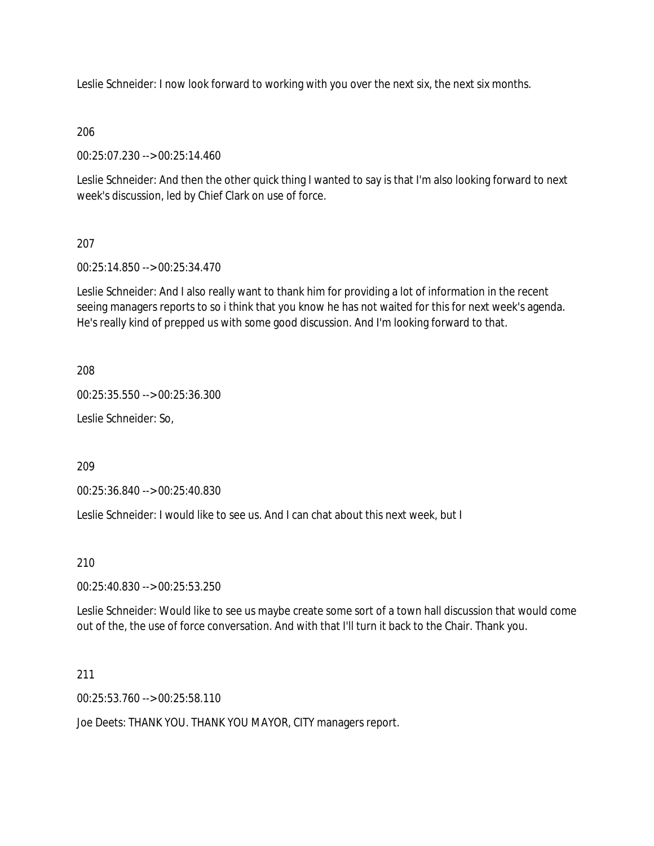Leslie Schneider: I now look forward to working with you over the next six, the next six months.

## 206

00:25:07.230 --> 00:25:14.460

Leslie Schneider: And then the other quick thing I wanted to say is that I'm also looking forward to next week's discussion, led by Chief Clark on use of force.

## 207

00:25:14.850 --> 00:25:34.470

Leslie Schneider: And I also really want to thank him for providing a lot of information in the recent seeing managers reports to so i think that you know he has not waited for this for next week's agenda. He's really kind of prepped us with some good discussion. And I'm looking forward to that.

208

00:25:35.550 --> 00:25:36.300

Leslie Schneider: So,

209

00:25:36.840 --> 00:25:40.830

Leslie Schneider: I would like to see us. And I can chat about this next week, but I

210

00:25:40.830 --> 00:25:53.250

Leslie Schneider: Would like to see us maybe create some sort of a town hall discussion that would come out of the, the use of force conversation. And with that I'll turn it back to the Chair. Thank you.

211

00:25:53.760 --> 00:25:58.110

Joe Deets: THANK YOU. THANK YOU MAYOR, CITY managers report.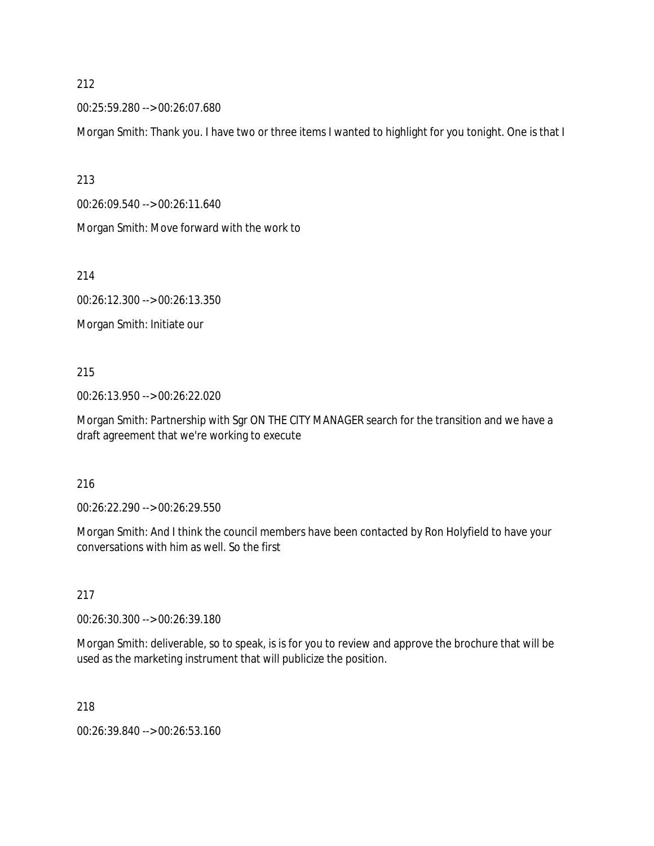00:25:59.280 --> 00:26:07.680

Morgan Smith: Thank you. I have two or three items I wanted to highlight for you tonight. One is that I

213

00:26:09.540 --> 00:26:11.640

Morgan Smith: Move forward with the work to

214

00:26:12.300 --> 00:26:13.350

Morgan Smith: Initiate our

### 215

00:26:13.950 --> 00:26:22.020

Morgan Smith: Partnership with Sgr ON THE CITY MANAGER search for the transition and we have a draft agreement that we're working to execute

### 216

00:26:22.290 --> 00:26:29.550

Morgan Smith: And I think the council members have been contacted by Ron Holyfield to have your conversations with him as well. So the first

### 217

00:26:30.300 --> 00:26:39.180

Morgan Smith: deliverable, so to speak, is is for you to review and approve the brochure that will be used as the marketing instrument that will publicize the position.

218

00:26:39.840 --> 00:26:53.160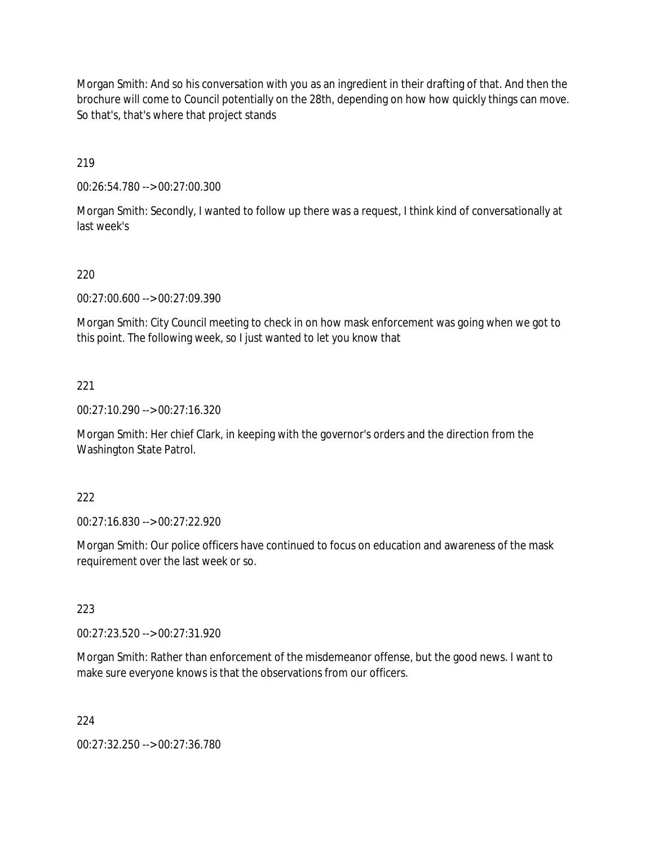Morgan Smith: And so his conversation with you as an ingredient in their drafting of that. And then the brochure will come to Council potentially on the 28th, depending on how how quickly things can move. So that's, that's where that project stands

219

00:26:54.780 --> 00:27:00.300

Morgan Smith: Secondly, I wanted to follow up there was a request, I think kind of conversationally at last week's

## 220

00:27:00.600 --> 00:27:09.390

Morgan Smith: City Council meeting to check in on how mask enforcement was going when we got to this point. The following week, so I just wanted to let you know that

### 221

00:27:10.290 --> 00:27:16.320

Morgan Smith: Her chief Clark, in keeping with the governor's orders and the direction from the Washington State Patrol.

### 222

00:27:16.830 --> 00:27:22.920

Morgan Smith: Our police officers have continued to focus on education and awareness of the mask requirement over the last week or so.

### 223

00:27:23.520 --> 00:27:31.920

Morgan Smith: Rather than enforcement of the misdemeanor offense, but the good news. I want to make sure everyone knows is that the observations from our officers.

#### 224

00:27:32.250 --> 00:27:36.780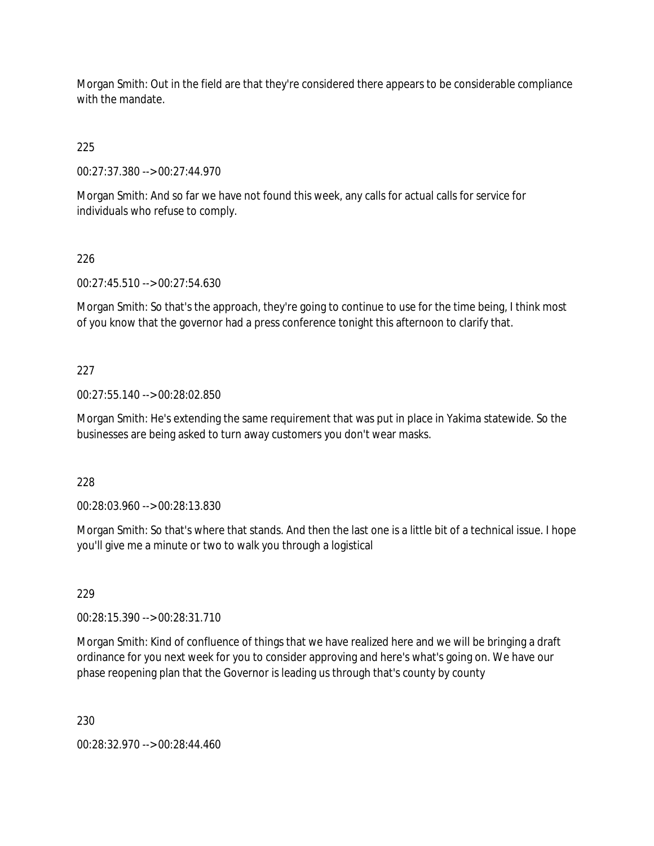Morgan Smith: Out in the field are that they're considered there appears to be considerable compliance with the mandate

225

00:27:37.380 --> 00:27:44.970

Morgan Smith: And so far we have not found this week, any calls for actual calls for service for individuals who refuse to comply.

# 226

00:27:45.510 --> 00:27:54.630

Morgan Smith: So that's the approach, they're going to continue to use for the time being, I think most of you know that the governor had a press conference tonight this afternoon to clarify that.

# 227

00:27:55.140 --> 00:28:02.850

Morgan Smith: He's extending the same requirement that was put in place in Yakima statewide. So the businesses are being asked to turn away customers you don't wear masks.

228

00:28:03.960 --> 00:28:13.830

Morgan Smith: So that's where that stands. And then the last one is a little bit of a technical issue. I hope you'll give me a minute or two to walk you through a logistical

229

00:28:15.390 --> 00:28:31.710

Morgan Smith: Kind of confluence of things that we have realized here and we will be bringing a draft ordinance for you next week for you to consider approving and here's what's going on. We have our phase reopening plan that the Governor is leading us through that's county by county

230

00:28:32.970 --> 00:28:44.460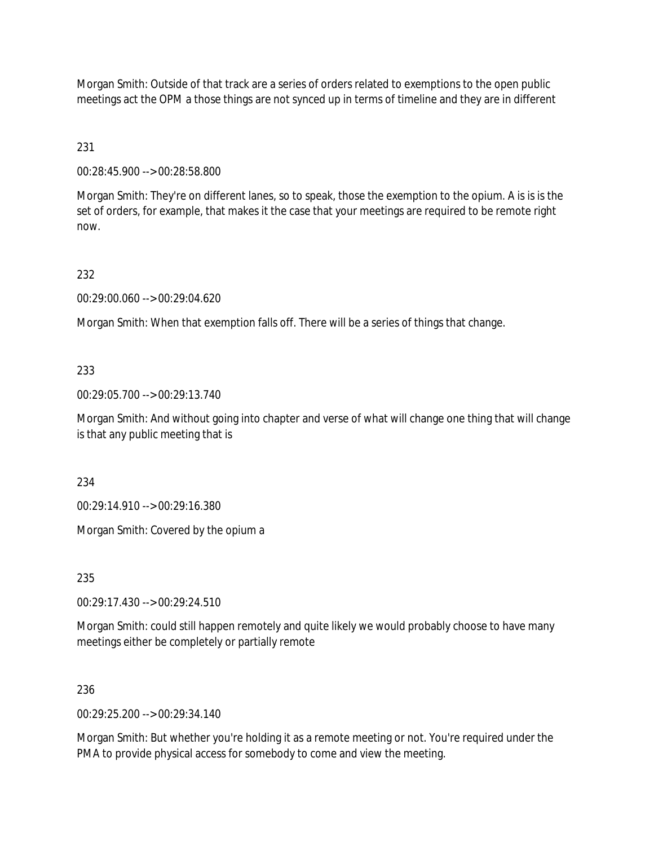Morgan Smith: Outside of that track are a series of orders related to exemptions to the open public meetings act the OPM a those things are not synced up in terms of timeline and they are in different

231

00:28:45.900 --> 00:28:58.800

Morgan Smith: They're on different lanes, so to speak, those the exemption to the opium. A is is is the set of orders, for example, that makes it the case that your meetings are required to be remote right now.

232

00:29:00.060 --> 00:29:04.620

Morgan Smith: When that exemption falls off. There will be a series of things that change.

## 233

00:29:05.700 --> 00:29:13.740

Morgan Smith: And without going into chapter and verse of what will change one thing that will change is that any public meeting that is

234

00:29:14.910 --> 00:29:16.380

Morgan Smith: Covered by the opium a

235

00:29:17.430 --> 00:29:24.510

Morgan Smith: could still happen remotely and quite likely we would probably choose to have many meetings either be completely or partially remote

### 236

00:29:25.200 --> 00:29:34.140

Morgan Smith: But whether you're holding it as a remote meeting or not. You're required under the PMA to provide physical access for somebody to come and view the meeting.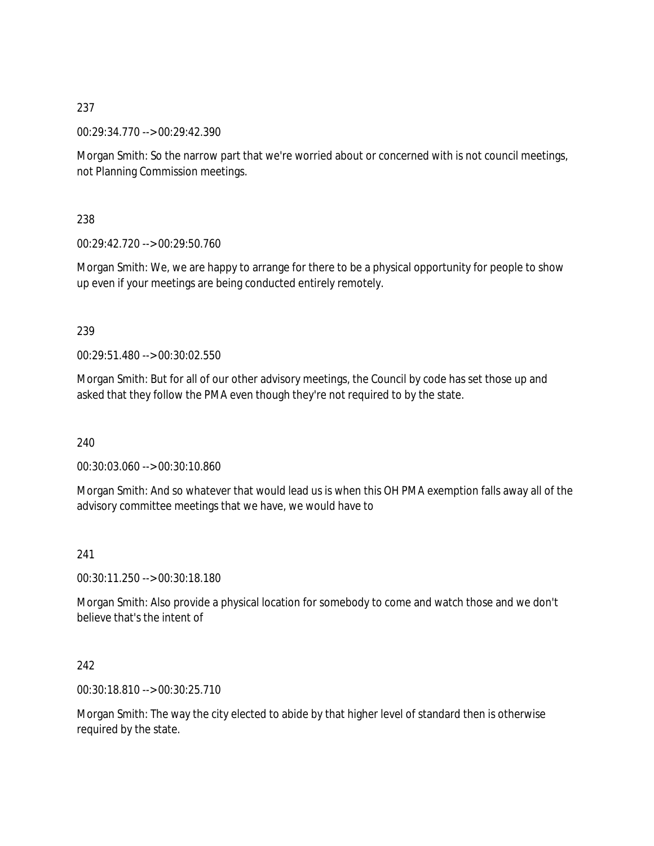00:29:34.770 --> 00:29:42.390

Morgan Smith: So the narrow part that we're worried about or concerned with is not council meetings, not Planning Commission meetings.

238

00:29:42.720 --> 00:29:50.760

Morgan Smith: We, we are happy to arrange for there to be a physical opportunity for people to show up even if your meetings are being conducted entirely remotely.

## 239

00:29:51.480 --> 00:30:02.550

Morgan Smith: But for all of our other advisory meetings, the Council by code has set those up and asked that they follow the PMA even though they're not required to by the state.

240

00:30:03.060 --> 00:30:10.860

Morgan Smith: And so whatever that would lead us is when this OH PMA exemption falls away all of the advisory committee meetings that we have, we would have to

## 241

00:30:11.250 --> 00:30:18.180

Morgan Smith: Also provide a physical location for somebody to come and watch those and we don't believe that's the intent of

## 242

00:30:18.810 --> 00:30:25.710

Morgan Smith: The way the city elected to abide by that higher level of standard then is otherwise required by the state.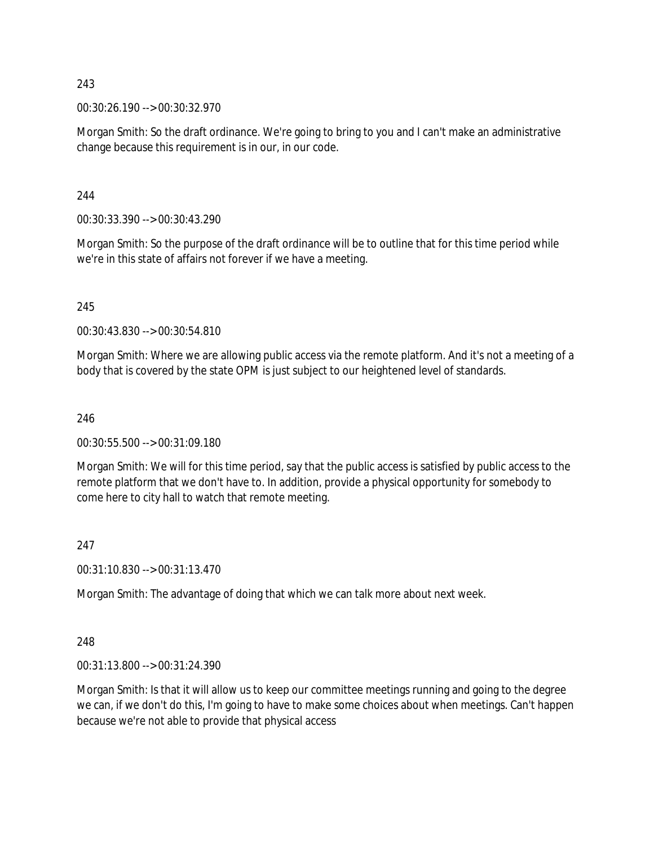00:30:26.190 --> 00:30:32.970

Morgan Smith: So the draft ordinance. We're going to bring to you and I can't make an administrative change because this requirement is in our, in our code.

244

00:30:33.390 --> 00:30:43.290

Morgan Smith: So the purpose of the draft ordinance will be to outline that for this time period while we're in this state of affairs not forever if we have a meeting.

245

00:30:43.830 --> 00:30:54.810

Morgan Smith: Where we are allowing public access via the remote platform. And it's not a meeting of a body that is covered by the state OPM is just subject to our heightened level of standards.

246

00:30:55.500 --> 00:31:09.180

Morgan Smith: We will for this time period, say that the public access is satisfied by public access to the remote platform that we don't have to. In addition, provide a physical opportunity for somebody to come here to city hall to watch that remote meeting.

#### 247

00:31:10.830 --> 00:31:13.470

Morgan Smith: The advantage of doing that which we can talk more about next week.

248

00:31:13.800 --> 00:31:24.390

Morgan Smith: Is that it will allow us to keep our committee meetings running and going to the degree we can, if we don't do this, I'm going to have to make some choices about when meetings. Can't happen because we're not able to provide that physical access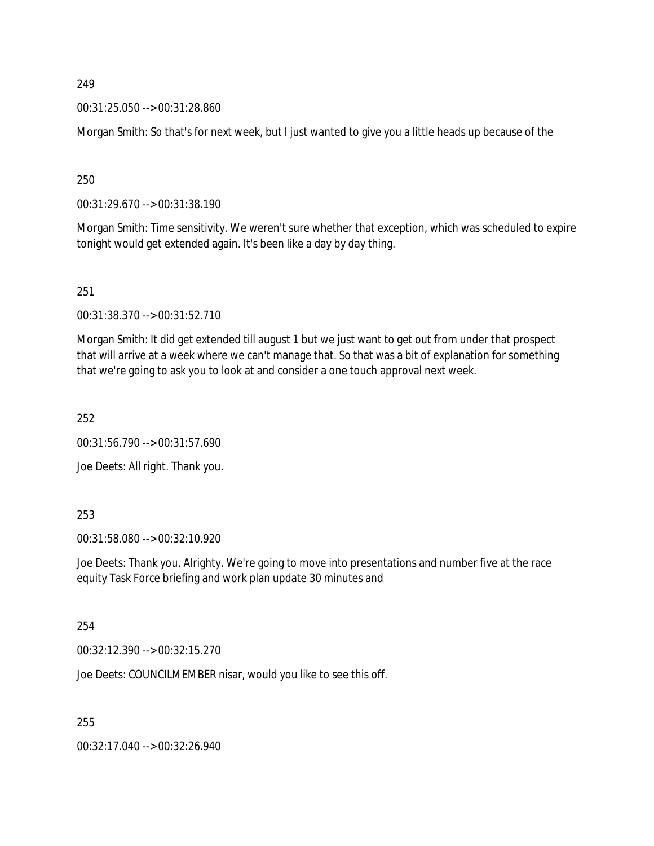00:31:25.050 --> 00:31:28.860

Morgan Smith: So that's for next week, but I just wanted to give you a little heads up because of the

250

00:31:29.670 --> 00:31:38.190

Morgan Smith: Time sensitivity. We weren't sure whether that exception, which was scheduled to expire tonight would get extended again. It's been like a day by day thing.

251

00:31:38.370 --> 00:31:52.710

Morgan Smith: It did get extended till august 1 but we just want to get out from under that prospect that will arrive at a week where we can't manage that. So that was a bit of explanation for something that we're going to ask you to look at and consider a one touch approval next week.

252

00:31:56.790 --> 00:31:57.690

Joe Deets: All right. Thank you.

253

00:31:58.080 --> 00:32:10.920

Joe Deets: Thank you. Alrighty. We're going to move into presentations and number five at the race equity Task Force briefing and work plan update 30 minutes and

254

00:32:12.390 --> 00:32:15.270

Joe Deets: COUNCILMEMBER nisar, would you like to see this off.

255

00:32:17.040 --> 00:32:26.940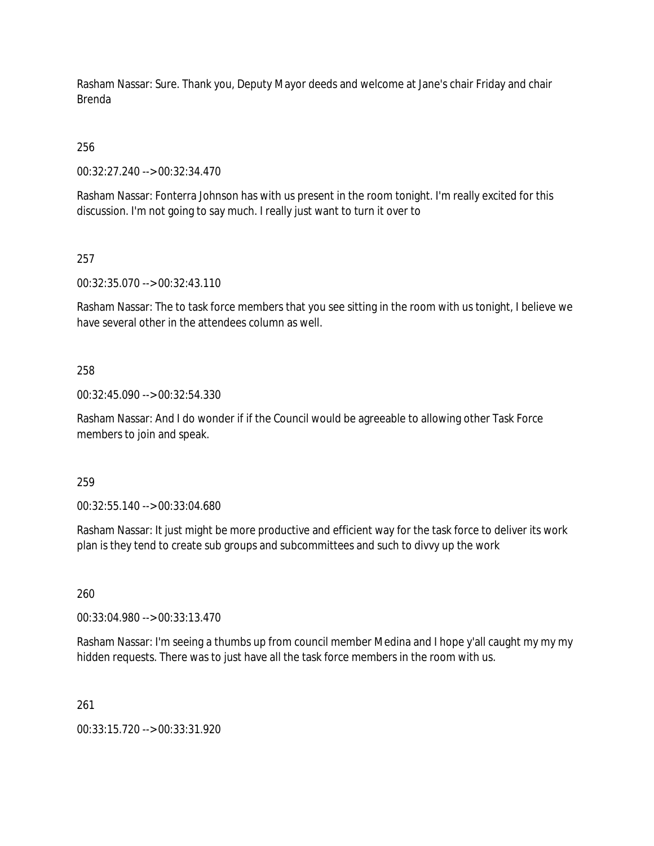Rasham Nassar: Sure. Thank you, Deputy Mayor deeds and welcome at Jane's chair Friday and chair Brenda

256

00:32:27.240 --> 00:32:34.470

Rasham Nassar: Fonterra Johnson has with us present in the room tonight. I'm really excited for this discussion. I'm not going to say much. I really just want to turn it over to

257

00:32:35.070 --> 00:32:43.110

Rasham Nassar: The to task force members that you see sitting in the room with us tonight, I believe we have several other in the attendees column as well.

## 258

00:32:45.090 --> 00:32:54.330

Rasham Nassar: And I do wonder if if the Council would be agreeable to allowing other Task Force members to join and speak.

259

00:32:55.140 --> 00:33:04.680

Rasham Nassar: It just might be more productive and efficient way for the task force to deliver its work plan is they tend to create sub groups and subcommittees and such to divvy up the work

260

00:33:04.980 --> 00:33:13.470

Rasham Nassar: I'm seeing a thumbs up from council member Medina and I hope y'all caught my my my hidden requests. There was to just have all the task force members in the room with us.

261

00:33:15.720 --> 00:33:31.920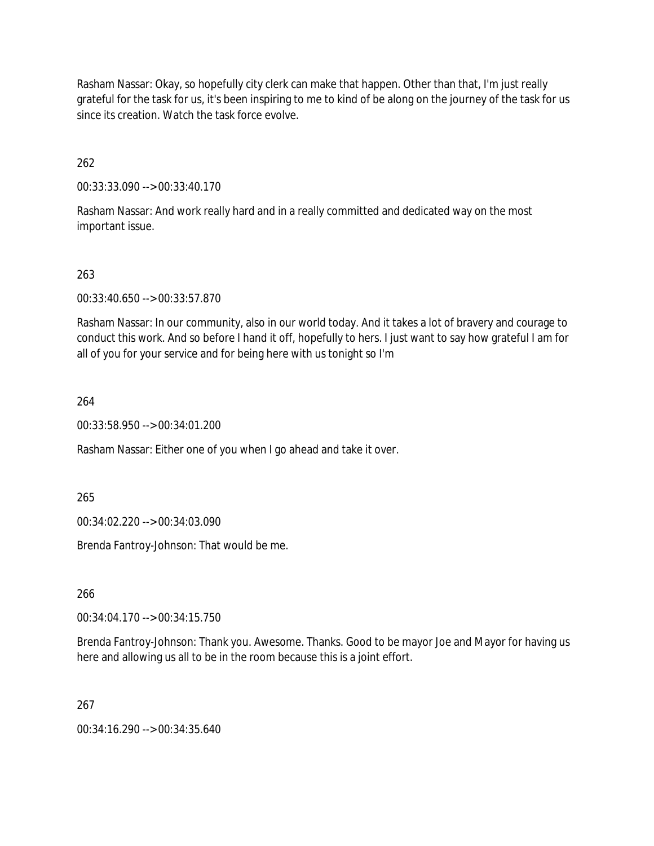Rasham Nassar: Okay, so hopefully city clerk can make that happen. Other than that, I'm just really grateful for the task for us, it's been inspiring to me to kind of be along on the journey of the task for us since its creation. Watch the task force evolve.

262

00:33:33.090 --> 00:33:40.170

Rasham Nassar: And work really hard and in a really committed and dedicated way on the most important issue.

## 263

00:33:40.650 --> 00:33:57.870

Rasham Nassar: In our community, also in our world today. And it takes a lot of bravery and courage to conduct this work. And so before I hand it off, hopefully to hers. I just want to say how grateful I am for all of you for your service and for being here with us tonight so I'm

264

00:33:58.950 --> 00:34:01.200

Rasham Nassar: Either one of you when I go ahead and take it over.

265

00:34:02.220 --> 00:34:03.090

Brenda Fantroy-Johnson: That would be me.

266

00:34:04.170 --> 00:34:15.750

Brenda Fantroy-Johnson: Thank you. Awesome. Thanks. Good to be mayor Joe and Mayor for having us here and allowing us all to be in the room because this is a joint effort.

267

00:34:16.290 --> 00:34:35.640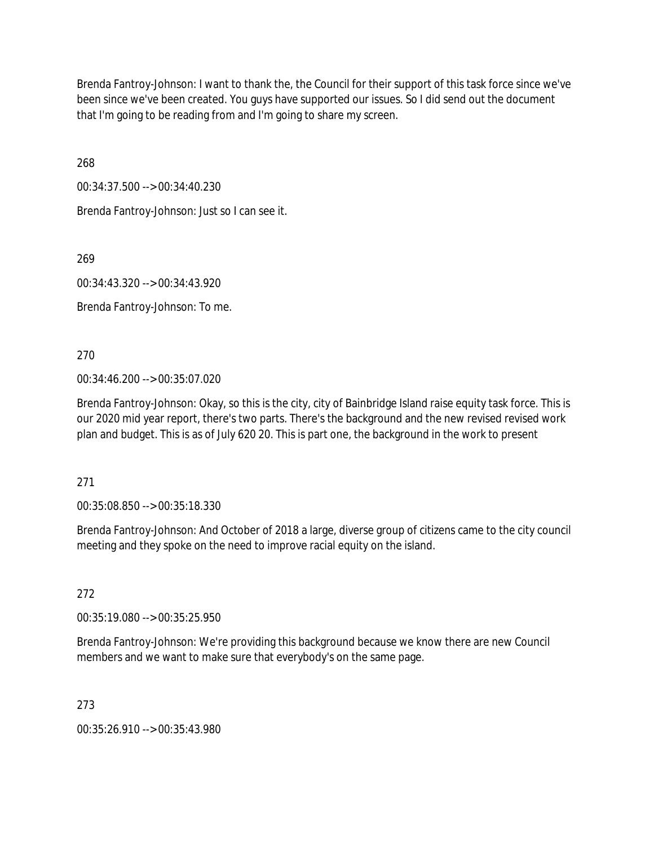Brenda Fantroy-Johnson: I want to thank the, the Council for their support of this task force since we've been since we've been created. You guys have supported our issues. So I did send out the document that I'm going to be reading from and I'm going to share my screen.

268

00:34:37.500 --> 00:34:40.230

Brenda Fantroy-Johnson: Just so I can see it.

269

00:34:43.320 --> 00:34:43.920

Brenda Fantroy-Johnson: To me.

270

00:34:46.200 --> 00:35:07.020

Brenda Fantroy-Johnson: Okay, so this is the city, city of Bainbridge Island raise equity task force. This is our 2020 mid year report, there's two parts. There's the background and the new revised revised work plan and budget. This is as of July 620 20. This is part one, the background in the work to present

271

00:35:08.850 --> 00:35:18.330

Brenda Fantroy-Johnson: And October of 2018 a large, diverse group of citizens came to the city council meeting and they spoke on the need to improve racial equity on the island.

272

00:35:19.080 --> 00:35:25.950

Brenda Fantroy-Johnson: We're providing this background because we know there are new Council members and we want to make sure that everybody's on the same page.

273

00:35:26.910 --> 00:35:43.980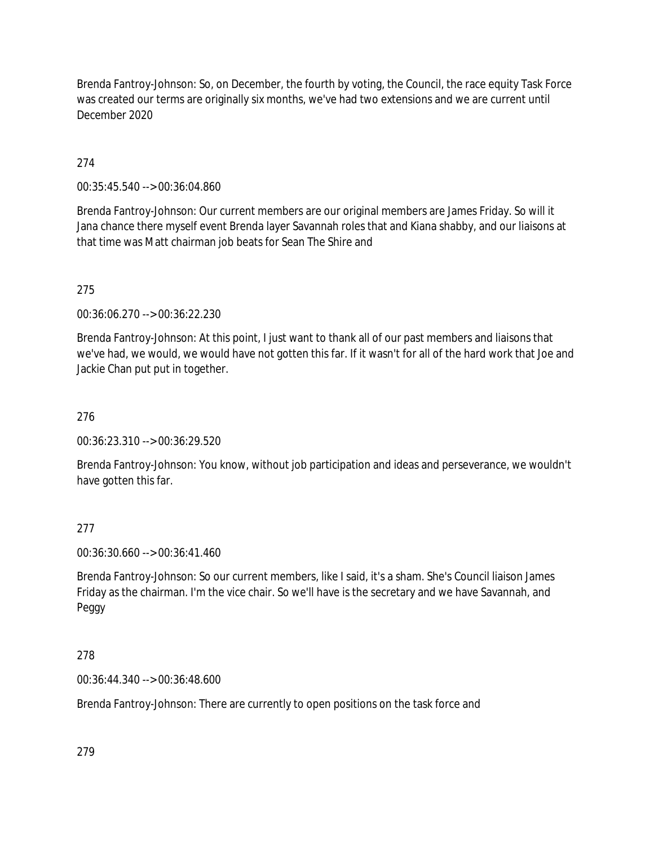Brenda Fantroy-Johnson: So, on December, the fourth by voting, the Council, the race equity Task Force was created our terms are originally six months, we've had two extensions and we are current until December 2020

274

00:35:45.540 --> 00:36:04.860

Brenda Fantroy-Johnson: Our current members are our original members are James Friday. So will it Jana chance there myself event Brenda layer Savannah roles that and Kiana shabby, and our liaisons at that time was Matt chairman job beats for Sean The Shire and

275

00:36:06.270 --> 00:36:22.230

Brenda Fantroy-Johnson: At this point, I just want to thank all of our past members and liaisons that we've had, we would, we would have not gotten this far. If it wasn't for all of the hard work that Joe and Jackie Chan put put in together.

276

00:36:23.310 --> 00:36:29.520

Brenda Fantroy-Johnson: You know, without job participation and ideas and perseverance, we wouldn't have gotten this far.

277

00:36:30.660 --> 00:36:41.460

Brenda Fantroy-Johnson: So our current members, like I said, it's a sham. She's Council liaison James Friday as the chairman. I'm the vice chair. So we'll have is the secretary and we have Savannah, and Peggy

278

00:36:44.340 --> 00:36:48.600

Brenda Fantroy-Johnson: There are currently to open positions on the task force and

279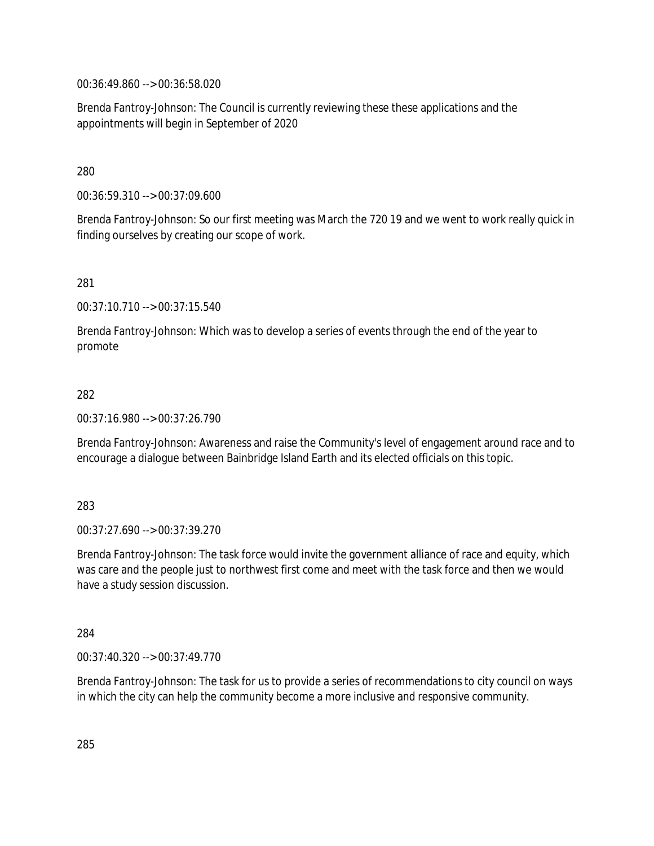00:36:49.860 --> 00:36:58.020

Brenda Fantroy-Johnson: The Council is currently reviewing these these applications and the appointments will begin in September of 2020

280

00:36:59.310 --> 00:37:09.600

Brenda Fantroy-Johnson: So our first meeting was March the 720 19 and we went to work really quick in finding ourselves by creating our scope of work.

281

00:37:10.710 --> 00:37:15.540

Brenda Fantroy-Johnson: Which was to develop a series of events through the end of the year to promote

282

00:37:16.980 --> 00:37:26.790

Brenda Fantroy-Johnson: Awareness and raise the Community's level of engagement around race and to encourage a dialogue between Bainbridge Island Earth and its elected officials on this topic.

283

00:37:27.690 --> 00:37:39.270

Brenda Fantroy-Johnson: The task force would invite the government alliance of race and equity, which was care and the people just to northwest first come and meet with the task force and then we would have a study session discussion.

284

00:37:40.320 --> 00:37:49.770

Brenda Fantroy-Johnson: The task for us to provide a series of recommendations to city council on ways in which the city can help the community become a more inclusive and responsive community.

285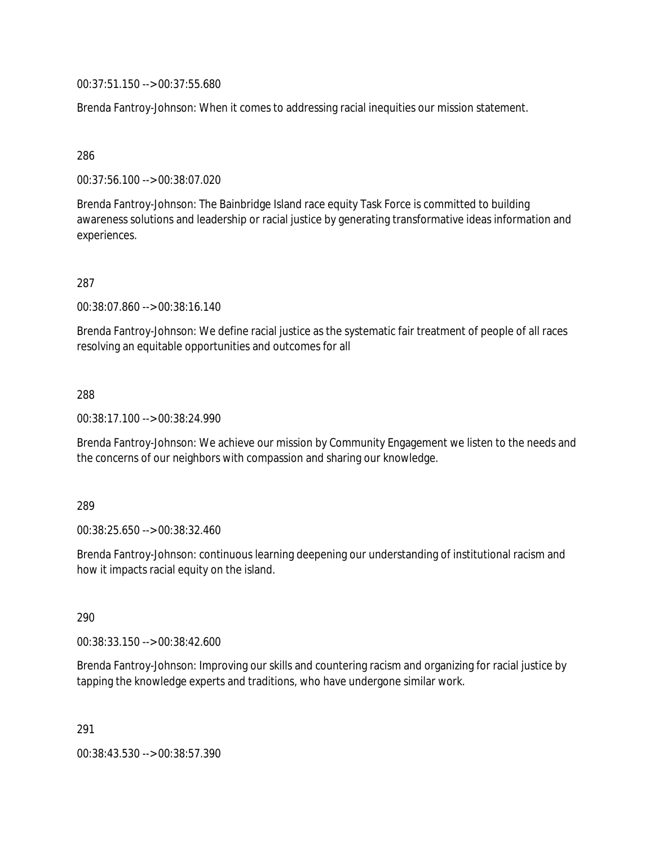00:37:51.150 --> 00:37:55.680

Brenda Fantroy-Johnson: When it comes to addressing racial inequities our mission statement.

286

00:37:56.100 --> 00:38:07.020

Brenda Fantroy-Johnson: The Bainbridge Island race equity Task Force is committed to building awareness solutions and leadership or racial justice by generating transformative ideas information and experiences.

287

00:38:07.860 --> 00:38:16.140

Brenda Fantroy-Johnson: We define racial justice as the systematic fair treatment of people of all races resolving an equitable opportunities and outcomes for all

288

00:38:17.100 --> 00:38:24.990

Brenda Fantroy-Johnson: We achieve our mission by Community Engagement we listen to the needs and the concerns of our neighbors with compassion and sharing our knowledge.

289

00:38:25.650 --> 00:38:32.460

Brenda Fantroy-Johnson: continuous learning deepening our understanding of institutional racism and how it impacts racial equity on the island.

290

00:38:33.150 --> 00:38:42.600

Brenda Fantroy-Johnson: Improving our skills and countering racism and organizing for racial justice by tapping the knowledge experts and traditions, who have undergone similar work.

291

00:38:43.530 --> 00:38:57.390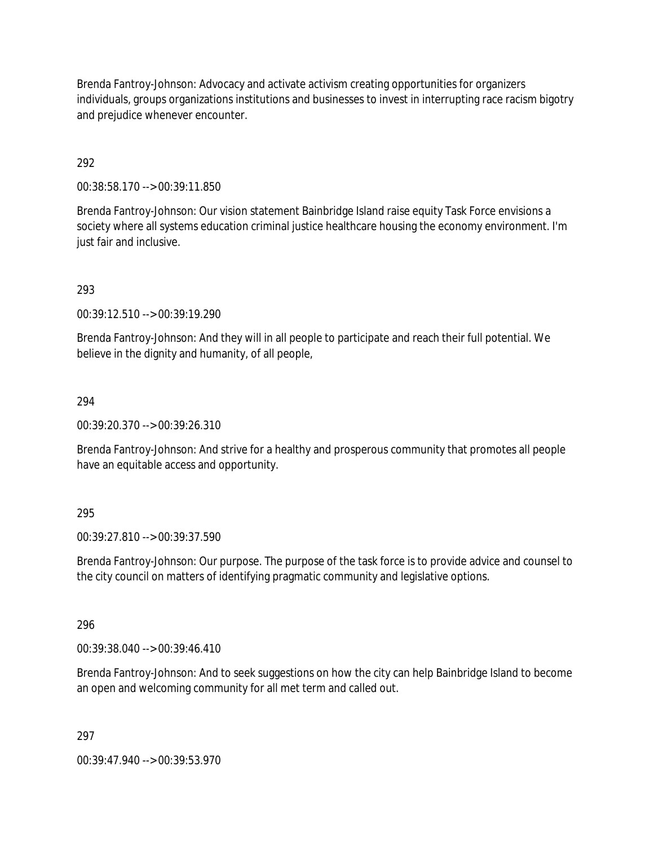Brenda Fantroy-Johnson: Advocacy and activate activism creating opportunities for organizers individuals, groups organizations institutions and businesses to invest in interrupting race racism bigotry and prejudice whenever encounter.

# 292

00:38:58.170 --> 00:39:11.850

Brenda Fantroy-Johnson: Our vision statement Bainbridge Island raise equity Task Force envisions a society where all systems education criminal justice healthcare housing the economy environment. I'm just fair and inclusive.

## 293

00:39:12.510 --> 00:39:19.290

Brenda Fantroy-Johnson: And they will in all people to participate and reach their full potential. We believe in the dignity and humanity, of all people,

## 294

00:39:20.370 --> 00:39:26.310

Brenda Fantroy-Johnson: And strive for a healthy and prosperous community that promotes all people have an equitable access and opportunity.

## 295

00:39:27.810 --> 00:39:37.590

Brenda Fantroy-Johnson: Our purpose. The purpose of the task force is to provide advice and counsel to the city council on matters of identifying pragmatic community and legislative options.

## 296

00:39:38.040 --> 00:39:46.410

Brenda Fantroy-Johnson: And to seek suggestions on how the city can help Bainbridge Island to become an open and welcoming community for all met term and called out.

## 297

00:39:47.940 --> 00:39:53.970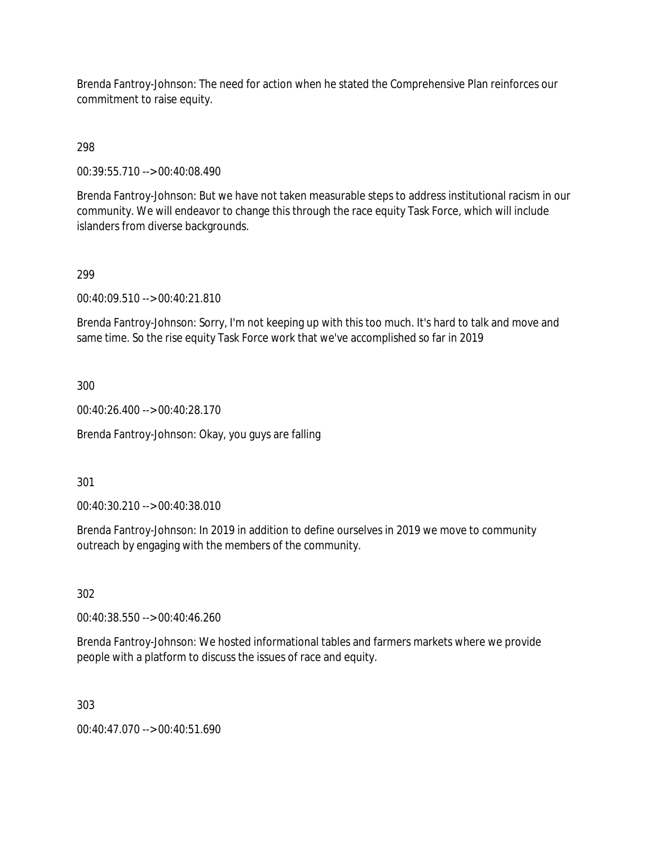Brenda Fantroy-Johnson: The need for action when he stated the Comprehensive Plan reinforces our commitment to raise equity.

# 298

00:39:55.710 --> 00:40:08.490

Brenda Fantroy-Johnson: But we have not taken measurable steps to address institutional racism in our community. We will endeavor to change this through the race equity Task Force, which will include islanders from diverse backgrounds.

# 299

00:40:09.510 --> 00:40:21.810

Brenda Fantroy-Johnson: Sorry, I'm not keeping up with this too much. It's hard to talk and move and same time. So the rise equity Task Force work that we've accomplished so far in 2019

300

00:40:26.400 --> 00:40:28.170

Brenda Fantroy-Johnson: Okay, you guys are falling

301

00:40:30.210 --> 00:40:38.010

Brenda Fantroy-Johnson: In 2019 in addition to define ourselves in 2019 we move to community outreach by engaging with the members of the community.

302

00:40:38.550 --> 00:40:46.260

Brenda Fantroy-Johnson: We hosted informational tables and farmers markets where we provide people with a platform to discuss the issues of race and equity.

303

00:40:47.070 --> 00:40:51.690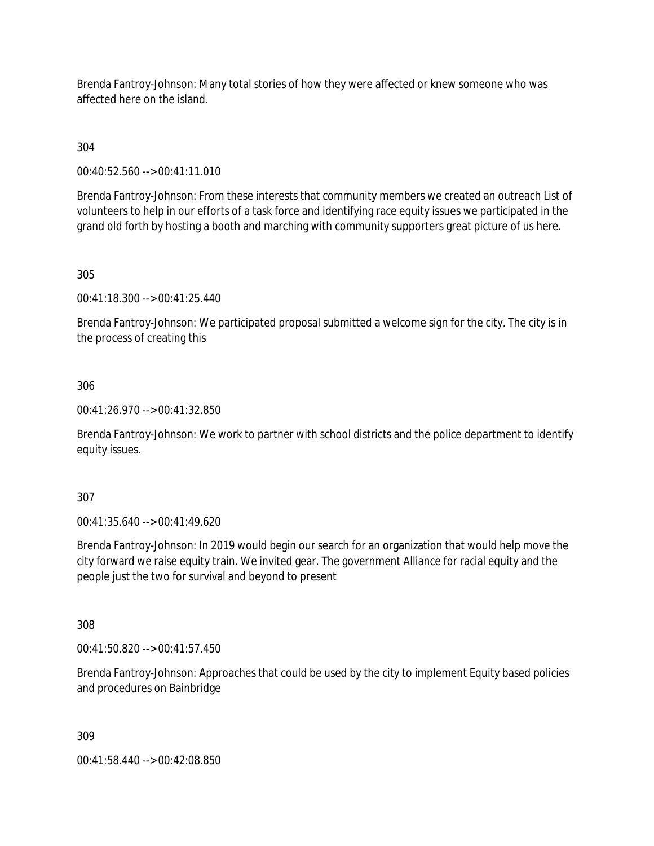Brenda Fantroy-Johnson: Many total stories of how they were affected or knew someone who was affected here on the island.

304

00:40:52.560 --> 00:41:11.010

Brenda Fantroy-Johnson: From these interests that community members we created an outreach List of volunteers to help in our efforts of a task force and identifying race equity issues we participated in the grand old forth by hosting a booth and marching with community supporters great picture of us here.

305

00:41:18.300 --> 00:41:25.440

Brenda Fantroy-Johnson: We participated proposal submitted a welcome sign for the city. The city is in the process of creating this

## 306

00:41:26.970 --> 00:41:32.850

Brenda Fantroy-Johnson: We work to partner with school districts and the police department to identify equity issues.

307

00:41:35.640 --> 00:41:49.620

Brenda Fantroy-Johnson: In 2019 would begin our search for an organization that would help move the city forward we raise equity train. We invited gear. The government Alliance for racial equity and the people just the two for survival and beyond to present

308

00:41:50.820 --> 00:41:57.450

Brenda Fantroy-Johnson: Approaches that could be used by the city to implement Equity based policies and procedures on Bainbridge

309

00:41:58.440 --> 00:42:08.850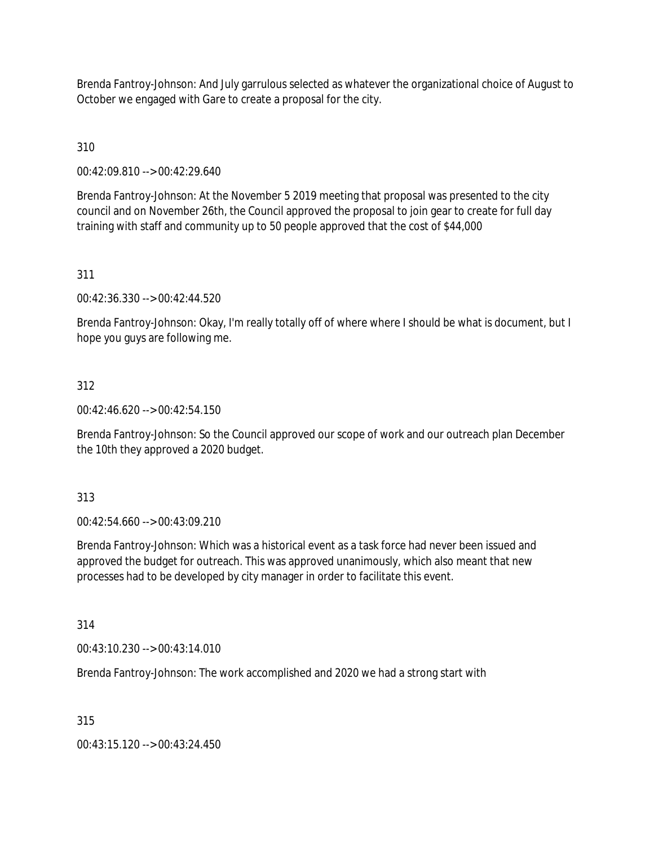Brenda Fantroy-Johnson: And July garrulous selected as whatever the organizational choice of August to October we engaged with Gare to create a proposal for the city.

# 310

00:42:09.810 --> 00:42:29.640

Brenda Fantroy-Johnson: At the November 5 2019 meeting that proposal was presented to the city council and on November 26th, the Council approved the proposal to join gear to create for full day training with staff and community up to 50 people approved that the cost of \$44,000

# 311

00:42:36.330 --> 00:42:44.520

Brenda Fantroy-Johnson: Okay, I'm really totally off of where where I should be what is document, but I hope you guys are following me.

## 312

00:42:46.620 --> 00:42:54.150

Brenda Fantroy-Johnson: So the Council approved our scope of work and our outreach plan December the 10th they approved a 2020 budget.

## 313

00:42:54.660 --> 00:43:09.210

Brenda Fantroy-Johnson: Which was a historical event as a task force had never been issued and approved the budget for outreach. This was approved unanimously, which also meant that new processes had to be developed by city manager in order to facilitate this event.

## 314

00:43:10.230 --> 00:43:14.010

Brenda Fantroy-Johnson: The work accomplished and 2020 we had a strong start with

## 315

00:43:15.120 --> 00:43:24.450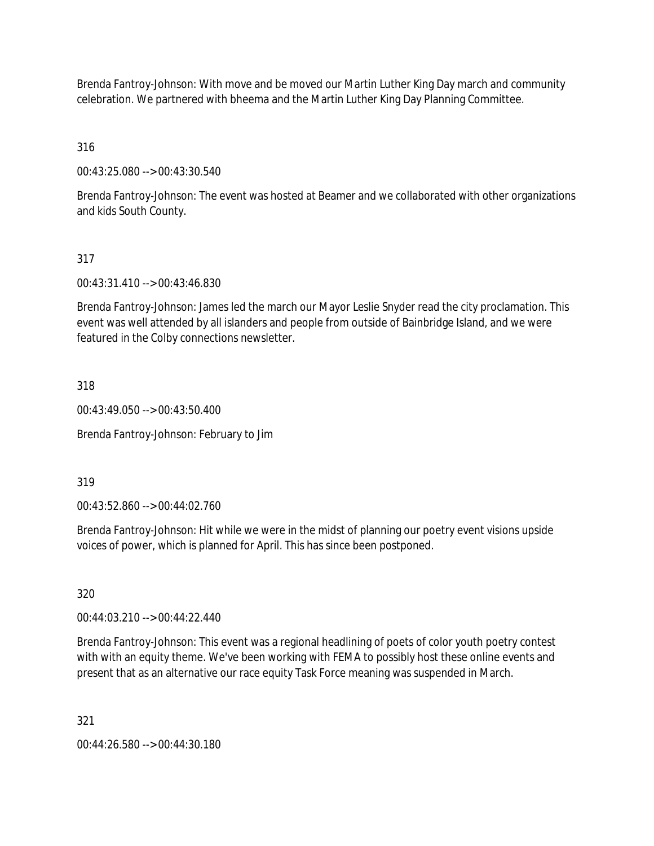Brenda Fantroy-Johnson: With move and be moved our Martin Luther King Day march and community celebration. We partnered with bheema and the Martin Luther King Day Planning Committee.

316

00:43:25.080 --> 00:43:30.540

Brenda Fantroy-Johnson: The event was hosted at Beamer and we collaborated with other organizations and kids South County.

## 317

00:43:31.410 --> 00:43:46.830

Brenda Fantroy-Johnson: James led the march our Mayor Leslie Snyder read the city proclamation. This event was well attended by all islanders and people from outside of Bainbridge Island, and we were featured in the Colby connections newsletter.

318

00:43:49.050 --> 00:43:50.400

Brenda Fantroy-Johnson: February to Jim

319

00:43:52.860 --> 00:44:02.760

Brenda Fantroy-Johnson: Hit while we were in the midst of planning our poetry event visions upside voices of power, which is planned for April. This has since been postponed.

320

00:44:03.210 --> 00:44:22.440

Brenda Fantroy-Johnson: This event was a regional headlining of poets of color youth poetry contest with with an equity theme. We've been working with FEMA to possibly host these online events and present that as an alternative our race equity Task Force meaning was suspended in March.

321

00:44:26.580 --> 00:44:30.180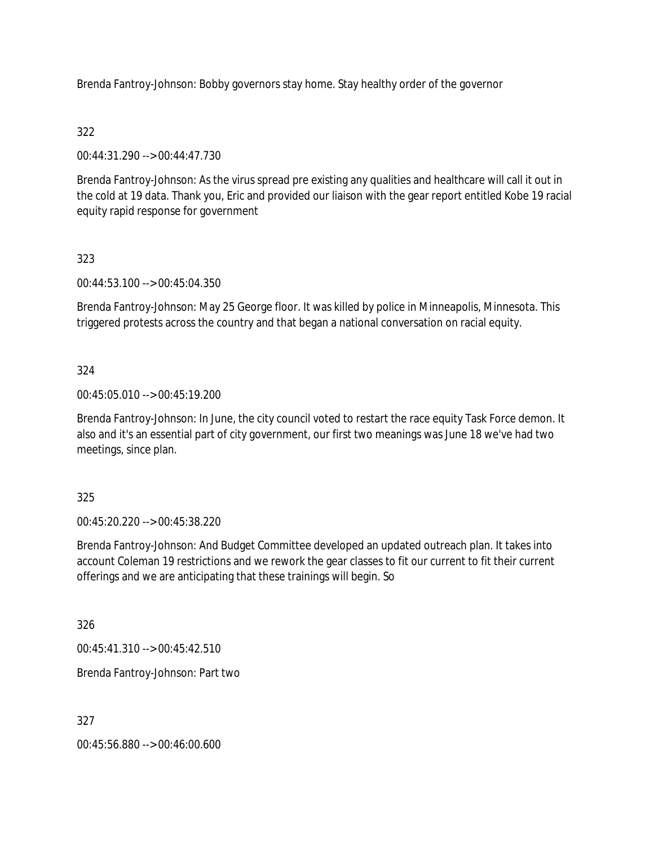Brenda Fantroy-Johnson: Bobby governors stay home. Stay healthy order of the governor

# 322

00:44:31.290 --> 00:44:47.730

Brenda Fantroy-Johnson: As the virus spread pre existing any qualities and healthcare will call it out in the cold at 19 data. Thank you, Eric and provided our liaison with the gear report entitled Kobe 19 racial equity rapid response for government

## 323

00:44:53.100 --> 00:45:04.350

Brenda Fantroy-Johnson: May 25 George floor. It was killed by police in Minneapolis, Minnesota. This triggered protests across the country and that began a national conversation on racial equity.

## 324

00:45:05.010 --> 00:45:19.200

Brenda Fantroy-Johnson: In June, the city council voted to restart the race equity Task Force demon. It also and it's an essential part of city government, our first two meanings was June 18 we've had two meetings, since plan.

## 325

00:45:20.220 --> 00:45:38.220

Brenda Fantroy-Johnson: And Budget Committee developed an updated outreach plan. It takes into account Coleman 19 restrictions and we rework the gear classes to fit our current to fit their current offerings and we are anticipating that these trainings will begin. So

326

00:45:41.310 --> 00:45:42.510

Brenda Fantroy-Johnson: Part two

327

00:45:56.880 --> 00:46:00.600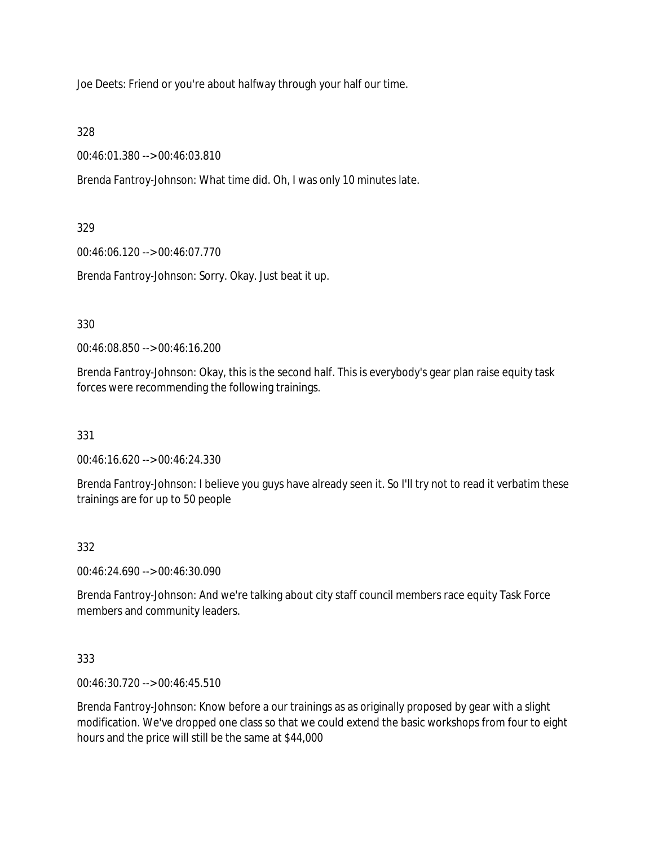Joe Deets: Friend or you're about halfway through your half our time.

328

00:46:01.380 --> 00:46:03.810

Brenda Fantroy-Johnson: What time did. Oh, I was only 10 minutes late.

# 329

00:46:06.120 --> 00:46:07.770

Brenda Fantroy-Johnson: Sorry. Okay. Just beat it up.

# 330

00:46:08.850 --> 00:46:16.200

Brenda Fantroy-Johnson: Okay, this is the second half. This is everybody's gear plan raise equity task forces were recommending the following trainings.

# 331

00:46:16.620 --> 00:46:24.330

Brenda Fantroy-Johnson: I believe you guys have already seen it. So I'll try not to read it verbatim these trainings are for up to 50 people

# 332

00:46:24.690 --> 00:46:30.090

Brenda Fantroy-Johnson: And we're talking about city staff council members race equity Task Force members and community leaders.

# 333

00:46:30.720 --> 00:46:45.510

Brenda Fantroy-Johnson: Know before a our trainings as as originally proposed by gear with a slight modification. We've dropped one class so that we could extend the basic workshops from four to eight hours and the price will still be the same at \$44,000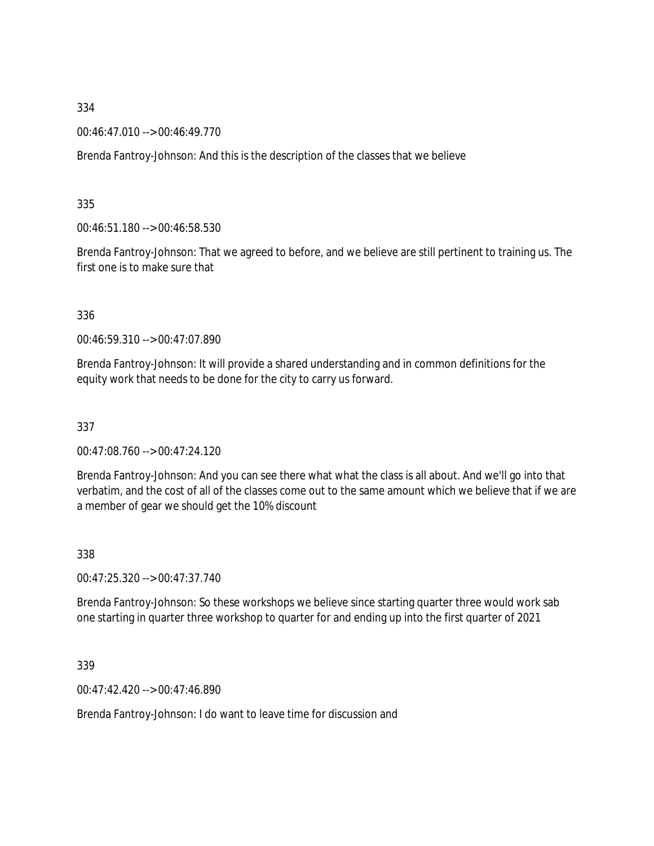00:46:47.010 --> 00:46:49.770

Brenda Fantroy-Johnson: And this is the description of the classes that we believe

335

00:46:51.180 --> 00:46:58.530

Brenda Fantroy-Johnson: That we agreed to before, and we believe are still pertinent to training us. The first one is to make sure that

336

00:46:59.310 --> 00:47:07.890

Brenda Fantroy-Johnson: It will provide a shared understanding and in common definitions for the equity work that needs to be done for the city to carry us forward.

337

00:47:08.760 --> 00:47:24.120

Brenda Fantroy-Johnson: And you can see there what what the class is all about. And we'll go into that verbatim, and the cost of all of the classes come out to the same amount which we believe that if we are a member of gear we should get the 10% discount

338

00:47:25.320 --> 00:47:37.740

Brenda Fantroy-Johnson: So these workshops we believe since starting quarter three would work sab one starting in quarter three workshop to quarter for and ending up into the first quarter of 2021

339

00:47:42.420 --> 00:47:46.890

Brenda Fantroy-Johnson: I do want to leave time for discussion and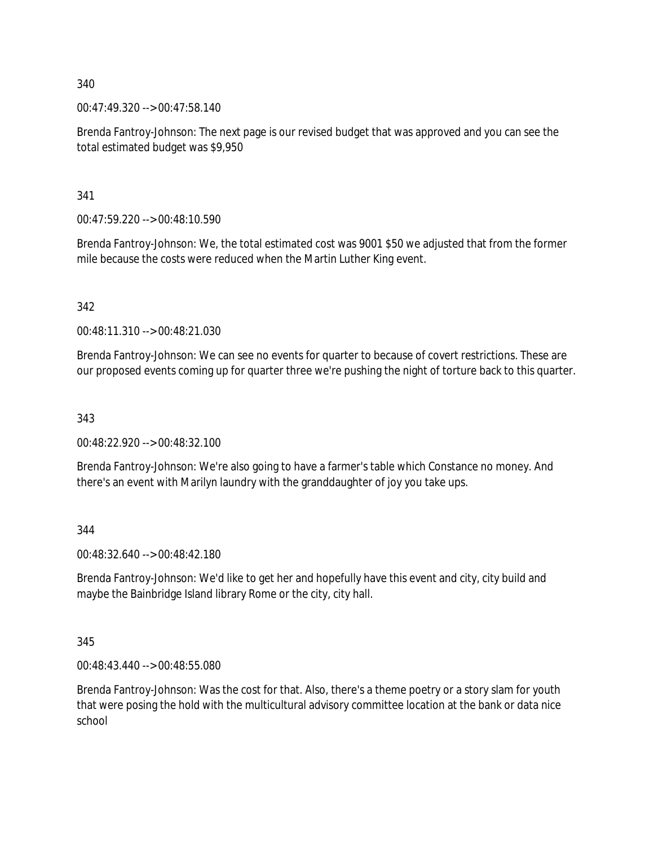00:47:49.320 --> 00:47:58.140

Brenda Fantroy-Johnson: The next page is our revised budget that was approved and you can see the total estimated budget was \$9,950

341

00:47:59.220 --> 00:48:10.590

Brenda Fantroy-Johnson: We, the total estimated cost was 9001 \$50 we adjusted that from the former mile because the costs were reduced when the Martin Luther King event.

342

00:48:11.310 --> 00:48:21.030

Brenda Fantroy-Johnson: We can see no events for quarter to because of covert restrictions. These are our proposed events coming up for quarter three we're pushing the night of torture back to this quarter.

343

00:48:22.920 --> 00:48:32.100

Brenda Fantroy-Johnson: We're also going to have a farmer's table which Constance no money. And there's an event with Marilyn laundry with the granddaughter of joy you take ups.

344

00:48:32.640 --> 00:48:42.180

Brenda Fantroy-Johnson: We'd like to get her and hopefully have this event and city, city build and maybe the Bainbridge Island library Rome or the city, city hall.

345

00:48:43.440 --> 00:48:55.080

Brenda Fantroy-Johnson: Was the cost for that. Also, there's a theme poetry or a story slam for youth that were posing the hold with the multicultural advisory committee location at the bank or data nice school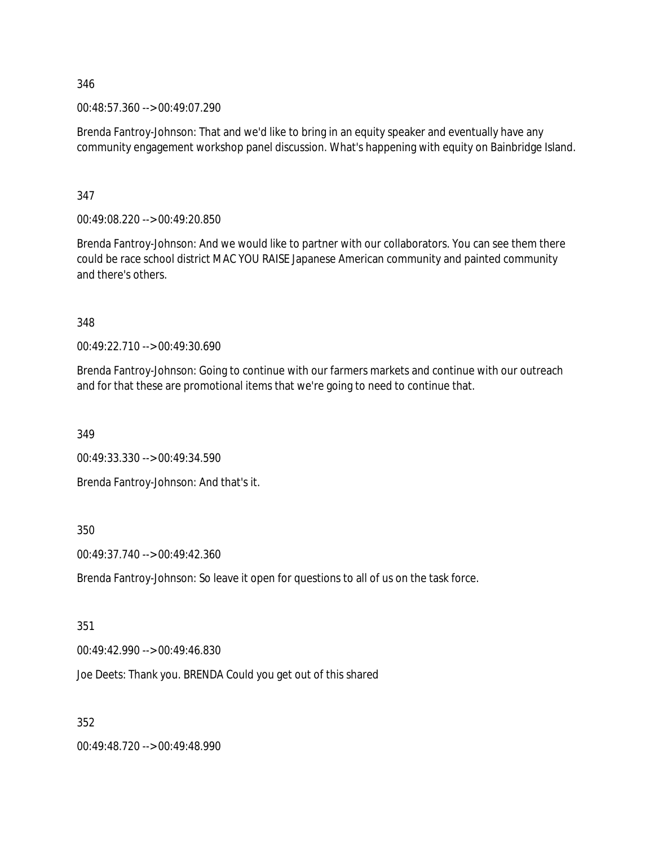00:48:57.360 --> 00:49:07.290

Brenda Fantroy-Johnson: That and we'd like to bring in an equity speaker and eventually have any community engagement workshop panel discussion. What's happening with equity on Bainbridge Island.

347

00:49:08.220 --> 00:49:20.850

Brenda Fantroy-Johnson: And we would like to partner with our collaborators. You can see them there could be race school district MAC YOU RAISE Japanese American community and painted community and there's others.

348

00:49:22.710 --> 00:49:30.690

Brenda Fantroy-Johnson: Going to continue with our farmers markets and continue with our outreach and for that these are promotional items that we're going to need to continue that.

349

00:49:33.330 --> 00:49:34.590

Brenda Fantroy-Johnson: And that's it.

350

00:49:37.740 --> 00:49:42.360

Brenda Fantroy-Johnson: So leave it open for questions to all of us on the task force.

351

00:49:42.990 --> 00:49:46.830

Joe Deets: Thank you. BRENDA Could you get out of this shared

352

00:49:48.720 --> 00:49:48.990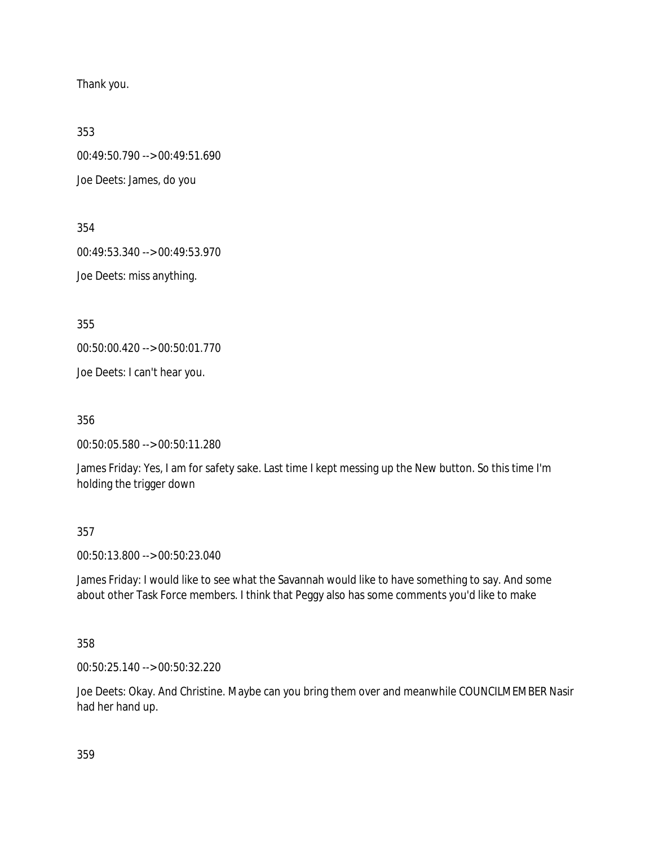Thank you.

353

00:49:50.790 --> 00:49:51.690

Joe Deets: James, do you

354

00:49:53.340 --> 00:49:53.970

Joe Deets: miss anything.

355

00:50:00.420 --> 00:50:01.770

Joe Deets: I can't hear you.

356

00:50:05.580 --> 00:50:11.280

James Friday: Yes, I am for safety sake. Last time I kept messing up the New button. So this time I'm holding the trigger down

357

00:50:13.800 --> 00:50:23.040

James Friday: I would like to see what the Savannah would like to have something to say. And some about other Task Force members. I think that Peggy also has some comments you'd like to make

358

00:50:25.140 --> 00:50:32.220

Joe Deets: Okay. And Christine. Maybe can you bring them over and meanwhile COUNCILMEMBER Nasir had her hand up.

359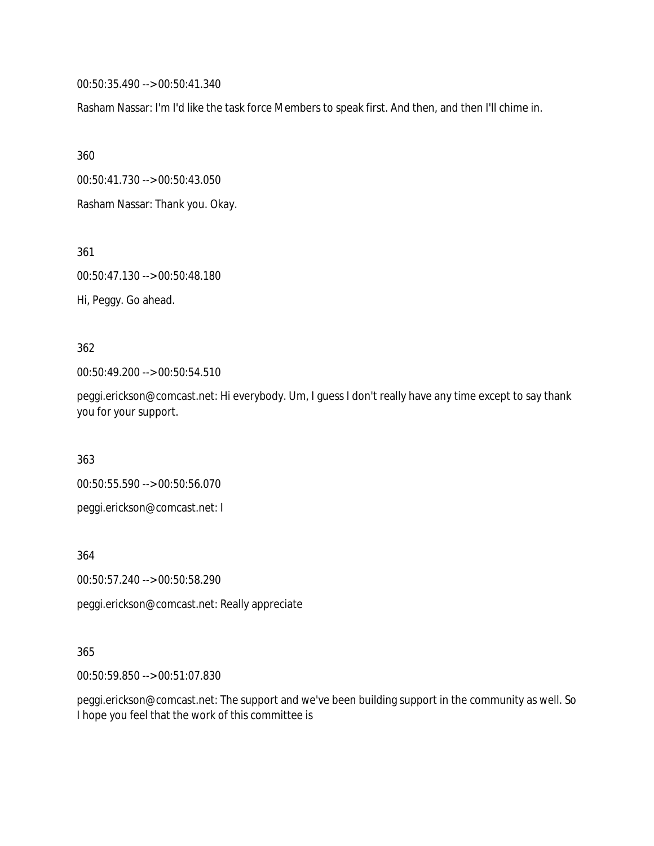00:50:35.490 --> 00:50:41.340

Rasham Nassar: I'm I'd like the task force Members to speak first. And then, and then I'll chime in.

360

00:50:41.730 --> 00:50:43.050

Rasham Nassar: Thank you. Okay.

361

00:50:47.130 --> 00:50:48.180

Hi, Peggy. Go ahead.

362

00:50:49.200 --> 00:50:54.510

peggi.erickson@comcast.net: Hi everybody. Um, I guess I don't really have any time except to say thank you for your support.

363

00:50:55.590 --> 00:50:56.070

peggi.erickson@comcast.net: I

364

00:50:57.240 --> 00:50:58.290

peggi.erickson@comcast.net: Really appreciate

## 365

00:50:59.850 --> 00:51:07.830

peggi.erickson@comcast.net: The support and we've been building support in the community as well. So I hope you feel that the work of this committee is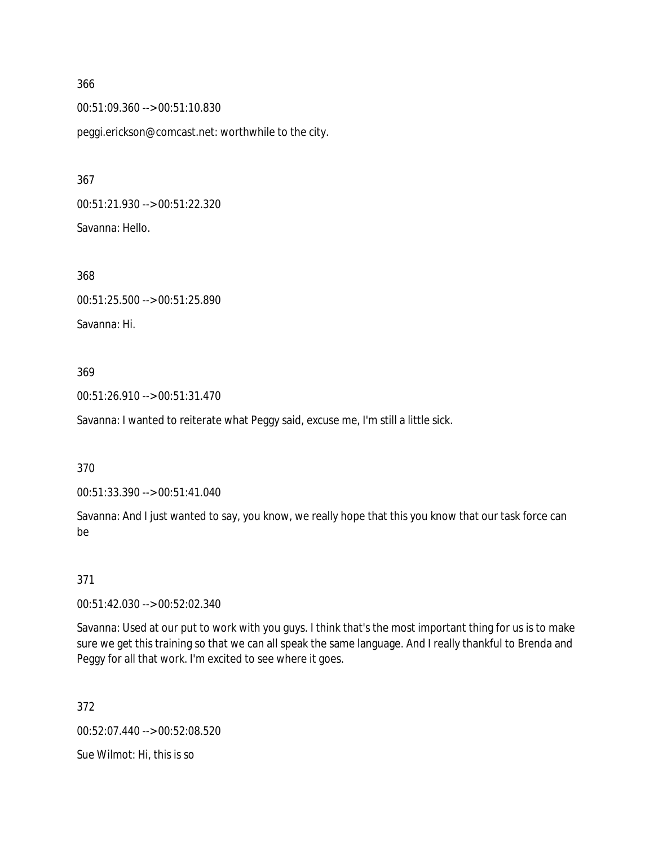00:51:09.360 --> 00:51:10.830

peggi.erickson@comcast.net: worthwhile to the city.

367

00:51:21.930 --> 00:51:22.320 Savanna: Hello.

368 00:51:25.500 --> 00:51:25.890 Savanna: Hi.

## 369

00:51:26.910 --> 00:51:31.470

Savanna: I wanted to reiterate what Peggy said, excuse me, I'm still a little sick.

370

00:51:33.390 --> 00:51:41.040

Savanna: And I just wanted to say, you know, we really hope that this you know that our task force can be

## 371

00:51:42.030 --> 00:52:02.340

Savanna: Used at our put to work with you guys. I think that's the most important thing for us is to make sure we get this training so that we can all speak the same language. And I really thankful to Brenda and Peggy for all that work. I'm excited to see where it goes.

372

00:52:07.440 --> 00:52:08.520

Sue Wilmot: Hi, this is so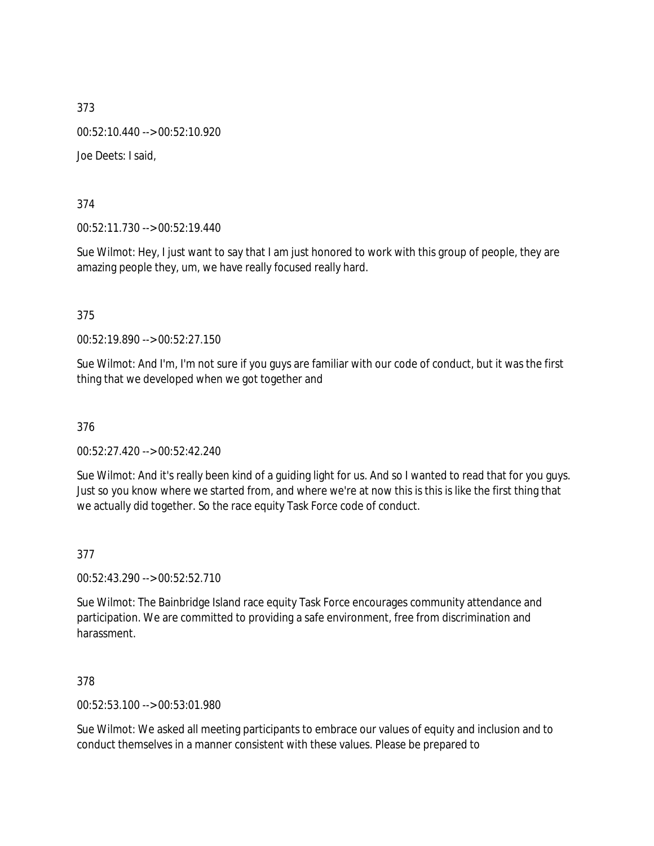373 00:52:10.440 --> 00:52:10.920 Joe Deets: I said,

374

00:52:11.730 --> 00:52:19.440

Sue Wilmot: Hey, I just want to say that I am just honored to work with this group of people, they are amazing people they, um, we have really focused really hard.

375

00:52:19.890 --> 00:52:27.150

Sue Wilmot: And I'm, I'm not sure if you guys are familiar with our code of conduct, but it was the first thing that we developed when we got together and

376

00:52:27.420 --> 00:52:42.240

Sue Wilmot: And it's really been kind of a guiding light for us. And so I wanted to read that for you guys. Just so you know where we started from, and where we're at now this is this is like the first thing that we actually did together. So the race equity Task Force code of conduct.

377

00:52:43.290 --> 00:52:52.710

Sue Wilmot: The Bainbridge Island race equity Task Force encourages community attendance and participation. We are committed to providing a safe environment, free from discrimination and harassment.

378

00:52:53.100 --> 00:53:01.980

Sue Wilmot: We asked all meeting participants to embrace our values of equity and inclusion and to conduct themselves in a manner consistent with these values. Please be prepared to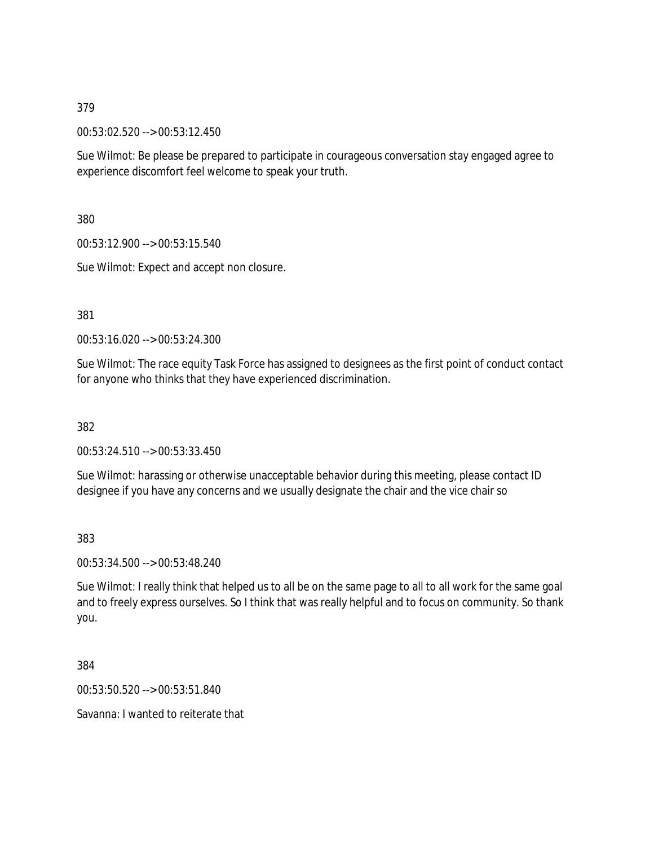00:53:02.520 --> 00:53:12.450

Sue Wilmot: Be please be prepared to participate in courageous conversation stay engaged agree to experience discomfort feel welcome to speak your truth.

380

00:53:12.900 --> 00:53:15.540

Sue Wilmot: Expect and accept non closure.

381

00:53:16.020 --> 00:53:24.300

Sue Wilmot: The race equity Task Force has assigned to designees as the first point of conduct contact for anyone who thinks that they have experienced discrimination.

382

00:53:24.510 --> 00:53:33.450

Sue Wilmot: harassing or otherwise unacceptable behavior during this meeting, please contact ID designee if you have any concerns and we usually designate the chair and the vice chair so

383

00:53:34.500 --> 00:53:48.240

Sue Wilmot: I really think that helped us to all be on the same page to all to all work for the same goal and to freely express ourselves. So I think that was really helpful and to focus on community. So thank you.

384

00:53:50.520 --> 00:53:51.840

Savanna: I wanted to reiterate that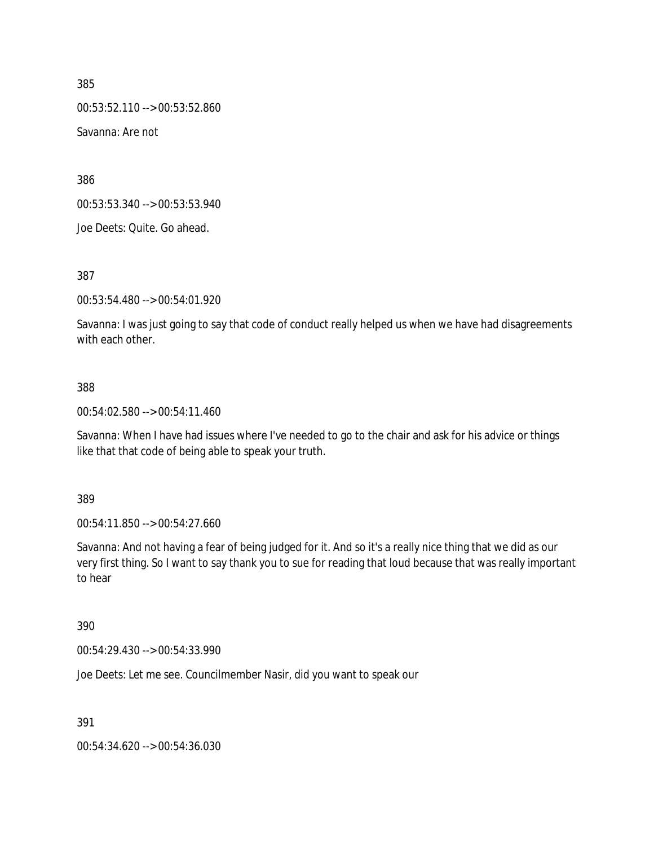00:53:52.110 --> 00:53:52.860

Savanna: Are not

386

00:53:53.340 --> 00:53:53.940

Joe Deets: Quite. Go ahead.

387

00:53:54.480 --> 00:54:01.920

Savanna: I was just going to say that code of conduct really helped us when we have had disagreements with each other.

#### 388

00:54:02.580 --> 00:54:11.460

Savanna: When I have had issues where I've needed to go to the chair and ask for his advice or things like that that code of being able to speak your truth.

389

00:54:11.850 --> 00:54:27.660

Savanna: And not having a fear of being judged for it. And so it's a really nice thing that we did as our very first thing. So I want to say thank you to sue for reading that loud because that was really important to hear

## 390

00:54:29.430 --> 00:54:33.990

Joe Deets: Let me see. Councilmember Nasir, did you want to speak our

391

00:54:34.620 --> 00:54:36.030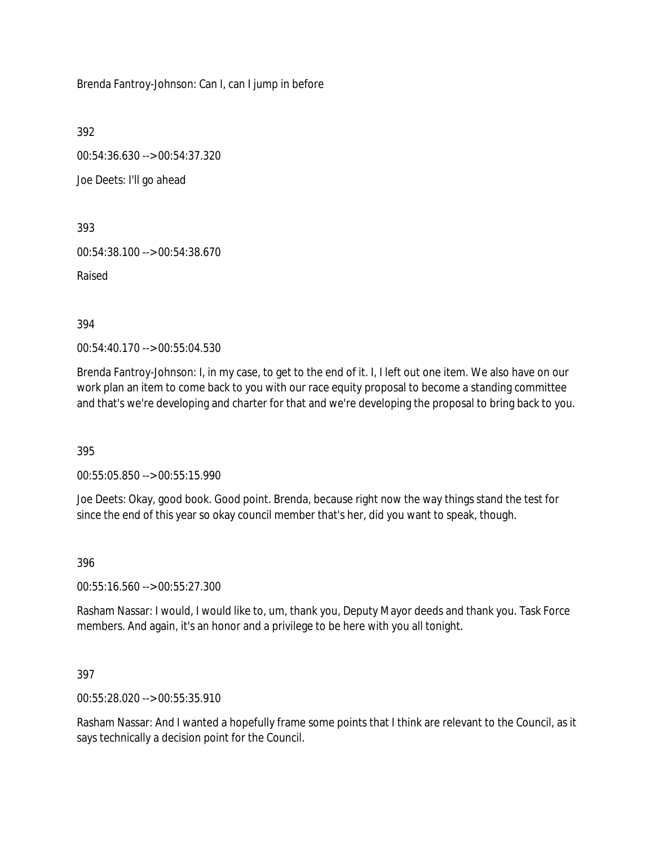Brenda Fantroy-Johnson: Can I, can I jump in before

392

00:54:36.630 --> 00:54:37.320

Joe Deets: I'll go ahead

393

00:54:38.100 --> 00:54:38.670

Raised

394

00:54:40.170 --> 00:55:04.530

Brenda Fantroy-Johnson: I, in my case, to get to the end of it. I, I left out one item. We also have on our work plan an item to come back to you with our race equity proposal to become a standing committee and that's we're developing and charter for that and we're developing the proposal to bring back to you.

395

00:55:05.850 --> 00:55:15.990

Joe Deets: Okay, good book. Good point. Brenda, because right now the way things stand the test for since the end of this year so okay council member that's her, did you want to speak, though.

396

00:55:16.560 --> 00:55:27.300

Rasham Nassar: I would, I would like to, um, thank you, Deputy Mayor deeds and thank you. Task Force members. And again, it's an honor and a privilege to be here with you all tonight.

397

00:55:28.020 --> 00:55:35.910

Rasham Nassar: And I wanted a hopefully frame some points that I think are relevant to the Council, as it says technically a decision point for the Council.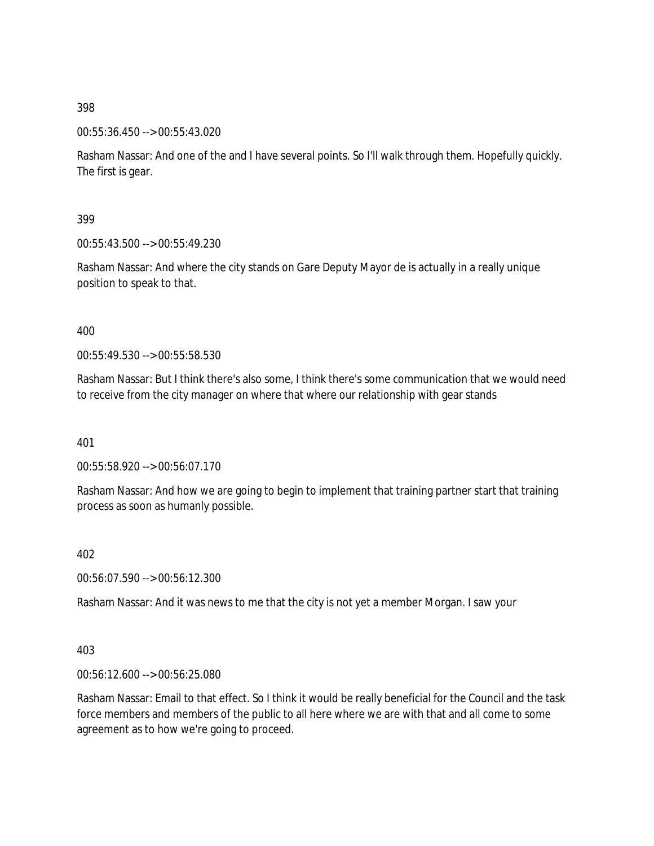00:55:36.450 --> 00:55:43.020

Rasham Nassar: And one of the and I have several points. So I'll walk through them. Hopefully quickly. The first is gear.

399

00:55:43.500 --> 00:55:49.230

Rasham Nassar: And where the city stands on Gare Deputy Mayor de is actually in a really unique position to speak to that.

400

00:55:49.530 --> 00:55:58.530

Rasham Nassar: But I think there's also some, I think there's some communication that we would need to receive from the city manager on where that where our relationship with gear stands

401

00:55:58.920 --> 00:56:07.170

Rasham Nassar: And how we are going to begin to implement that training partner start that training process as soon as humanly possible.

402

00:56:07.590 --> 00:56:12.300

Rasham Nassar: And it was news to me that the city is not yet a member Morgan. I saw your

403

00:56:12.600 --> 00:56:25.080

Rasham Nassar: Email to that effect. So I think it would be really beneficial for the Council and the task force members and members of the public to all here where we are with that and all come to some agreement as to how we're going to proceed.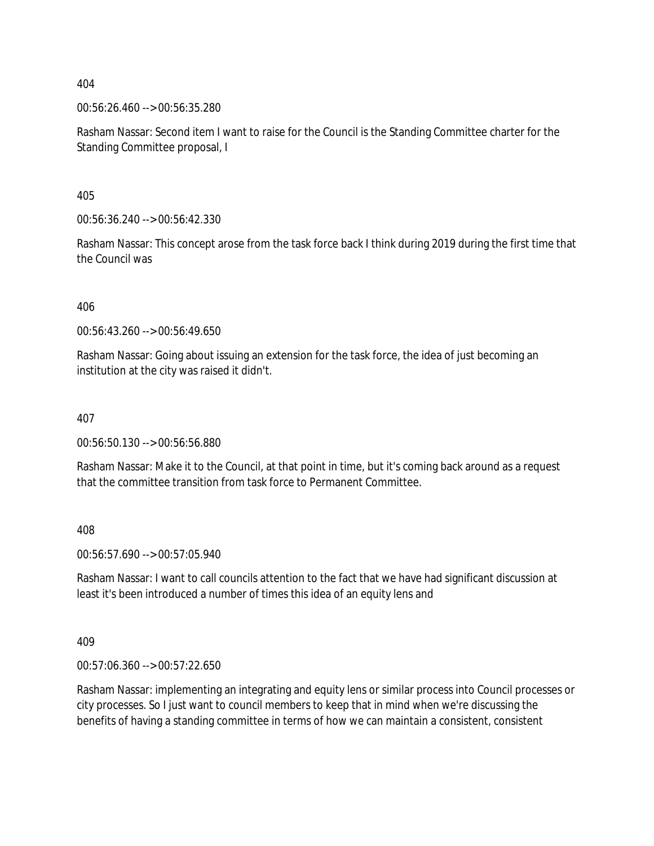00:56:26.460 --> 00:56:35.280

Rasham Nassar: Second item I want to raise for the Council is the Standing Committee charter for the Standing Committee proposal, I

405

00:56:36.240 --> 00:56:42.330

Rasham Nassar: This concept arose from the task force back I think during 2019 during the first time that the Council was

406

00:56:43.260 --> 00:56:49.650

Rasham Nassar: Going about issuing an extension for the task force, the idea of just becoming an institution at the city was raised it didn't.

#### 407

00:56:50.130 --> 00:56:56.880

Rasham Nassar: Make it to the Council, at that point in time, but it's coming back around as a request that the committee transition from task force to Permanent Committee.

408

00:56:57.690 --> 00:57:05.940

Rasham Nassar: I want to call councils attention to the fact that we have had significant discussion at least it's been introduced a number of times this idea of an equity lens and

409

00:57:06.360 --> 00:57:22.650

Rasham Nassar: implementing an integrating and equity lens or similar process into Council processes or city processes. So I just want to council members to keep that in mind when we're discussing the benefits of having a standing committee in terms of how we can maintain a consistent, consistent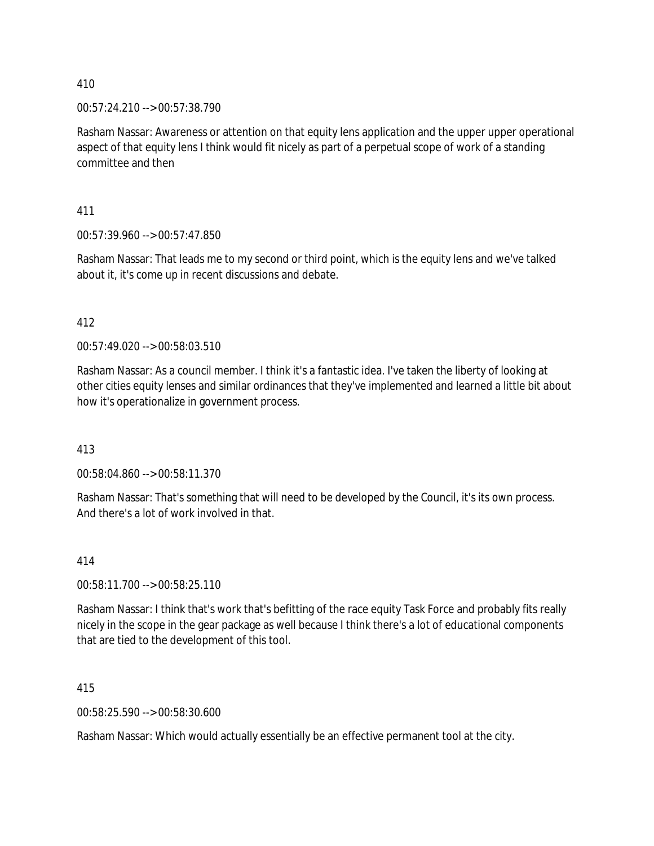00:57:24.210 --> 00:57:38.790

Rasham Nassar: Awareness or attention on that equity lens application and the upper upper operational aspect of that equity lens I think would fit nicely as part of a perpetual scope of work of a standing committee and then

411

00:57:39.960 --> 00:57:47.850

Rasham Nassar: That leads me to my second or third point, which is the equity lens and we've talked about it, it's come up in recent discussions and debate.

412

00:57:49.020 --> 00:58:03.510

Rasham Nassar: As a council member. I think it's a fantastic idea. I've taken the liberty of looking at other cities equity lenses and similar ordinances that they've implemented and learned a little bit about how it's operationalize in government process.

413

00:58:04.860 --> 00:58:11.370

Rasham Nassar: That's something that will need to be developed by the Council, it's its own process. And there's a lot of work involved in that.

414

00:58:11.700 --> 00:58:25.110

Rasham Nassar: I think that's work that's befitting of the race equity Task Force and probably fits really nicely in the scope in the gear package as well because I think there's a lot of educational components that are tied to the development of this tool.

415

00:58:25.590 --> 00:58:30.600

Rasham Nassar: Which would actually essentially be an effective permanent tool at the city.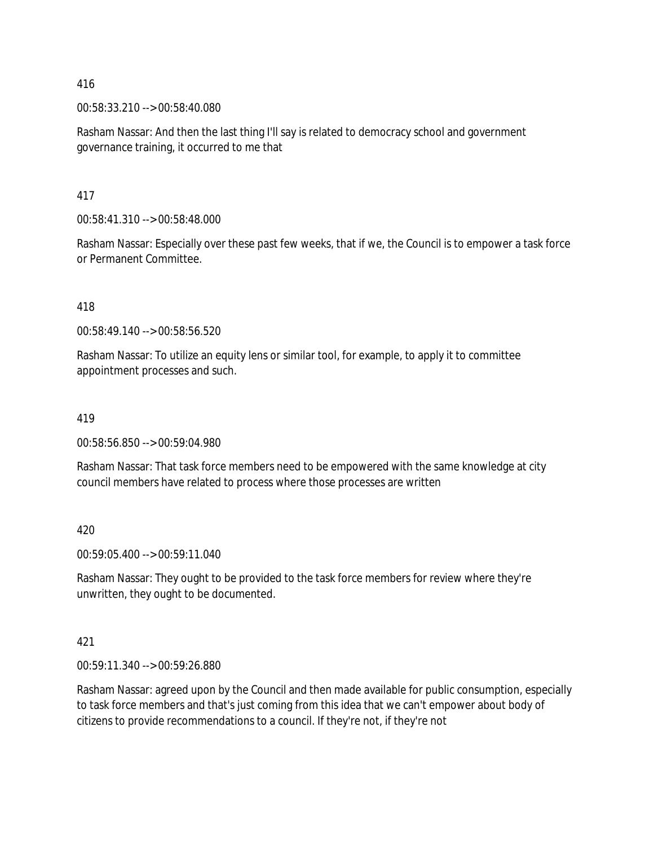00:58:33.210 --> 00:58:40.080

Rasham Nassar: And then the last thing I'll say is related to democracy school and government governance training, it occurred to me that

417

00:58:41.310 --> 00:58:48.000

Rasham Nassar: Especially over these past few weeks, that if we, the Council is to empower a task force or Permanent Committee.

418

00:58:49.140 --> 00:58:56.520

Rasham Nassar: To utilize an equity lens or similar tool, for example, to apply it to committee appointment processes and such.

419

00:58:56.850 --> 00:59:04.980

Rasham Nassar: That task force members need to be empowered with the same knowledge at city council members have related to process where those processes are written

420

00:59:05.400 --> 00:59:11.040

Rasham Nassar: They ought to be provided to the task force members for review where they're unwritten, they ought to be documented.

421

00:59:11.340 --> 00:59:26.880

Rasham Nassar: agreed upon by the Council and then made available for public consumption, especially to task force members and that's just coming from this idea that we can't empower about body of citizens to provide recommendations to a council. If they're not, if they're not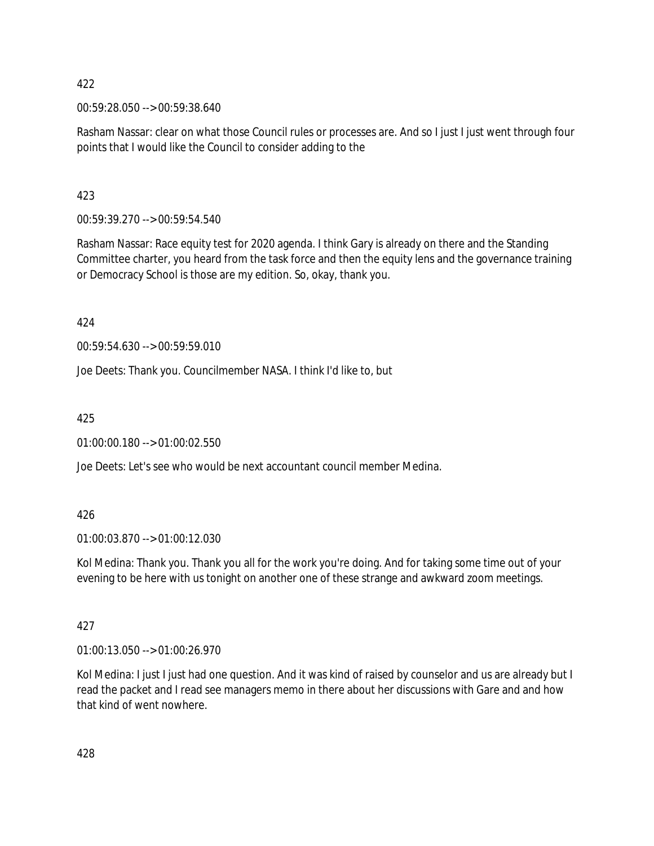00:59:28.050 --> 00:59:38.640

Rasham Nassar: clear on what those Council rules or processes are. And so I just I just went through four points that I would like the Council to consider adding to the

423

00:59:39.270 --> 00:59:54.540

Rasham Nassar: Race equity test for 2020 agenda. I think Gary is already on there and the Standing Committee charter, you heard from the task force and then the equity lens and the governance training or Democracy School is those are my edition. So, okay, thank you.

424

00:59:54.630 --> 00:59:59.010

Joe Deets: Thank you. Councilmember NASA. I think I'd like to, but

425

01:00:00.180 --> 01:00:02.550

Joe Deets: Let's see who would be next accountant council member Medina.

## 426

01:00:03.870 --> 01:00:12.030

Kol Medina: Thank you. Thank you all for the work you're doing. And for taking some time out of your evening to be here with us tonight on another one of these strange and awkward zoom meetings.

# 427

01:00:13.050 --> 01:00:26.970

Kol Medina: I just I just had one question. And it was kind of raised by counselor and us are already but I read the packet and I read see managers memo in there about her discussions with Gare and and how that kind of went nowhere.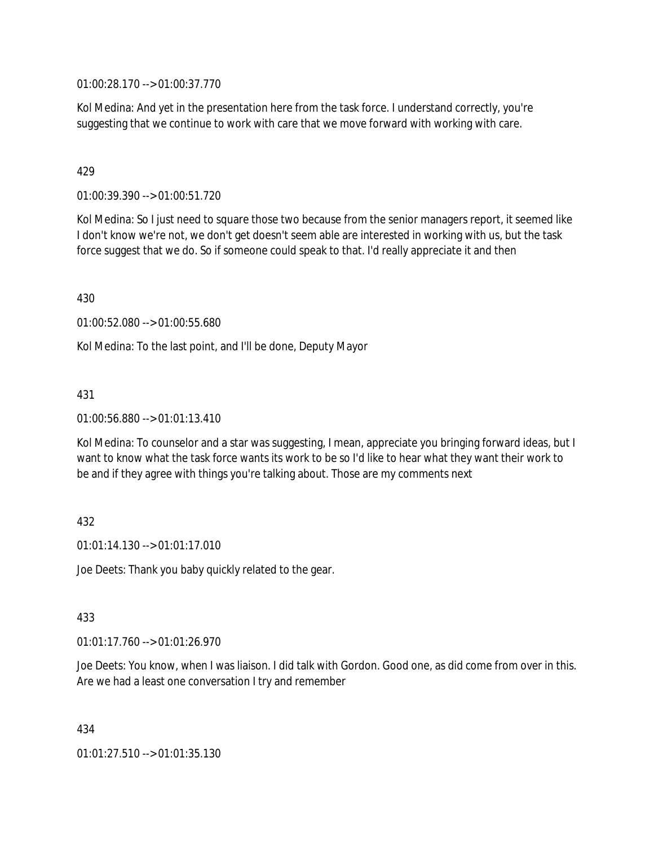01:00:28.170 --> 01:00:37.770

Kol Medina: And yet in the presentation here from the task force. I understand correctly, you're suggesting that we continue to work with care that we move forward with working with care.

## 429

01:00:39.390 --> 01:00:51.720

Kol Medina: So I just need to square those two because from the senior managers report, it seemed like I don't know we're not, we don't get doesn't seem able are interested in working with us, but the task force suggest that we do. So if someone could speak to that. I'd really appreciate it and then

430

01:00:52.080 --> 01:00:55.680

Kol Medina: To the last point, and I'll be done, Deputy Mayor

## 431

01:00:56.880 --> 01:01:13.410

Kol Medina: To counselor and a star was suggesting, I mean, appreciate you bringing forward ideas, but I want to know what the task force wants its work to be so I'd like to hear what they want their work to be and if they agree with things you're talking about. Those are my comments next

## 432

 $01:01:14.130 \rightarrow 01:01:17.010$ 

Joe Deets: Thank you baby quickly related to the gear.

## 433

01:01:17.760 --> 01:01:26.970

Joe Deets: You know, when I was liaison. I did talk with Gordon. Good one, as did come from over in this. Are we had a least one conversation I try and remember

434

01:01:27.510 --> 01:01:35.130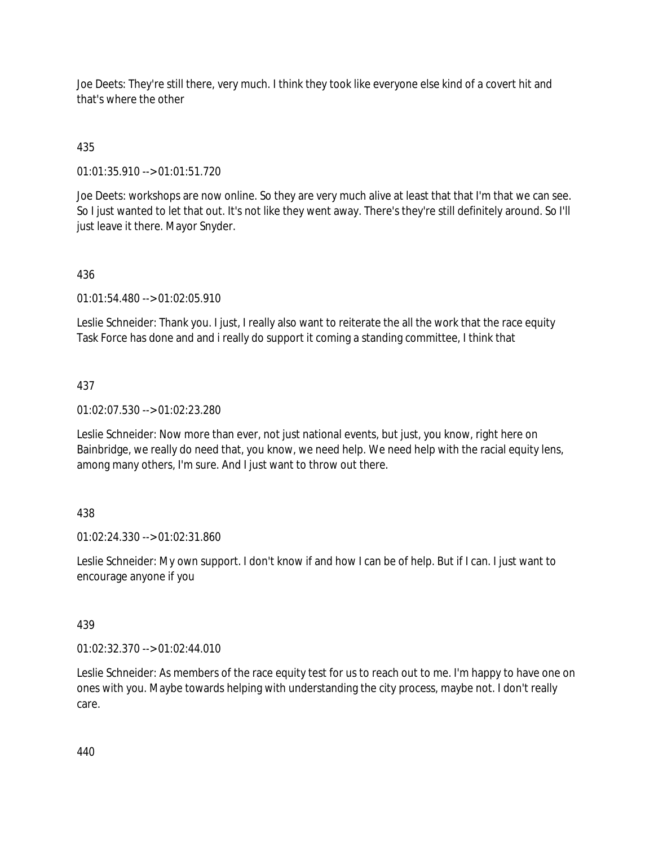Joe Deets: They're still there, very much. I think they took like everyone else kind of a covert hit and that's where the other

# 435

01:01:35.910 --> 01:01:51.720

Joe Deets: workshops are now online. So they are very much alive at least that that I'm that we can see. So I just wanted to let that out. It's not like they went away. There's they're still definitely around. So I'll just leave it there. Mayor Snyder.

# 436

01:01:54.480 --> 01:02:05.910

Leslie Schneider: Thank you. I just, I really also want to reiterate the all the work that the race equity Task Force has done and and i really do support it coming a standing committee, I think that

## 437

01:02:07.530 --> 01:02:23.280

Leslie Schneider: Now more than ever, not just national events, but just, you know, right here on Bainbridge, we really do need that, you know, we need help. We need help with the racial equity lens, among many others, I'm sure. And I just want to throw out there.

## 438

01:02:24.330 --> 01:02:31.860

Leslie Schneider: My own support. I don't know if and how I can be of help. But if I can. I just want to encourage anyone if you

## 439

01:02:32.370 --> 01:02:44.010

Leslie Schneider: As members of the race equity test for us to reach out to me. I'm happy to have one on ones with you. Maybe towards helping with understanding the city process, maybe not. I don't really care.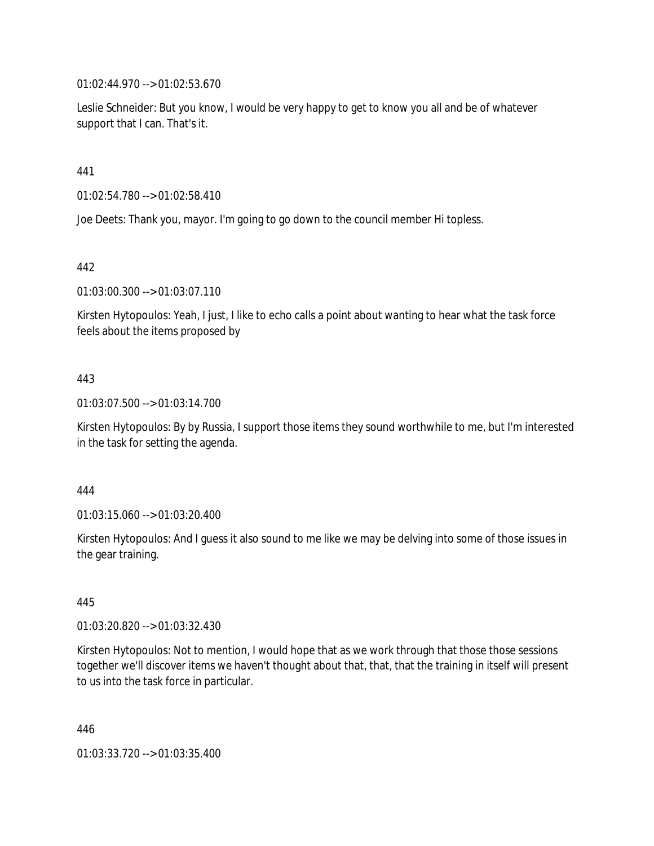01:02:44.970 --> 01:02:53.670

Leslie Schneider: But you know, I would be very happy to get to know you all and be of whatever support that I can. That's it.

441

01:02:54.780 --> 01:02:58.410

Joe Deets: Thank you, mayor. I'm going to go down to the council member Hi topless.

442

01:03:00.300 --> 01:03:07.110

Kirsten Hytopoulos: Yeah, I just, I like to echo calls a point about wanting to hear what the task force feels about the items proposed by

## 443

01:03:07.500 --> 01:03:14.700

Kirsten Hytopoulos: By by Russia, I support those items they sound worthwhile to me, but I'm interested in the task for setting the agenda.

#### 444

01:03:15.060 --> 01:03:20.400

Kirsten Hytopoulos: And I guess it also sound to me like we may be delving into some of those issues in the gear training.

445

01:03:20.820 --> 01:03:32.430

Kirsten Hytopoulos: Not to mention, I would hope that as we work through that those those sessions together we'll discover items we haven't thought about that, that, that the training in itself will present to us into the task force in particular.

446

01:03:33.720 --> 01:03:35.400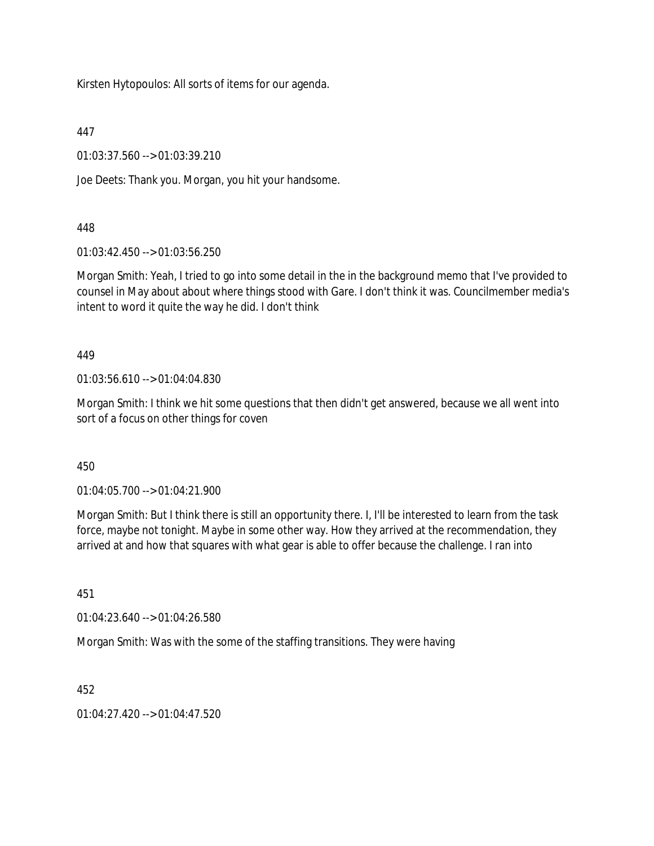Kirsten Hytopoulos: All sorts of items for our agenda.

447

01:03:37.560 --> 01:03:39.210

Joe Deets: Thank you. Morgan, you hit your handsome.

448

01:03:42.450 --> 01:03:56.250

Morgan Smith: Yeah, I tried to go into some detail in the in the background memo that I've provided to counsel in May about about where things stood with Gare. I don't think it was. Councilmember media's intent to word it quite the way he did. I don't think

449

01:03:56.610 --> 01:04:04.830

Morgan Smith: I think we hit some questions that then didn't get answered, because we all went into sort of a focus on other things for coven

450

01:04:05.700 --> 01:04:21.900

Morgan Smith: But I think there is still an opportunity there. I, I'll be interested to learn from the task force, maybe not tonight. Maybe in some other way. How they arrived at the recommendation, they arrived at and how that squares with what gear is able to offer because the challenge. I ran into

451

01:04:23.640 --> 01:04:26.580

Morgan Smith: Was with the some of the staffing transitions. They were having

452

 $01:04:27.420 \rightarrow 01:04:47.520$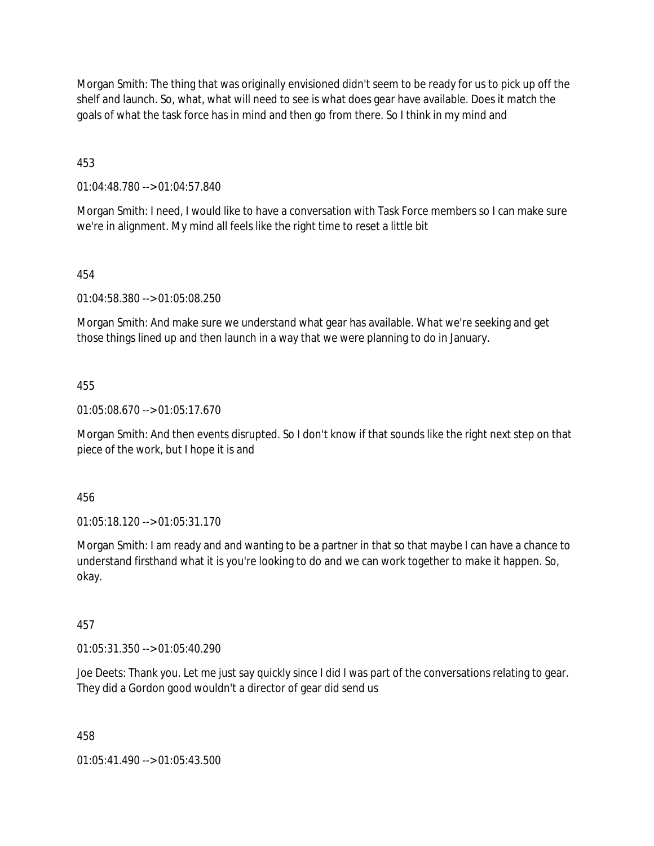Morgan Smith: The thing that was originally envisioned didn't seem to be ready for us to pick up off the shelf and launch. So, what, what will need to see is what does gear have available. Does it match the goals of what the task force has in mind and then go from there. So I think in my mind and

453

01:04:48.780 --> 01:04:57.840

Morgan Smith: I need, I would like to have a conversation with Task Force members so I can make sure we're in alignment. My mind all feels like the right time to reset a little bit

## 454

01:04:58.380 --> 01:05:08.250

Morgan Smith: And make sure we understand what gear has available. What we're seeking and get those things lined up and then launch in a way that we were planning to do in January.

#### 455

01:05:08.670 --> 01:05:17.670

Morgan Smith: And then events disrupted. So I don't know if that sounds like the right next step on that piece of the work, but I hope it is and

456

01:05:18.120 --> 01:05:31.170

Morgan Smith: I am ready and and wanting to be a partner in that so that maybe I can have a chance to understand firsthand what it is you're looking to do and we can work together to make it happen. So, okay.

## 457

01:05:31.350 --> 01:05:40.290

Joe Deets: Thank you. Let me just say quickly since I did I was part of the conversations relating to gear. They did a Gordon good wouldn't a director of gear did send us

#### 458

01:05:41.490 --> 01:05:43.500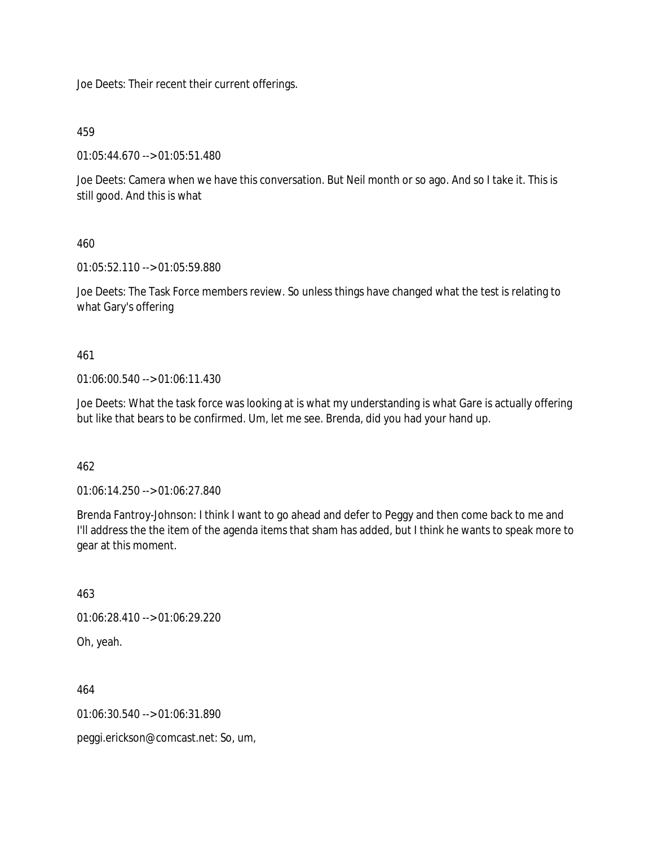Joe Deets: Their recent their current offerings.

459

01:05:44.670 --> 01:05:51.480

Joe Deets: Camera when we have this conversation. But Neil month or so ago. And so I take it. This is still good. And this is what

460

01:05:52.110 --> 01:05:59.880

Joe Deets: The Task Force members review. So unless things have changed what the test is relating to what Gary's offering

461

01:06:00.540 --> 01:06:11.430

Joe Deets: What the task force was looking at is what my understanding is what Gare is actually offering but like that bears to be confirmed. Um, let me see. Brenda, did you had your hand up.

462

01:06:14.250 --> 01:06:27.840

Brenda Fantroy-Johnson: I think I want to go ahead and defer to Peggy and then come back to me and I'll address the the item of the agenda items that sham has added, but I think he wants to speak more to gear at this moment.

463 01:06:28.410 --> 01:06:29.220 Oh, yeah.

464 01:06:30.540 --> 01:06:31.890

peggi.erickson@comcast.net: So, um,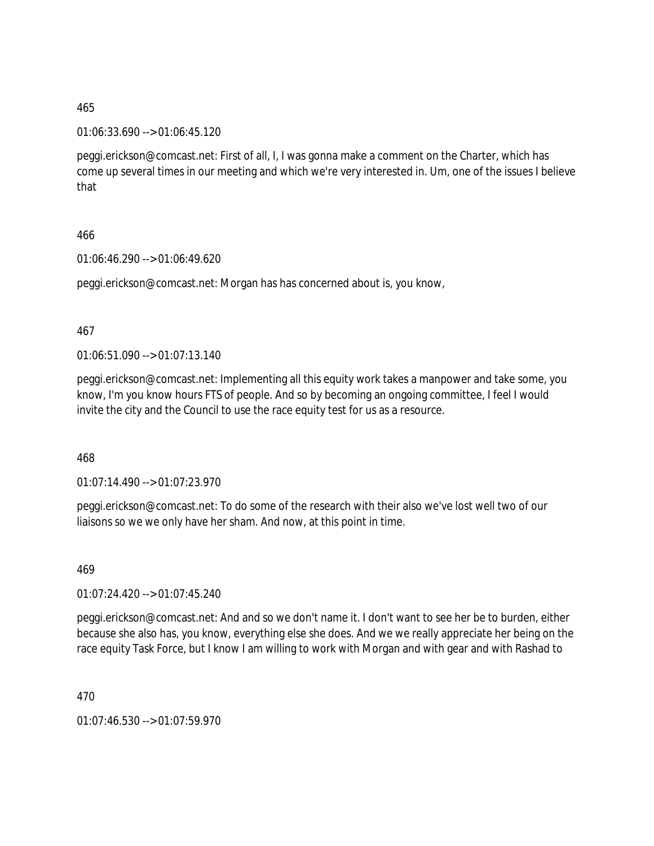01:06:33.690 --> 01:06:45.120

peggi.erickson@comcast.net: First of all, I, I was gonna make a comment on the Charter, which has come up several times in our meeting and which we're very interested in. Um, one of the issues I believe that

## 466

01:06:46.290 --> 01:06:49.620

peggi.erickson@comcast.net: Morgan has has concerned about is, you know,

#### 467

01:06:51.090 --> 01:07:13.140

peggi.erickson@comcast.net: Implementing all this equity work takes a manpower and take some, you know, I'm you know hours FTS of people. And so by becoming an ongoing committee, I feel I would invite the city and the Council to use the race equity test for us as a resource.

468

01:07:14.490 --> 01:07:23.970

peggi.erickson@comcast.net: To do some of the research with their also we've lost well two of our liaisons so we we only have her sham. And now, at this point in time.

469

01:07:24.420 --> 01:07:45.240

peggi.erickson@comcast.net: And and so we don't name it. I don't want to see her be to burden, either because she also has, you know, everything else she does. And we we really appreciate her being on the race equity Task Force, but I know I am willing to work with Morgan and with gear and with Rashad to

470

01:07:46.530 --> 01:07:59.970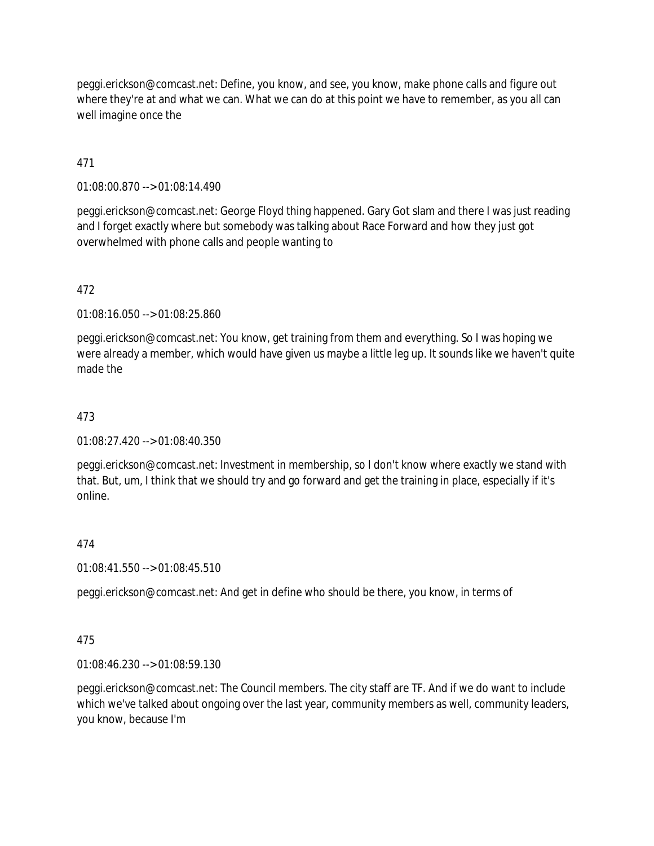peggi.erickson@comcast.net: Define, you know, and see, you know, make phone calls and figure out where they're at and what we can. What we can do at this point we have to remember, as you all can well imagine once the

471

01:08:00.870 --> 01:08:14.490

peggi.erickson@comcast.net: George Floyd thing happened. Gary Got slam and there I was just reading and I forget exactly where but somebody was talking about Race Forward and how they just got overwhelmed with phone calls and people wanting to

472

01:08:16.050 --> 01:08:25.860

peggi.erickson@comcast.net: You know, get training from them and everything. So I was hoping we were already a member, which would have given us maybe a little leg up. It sounds like we haven't quite made the

473

01:08:27.420 --> 01:08:40.350

peggi.erickson@comcast.net: Investment in membership, so I don't know where exactly we stand with that. But, um, I think that we should try and go forward and get the training in place, especially if it's online.

474

01:08:41.550 --> 01:08:45.510

peggi.erickson@comcast.net: And get in define who should be there, you know, in terms of

475

01:08:46.230 --> 01:08:59.130

peggi.erickson@comcast.net: The Council members. The city staff are TF. And if we do want to include which we've talked about ongoing over the last year, community members as well, community leaders, you know, because I'm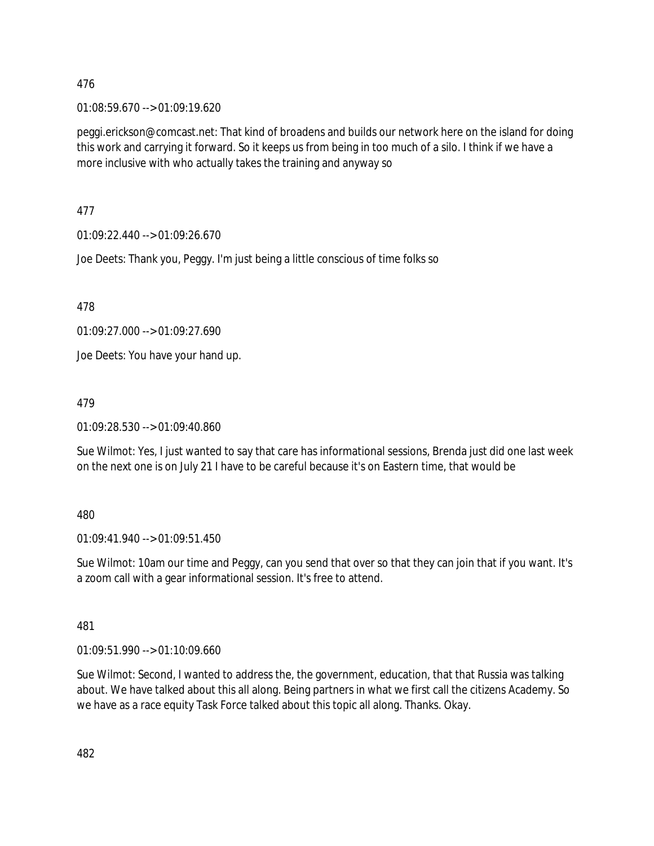01:08:59.670 --> 01:09:19.620

peggi.erickson@comcast.net: That kind of broadens and builds our network here on the island for doing this work and carrying it forward. So it keeps us from being in too much of a silo. I think if we have a more inclusive with who actually takes the training and anyway so

477

01:09:22.440 --> 01:09:26.670

Joe Deets: Thank you, Peggy. I'm just being a little conscious of time folks so

478

01:09:27.000 --> 01:09:27.690

Joe Deets: You have your hand up.

479

01:09:28.530 --> 01:09:40.860

Sue Wilmot: Yes, I just wanted to say that care has informational sessions, Brenda just did one last week on the next one is on July 21 I have to be careful because it's on Eastern time, that would be

480

01:09:41.940 --> 01:09:51.450

Sue Wilmot: 10am our time and Peggy, can you send that over so that they can join that if you want. It's a zoom call with a gear informational session. It's free to attend.

481

01:09:51.990 --> 01:10:09.660

Sue Wilmot: Second, I wanted to address the, the government, education, that that Russia was talking about. We have talked about this all along. Being partners in what we first call the citizens Academy. So we have as a race equity Task Force talked about this topic all along. Thanks. Okay.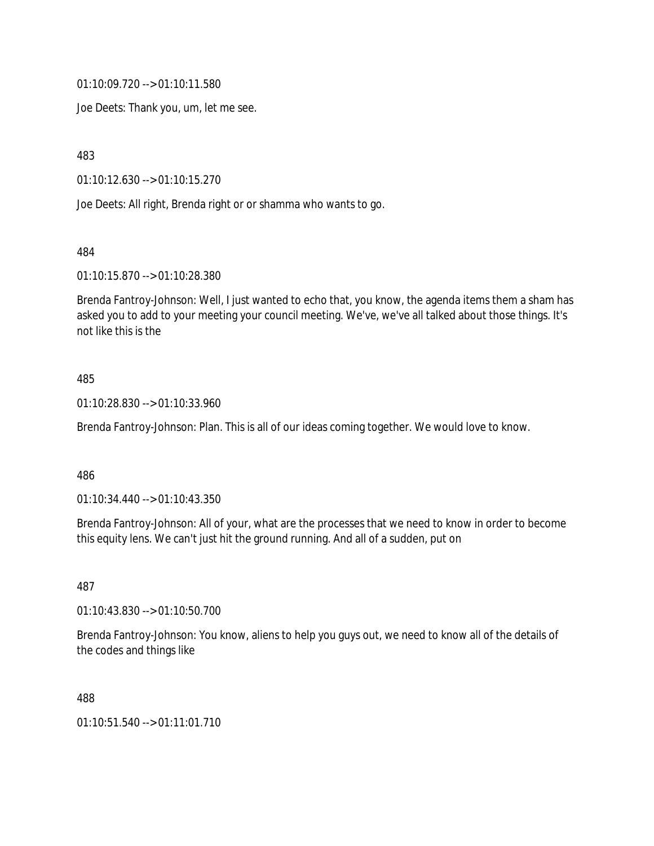01:10:09.720 --> 01:10:11.580

Joe Deets: Thank you, um, let me see.

483

01:10:12.630 --> 01:10:15.270

Joe Deets: All right, Brenda right or or shamma who wants to go.

484

01:10:15.870 --> 01:10:28.380

Brenda Fantroy-Johnson: Well, I just wanted to echo that, you know, the agenda items them a sham has asked you to add to your meeting your council meeting. We've, we've all talked about those things. It's not like this is the

#### 485

01:10:28.830 --> 01:10:33.960

Brenda Fantroy-Johnson: Plan. This is all of our ideas coming together. We would love to know.

#### 486

01:10:34.440 --> 01:10:43.350

Brenda Fantroy-Johnson: All of your, what are the processes that we need to know in order to become this equity lens. We can't just hit the ground running. And all of a sudden, put on

487

01:10:43.830 --> 01:10:50.700

Brenda Fantroy-Johnson: You know, aliens to help you guys out, we need to know all of the details of the codes and things like

488

01:10:51.540 --> 01:11:01.710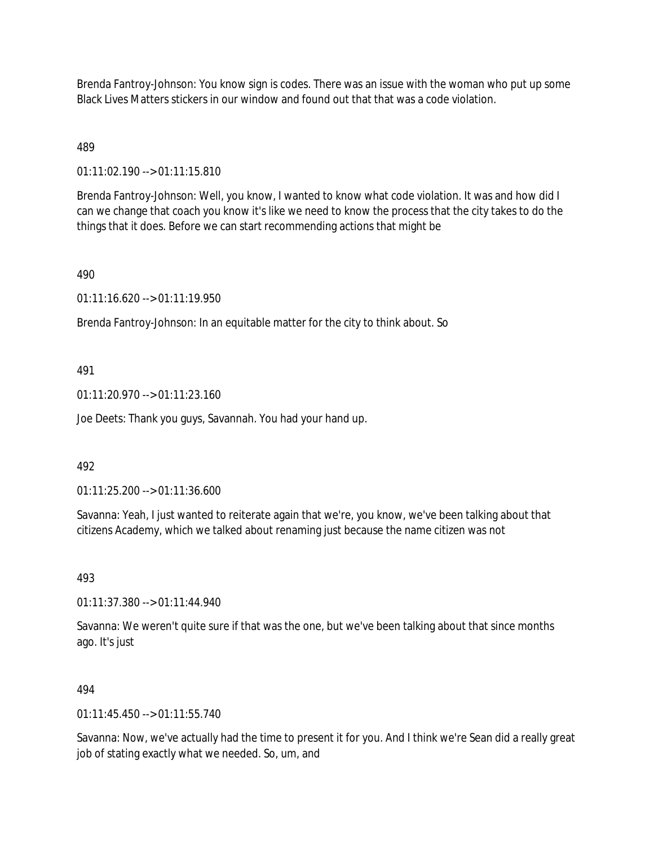Brenda Fantroy-Johnson: You know sign is codes. There was an issue with the woman who put up some Black Lives Matters stickers in our window and found out that that was a code violation.

## 489

01:11:02.190 --> 01:11:15.810

Brenda Fantroy-Johnson: Well, you know, I wanted to know what code violation. It was and how did I can we change that coach you know it's like we need to know the process that the city takes to do the things that it does. Before we can start recommending actions that might be

#### 490

01:11:16.620 --> 01:11:19.950

Brenda Fantroy-Johnson: In an equitable matter for the city to think about. So

## 491

01:11:20.970 --> 01:11:23.160

Joe Deets: Thank you guys, Savannah. You had your hand up.

#### 492

01:11:25.200 --> 01:11:36.600

Savanna: Yeah, I just wanted to reiterate again that we're, you know, we've been talking about that citizens Academy, which we talked about renaming just because the name citizen was not

493

01:11:37.380 --> 01:11:44.940

Savanna: We weren't quite sure if that was the one, but we've been talking about that since months ago. It's just

#### 494

 $01:11:45.450 \rightarrow 01:11:55.740$ 

Savanna: Now, we've actually had the time to present it for you. And I think we're Sean did a really great job of stating exactly what we needed. So, um, and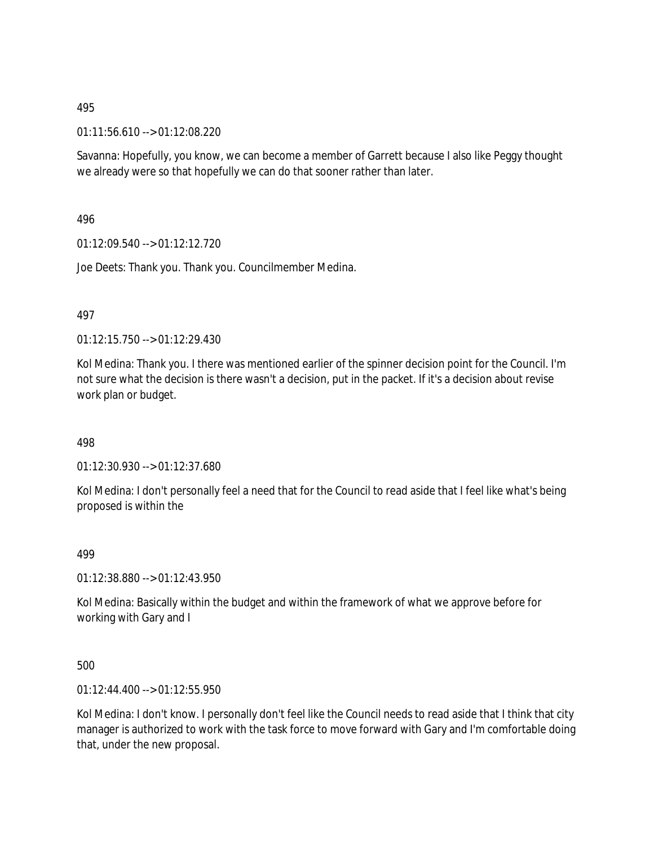01:11:56.610 --> 01:12:08.220

Savanna: Hopefully, you know, we can become a member of Garrett because I also like Peggy thought we already were so that hopefully we can do that sooner rather than later.

496

01:12:09.540 --> 01:12:12.720

Joe Deets: Thank you. Thank you. Councilmember Medina.

497

01:12:15.750 --> 01:12:29.430

Kol Medina: Thank you. I there was mentioned earlier of the spinner decision point for the Council. I'm not sure what the decision is there wasn't a decision, put in the packet. If it's a decision about revise work plan or budget.

498

01:12:30.930 --> 01:12:37.680

Kol Medina: I don't personally feel a need that for the Council to read aside that I feel like what's being proposed is within the

499

01:12:38.880 --> 01:12:43.950

Kol Medina: Basically within the budget and within the framework of what we approve before for working with Gary and I

500

01:12:44.400 --> 01:12:55.950

Kol Medina: I don't know. I personally don't feel like the Council needs to read aside that I think that city manager is authorized to work with the task force to move forward with Gary and I'm comfortable doing that, under the new proposal.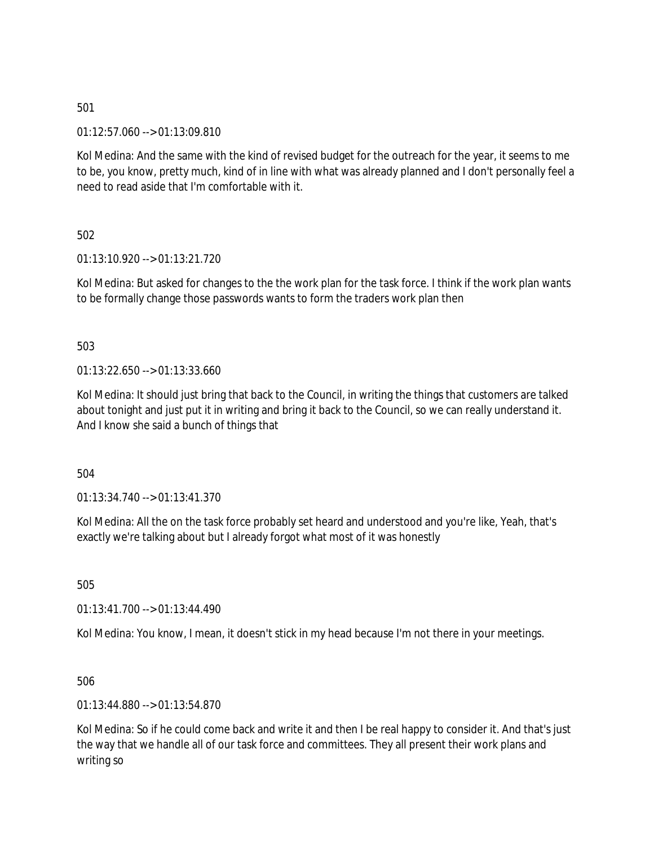01:12:57.060 --> 01:13:09.810

Kol Medina: And the same with the kind of revised budget for the outreach for the year, it seems to me to be, you know, pretty much, kind of in line with what was already planned and I don't personally feel a need to read aside that I'm comfortable with it.

502

01:13:10.920 --> 01:13:21.720

Kol Medina: But asked for changes to the the work plan for the task force. I think if the work plan wants to be formally change those passwords wants to form the traders work plan then

503

01:13:22.650 --> 01:13:33.660

Kol Medina: It should just bring that back to the Council, in writing the things that customers are talked about tonight and just put it in writing and bring it back to the Council, so we can really understand it. And I know she said a bunch of things that

504

 $01:13:34.740 \rightarrow 01:13:41.370$ 

Kol Medina: All the on the task force probably set heard and understood and you're like, Yeah, that's exactly we're talking about but I already forgot what most of it was honestly

505

01:13:41.700 --> 01:13:44.490

Kol Medina: You know, I mean, it doesn't stick in my head because I'm not there in your meetings.

506

01:13:44.880 --> 01:13:54.870

Kol Medina: So if he could come back and write it and then I be real happy to consider it. And that's just the way that we handle all of our task force and committees. They all present their work plans and writing so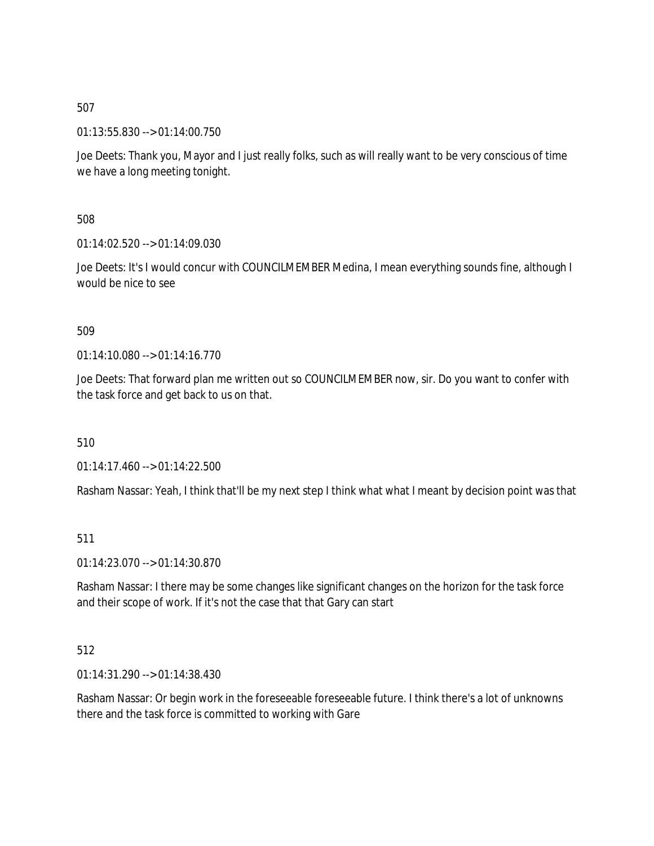01:13:55.830 --> 01:14:00.750

Joe Deets: Thank you, Mayor and I just really folks, such as will really want to be very conscious of time we have a long meeting tonight.

508

01:14:02.520 --> 01:14:09.030

Joe Deets: It's I would concur with COUNCILMEMBER Medina, I mean everything sounds fine, although I would be nice to see

509

01:14:10.080 --> 01:14:16.770

Joe Deets: That forward plan me written out so COUNCILMEMBER now, sir. Do you want to confer with the task force and get back to us on that.

510

01:14:17.460 --> 01:14:22.500

Rasham Nassar: Yeah, I think that'll be my next step I think what what I meant by decision point was that

511

01:14:23.070 --> 01:14:30.870

Rasham Nassar: I there may be some changes like significant changes on the horizon for the task force and their scope of work. If it's not the case that that Gary can start

512

01:14:31.290 --> 01:14:38.430

Rasham Nassar: Or begin work in the foreseeable foreseeable future. I think there's a lot of unknowns there and the task force is committed to working with Gare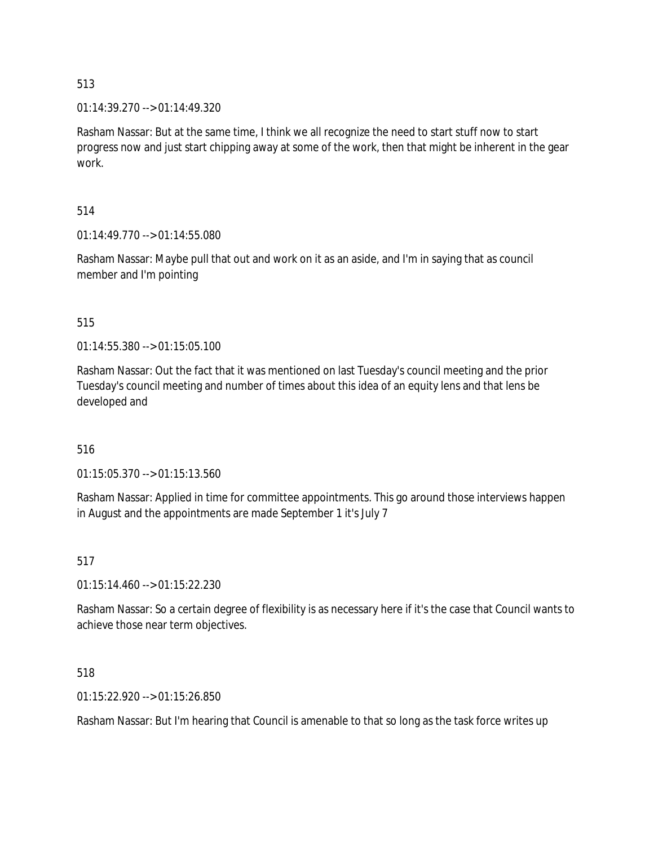01:14:39.270 --> 01:14:49.320

Rasham Nassar: But at the same time, I think we all recognize the need to start stuff now to start progress now and just start chipping away at some of the work, then that might be inherent in the gear work.

### 514

01:14:49.770 --> 01:14:55.080

Rasham Nassar: Maybe pull that out and work on it as an aside, and I'm in saying that as council member and I'm pointing

## 515

01:14:55.380 --> 01:15:05.100

Rasham Nassar: Out the fact that it was mentioned on last Tuesday's council meeting and the prior Tuesday's council meeting and number of times about this idea of an equity lens and that lens be developed and

#### 516

01:15:05.370 --> 01:15:13.560

Rasham Nassar: Applied in time for committee appointments. This go around those interviews happen in August and the appointments are made September 1 it's July 7

#### 517

01:15:14.460 --> 01:15:22.230

Rasham Nassar: So a certain degree of flexibility is as necessary here if it's the case that Council wants to achieve those near term objectives.

#### 518

01:15:22.920 --> 01:15:26.850

Rasham Nassar: But I'm hearing that Council is amenable to that so long as the task force writes up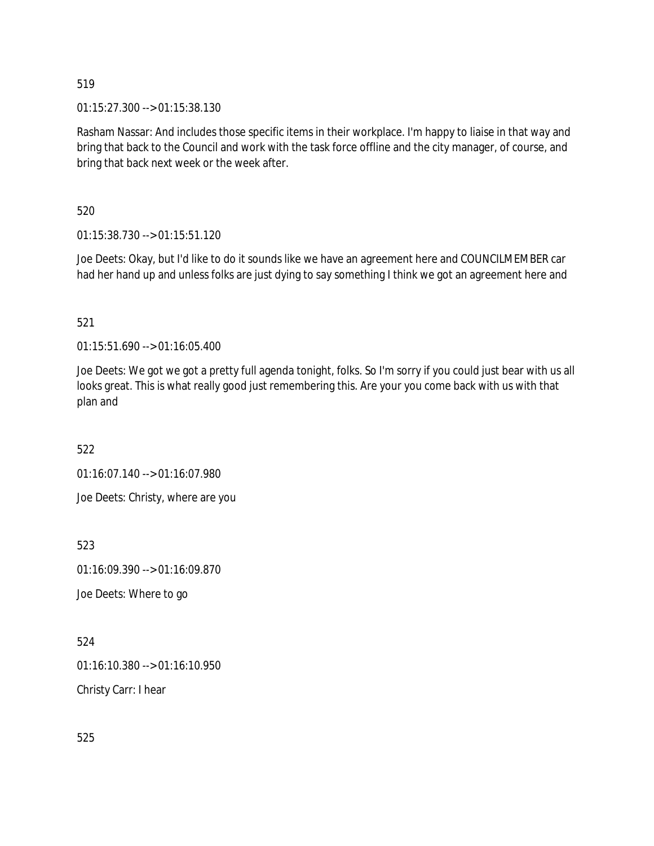01:15:27.300 --> 01:15:38.130

Rasham Nassar: And includes those specific items in their workplace. I'm happy to liaise in that way and bring that back to the Council and work with the task force offline and the city manager, of course, and bring that back next week or the week after.

520

01:15:38.730 --> 01:15:51.120

Joe Deets: Okay, but I'd like to do it sounds like we have an agreement here and COUNCILMEMBER car had her hand up and unless folks are just dying to say something I think we got an agreement here and

521

01:15:51.690 --> 01:16:05.400

Joe Deets: We got we got a pretty full agenda tonight, folks. So I'm sorry if you could just bear with us all looks great. This is what really good just remembering this. Are your you come back with us with that plan and

522

01:16:07.140 --> 01:16:07.980

Joe Deets: Christy, where are you

523

01:16:09.390 --> 01:16:09.870

Joe Deets: Where to go

524

01:16:10.380 --> 01:16:10.950

Christy Carr: I hear

525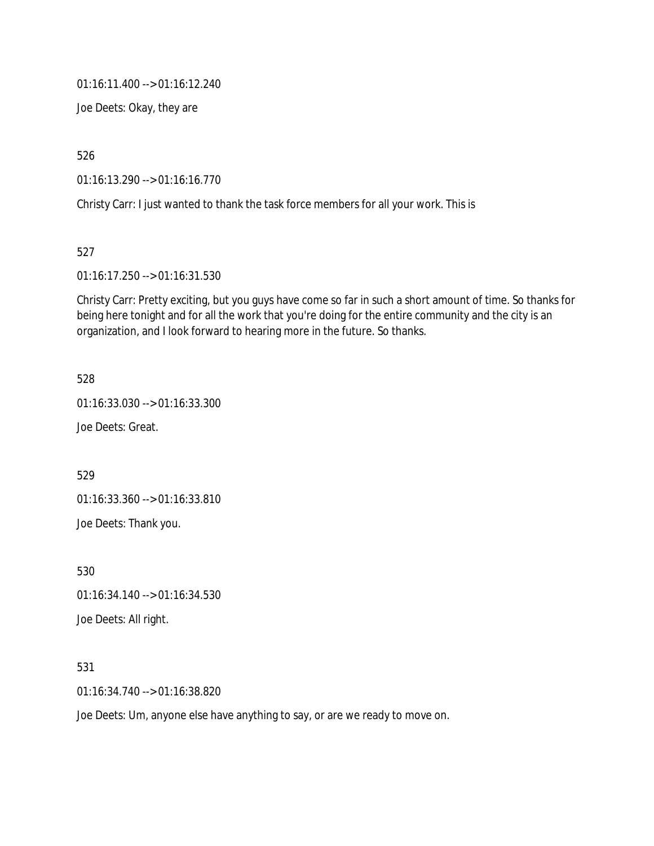01:16:11.400 --> 01:16:12.240

Joe Deets: Okay, they are

526

01:16:13.290 --> 01:16:16.770

Christy Carr: I just wanted to thank the task force members for all your work. This is

527

01:16:17.250 --> 01:16:31.530

Christy Carr: Pretty exciting, but you guys have come so far in such a short amount of time. So thanks for being here tonight and for all the work that you're doing for the entire community and the city is an organization, and I look forward to hearing more in the future. So thanks.

528

01:16:33.030 --> 01:16:33.300

Joe Deets: Great.

529

01:16:33.360 --> 01:16:33.810

Joe Deets: Thank you.

530 01:16:34.140 --> 01:16:34.530

Joe Deets: All right.

531

01:16:34.740 --> 01:16:38.820

Joe Deets: Um, anyone else have anything to say, or are we ready to move on.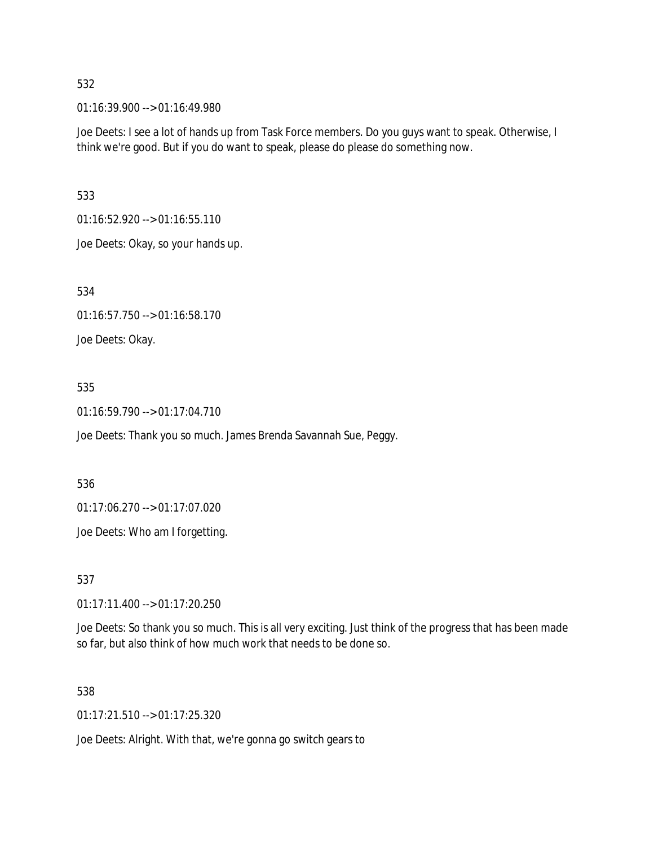01:16:39.900 --> 01:16:49.980

Joe Deets: I see a lot of hands up from Task Force members. Do you guys want to speak. Otherwise, I think we're good. But if you do want to speak, please do please do something now.

533

01:16:52.920 --> 01:16:55.110

Joe Deets: Okay, so your hands up.

534

01:16:57.750 --> 01:16:58.170

Joe Deets: Okay.

## 535

01:16:59.790 --> 01:17:04.710

Joe Deets: Thank you so much. James Brenda Savannah Sue, Peggy.

536

01:17:06.270 --> 01:17:07.020

Joe Deets: Who am I forgetting.

537

01:17:11.400 --> 01:17:20.250

Joe Deets: So thank you so much. This is all very exciting. Just think of the progress that has been made so far, but also think of how much work that needs to be done so.

#### 538

01:17:21.510 --> 01:17:25.320

Joe Deets: Alright. With that, we're gonna go switch gears to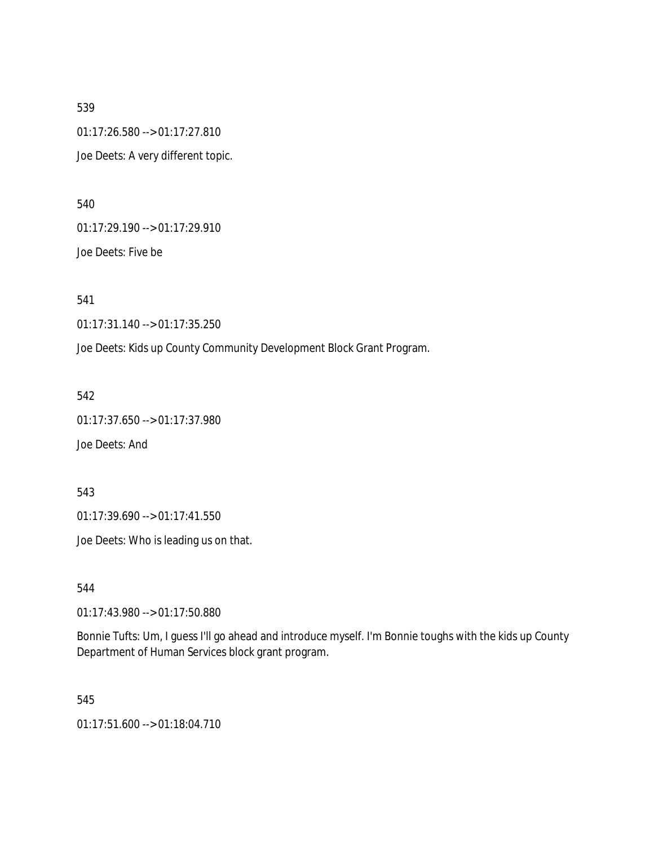539 01:17:26.580 --> 01:17:27.810 Joe Deets: A very different topic.

540

01:17:29.190 --> 01:17:29.910

Joe Deets: Five be

541

01:17:31.140 --> 01:17:35.250

Joe Deets: Kids up County Community Development Block Grant Program.

542

01:17:37.650 --> 01:17:37.980

Joe Deets: And

543

01:17:39.690 --> 01:17:41.550

Joe Deets: Who is leading us on that.

544

01:17:43.980 --> 01:17:50.880

Bonnie Tufts: Um, I guess I'll go ahead and introduce myself. I'm Bonnie toughs with the kids up County Department of Human Services block grant program.

545

01:17:51.600 --> 01:18:04.710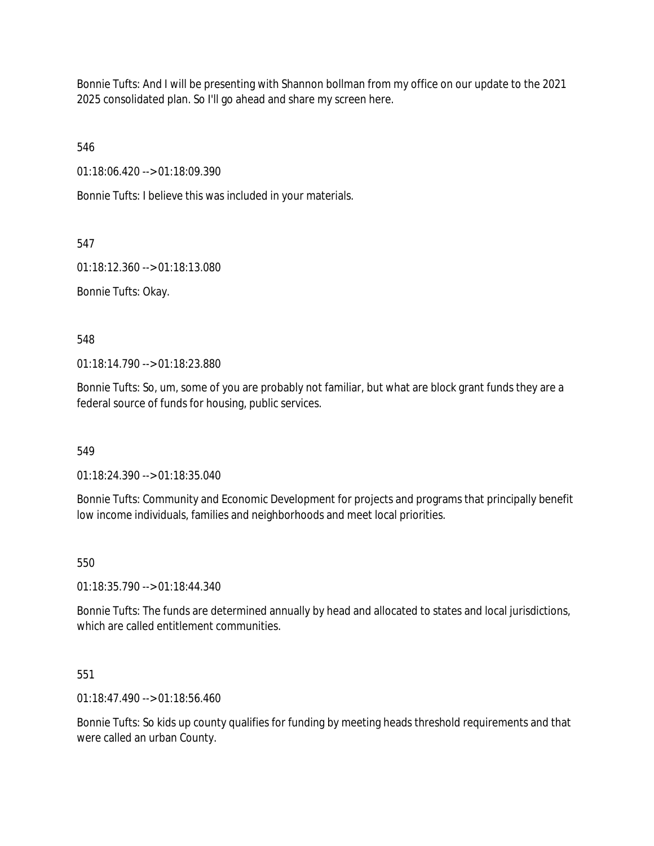Bonnie Tufts: And I will be presenting with Shannon bollman from my office on our update to the 2021 2025 consolidated plan. So I'll go ahead and share my screen here.

546

01:18:06.420 --> 01:18:09.390

Bonnie Tufts: I believe this was included in your materials.

547

01:18:12.360 --> 01:18:13.080

Bonnie Tufts: Okay.

548

01:18:14.790 --> 01:18:23.880

Bonnie Tufts: So, um, some of you are probably not familiar, but what are block grant funds they are a federal source of funds for housing, public services.

549

01:18:24.390 --> 01:18:35.040

Bonnie Tufts: Community and Economic Development for projects and programs that principally benefit low income individuals, families and neighborhoods and meet local priorities.

550

01:18:35.790 --> 01:18:44.340

Bonnie Tufts: The funds are determined annually by head and allocated to states and local jurisdictions, which are called entitlement communities.

551

01:18:47.490 --> 01:18:56.460

Bonnie Tufts: So kids up county qualifies for funding by meeting heads threshold requirements and that were called an urban County.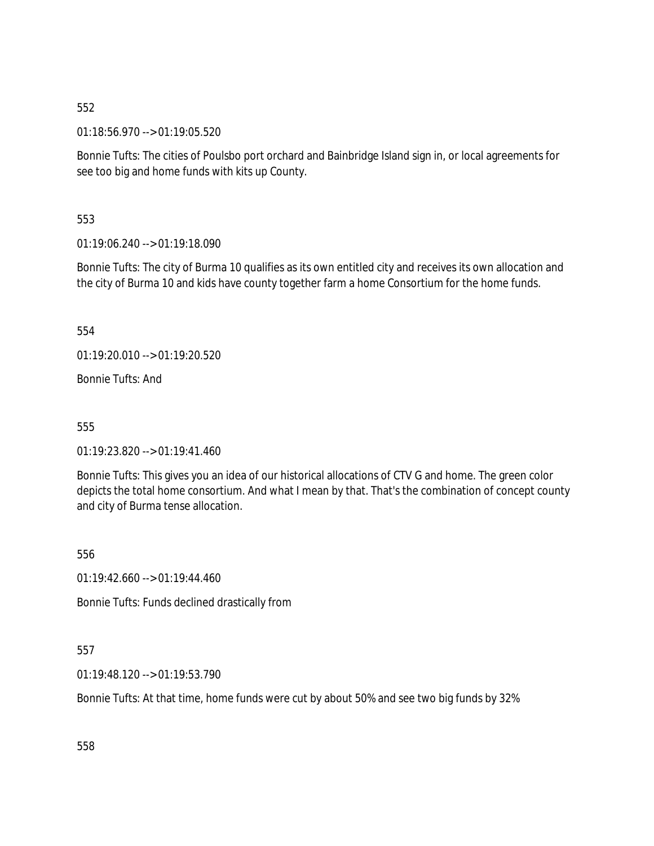01:18:56.970 --> 01:19:05.520

Bonnie Tufts: The cities of Poulsbo port orchard and Bainbridge Island sign in, or local agreements for see too big and home funds with kits up County.

553

01:19:06.240 --> 01:19:18.090

Bonnie Tufts: The city of Burma 10 qualifies as its own entitled city and receives its own allocation and the city of Burma 10 and kids have county together farm a home Consortium for the home funds.

554

01:19:20.010 --> 01:19:20.520

Bonnie Tufts: And

555

01:19:23.820 --> 01:19:41.460

Bonnie Tufts: This gives you an idea of our historical allocations of CTV G and home. The green color depicts the total home consortium. And what I mean by that. That's the combination of concept county and city of Burma tense allocation.

556

 $01:19:42.660 \rightarrow 01:19:44.460$ 

Bonnie Tufts: Funds declined drastically from

557

01:19:48.120 --> 01:19:53.790

Bonnie Tufts: At that time, home funds were cut by about 50% and see two big funds by 32%

558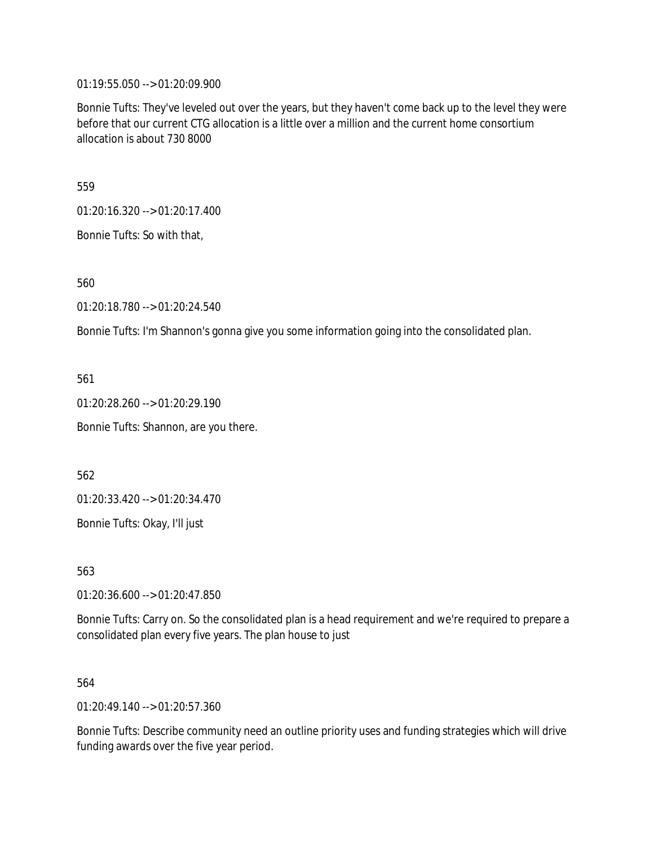01:19:55.050 --> 01:20:09.900

Bonnie Tufts: They've leveled out over the years, but they haven't come back up to the level they were before that our current CTG allocation is a little over a million and the current home consortium allocation is about 730 8000

559

01:20:16.320 --> 01:20:17.400

Bonnie Tufts: So with that,

560

01:20:18.780 --> 01:20:24.540

Bonnie Tufts: I'm Shannon's gonna give you some information going into the consolidated plan.

561

01:20:28.260 --> 01:20:29.190 Bonnie Tufts: Shannon, are you there.

562

01:20:33.420 --> 01:20:34.470

Bonnie Tufts: Okay, I'll just

563

01:20:36.600 --> 01:20:47.850

Bonnie Tufts: Carry on. So the consolidated plan is a head requirement and we're required to prepare a consolidated plan every five years. The plan house to just

564

01:20:49.140 --> 01:20:57.360

Bonnie Tufts: Describe community need an outline priority uses and funding strategies which will drive funding awards over the five year period.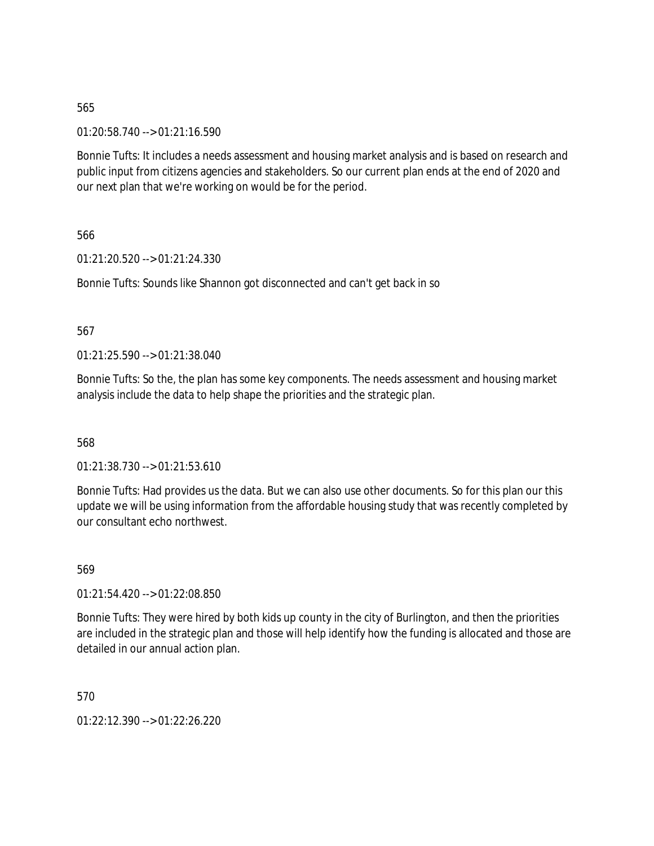01:20:58.740 --> 01:21:16.590

Bonnie Tufts: It includes a needs assessment and housing market analysis and is based on research and public input from citizens agencies and stakeholders. So our current plan ends at the end of 2020 and our next plan that we're working on would be for the period.

566

01:21:20.520 --> 01:21:24.330

Bonnie Tufts: Sounds like Shannon got disconnected and can't get back in so

567

01:21:25.590 --> 01:21:38.040

Bonnie Tufts: So the, the plan has some key components. The needs assessment and housing market analysis include the data to help shape the priorities and the strategic plan.

568

01:21:38.730 --> 01:21:53.610

Bonnie Tufts: Had provides us the data. But we can also use other documents. So for this plan our this update we will be using information from the affordable housing study that was recently completed by our consultant echo northwest.

569

01:21:54.420 --> 01:22:08.850

Bonnie Tufts: They were hired by both kids up county in the city of Burlington, and then the priorities are included in the strategic plan and those will help identify how the funding is allocated and those are detailed in our annual action plan.

570

01:22:12.390 --> 01:22:26.220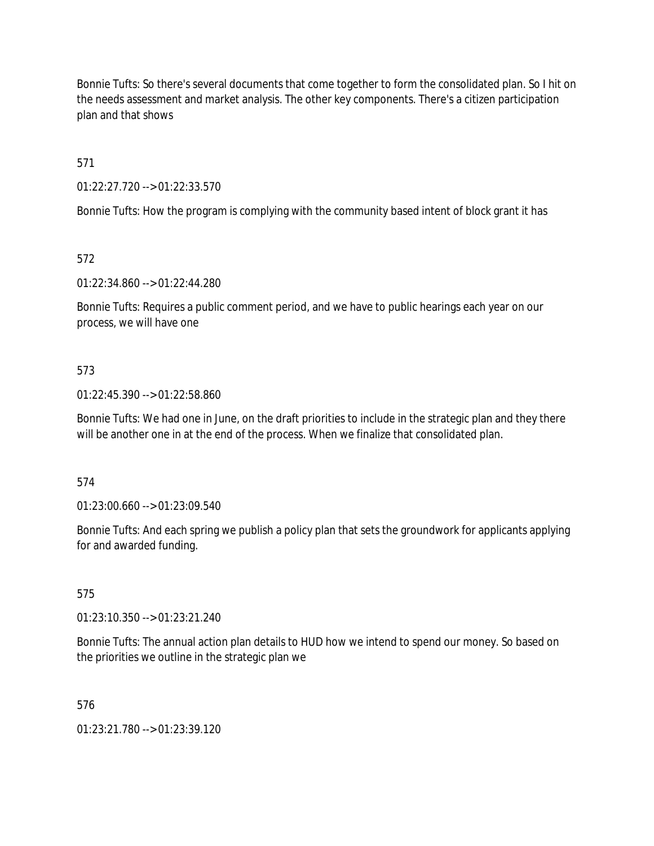Bonnie Tufts: So there's several documents that come together to form the consolidated plan. So I hit on the needs assessment and market analysis. The other key components. There's a citizen participation plan and that shows

571

01:22:27.720 --> 01:22:33.570

Bonnie Tufts: How the program is complying with the community based intent of block grant it has

572

01:22:34.860 --> 01:22:44.280

Bonnie Tufts: Requires a public comment period, and we have to public hearings each year on our process, we will have one

## 573

01:22:45.390 --> 01:22:58.860

Bonnie Tufts: We had one in June, on the draft priorities to include in the strategic plan and they there will be another one in at the end of the process. When we finalize that consolidated plan.

# 574

01:23:00.660 --> 01:23:09.540

Bonnie Tufts: And each spring we publish a policy plan that sets the groundwork for applicants applying for and awarded funding.

# 575

01:23:10.350 --> 01:23:21.240

Bonnie Tufts: The annual action plan details to HUD how we intend to spend our money. So based on the priorities we outline in the strategic plan we

576

01:23:21.780 --> 01:23:39.120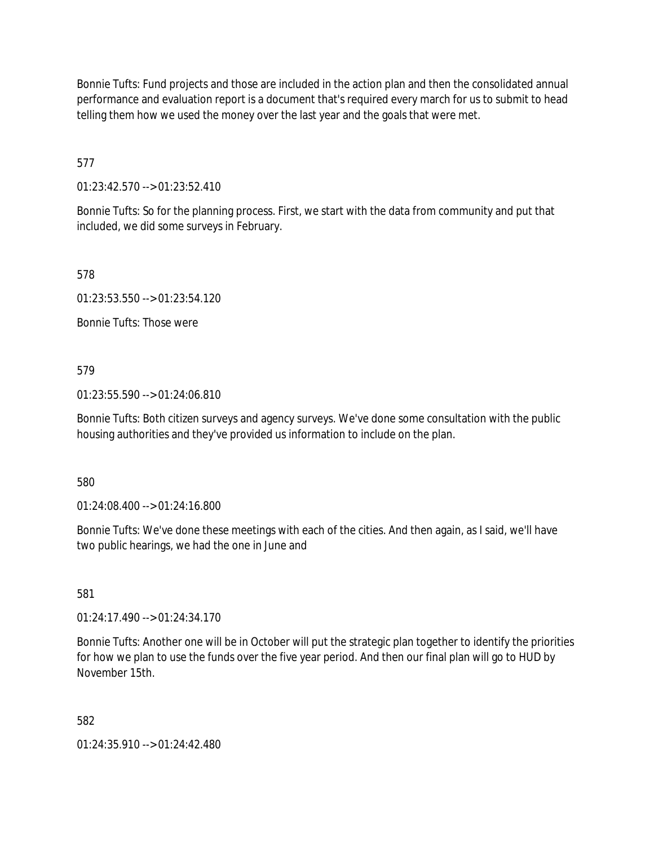Bonnie Tufts: Fund projects and those are included in the action plan and then the consolidated annual performance and evaluation report is a document that's required every march for us to submit to head telling them how we used the money over the last year and the goals that were met.

577

01:23:42.570 --> 01:23:52.410

Bonnie Tufts: So for the planning process. First, we start with the data from community and put that included, we did some surveys in February.

578

01:23:53.550 --> 01:23:54.120

Bonnie Tufts: Those were

579

01:23:55.590 --> 01:24:06.810

Bonnie Tufts: Both citizen surveys and agency surveys. We've done some consultation with the public housing authorities and they've provided us information to include on the plan.

580

01:24:08.400 --> 01:24:16.800

Bonnie Tufts: We've done these meetings with each of the cities. And then again, as I said, we'll have two public hearings, we had the one in June and

581

01:24:17.490 --> 01:24:34.170

Bonnie Tufts: Another one will be in October will put the strategic plan together to identify the priorities for how we plan to use the funds over the five year period. And then our final plan will go to HUD by November 15th.

582

01:24:35.910 --> 01:24:42.480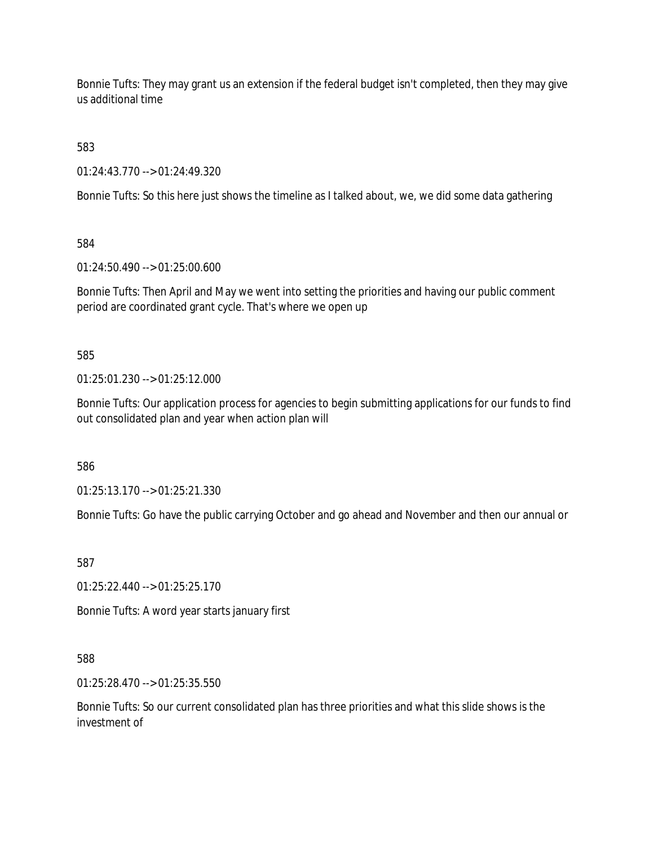Bonnie Tufts: They may grant us an extension if the federal budget isn't completed, then they may give us additional time

583

01:24:43.770 --> 01:24:49.320

Bonnie Tufts: So this here just shows the timeline as I talked about, we, we did some data gathering

584

01:24:50.490 --> 01:25:00.600

Bonnie Tufts: Then April and May we went into setting the priorities and having our public comment period are coordinated grant cycle. That's where we open up

585

01:25:01.230 --> 01:25:12.000

Bonnie Tufts: Our application process for agencies to begin submitting applications for our funds to find out consolidated plan and year when action plan will

586

01:25:13.170 --> 01:25:21.330

Bonnie Tufts: Go have the public carrying October and go ahead and November and then our annual or

587

01:25:22.440 --> 01:25:25.170

Bonnie Tufts: A word year starts january first

588

01:25:28.470 --> 01:25:35.550

Bonnie Tufts: So our current consolidated plan has three priorities and what this slide shows is the investment of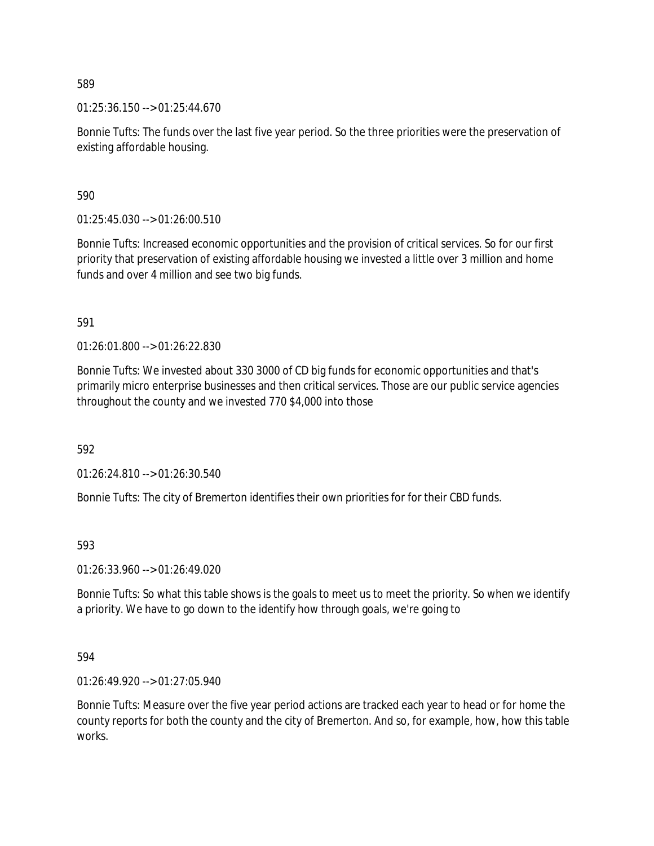01:25:36.150 --> 01:25:44.670

Bonnie Tufts: The funds over the last five year period. So the three priorities were the preservation of existing affordable housing.

590

01:25:45.030 --> 01:26:00.510

Bonnie Tufts: Increased economic opportunities and the provision of critical services. So for our first priority that preservation of existing affordable housing we invested a little over 3 million and home funds and over 4 million and see two big funds.

591

01:26:01.800 --> 01:26:22.830

Bonnie Tufts: We invested about 330 3000 of CD big funds for economic opportunities and that's primarily micro enterprise businesses and then critical services. Those are our public service agencies throughout the county and we invested 770 \$4,000 into those

592

01:26:24.810 --> 01:26:30.540

Bonnie Tufts: The city of Bremerton identifies their own priorities for for their CBD funds.

593

01:26:33.960 --> 01:26:49.020

Bonnie Tufts: So what this table shows is the goals to meet us to meet the priority. So when we identify a priority. We have to go down to the identify how through goals, we're going to

594

01:26:49.920 --> 01:27:05.940

Bonnie Tufts: Measure over the five year period actions are tracked each year to head or for home the county reports for both the county and the city of Bremerton. And so, for example, how, how this table works.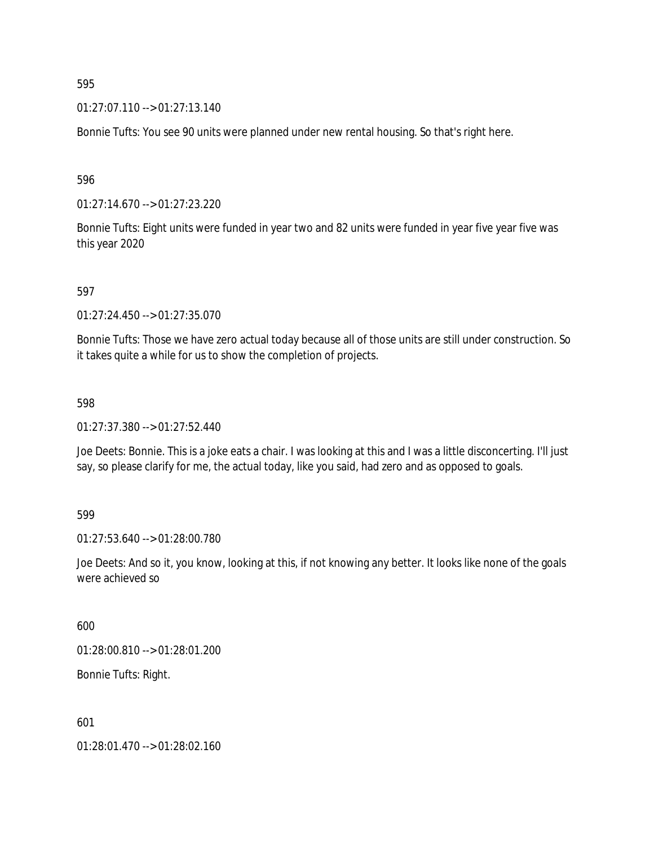01:27:07.110 --> 01:27:13.140

Bonnie Tufts: You see 90 units were planned under new rental housing. So that's right here.

596

01:27:14.670 --> 01:27:23.220

Bonnie Tufts: Eight units were funded in year two and 82 units were funded in year five year five was this year 2020

597

01:27:24.450 --> 01:27:35.070

Bonnie Tufts: Those we have zero actual today because all of those units are still under construction. So it takes quite a while for us to show the completion of projects.

598

01:27:37.380 --> 01:27:52.440

Joe Deets: Bonnie. This is a joke eats a chair. I was looking at this and I was a little disconcerting. I'll just say, so please clarify for me, the actual today, like you said, had zero and as opposed to goals.

599

01:27:53.640 --> 01:28:00.780

Joe Deets: And so it, you know, looking at this, if not knowing any better. It looks like none of the goals were achieved so

600

01:28:00.810 --> 01:28:01.200

Bonnie Tufts: Right.

601

01:28:01.470 --> 01:28:02.160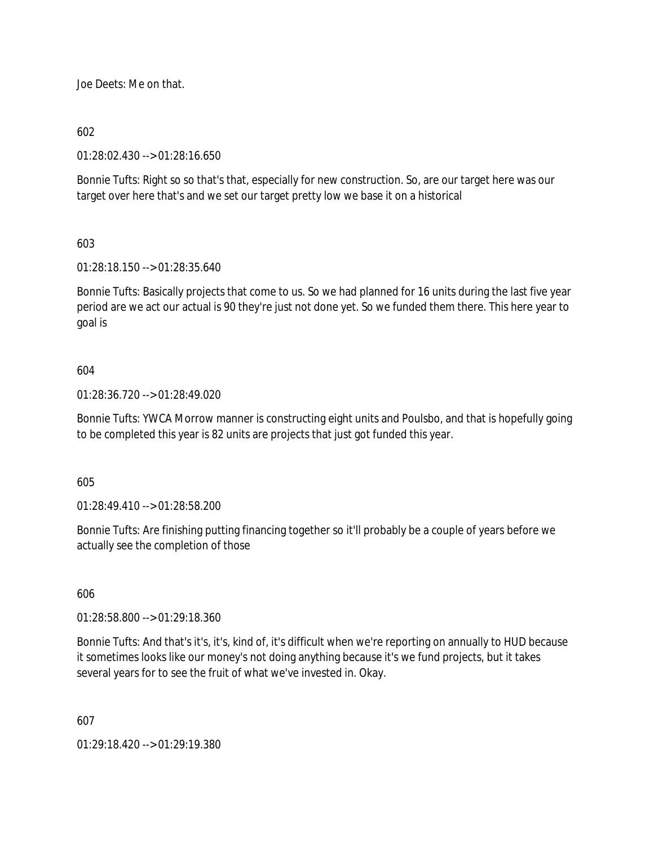Joe Deets: Me on that.

# 602

01:28:02.430 --> 01:28:16.650

Bonnie Tufts: Right so so that's that, especially for new construction. So, are our target here was our target over here that's and we set our target pretty low we base it on a historical

# 603

01:28:18.150 --> 01:28:35.640

Bonnie Tufts: Basically projects that come to us. So we had planned for 16 units during the last five year period are we act our actual is 90 they're just not done yet. So we funded them there. This here year to goal is

## 604

01:28:36.720 --> 01:28:49.020

Bonnie Tufts: YWCA Morrow manner is constructing eight units and Poulsbo, and that is hopefully going to be completed this year is 82 units are projects that just got funded this year.

#### 605

01:28:49.410 --> 01:28:58.200

Bonnie Tufts: Are finishing putting financing together so it'll probably be a couple of years before we actually see the completion of those

### 606

01:28:58.800 --> 01:29:18.360

Bonnie Tufts: And that's it's, it's, kind of, it's difficult when we're reporting on annually to HUD because it sometimes looks like our money's not doing anything because it's we fund projects, but it takes several years for to see the fruit of what we've invested in. Okay.

607

01:29:18.420 --> 01:29:19.380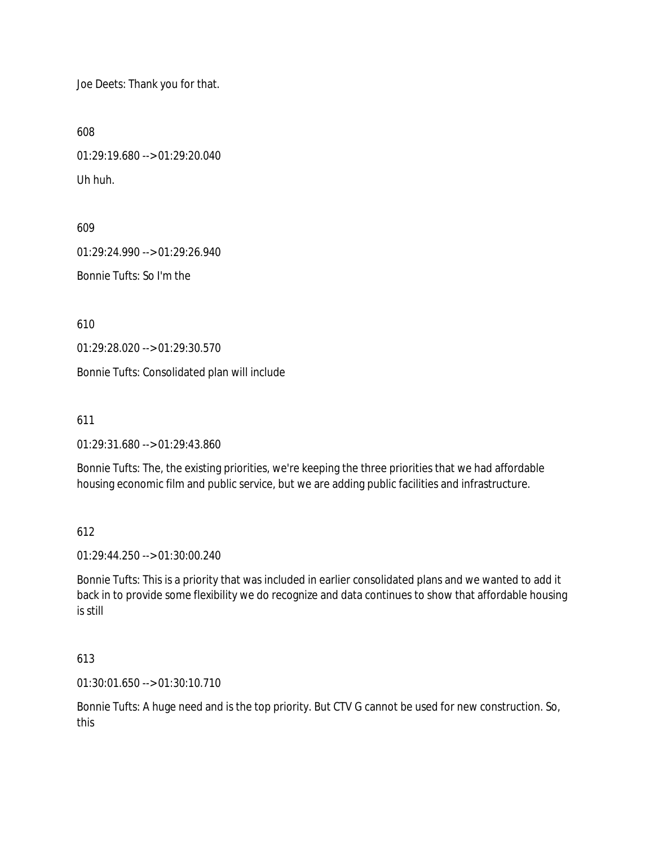Joe Deets: Thank you for that.

608

01:29:19.680 --> 01:29:20.040 Uh huh.

609

01:29:24.990 --> 01:29:26.940

Bonnie Tufts: So I'm the

610

01:29:28.020 --> 01:29:30.570

Bonnie Tufts: Consolidated plan will include

611

01:29:31.680 --> 01:29:43.860

Bonnie Tufts: The, the existing priorities, we're keeping the three priorities that we had affordable housing economic film and public service, but we are adding public facilities and infrastructure.

612

01:29:44.250 --> 01:30:00.240

Bonnie Tufts: This is a priority that was included in earlier consolidated plans and we wanted to add it back in to provide some flexibility we do recognize and data continues to show that affordable housing is still

613

01:30:01.650 --> 01:30:10.710

Bonnie Tufts: A huge need and is the top priority. But CTV G cannot be used for new construction. So, this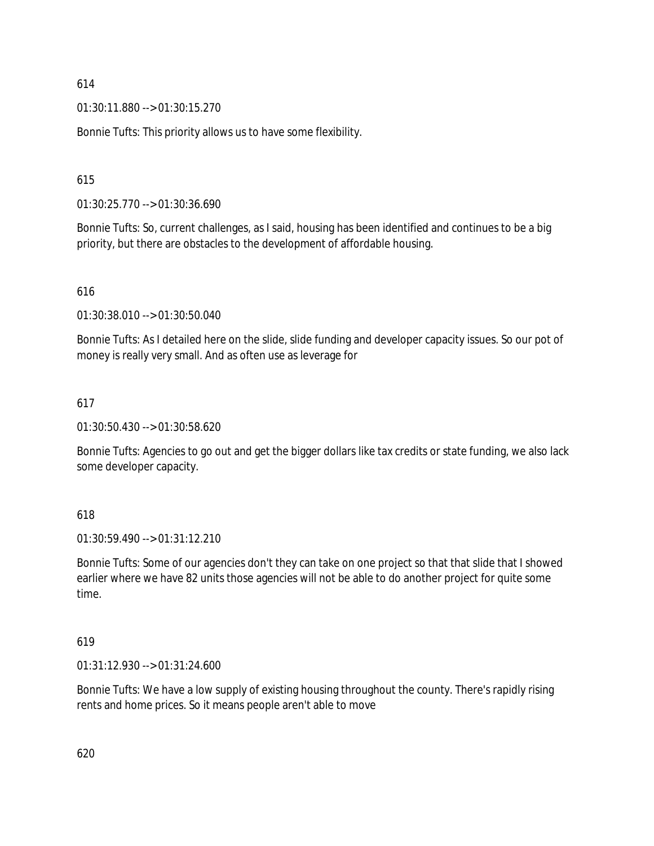01:30:11.880 --> 01:30:15.270

Bonnie Tufts: This priority allows us to have some flexibility.

### 615

01:30:25.770 --> 01:30:36.690

Bonnie Tufts: So, current challenges, as I said, housing has been identified and continues to be a big priority, but there are obstacles to the development of affordable housing.

#### 616

01:30:38.010 --> 01:30:50.040

Bonnie Tufts: As I detailed here on the slide, slide funding and developer capacity issues. So our pot of money is really very small. And as often use as leverage for

#### 617

01:30:50.430 --> 01:30:58.620

Bonnie Tufts: Agencies to go out and get the bigger dollars like tax credits or state funding, we also lack some developer capacity.

#### 618

01:30:59.490 --> 01:31:12.210

Bonnie Tufts: Some of our agencies don't they can take on one project so that that slide that I showed earlier where we have 82 units those agencies will not be able to do another project for quite some time.

## 619

01:31:12.930 --> 01:31:24.600

Bonnie Tufts: We have a low supply of existing housing throughout the county. There's rapidly rising rents and home prices. So it means people aren't able to move

620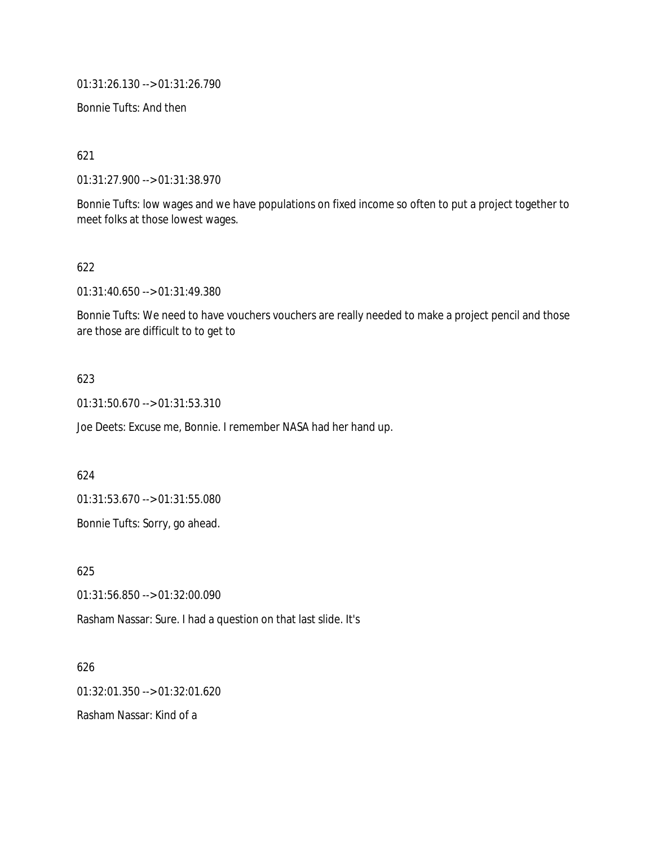01:31:26.130 --> 01:31:26.790

Bonnie Tufts: And then

621

01:31:27.900 --> 01:31:38.970

Bonnie Tufts: low wages and we have populations on fixed income so often to put a project together to meet folks at those lowest wages.

#### 622

01:31:40.650 --> 01:31:49.380

Bonnie Tufts: We need to have vouchers vouchers are really needed to make a project pencil and those are those are difficult to to get to

#### 623

01:31:50.670 --> 01:31:53.310

Joe Deets: Excuse me, Bonnie. I remember NASA had her hand up.

624

01:31:53.670 --> 01:31:55.080

Bonnie Tufts: Sorry, go ahead.

625

01:31:56.850 --> 01:32:00.090

Rasham Nassar: Sure. I had a question on that last slide. It's

626

01:32:01.350 --> 01:32:01.620

Rasham Nassar: Kind of a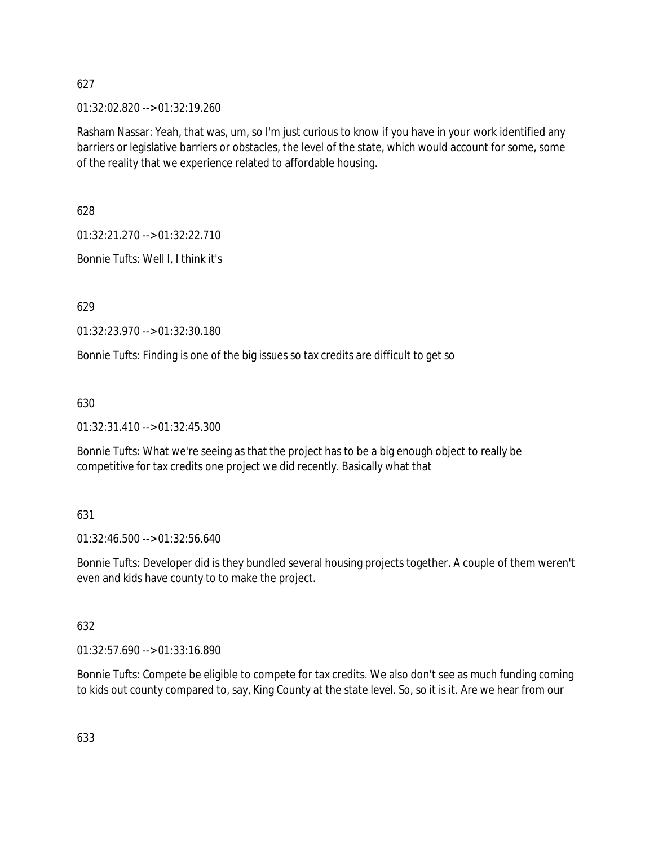01:32:02.820 --> 01:32:19.260

Rasham Nassar: Yeah, that was, um, so I'm just curious to know if you have in your work identified any barriers or legislative barriers or obstacles, the level of the state, which would account for some, some of the reality that we experience related to affordable housing.

628

01:32:21.270 --> 01:32:22.710

Bonnie Tufts: Well I, I think it's

629

01:32:23.970 --> 01:32:30.180

Bonnie Tufts: Finding is one of the big issues so tax credits are difficult to get so

630

01:32:31.410 --> 01:32:45.300

Bonnie Tufts: What we're seeing as that the project has to be a big enough object to really be competitive for tax credits one project we did recently. Basically what that

#### 631

01:32:46.500 --> 01:32:56.640

Bonnie Tufts: Developer did is they bundled several housing projects together. A couple of them weren't even and kids have county to to make the project.

#### 632

01:32:57.690 --> 01:33:16.890

Bonnie Tufts: Compete be eligible to compete for tax credits. We also don't see as much funding coming to kids out county compared to, say, King County at the state level. So, so it is it. Are we hear from our

633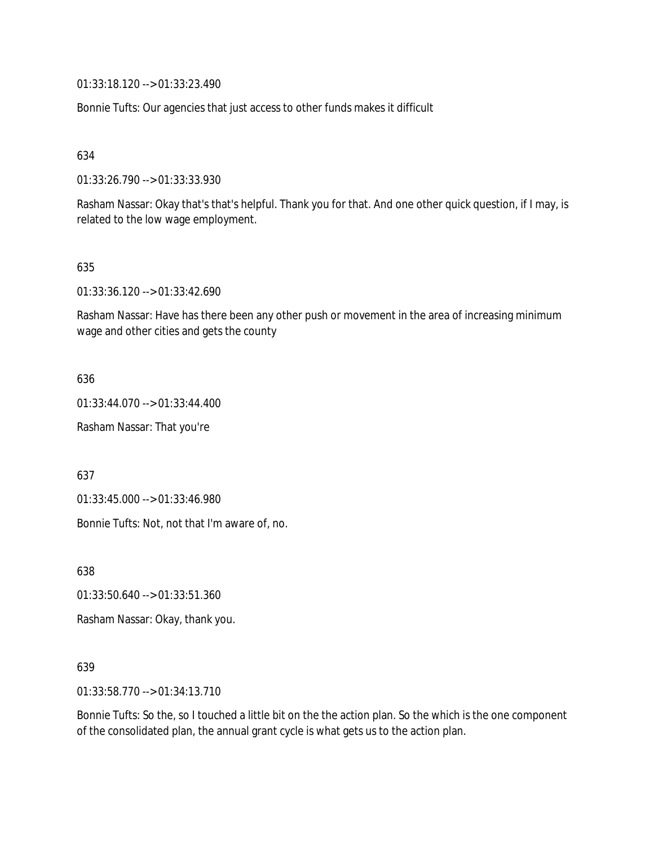01:33:18.120 --> 01:33:23.490

Bonnie Tufts: Our agencies that just access to other funds makes it difficult

634

01:33:26.790 --> 01:33:33.930

Rasham Nassar: Okay that's that's helpful. Thank you for that. And one other quick question, if I may, is related to the low wage employment.

#### 635

01:33:36.120 --> 01:33:42.690

Rasham Nassar: Have has there been any other push or movement in the area of increasing minimum wage and other cities and gets the county

636

01:33:44.070 --> 01:33:44.400

Rasham Nassar: That you're

637

01:33:45.000 --> 01:33:46.980

Bonnie Tufts: Not, not that I'm aware of, no.

638

01:33:50.640 --> 01:33:51.360

Rasham Nassar: Okay, thank you.

#### 639

01:33:58.770 --> 01:34:13.710

Bonnie Tufts: So the, so I touched a little bit on the the action plan. So the which is the one component of the consolidated plan, the annual grant cycle is what gets us to the action plan.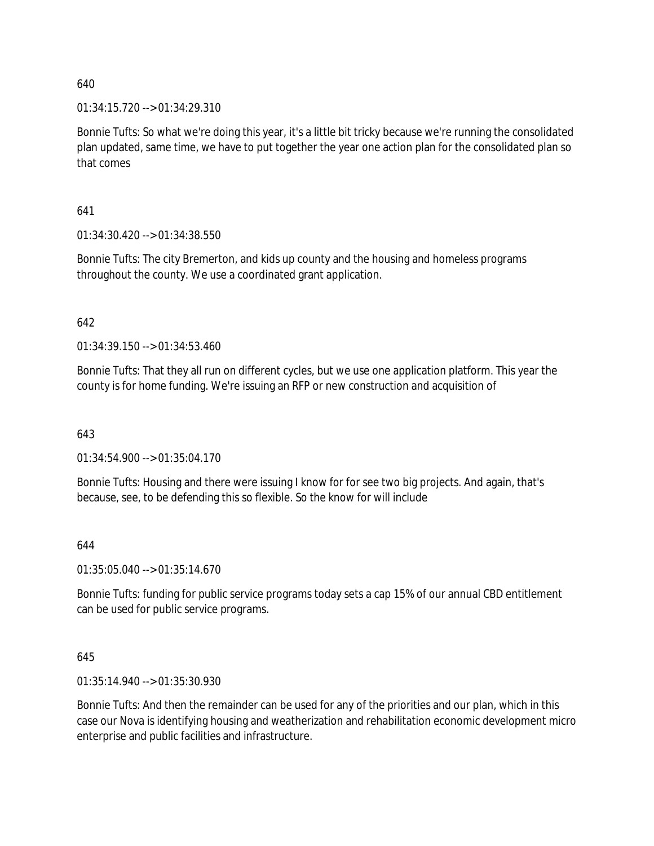01:34:15.720 --> 01:34:29.310

Bonnie Tufts: So what we're doing this year, it's a little bit tricky because we're running the consolidated plan updated, same time, we have to put together the year one action plan for the consolidated plan so that comes

641

01:34:30.420 --> 01:34:38.550

Bonnie Tufts: The city Bremerton, and kids up county and the housing and homeless programs throughout the county. We use a coordinated grant application.

642

01:34:39.150 --> 01:34:53.460

Bonnie Tufts: That they all run on different cycles, but we use one application platform. This year the county is for home funding. We're issuing an RFP or new construction and acquisition of

643

01:34:54.900 --> 01:35:04.170

Bonnie Tufts: Housing and there were issuing I know for for see two big projects. And again, that's because, see, to be defending this so flexible. So the know for will include

#### 644

01:35:05.040 --> 01:35:14.670

Bonnie Tufts: funding for public service programs today sets a cap 15% of our annual CBD entitlement can be used for public service programs.

#### 645

01:35:14.940 --> 01:35:30.930

Bonnie Tufts: And then the remainder can be used for any of the priorities and our plan, which in this case our Nova is identifying housing and weatherization and rehabilitation economic development micro enterprise and public facilities and infrastructure.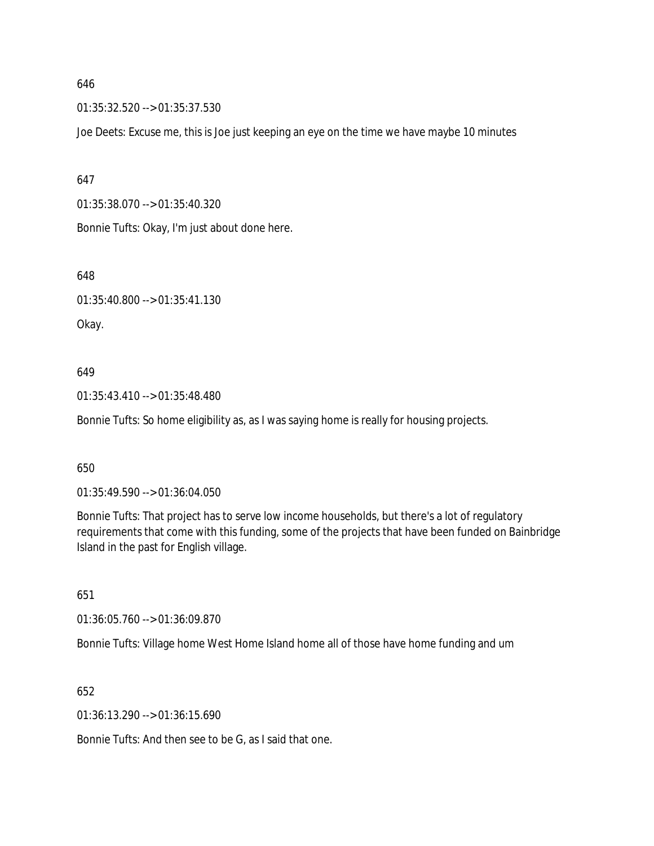01:35:32.520 --> 01:35:37.530

Joe Deets: Excuse me, this is Joe just keeping an eye on the time we have maybe 10 minutes

647

01:35:38.070 --> 01:35:40.320

Bonnie Tufts: Okay, I'm just about done here.

648

01:35:40.800 --> 01:35:41.130

Okay.

#### 649

01:35:43.410 --> 01:35:48.480

Bonnie Tufts: So home eligibility as, as I was saying home is really for housing projects.

650

01:35:49.590 --> 01:36:04.050

Bonnie Tufts: That project has to serve low income households, but there's a lot of regulatory requirements that come with this funding, some of the projects that have been funded on Bainbridge Island in the past for English village.

651

01:36:05.760 --> 01:36:09.870

Bonnie Tufts: Village home West Home Island home all of those have home funding and um

652

01:36:13.290 --> 01:36:15.690

Bonnie Tufts: And then see to be G, as I said that one.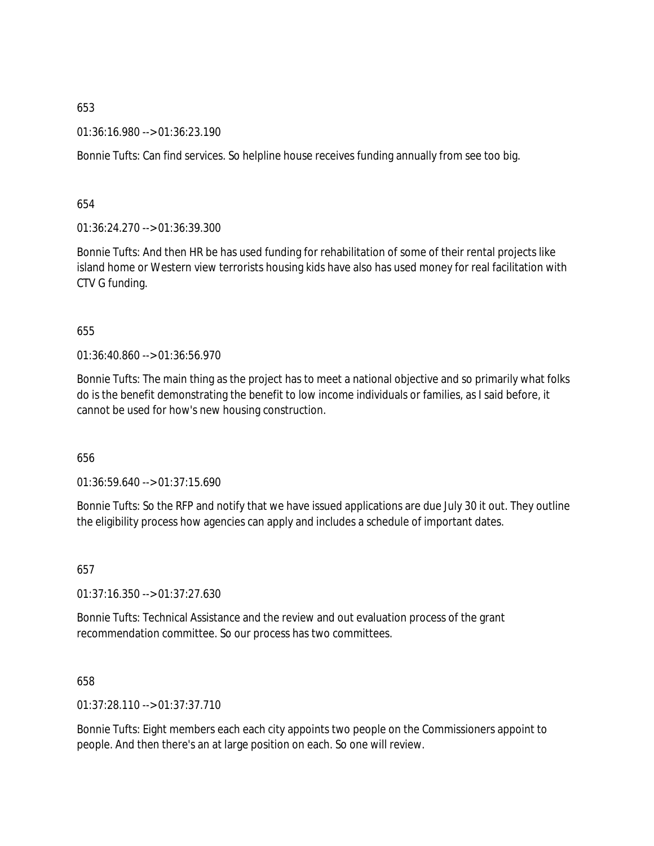01:36:16.980 --> 01:36:23.190

Bonnie Tufts: Can find services. So helpline house receives funding annually from see too big.

654

01:36:24.270 --> 01:36:39.300

Bonnie Tufts: And then HR be has used funding for rehabilitation of some of their rental projects like island home or Western view terrorists housing kids have also has used money for real facilitation with CTV G funding.

#### 655

01:36:40.860 --> 01:36:56.970

Bonnie Tufts: The main thing as the project has to meet a national objective and so primarily what folks do is the benefit demonstrating the benefit to low income individuals or families, as I said before, it cannot be used for how's new housing construction.

656

01:36:59.640 --> 01:37:15.690

Bonnie Tufts: So the RFP and notify that we have issued applications are due July 30 it out. They outline the eligibility process how agencies can apply and includes a schedule of important dates.

657

01:37:16.350 --> 01:37:27.630

Bonnie Tufts: Technical Assistance and the review and out evaluation process of the grant recommendation committee. So our process has two committees.

658

01:37:28.110 --> 01:37:37.710

Bonnie Tufts: Eight members each each city appoints two people on the Commissioners appoint to people. And then there's an at large position on each. So one will review.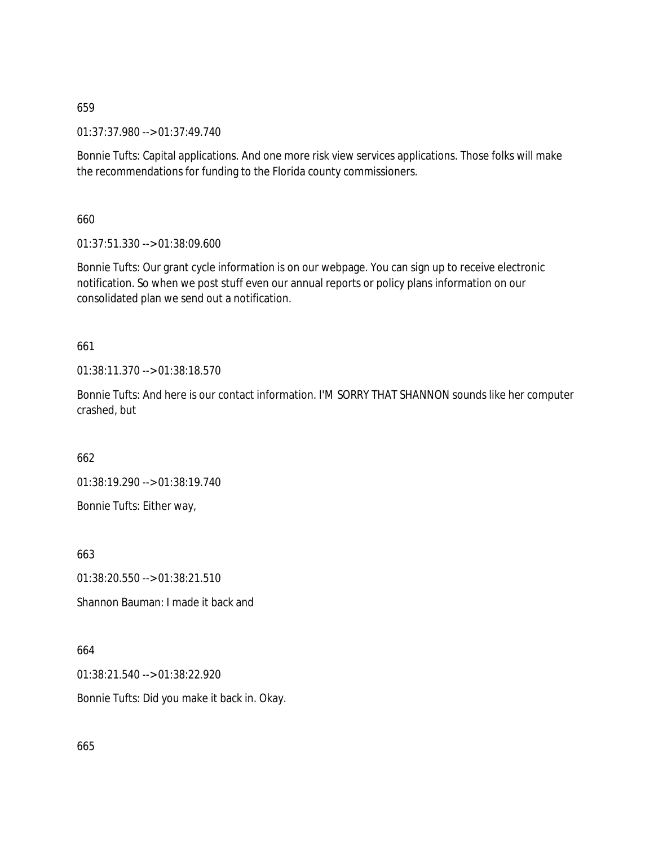01:37:37.980 --> 01:37:49.740

Bonnie Tufts: Capital applications. And one more risk view services applications. Those folks will make the recommendations for funding to the Florida county commissioners.

660

01:37:51.330 --> 01:38:09.600

Bonnie Tufts: Our grant cycle information is on our webpage. You can sign up to receive electronic notification. So when we post stuff even our annual reports or policy plans information on our consolidated plan we send out a notification.

661

01:38:11.370 --> 01:38:18.570

Bonnie Tufts: And here is our contact information. I'M SORRY THAT SHANNON sounds like her computer crashed, but

662

01:38:19.290 --> 01:38:19.740 Bonnie Tufts: Either way,

663

01:38:20.550 --> 01:38:21.510

Shannon Bauman: I made it back and

664

01:38:21.540 --> 01:38:22.920

Bonnie Tufts: Did you make it back in. Okay.

665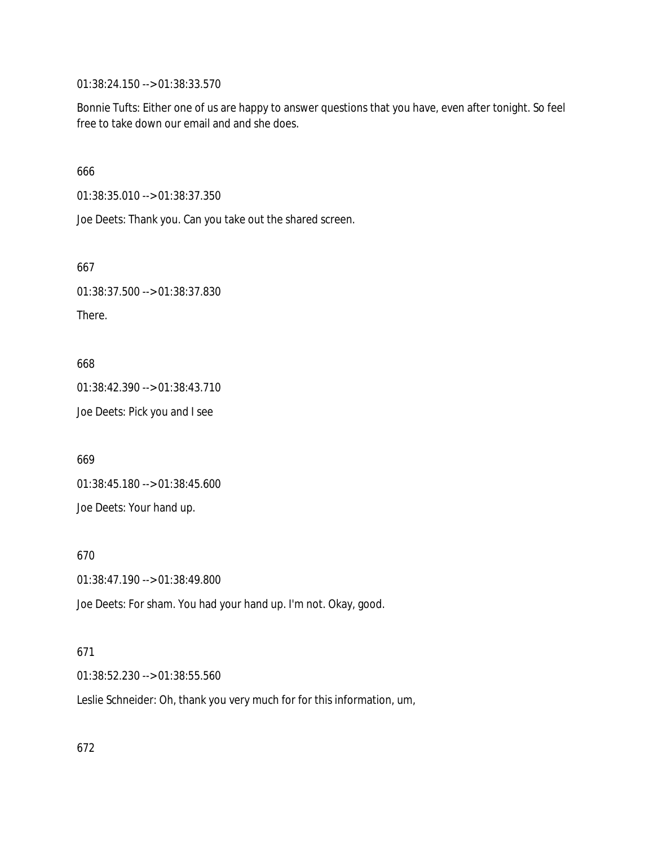01:38:24.150 --> 01:38:33.570

Bonnie Tufts: Either one of us are happy to answer questions that you have, even after tonight. So feel free to take down our email and and she does.

666

01:38:35.010 --> 01:38:37.350

Joe Deets: Thank you. Can you take out the shared screen.

667

01:38:37.500 --> 01:38:37.830

There.

668

01:38:42.390 --> 01:38:43.710

Joe Deets: Pick you and I see

669

01:38:45.180 --> 01:38:45.600 Joe Deets: Your hand up.

670

01:38:47.190 --> 01:38:49.800

Joe Deets: For sham. You had your hand up. I'm not. Okay, good.

#### 671

01:38:52.230 --> 01:38:55.560

Leslie Schneider: Oh, thank you very much for for this information, um,

672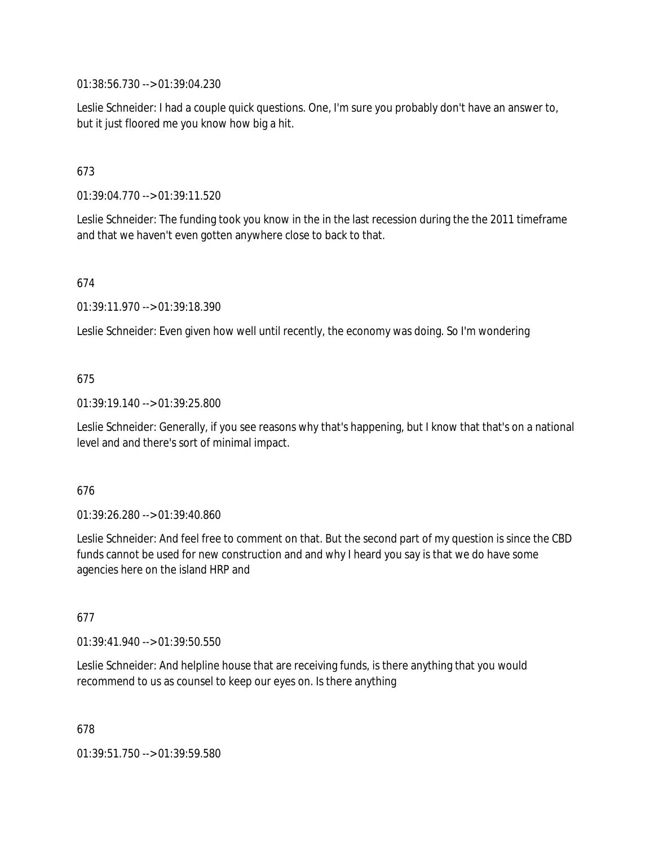01:38:56.730 --> 01:39:04.230

Leslie Schneider: I had a couple quick questions. One, I'm sure you probably don't have an answer to, but it just floored me you know how big a hit.

# 673

01:39:04.770 --> 01:39:11.520

Leslie Schneider: The funding took you know in the in the last recession during the the 2011 timeframe and that we haven't even gotten anywhere close to back to that.

#### 674

01:39:11.970 --> 01:39:18.390

Leslie Schneider: Even given how well until recently, the economy was doing. So I'm wondering

#### 675

01:39:19.140 --> 01:39:25.800

Leslie Schneider: Generally, if you see reasons why that's happening, but I know that that's on a national level and and there's sort of minimal impact.

#### 676

01:39:26.280 --> 01:39:40.860

Leslie Schneider: And feel free to comment on that. But the second part of my question is since the CBD funds cannot be used for new construction and and why I heard you say is that we do have some agencies here on the island HRP and

#### 677

01:39:41.940 --> 01:39:50.550

Leslie Schneider: And helpline house that are receiving funds, is there anything that you would recommend to us as counsel to keep our eyes on. Is there anything

678

01:39:51.750 --> 01:39:59.580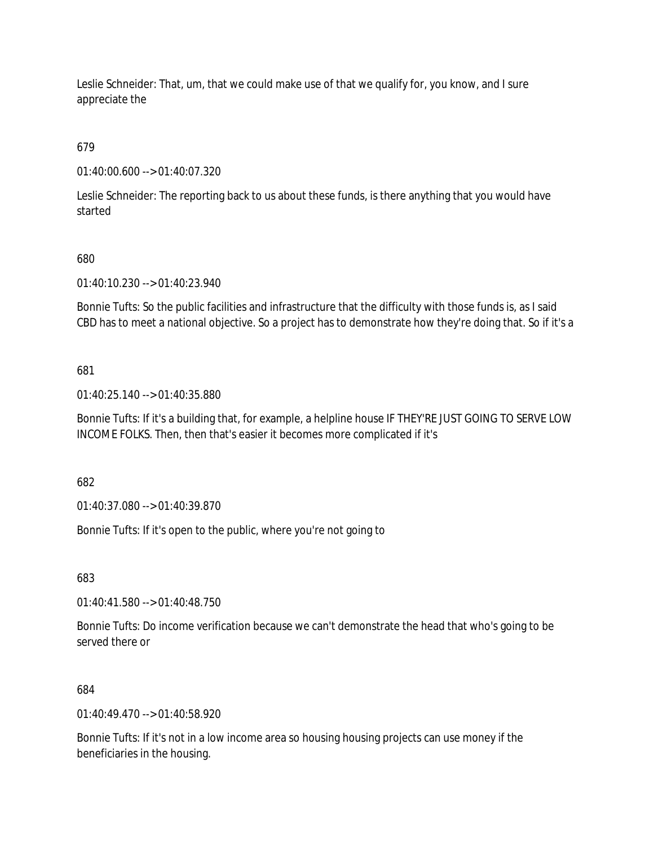Leslie Schneider: That, um, that we could make use of that we qualify for, you know, and I sure appreciate the

679

01:40:00.600 --> 01:40:07.320

Leslie Schneider: The reporting back to us about these funds, is there anything that you would have started

## 680

01:40:10.230 --> 01:40:23.940

Bonnie Tufts: So the public facilities and infrastructure that the difficulty with those funds is, as I said CBD has to meet a national objective. So a project has to demonstrate how they're doing that. So if it's a

## 681

01:40:25.140 --> 01:40:35.880

Bonnie Tufts: If it's a building that, for example, a helpline house IF THEY'RE JUST GOING TO SERVE LOW INCOME FOLKS. Then, then that's easier it becomes more complicated if it's

682

01:40:37.080 --> 01:40:39.870

Bonnie Tufts: If it's open to the public, where you're not going to

683

01:40:41.580 --> 01:40:48.750

Bonnie Tufts: Do income verification because we can't demonstrate the head that who's going to be served there or

#### 684

01:40:49.470 --> 01:40:58.920

Bonnie Tufts: If it's not in a low income area so housing housing projects can use money if the beneficiaries in the housing.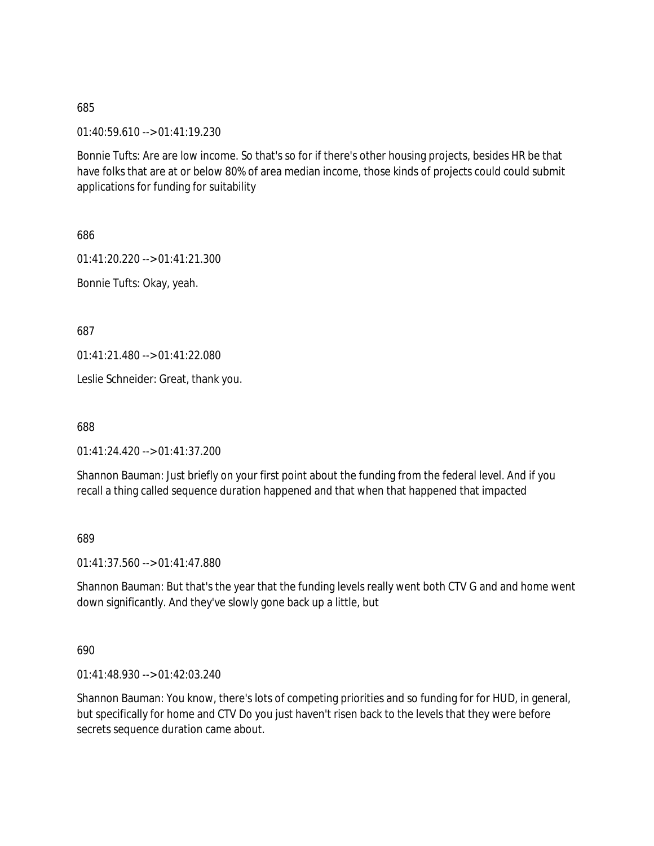01:40:59.610 --> 01:41:19.230

Bonnie Tufts: Are are low income. So that's so for if there's other housing projects, besides HR be that have folks that are at or below 80% of area median income, those kinds of projects could could submit applications for funding for suitability

686

01:41:20.220 --> 01:41:21.300

Bonnie Tufts: Okay, yeah.

687

01:41:21.480 --> 01:41:22.080

Leslie Schneider: Great, thank you.

688

01:41:24.420 --> 01:41:37.200

Shannon Bauman: Just briefly on your first point about the funding from the federal level. And if you recall a thing called sequence duration happened and that when that happened that impacted

689

01:41:37.560 --> 01:41:47.880

Shannon Bauman: But that's the year that the funding levels really went both CTV G and and home went down significantly. And they've slowly gone back up a little, but

690

01:41:48.930 --> 01:42:03.240

Shannon Bauman: You know, there's lots of competing priorities and so funding for for HUD, in general, but specifically for home and CTV Do you just haven't risen back to the levels that they were before secrets sequence duration came about.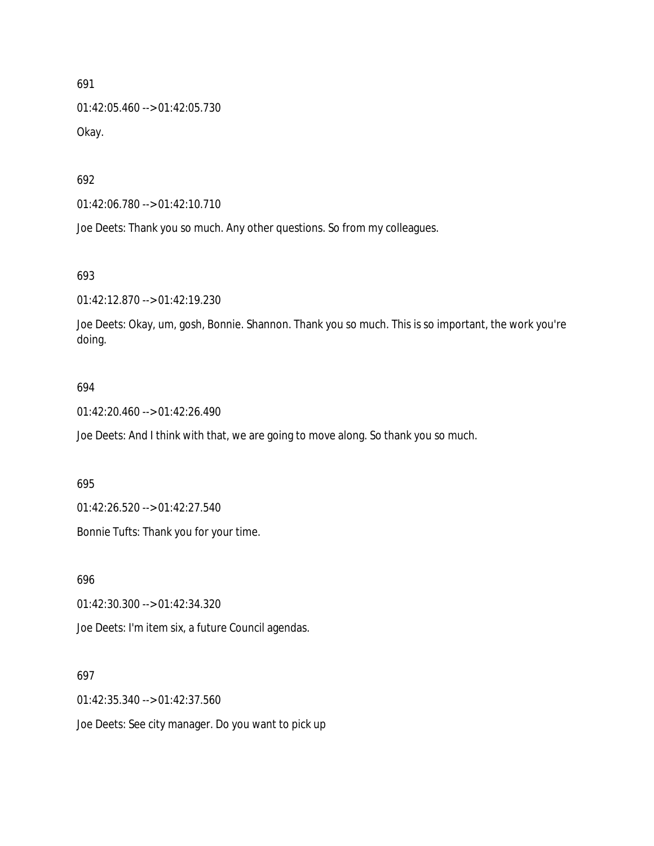01:42:05.460 --> 01:42:05.730 Okay.

692

01:42:06.780 --> 01:42:10.710

Joe Deets: Thank you so much. Any other questions. So from my colleagues.

693

01:42:12.870 --> 01:42:19.230

Joe Deets: Okay, um, gosh, Bonnie. Shannon. Thank you so much. This is so important, the work you're doing.

#### 694

01:42:20.460 --> 01:42:26.490

Joe Deets: And I think with that, we are going to move along. So thank you so much.

#### 695

01:42:26.520 --> 01:42:27.540

Bonnie Tufts: Thank you for your time.

696

01:42:30.300 --> 01:42:34.320

Joe Deets: I'm item six, a future Council agendas.

#### 697

01:42:35.340 --> 01:42:37.560

Joe Deets: See city manager. Do you want to pick up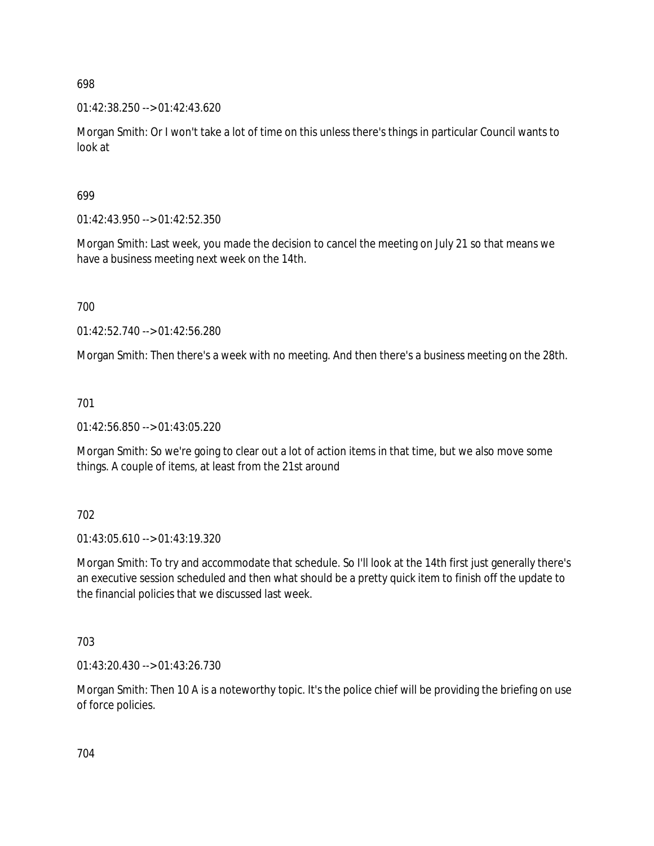01:42:38.250 --> 01:42:43.620

Morgan Smith: Or I won't take a lot of time on this unless there's things in particular Council wants to look at

### 699

01:42:43.950 --> 01:42:52.350

Morgan Smith: Last week, you made the decision to cancel the meeting on July 21 so that means we have a business meeting next week on the 14th.

700

01:42:52.740 --> 01:42:56.280

Morgan Smith: Then there's a week with no meeting. And then there's a business meeting on the 28th.

701

01:42:56.850 --> 01:43:05.220

Morgan Smith: So we're going to clear out a lot of action items in that time, but we also move some things. A couple of items, at least from the 21st around

702

01:43:05.610 --> 01:43:19.320

Morgan Smith: To try and accommodate that schedule. So I'll look at the 14th first just generally there's an executive session scheduled and then what should be a pretty quick item to finish off the update to the financial policies that we discussed last week.

703

01:43:20.430 --> 01:43:26.730

Morgan Smith: Then 10 A is a noteworthy topic. It's the police chief will be providing the briefing on use of force policies.

704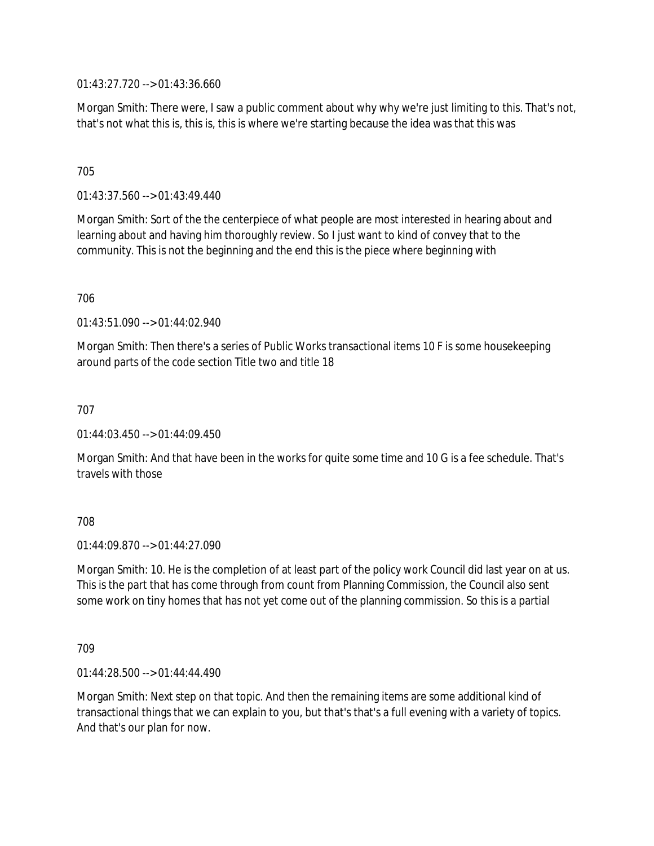01:43:27.720 --> 01:43:36.660

Morgan Smith: There were, I saw a public comment about why why we're just limiting to this. That's not, that's not what this is, this is, this is where we're starting because the idea was that this was

### 705

01:43:37.560 --> 01:43:49.440

Morgan Smith: Sort of the the centerpiece of what people are most interested in hearing about and learning about and having him thoroughly review. So I just want to kind of convey that to the community. This is not the beginning and the end this is the piece where beginning with

706

01:43:51.090 --> 01:44:02.940

Morgan Smith: Then there's a series of Public Works transactional items 10 F is some housekeeping around parts of the code section Title two and title 18

707

01:44:03.450 --> 01:44:09.450

Morgan Smith: And that have been in the works for quite some time and 10 G is a fee schedule. That's travels with those

### 708

 $01:44:09.870 \rightarrow 01:44:27.090$ 

Morgan Smith: 10. He is the completion of at least part of the policy work Council did last year on at us. This is the part that has come through from count from Planning Commission, the Council also sent some work on tiny homes that has not yet come out of the planning commission. So this is a partial

709

01:44:28.500 --> 01:44:44.490

Morgan Smith: Next step on that topic. And then the remaining items are some additional kind of transactional things that we can explain to you, but that's that's a full evening with a variety of topics. And that's our plan for now.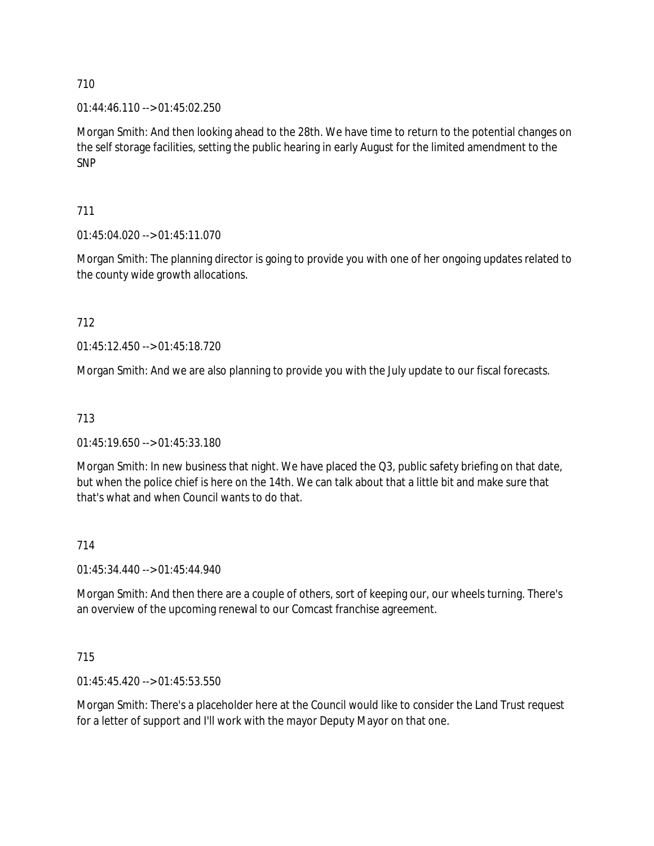$01:44:46.110 \rightarrow 01:45:02.250$ 

Morgan Smith: And then looking ahead to the 28th. We have time to return to the potential changes on the self storage facilities, setting the public hearing in early August for the limited amendment to the SNP

711

01:45:04.020 --> 01:45:11.070

Morgan Smith: The planning director is going to provide you with one of her ongoing updates related to the county wide growth allocations.

712

01:45:12.450 --> 01:45:18.720

Morgan Smith: And we are also planning to provide you with the July update to our fiscal forecasts.

713

01:45:19.650 --> 01:45:33.180

Morgan Smith: In new business that night. We have placed the Q3, public safety briefing on that date, but when the police chief is here on the 14th. We can talk about that a little bit and make sure that that's what and when Council wants to do that.

714

01:45:34.440 --> 01:45:44.940

Morgan Smith: And then there are a couple of others, sort of keeping our, our wheels turning. There's an overview of the upcoming renewal to our Comcast franchise agreement.

715

01:45:45.420 --> 01:45:53.550

Morgan Smith: There's a placeholder here at the Council would like to consider the Land Trust request for a letter of support and I'll work with the mayor Deputy Mayor on that one.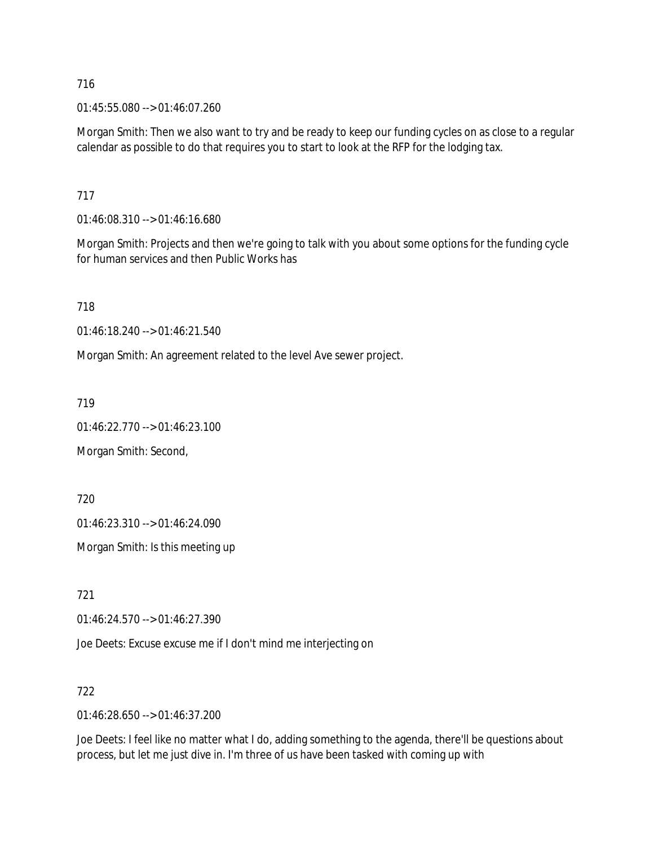01:45:55.080 --> 01:46:07.260

Morgan Smith: Then we also want to try and be ready to keep our funding cycles on as close to a regular calendar as possible to do that requires you to start to look at the RFP for the lodging tax.

717

01:46:08.310 --> 01:46:16.680

Morgan Smith: Projects and then we're going to talk with you about some options for the funding cycle for human services and then Public Works has

718

01:46:18.240 --> 01:46:21.540

Morgan Smith: An agreement related to the level Ave sewer project.

719

01:46:22.770 --> 01:46:23.100

Morgan Smith: Second,

720

01:46:23.310 --> 01:46:24.090

Morgan Smith: Is this meeting up

721

01:46:24.570 --> 01:46:27.390

Joe Deets: Excuse excuse me if I don't mind me interjecting on

722

01:46:28.650 --> 01:46:37.200

Joe Deets: I feel like no matter what I do, adding something to the agenda, there'll be questions about process, but let me just dive in. I'm three of us have been tasked with coming up with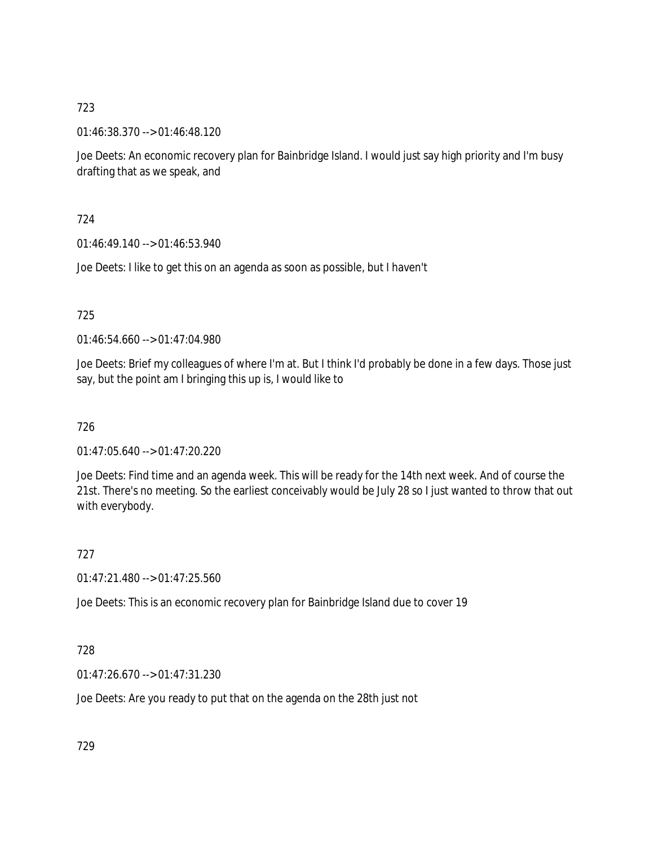01:46:38.370 --> 01:46:48.120

Joe Deets: An economic recovery plan for Bainbridge Island. I would just say high priority and I'm busy drafting that as we speak, and

724

01:46:49.140 --> 01:46:53.940

Joe Deets: I like to get this on an agenda as soon as possible, but I haven't

725

01:46:54.660 --> 01:47:04.980

Joe Deets: Brief my colleagues of where I'm at. But I think I'd probably be done in a few days. Those just say, but the point am I bringing this up is, I would like to

726

01:47:05.640 --> 01:47:20.220

Joe Deets: Find time and an agenda week. This will be ready for the 14th next week. And of course the 21st. There's no meeting. So the earliest conceivably would be July 28 so I just wanted to throw that out with everybody.

727

01:47:21.480 --> 01:47:25.560

Joe Deets: This is an economic recovery plan for Bainbridge Island due to cover 19

728

01:47:26.670 --> 01:47:31.230

Joe Deets: Are you ready to put that on the agenda on the 28th just not

729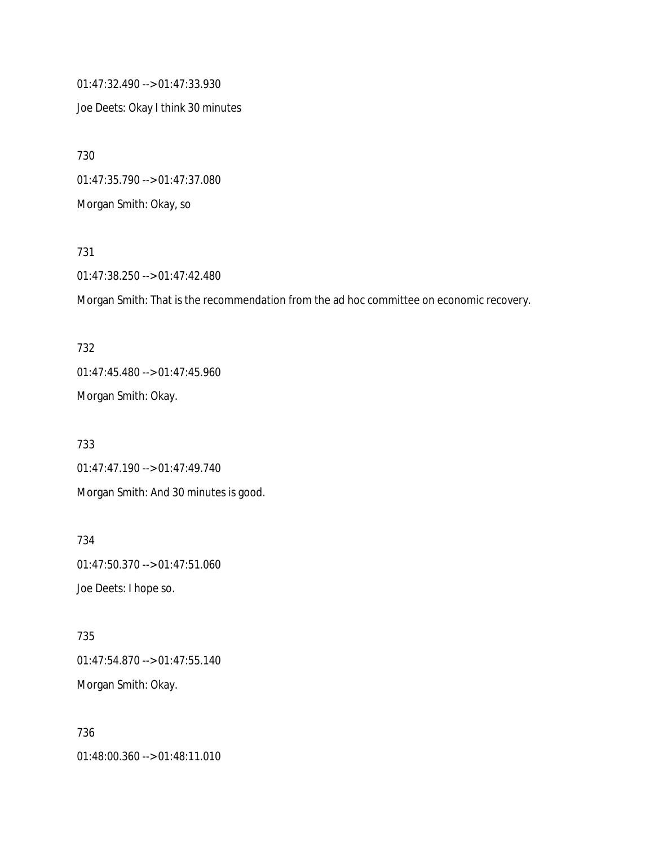01:47:32.490 --> 01:47:33.930 Joe Deets: Okay I think 30 minutes

730 01:47:35.790 --> 01:47:37.080 Morgan Smith: Okay, so

731 01:47:38.250 --> 01:47:42.480

Morgan Smith: That is the recommendation from the ad hoc committee on economic recovery.

732 01:47:45.480 --> 01:47:45.960 Morgan Smith: Okay.

733 01:47:47.190 --> 01:47:49.740 Morgan Smith: And 30 minutes is good.

734 01:47:50.370 --> 01:47:51.060 Joe Deets: I hope so.

735 01:47:54.870 --> 01:47:55.140 Morgan Smith: Okay.

736 01:48:00.360 --> 01:48:11.010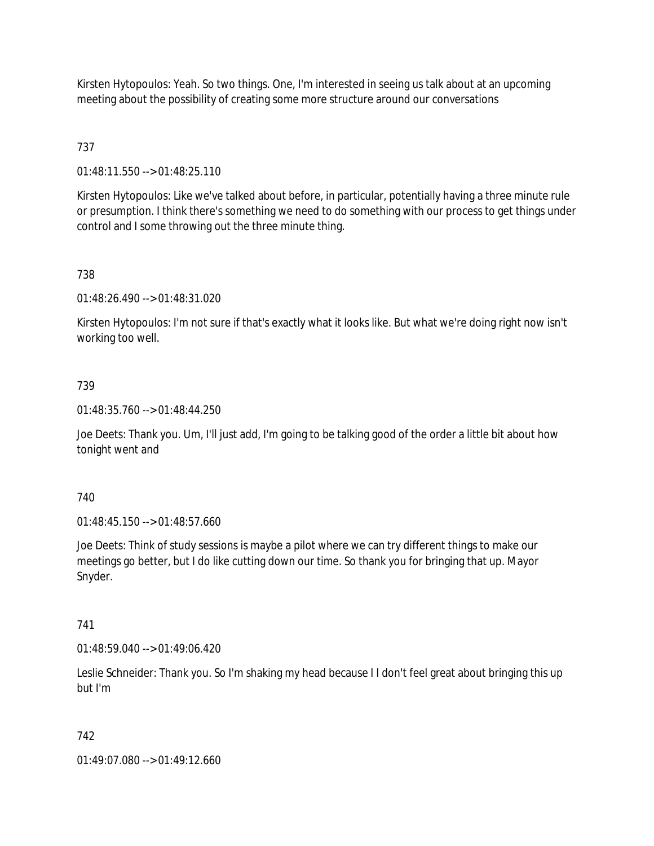Kirsten Hytopoulos: Yeah. So two things. One, I'm interested in seeing us talk about at an upcoming meeting about the possibility of creating some more structure around our conversations

# 737

01:48:11.550 --> 01:48:25.110

Kirsten Hytopoulos: Like we've talked about before, in particular, potentially having a three minute rule or presumption. I think there's something we need to do something with our process to get things under control and I some throwing out the three minute thing.

### 738

01:48:26.490 --> 01:48:31.020

Kirsten Hytopoulos: I'm not sure if that's exactly what it looks like. But what we're doing right now isn't working too well.

### 739

01:48:35.760 --> 01:48:44.250

Joe Deets: Thank you. Um, I'll just add, I'm going to be talking good of the order a little bit about how tonight went and

### 740

01:48:45.150 --> 01:48:57.660

Joe Deets: Think of study sessions is maybe a pilot where we can try different things to make our meetings go better, but I do like cutting down our time. So thank you for bringing that up. Mayor Snyder.

### 741

01:48:59.040 --> 01:49:06.420

Leslie Schneider: Thank you. So I'm shaking my head because I I don't feel great about bringing this up but I'm

# 742

01:49:07.080 --> 01:49:12.660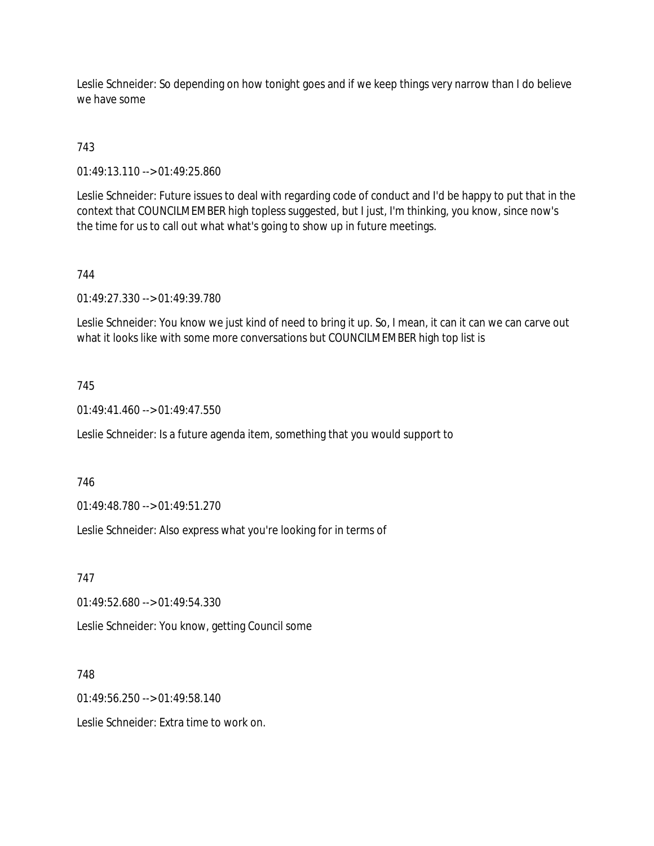Leslie Schneider: So depending on how tonight goes and if we keep things very narrow than I do believe we have some

# 743

01:49:13.110 --> 01:49:25.860

Leslie Schneider: Future issues to deal with regarding code of conduct and I'd be happy to put that in the context that COUNCILMEMBER high topless suggested, but I just, I'm thinking, you know, since now's the time for us to call out what what's going to show up in future meetings.

### 744

01:49:27.330 --> 01:49:39.780

Leslie Schneider: You know we just kind of need to bring it up. So, I mean, it can it can we can carve out what it looks like with some more conversations but COUNCILMEMBER high top list is

### 745

 $01:49:41.460 \rightarrow 01:49:47.550$ 

Leslie Schneider: Is a future agenda item, something that you would support to

### 746

01:49:48.780 --> 01:49:51.270

Leslie Schneider: Also express what you're looking for in terms of

### 747

01:49:52.680 --> 01:49:54.330

Leslie Schneider: You know, getting Council some

### 748

01:49:56.250 --> 01:49:58.140

Leslie Schneider: Extra time to work on.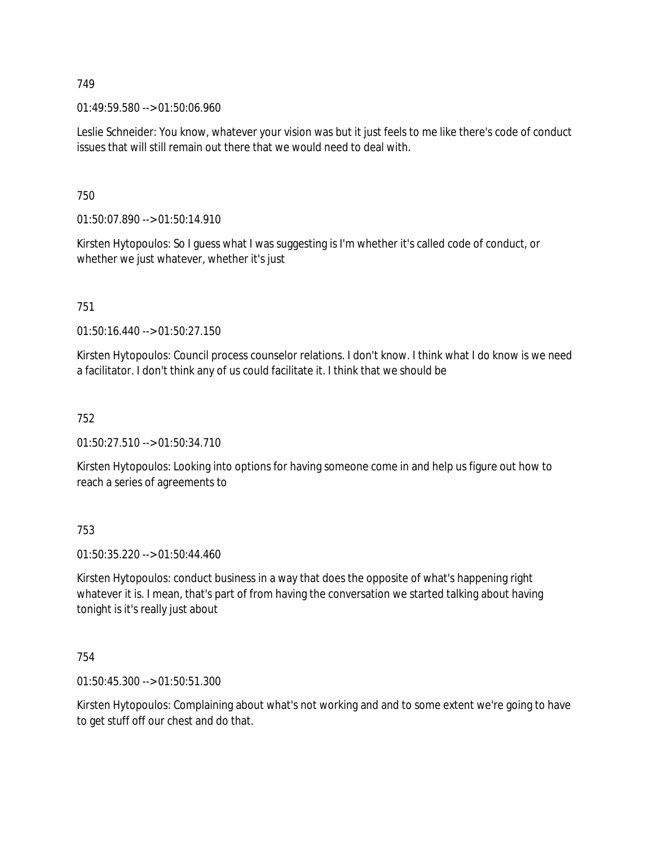01:49:59.580 --> 01:50:06.960

Leslie Schneider: You know, whatever your vision was but it just feels to me like there's code of conduct issues that will still remain out there that we would need to deal with.

750

01:50:07.890 --> 01:50:14.910

Kirsten Hytopoulos: So I guess what I was suggesting is I'm whether it's called code of conduct, or whether we just whatever, whether it's just

751

01:50:16.440 --> 01:50:27.150

Kirsten Hytopoulos: Council process counselor relations. I don't know. I think what I do know is we need a facilitator. I don't think any of us could facilitate it. I think that we should be

752

01:50:27.510 --> 01:50:34.710

Kirsten Hytopoulos: Looking into options for having someone come in and help us figure out how to reach a series of agreements to

753

01:50:35.220 --> 01:50:44.460

Kirsten Hytopoulos: conduct business in a way that does the opposite of what's happening right whatever it is. I mean, that's part of from having the conversation we started talking about having tonight is it's really just about

754

01:50:45.300 --> 01:50:51.300

Kirsten Hytopoulos: Complaining about what's not working and and to some extent we're going to have to get stuff off our chest and do that.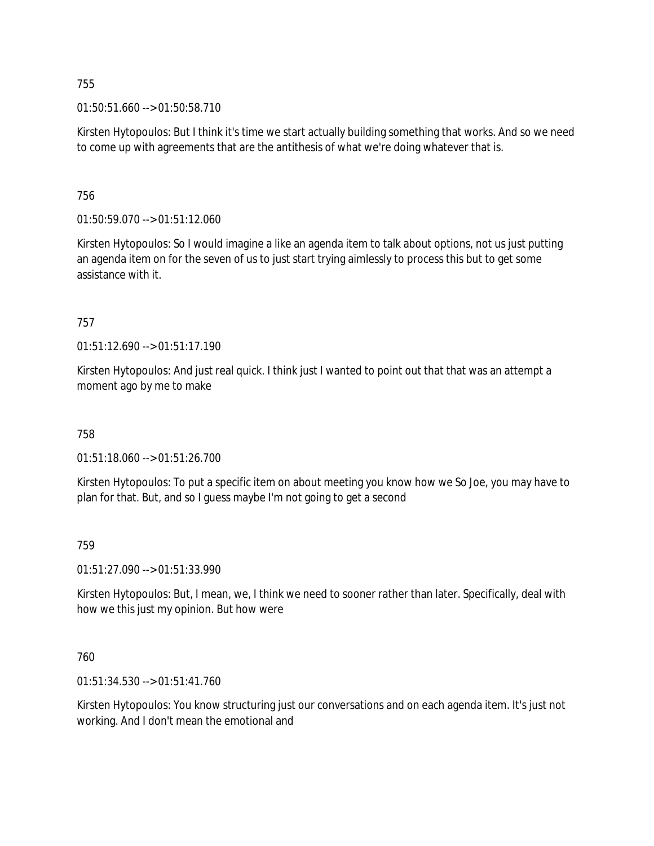01:50:51.660 --> 01:50:58.710

Kirsten Hytopoulos: But I think it's time we start actually building something that works. And so we need to come up with agreements that are the antithesis of what we're doing whatever that is.

756

01:50:59.070 --> 01:51:12.060

Kirsten Hytopoulos: So I would imagine a like an agenda item to talk about options, not us just putting an agenda item on for the seven of us to just start trying aimlessly to process this but to get some assistance with it.

757

01:51:12.690 --> 01:51:17.190

Kirsten Hytopoulos: And just real quick. I think just I wanted to point out that that was an attempt a moment ago by me to make

758

01:51:18.060 --> 01:51:26.700

Kirsten Hytopoulos: To put a specific item on about meeting you know how we So Joe, you may have to plan for that. But, and so I guess maybe I'm not going to get a second

759

01:51:27.090 --> 01:51:33.990

Kirsten Hytopoulos: But, I mean, we, I think we need to sooner rather than later. Specifically, deal with how we this just my opinion. But how were

760

01:51:34.530 --> 01:51:41.760

Kirsten Hytopoulos: You know structuring just our conversations and on each agenda item. It's just not working. And I don't mean the emotional and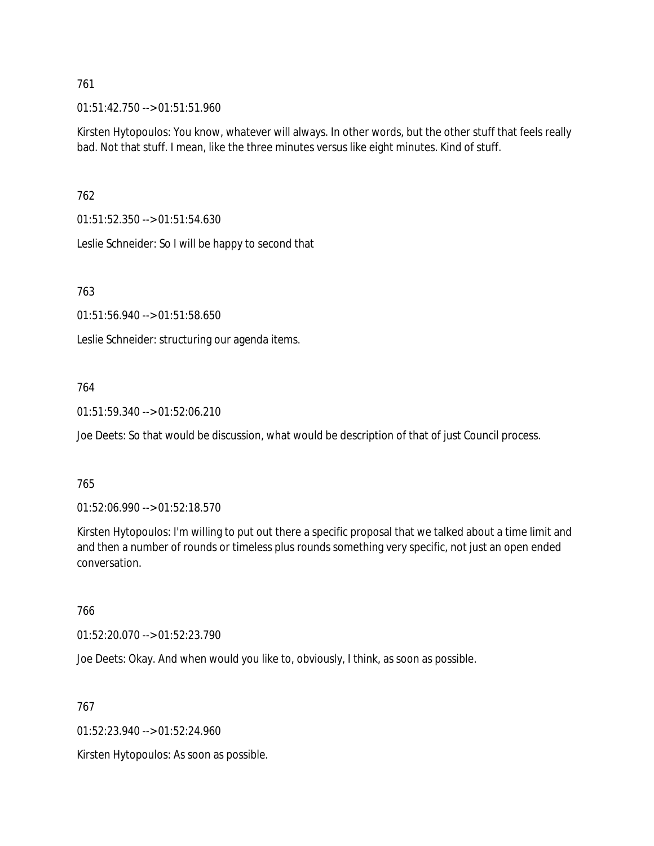01:51:42.750 --> 01:51:51.960

Kirsten Hytopoulos: You know, whatever will always. In other words, but the other stuff that feels really bad. Not that stuff. I mean, like the three minutes versus like eight minutes. Kind of stuff.

762

01:51:52.350 --> 01:51:54.630

Leslie Schneider: So I will be happy to second that

763

01:51:56.940 --> 01:51:58.650

Leslie Schneider: structuring our agenda items.

### 764

01:51:59.340 --> 01:52:06.210

Joe Deets: So that would be discussion, what would be description of that of just Council process.

#### 765

01:52:06.990 --> 01:52:18.570

Kirsten Hytopoulos: I'm willing to put out there a specific proposal that we talked about a time limit and and then a number of rounds or timeless plus rounds something very specific, not just an open ended conversation.

### 766

01:52:20.070 --> 01:52:23.790

Joe Deets: Okay. And when would you like to, obviously, I think, as soon as possible.

767

01:52:23.940 --> 01:52:24.960

Kirsten Hytopoulos: As soon as possible.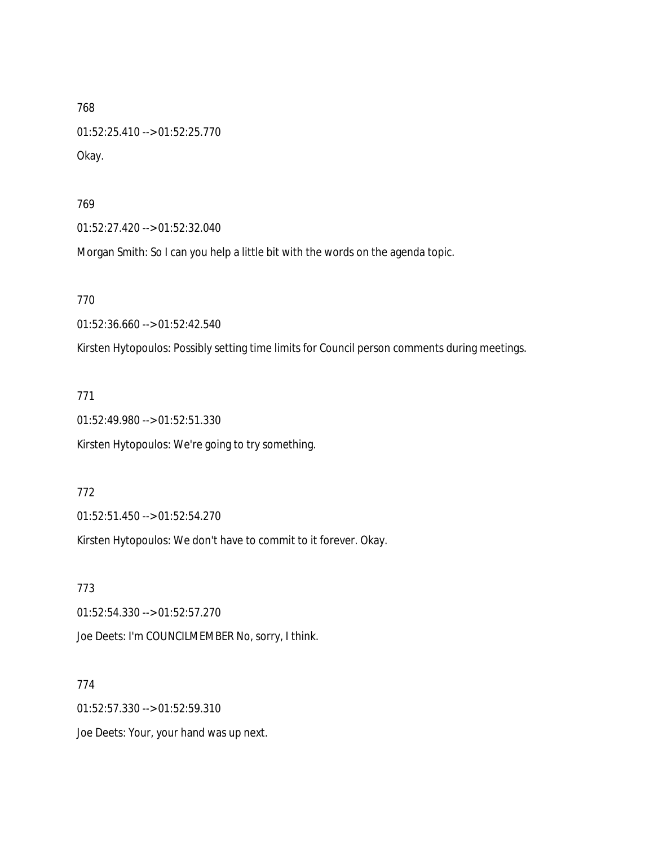768 01:52:25.410 --> 01:52:25.770 Okay.

769

01:52:27.420 --> 01:52:32.040

Morgan Smith: So I can you help a little bit with the words on the agenda topic.

770

01:52:36.660 --> 01:52:42.540

Kirsten Hytopoulos: Possibly setting time limits for Council person comments during meetings.

771

01:52:49.980 --> 01:52:51.330

Kirsten Hytopoulos: We're going to try something.

772

01:52:51.450 --> 01:52:54.270

Kirsten Hytopoulos: We don't have to commit to it forever. Okay.

773 01:52:54.330 --> 01:52:57.270 Joe Deets: I'm COUNCILMEMBER No, sorry, I think.

774 01:52:57.330 --> 01:52:59.310 Joe Deets: Your, your hand was up next.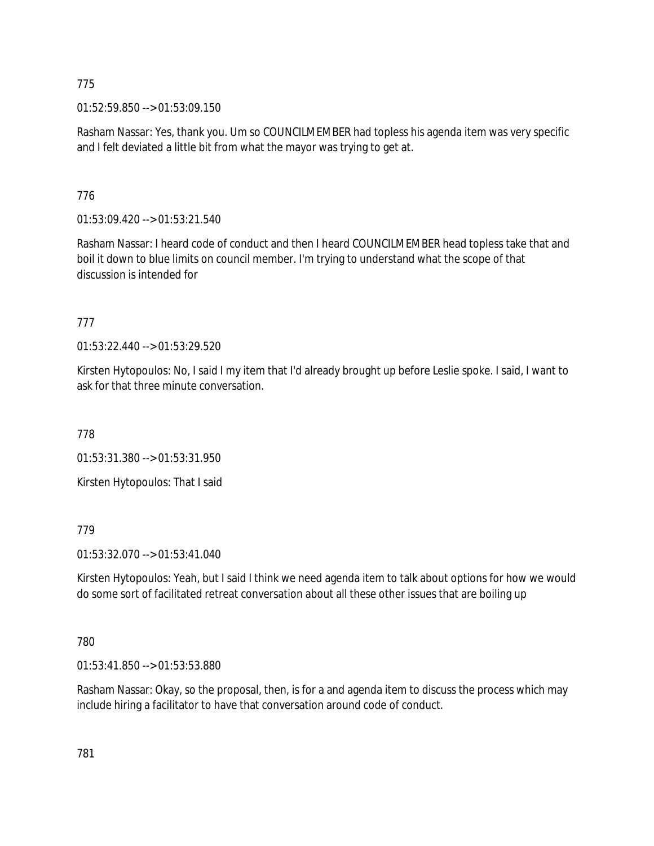01:52:59.850 --> 01:53:09.150

Rasham Nassar: Yes, thank you. Um so COUNCILMEMBER had topless his agenda item was very specific and I felt deviated a little bit from what the mayor was trying to get at.

# 776

01:53:09.420 --> 01:53:21.540

Rasham Nassar: I heard code of conduct and then I heard COUNCILMEMBER head topless take that and boil it down to blue limits on council member. I'm trying to understand what the scope of that discussion is intended for

# 777

01:53:22.440 --> 01:53:29.520

Kirsten Hytopoulos: No, I said I my item that I'd already brought up before Leslie spoke. I said, I want to ask for that three minute conversation.

778

01:53:31.380 --> 01:53:31.950

Kirsten Hytopoulos: That I said

779

01:53:32.070 --> 01:53:41.040

Kirsten Hytopoulos: Yeah, but I said I think we need agenda item to talk about options for how we would do some sort of facilitated retreat conversation about all these other issues that are boiling up

# 780

01:53:41.850 --> 01:53:53.880

Rasham Nassar: Okay, so the proposal, then, is for a and agenda item to discuss the process which may include hiring a facilitator to have that conversation around code of conduct.

781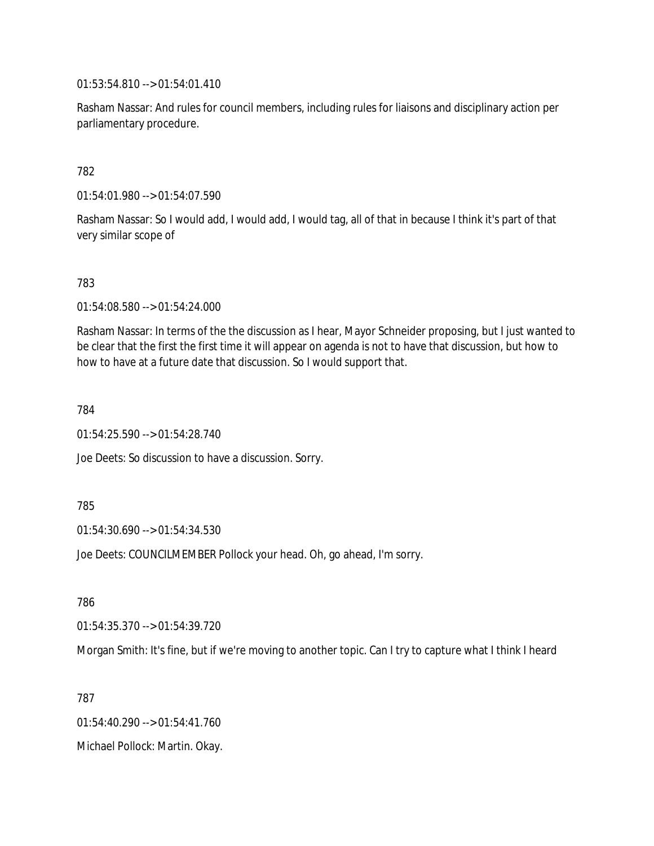01:53:54.810 --> 01:54:01.410

Rasham Nassar: And rules for council members, including rules for liaisons and disciplinary action per parliamentary procedure.

### 782

01:54:01.980 --> 01:54:07.590

Rasham Nassar: So I would add, I would add, I would tag, all of that in because I think it's part of that very similar scope of

### 783

01:54:08.580 --> 01:54:24.000

Rasham Nassar: In terms of the the discussion as I hear, Mayor Schneider proposing, but I just wanted to be clear that the first the first time it will appear on agenda is not to have that discussion, but how to how to have at a future date that discussion. So I would support that.

784

01:54:25.590 --> 01:54:28.740

Joe Deets: So discussion to have a discussion. Sorry.

#### 785

01:54:30.690 --> 01:54:34.530

Joe Deets: COUNCILMEMBER Pollock your head. Oh, go ahead, I'm sorry.

786

01:54:35.370 --> 01:54:39.720

Morgan Smith: It's fine, but if we're moving to another topic. Can I try to capture what I think I heard

787

01:54:40.290 --> 01:54:41.760 Michael Pollock: Martin. Okay.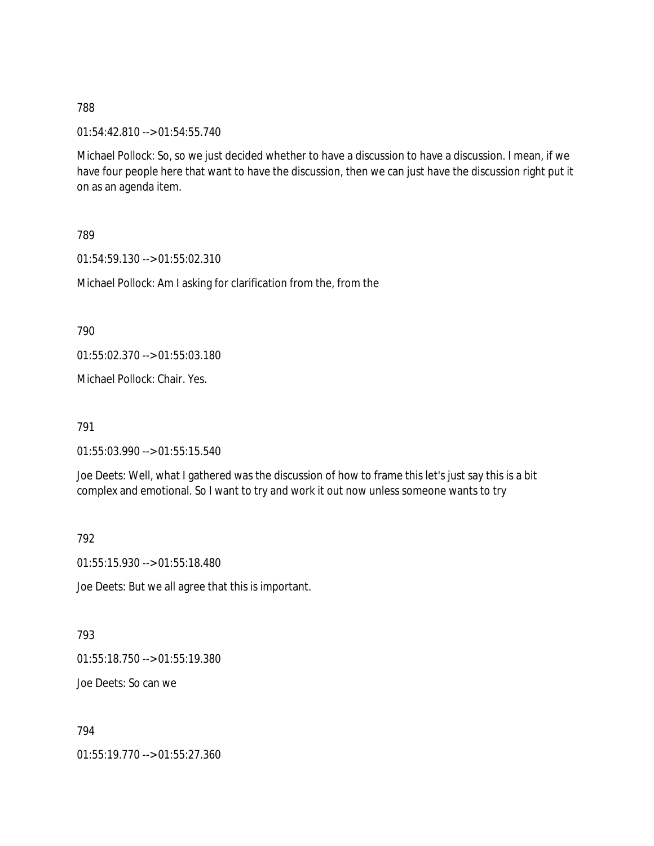01:54:42.810 --> 01:54:55.740

Michael Pollock: So, so we just decided whether to have a discussion to have a discussion. I mean, if we have four people here that want to have the discussion, then we can just have the discussion right put it on as an agenda item.

789

01:54:59.130 --> 01:55:02.310

Michael Pollock: Am I asking for clarification from the, from the

790

01:55:02.370 --> 01:55:03.180

Michael Pollock: Chair. Yes.

791

01:55:03.990 --> 01:55:15.540

Joe Deets: Well, what I gathered was the discussion of how to frame this let's just say this is a bit complex and emotional. So I want to try and work it out now unless someone wants to try

792

01:55:15.930 --> 01:55:18.480

Joe Deets: But we all agree that this is important.

793

01:55:18.750 --> 01:55:19.380

Joe Deets: So can we

794

01:55:19.770 --> 01:55:27.360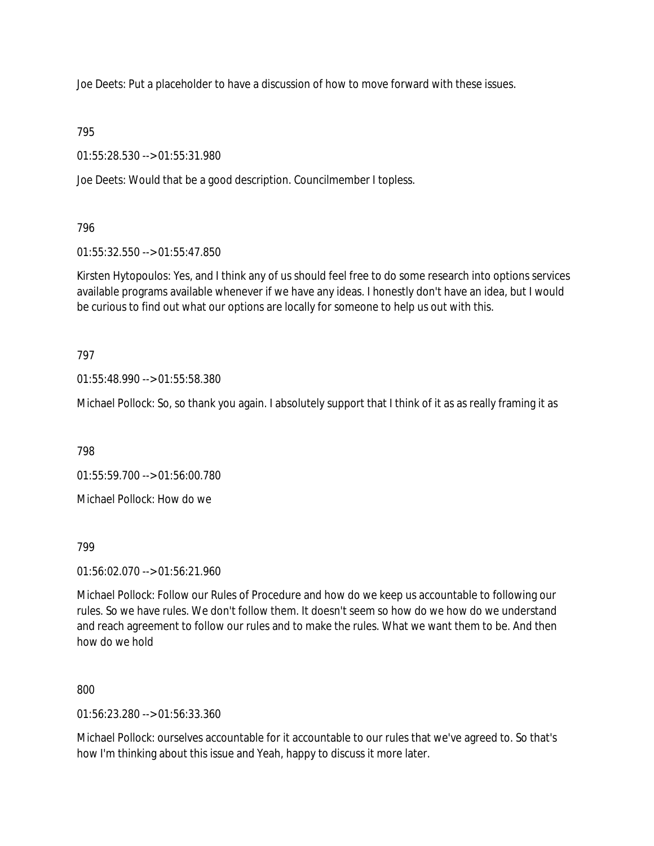Joe Deets: Put a placeholder to have a discussion of how to move forward with these issues.

795

01:55:28.530 --> 01:55:31.980

Joe Deets: Would that be a good description. Councilmember I topless.

796

01:55:32.550 --> 01:55:47.850

Kirsten Hytopoulos: Yes, and I think any of us should feel free to do some research into options services available programs available whenever if we have any ideas. I honestly don't have an idea, but I would be curious to find out what our options are locally for someone to help us out with this.

797

01:55:48.990 --> 01:55:58.380

Michael Pollock: So, so thank you again. I absolutely support that I think of it as as really framing it as

798

01:55:59.700 --> 01:56:00.780

Michael Pollock: How do we

799

01:56:02.070 --> 01:56:21.960

Michael Pollock: Follow our Rules of Procedure and how do we keep us accountable to following our rules. So we have rules. We don't follow them. It doesn't seem so how do we how do we understand and reach agreement to follow our rules and to make the rules. What we want them to be. And then how do we hold

800

01:56:23.280 --> 01:56:33.360

Michael Pollock: ourselves accountable for it accountable to our rules that we've agreed to. So that's how I'm thinking about this issue and Yeah, happy to discuss it more later.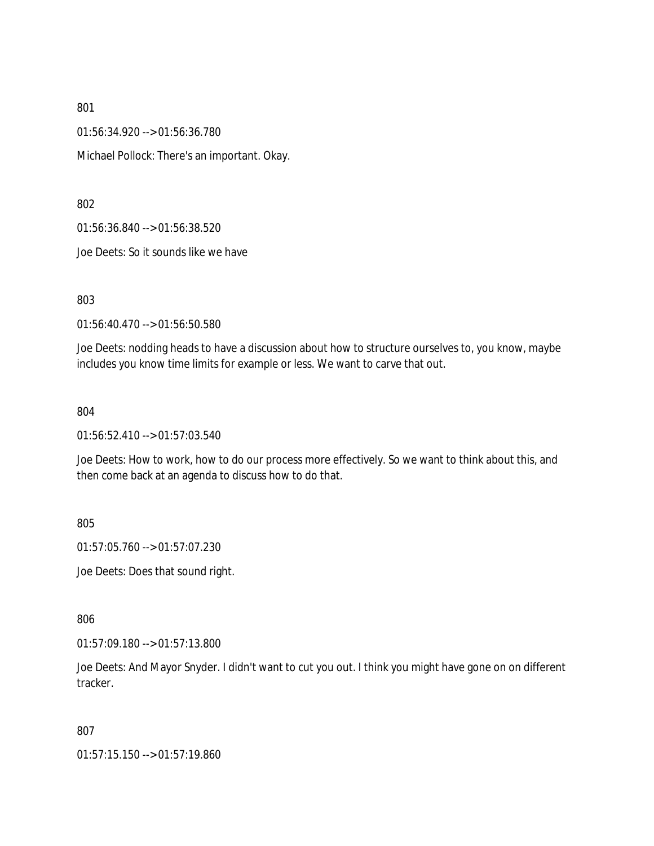01:56:34.920 --> 01:56:36.780 Michael Pollock: There's an important. Okay.

802

01:56:36.840 --> 01:56:38.520

Joe Deets: So it sounds like we have

803

01:56:40.470 --> 01:56:50.580

Joe Deets: nodding heads to have a discussion about how to structure ourselves to, you know, maybe includes you know time limits for example or less. We want to carve that out.

804

01:56:52.410 --> 01:57:03.540

Joe Deets: How to work, how to do our process more effectively. So we want to think about this, and then come back at an agenda to discuss how to do that.

805

01:57:05.760 --> 01:57:07.230

Joe Deets: Does that sound right.

806

01:57:09.180 --> 01:57:13.800

Joe Deets: And Mayor Snyder. I didn't want to cut you out. I think you might have gone on on different tracker.

807

01:57:15.150 --> 01:57:19.860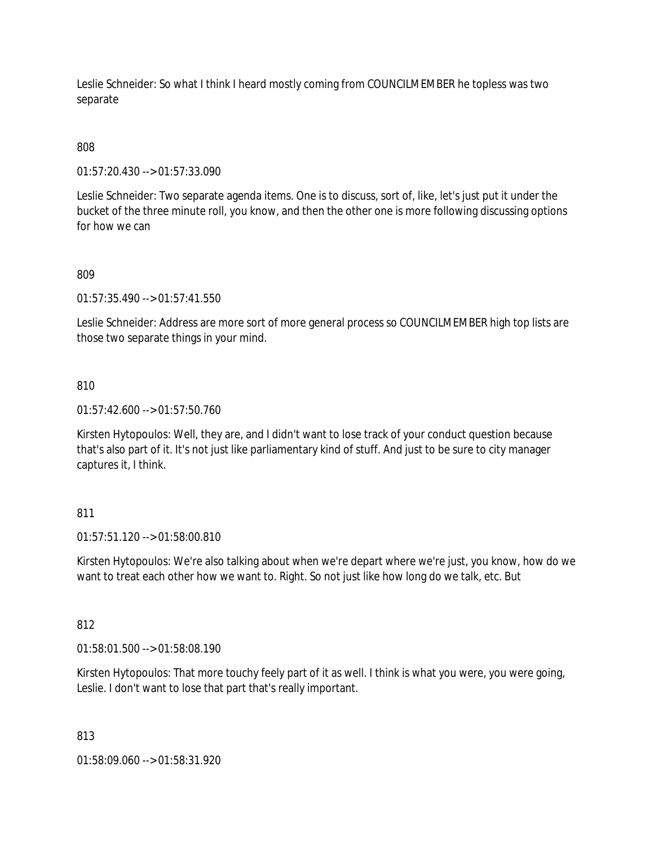Leslie Schneider: So what I think I heard mostly coming from COUNCILMEMBER he topless was two separate

# 808

01:57:20.430 --> 01:57:33.090

Leslie Schneider: Two separate agenda items. One is to discuss, sort of, like, let's just put it under the bucket of the three minute roll, you know, and then the other one is more following discussing options for how we can

### 809

01:57:35.490 --> 01:57:41.550

Leslie Schneider: Address are more sort of more general process so COUNCILMEMBER high top lists are those two separate things in your mind.

### 810

01:57:42.600 --> 01:57:50.760

Kirsten Hytopoulos: Well, they are, and I didn't want to lose track of your conduct question because that's also part of it. It's not just like parliamentary kind of stuff. And just to be sure to city manager captures it, I think.

### 811

01:57:51.120 --> 01:58:00.810

Kirsten Hytopoulos: We're also talking about when we're depart where we're just, you know, how do we want to treat each other how we want to. Right. So not just like how long do we talk, etc. But

### 812

01:58:01.500 --> 01:58:08.190

Kirsten Hytopoulos: That more touchy feely part of it as well. I think is what you were, you were going, Leslie. I don't want to lose that part that's really important.

### 813

01:58:09.060 --> 01:58:31.920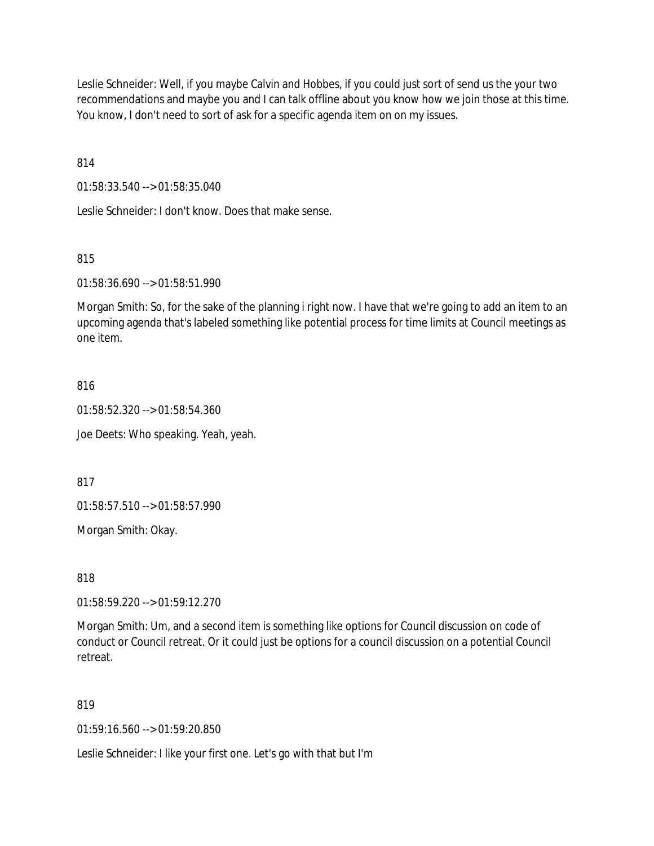Leslie Schneider: Well, if you maybe Calvin and Hobbes, if you could just sort of send us the your two recommendations and maybe you and I can talk offline about you know how we join those at this time. You know, I don't need to sort of ask for a specific agenda item on on my issues.

814

01:58:33.540 --> 01:58:35.040

Leslie Schneider: I don't know. Does that make sense.

815

01:58:36.690 --> 01:58:51.990

Morgan Smith: So, for the sake of the planning i right now. I have that we're going to add an item to an upcoming agenda that's labeled something like potential process for time limits at Council meetings as one item.

#### 816

01:58:52.320 --> 01:58:54.360

Joe Deets: Who speaking. Yeah, yeah.

817

01:58:57.510 --> 01:58:57.990

Morgan Smith: Okay.

818

01:58:59.220 --> 01:59:12.270

Morgan Smith: Um, and a second item is something like options for Council discussion on code of conduct or Council retreat. Or it could just be options for a council discussion on a potential Council retreat.

### 819

01:59:16.560 --> 01:59:20.850

Leslie Schneider: I like your first one. Let's go with that but I'm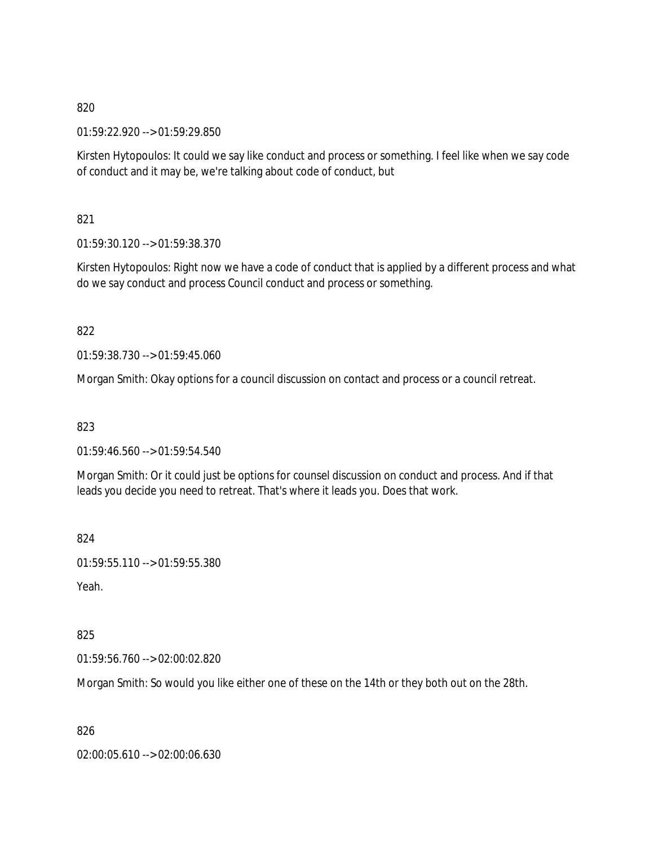01:59:22.920 --> 01:59:29.850

Kirsten Hytopoulos: It could we say like conduct and process or something. I feel like when we say code of conduct and it may be, we're talking about code of conduct, but

821

01:59:30.120 --> 01:59:38.370

Kirsten Hytopoulos: Right now we have a code of conduct that is applied by a different process and what do we say conduct and process Council conduct and process or something.

822

01:59:38.730 --> 01:59:45.060

Morgan Smith: Okay options for a council discussion on contact and process or a council retreat.

823

01:59:46.560 --> 01:59:54.540

Morgan Smith: Or it could just be options for counsel discussion on conduct and process. And if that leads you decide you need to retreat. That's where it leads you. Does that work.

824

```
01:59:55.110 --> 01:59:55.380
```
Yeah.

825

01:59:56.760 --> 02:00:02.820

Morgan Smith: So would you like either one of these on the 14th or they both out on the 28th.

826

02:00:05.610 --> 02:00:06.630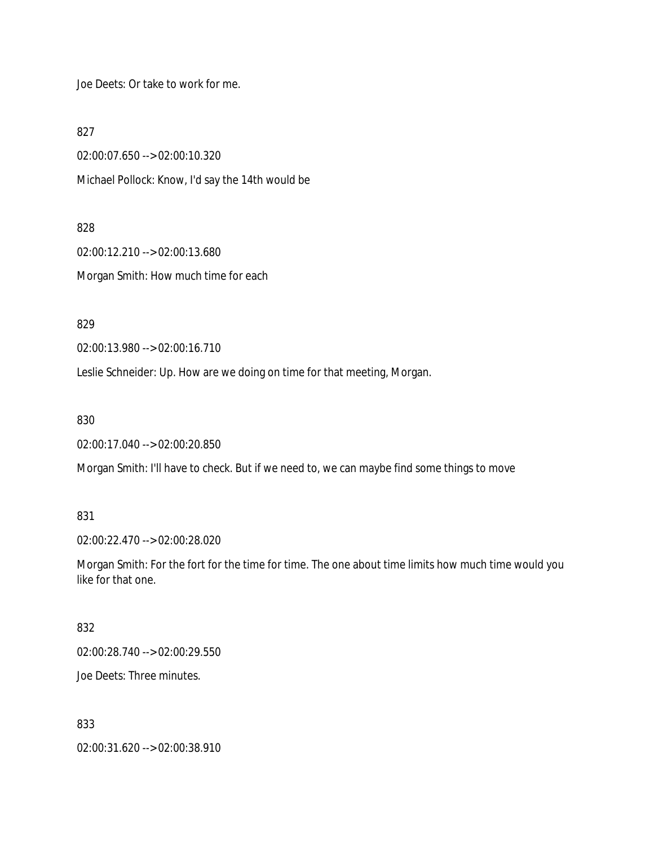Joe Deets: Or take to work for me.

827

02:00:07.650 --> 02:00:10.320 Michael Pollock: Know, I'd say the 14th would be

828

02:00:12.210 --> 02:00:13.680 Morgan Smith: How much time for each

829

02:00:13.980 --> 02:00:16.710

Leslie Schneider: Up. How are we doing on time for that meeting, Morgan.

830

02:00:17.040 --> 02:00:20.850

Morgan Smith: I'll have to check. But if we need to, we can maybe find some things to move

831

02:00:22.470 --> 02:00:28.020

Morgan Smith: For the fort for the time for time. The one about time limits how much time would you like for that one.

832

02:00:28.740 --> 02:00:29.550

Joe Deets: Three minutes.

833

02:00:31.620 --> 02:00:38.910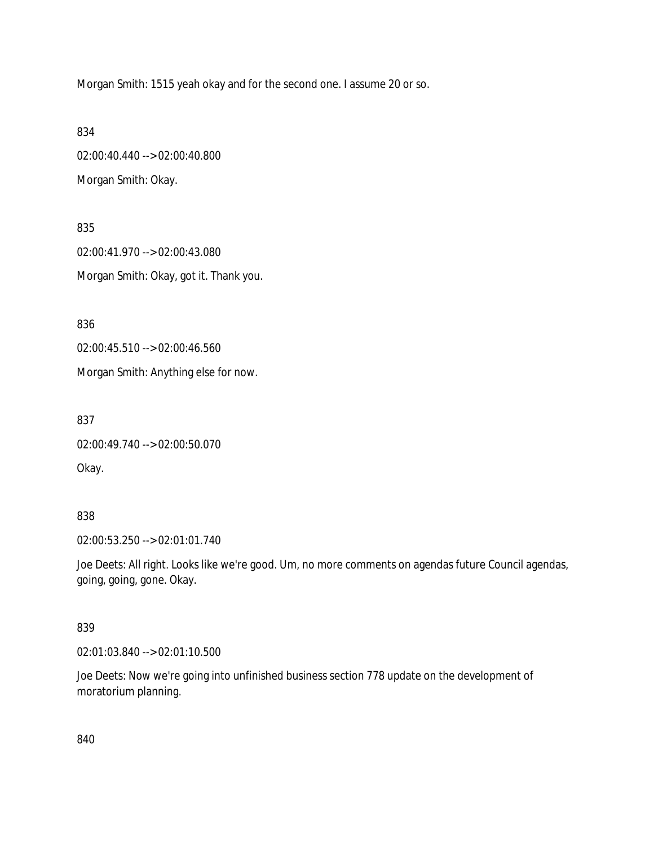Morgan Smith: 1515 yeah okay and for the second one. I assume 20 or so.

834

02:00:40.440 --> 02:00:40.800 Morgan Smith: Okay.

835 02:00:41.970 --> 02:00:43.080 Morgan Smith: Okay, got it. Thank you.

836

02:00:45.510 --> 02:00:46.560

Morgan Smith: Anything else for now.

837

02:00:49.740 --> 02:00:50.070

Okay.

### 838

02:00:53.250 --> 02:01:01.740

Joe Deets: All right. Looks like we're good. Um, no more comments on agendas future Council agendas, going, going, gone. Okay.

### 839

02:01:03.840 --> 02:01:10.500

Joe Deets: Now we're going into unfinished business section 778 update on the development of moratorium planning.

840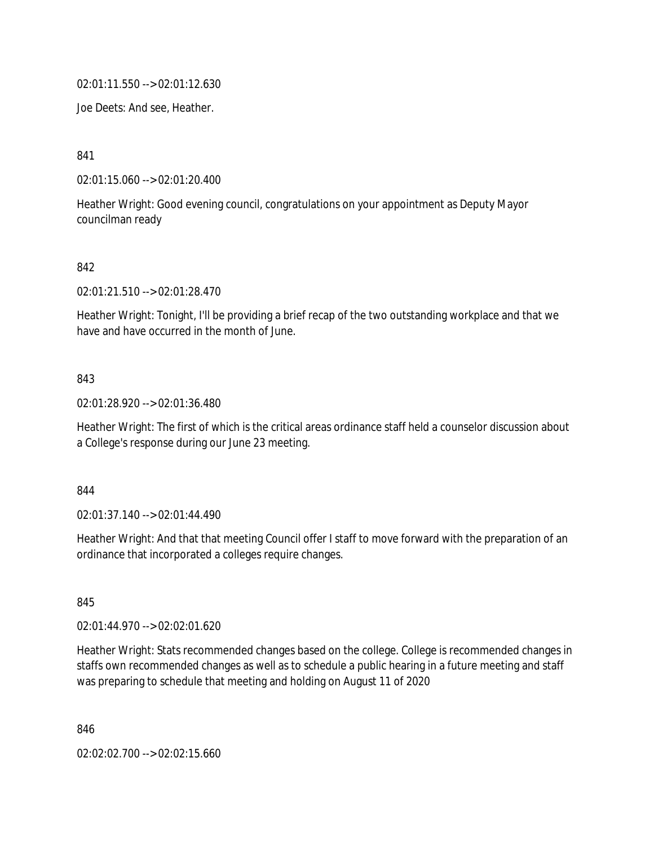02:01:11.550 --> 02:01:12.630

Joe Deets: And see, Heather.

841

02:01:15.060 --> 02:01:20.400

Heather Wright: Good evening council, congratulations on your appointment as Deputy Mayor councilman ready

#### 842

02:01:21.510 --> 02:01:28.470

Heather Wright: Tonight, I'll be providing a brief recap of the two outstanding workplace and that we have and have occurred in the month of June.

### 843

02:01:28.920 --> 02:01:36.480

Heather Wright: The first of which is the critical areas ordinance staff held a counselor discussion about a College's response during our June 23 meeting.

#### 844

02:01:37.140 --> 02:01:44.490

Heather Wright: And that that meeting Council offer I staff to move forward with the preparation of an ordinance that incorporated a colleges require changes.

845

02:01:44.970 --> 02:02:01.620

Heather Wright: Stats recommended changes based on the college. College is recommended changes in staffs own recommended changes as well as to schedule a public hearing in a future meeting and staff was preparing to schedule that meeting and holding on August 11 of 2020

846

02:02:02.700 --> 02:02:15.660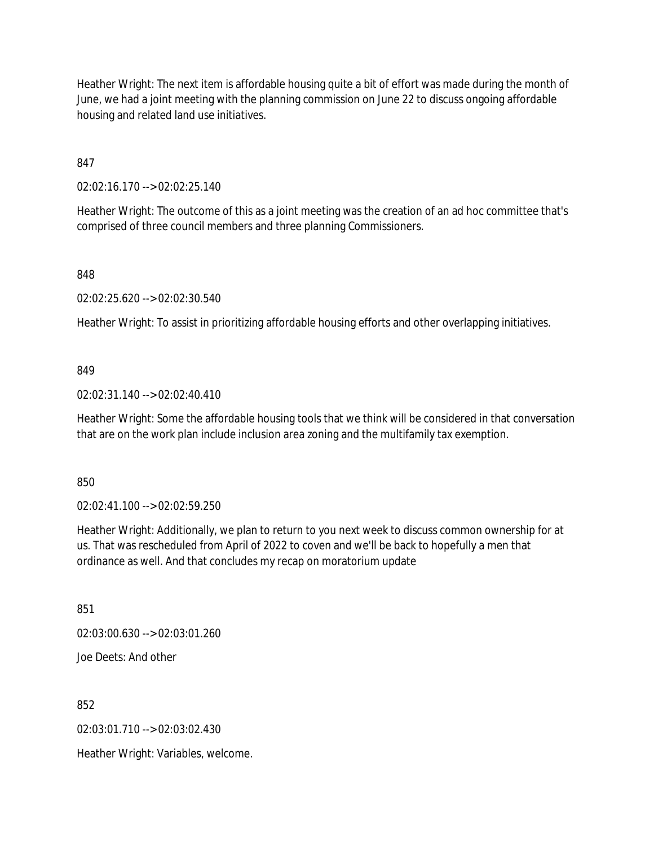Heather Wright: The next item is affordable housing quite a bit of effort was made during the month of June, we had a joint meeting with the planning commission on June 22 to discuss ongoing affordable housing and related land use initiatives.

847

02:02:16.170 --> 02:02:25.140

Heather Wright: The outcome of this as a joint meeting was the creation of an ad hoc committee that's comprised of three council members and three planning Commissioners.

848

02:02:25.620 --> 02:02:30.540

Heather Wright: To assist in prioritizing affordable housing efforts and other overlapping initiatives.

#### 849

02:02:31.140 --> 02:02:40.410

Heather Wright: Some the affordable housing tools that we think will be considered in that conversation that are on the work plan include inclusion area zoning and the multifamily tax exemption.

850

02:02:41.100 --> 02:02:59.250

Heather Wright: Additionally, we plan to return to you next week to discuss common ownership for at us. That was rescheduled from April of 2022 to coven and we'll be back to hopefully a men that ordinance as well. And that concludes my recap on moratorium update

851

02:03:00.630 --> 02:03:01.260

Joe Deets: And other

852

02:03:01.710 --> 02:03:02.430

Heather Wright: Variables, welcome.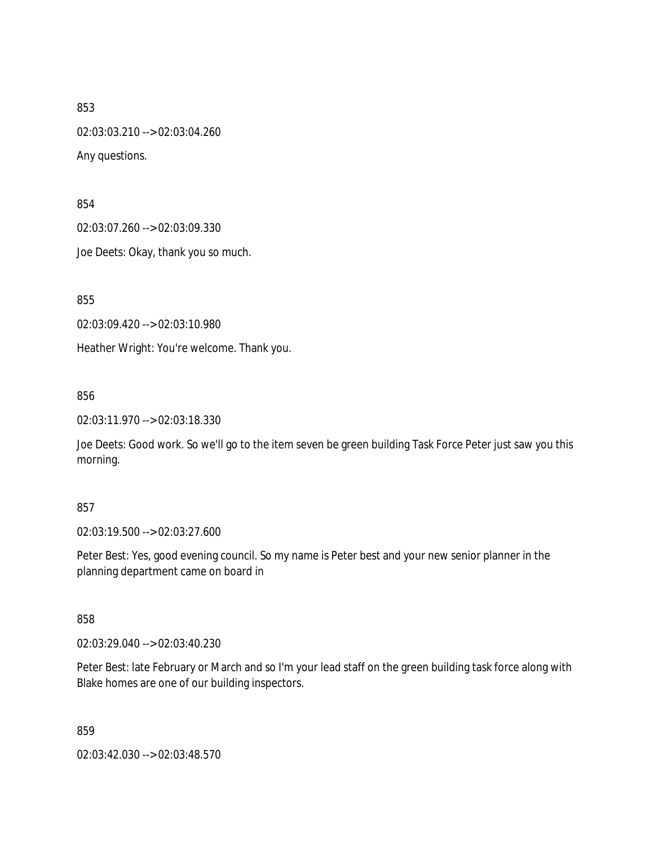853 02:03:03.210 --> 02:03:04.260 Any questions.

854

02:03:07.260 --> 02:03:09.330

Joe Deets: Okay, thank you so much.

855

02:03:09.420 --> 02:03:10.980

Heather Wright: You're welcome. Thank you.

856

02:03:11.970 --> 02:03:18.330

Joe Deets: Good work. So we'll go to the item seven be green building Task Force Peter just saw you this morning.

### 857

02:03:19.500 --> 02:03:27.600

Peter Best: Yes, good evening council. So my name is Peter best and your new senior planner in the planning department came on board in

858

02:03:29.040 --> 02:03:40.230

Peter Best: late February or March and so I'm your lead staff on the green building task force along with Blake homes are one of our building inspectors.

859

02:03:42.030 --> 02:03:48.570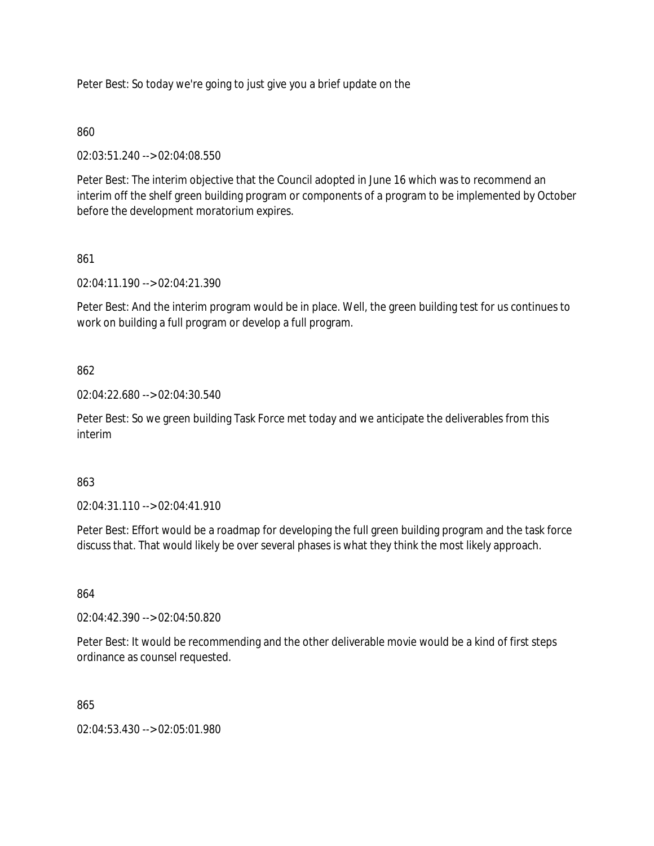Peter Best: So today we're going to just give you a brief update on the

# 860

02:03:51.240 --> 02:04:08.550

Peter Best: The interim objective that the Council adopted in June 16 which was to recommend an interim off the shelf green building program or components of a program to be implemented by October before the development moratorium expires.

# 861

02:04:11.190 --> 02:04:21.390

Peter Best: And the interim program would be in place. Well, the green building test for us continues to work on building a full program or develop a full program.

# 862

02:04:22.680 --> 02:04:30.540

Peter Best: So we green building Task Force met today and we anticipate the deliverables from this interim

# 863

02:04:31.110 --> 02:04:41.910

Peter Best: Effort would be a roadmap for developing the full green building program and the task force discuss that. That would likely be over several phases is what they think the most likely approach.

### 864

02:04:42.390 --> 02:04:50.820

Peter Best: It would be recommending and the other deliverable movie would be a kind of first steps ordinance as counsel requested.

865

02:04:53.430 --> 02:05:01.980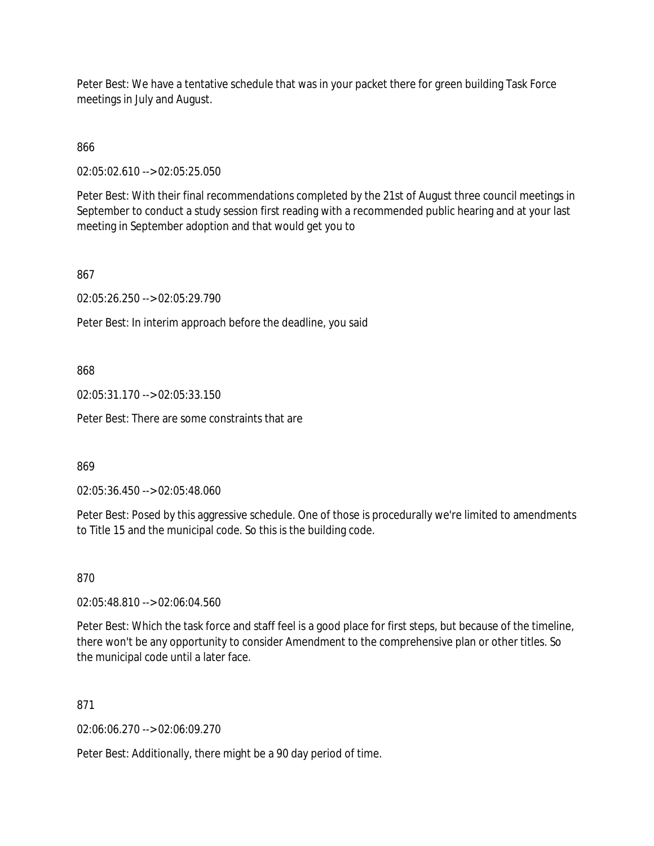Peter Best: We have a tentative schedule that was in your packet there for green building Task Force meetings in July and August.

866

02:05:02.610 --> 02:05:25.050

Peter Best: With their final recommendations completed by the 21st of August three council meetings in September to conduct a study session first reading with a recommended public hearing and at your last meeting in September adoption and that would get you to

867

02:05:26.250 --> 02:05:29.790

Peter Best: In interim approach before the deadline, you said

868

02:05:31.170 --> 02:05:33.150

Peter Best: There are some constraints that are

869

02:05:36.450 --> 02:05:48.060

Peter Best: Posed by this aggressive schedule. One of those is procedurally we're limited to amendments to Title 15 and the municipal code. So this is the building code.

870

02:05:48.810 --> 02:06:04.560

Peter Best: Which the task force and staff feel is a good place for first steps, but because of the timeline, there won't be any opportunity to consider Amendment to the comprehensive plan or other titles. So the municipal code until a later face.

871

02:06:06.270 --> 02:06:09.270

Peter Best: Additionally, there might be a 90 day period of time.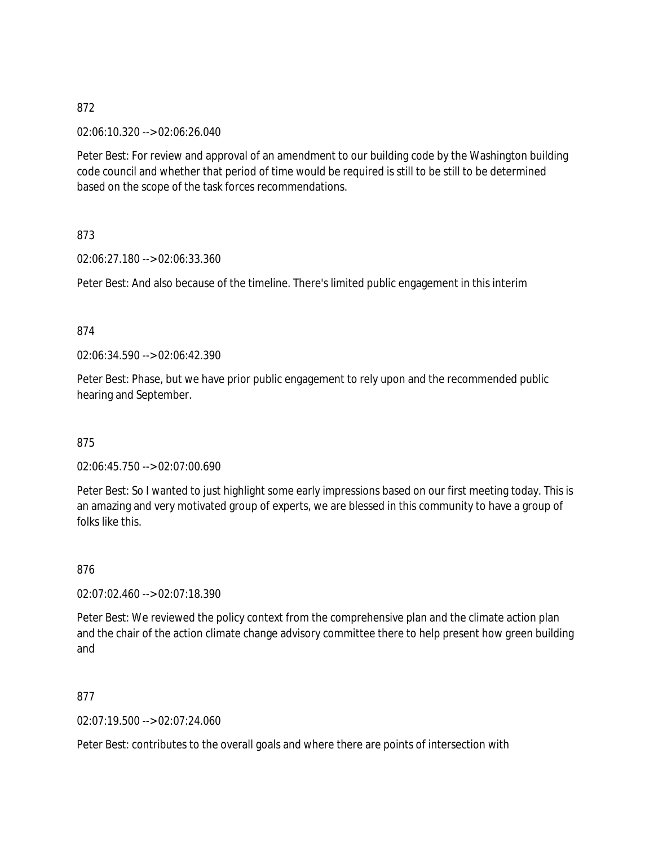02:06:10.320 --> 02:06:26.040

Peter Best: For review and approval of an amendment to our building code by the Washington building code council and whether that period of time would be required is still to be still to be determined based on the scope of the task forces recommendations.

873

02:06:27.180 --> 02:06:33.360

Peter Best: And also because of the timeline. There's limited public engagement in this interim

#### 874

02:06:34.590 --> 02:06:42.390

Peter Best: Phase, but we have prior public engagement to rely upon and the recommended public hearing and September.

875

02:06:45.750 --> 02:07:00.690

Peter Best: So I wanted to just highlight some early impressions based on our first meeting today. This is an amazing and very motivated group of experts, we are blessed in this community to have a group of folks like this.

876

02:07:02.460 --> 02:07:18.390

Peter Best: We reviewed the policy context from the comprehensive plan and the climate action plan and the chair of the action climate change advisory committee there to help present how green building and

877

02:07:19.500 --> 02:07:24.060

Peter Best: contributes to the overall goals and where there are points of intersection with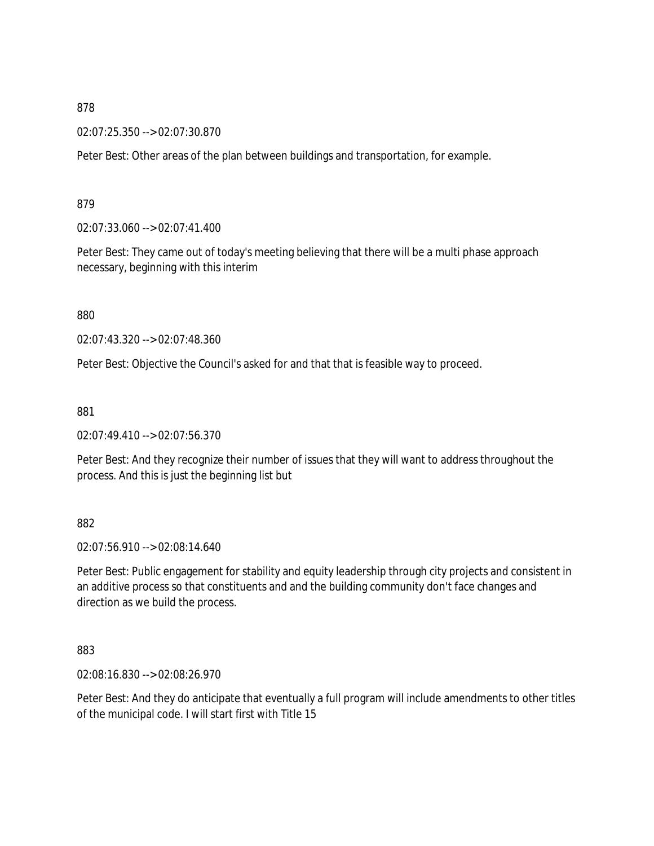02:07:25.350 --> 02:07:30.870

Peter Best: Other areas of the plan between buildings and transportation, for example.

879

02:07:33.060 --> 02:07:41.400

Peter Best: They came out of today's meeting believing that there will be a multi phase approach necessary, beginning with this interim

880

02:07:43.320 --> 02:07:48.360

Peter Best: Objective the Council's asked for and that that is feasible way to proceed.

881

02:07:49.410 --> 02:07:56.370

Peter Best: And they recognize their number of issues that they will want to address throughout the process. And this is just the beginning list but

882

02:07:56.910 --> 02:08:14.640

Peter Best: Public engagement for stability and equity leadership through city projects and consistent in an additive process so that constituents and and the building community don't face changes and direction as we build the process.

883

02:08:16.830 --> 02:08:26.970

Peter Best: And they do anticipate that eventually a full program will include amendments to other titles of the municipal code. I will start first with Title 15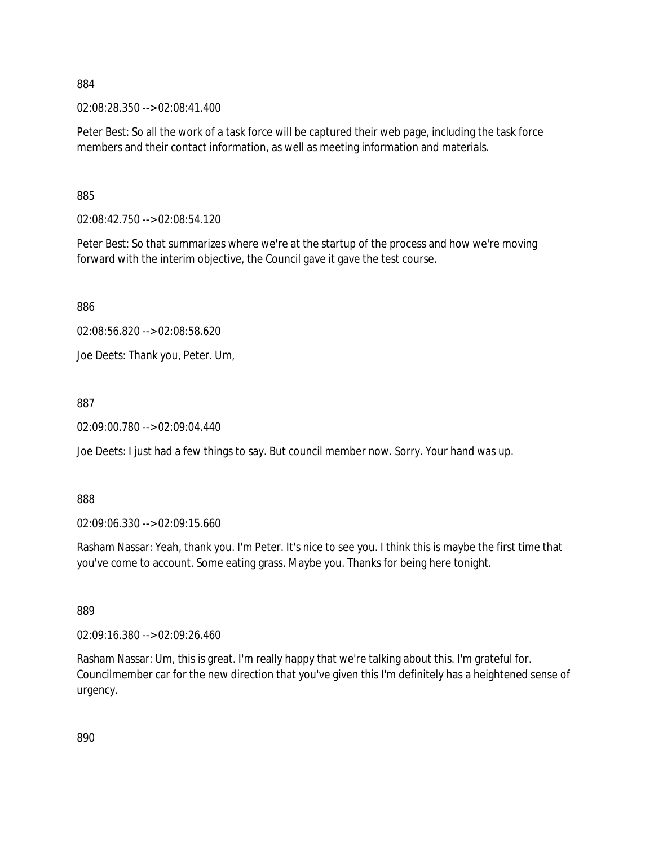02:08:28.350 --> 02:08:41.400

Peter Best: So all the work of a task force will be captured their web page, including the task force members and their contact information, as well as meeting information and materials.

885

02:08:42.750 --> 02:08:54.120

Peter Best: So that summarizes where we're at the startup of the process and how we're moving forward with the interim objective, the Council gave it gave the test course.

886

02:08:56.820 --> 02:08:58.620

Joe Deets: Thank you, Peter. Um,

887

02:09:00.780 --> 02:09:04.440

Joe Deets: I just had a few things to say. But council member now. Sorry. Your hand was up.

888

02:09:06.330 --> 02:09:15.660

Rasham Nassar: Yeah, thank you. I'm Peter. It's nice to see you. I think this is maybe the first time that you've come to account. Some eating grass. Maybe you. Thanks for being here tonight.

889

02:09:16.380 --> 02:09:26.460

Rasham Nassar: Um, this is great. I'm really happy that we're talking about this. I'm grateful for. Councilmember car for the new direction that you've given this I'm definitely has a heightened sense of urgency.

890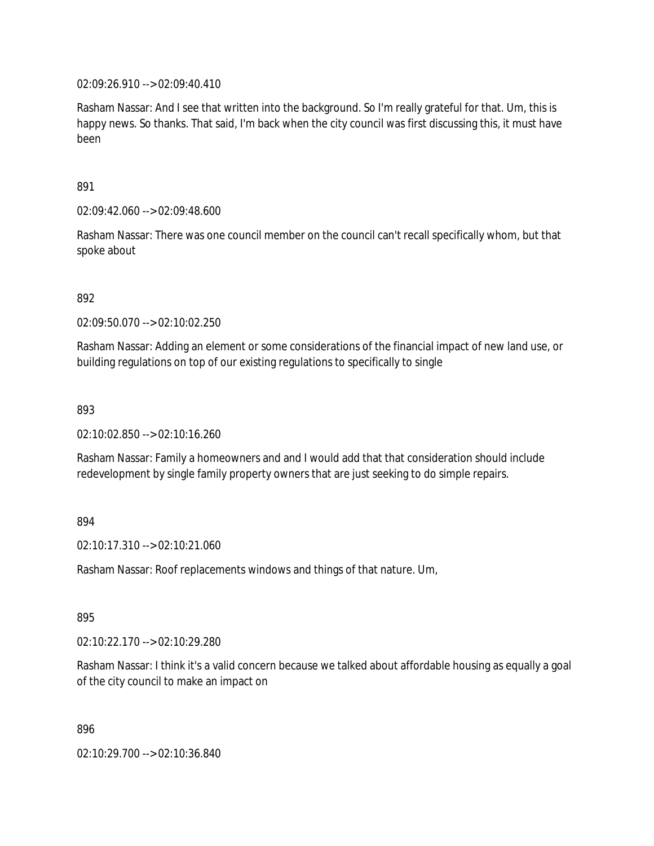02:09:26.910 --> 02:09:40.410

Rasham Nassar: And I see that written into the background. So I'm really grateful for that. Um, this is happy news. So thanks. That said, I'm back when the city council was first discussing this, it must have been

891

02:09:42.060 --> 02:09:48.600

Rasham Nassar: There was one council member on the council can't recall specifically whom, but that spoke about

892

02:09:50.070 --> 02:10:02.250

Rasham Nassar: Adding an element or some considerations of the financial impact of new land use, or building regulations on top of our existing regulations to specifically to single

893

02:10:02.850 --> 02:10:16.260

Rasham Nassar: Family a homeowners and and I would add that that consideration should include redevelopment by single family property owners that are just seeking to do simple repairs.

### 894

02:10:17.310 --> 02:10:21.060

Rasham Nassar: Roof replacements windows and things of that nature. Um,

895

02:10:22.170 --> 02:10:29.280

Rasham Nassar: I think it's a valid concern because we talked about affordable housing as equally a goal of the city council to make an impact on

896

02:10:29.700 --> 02:10:36.840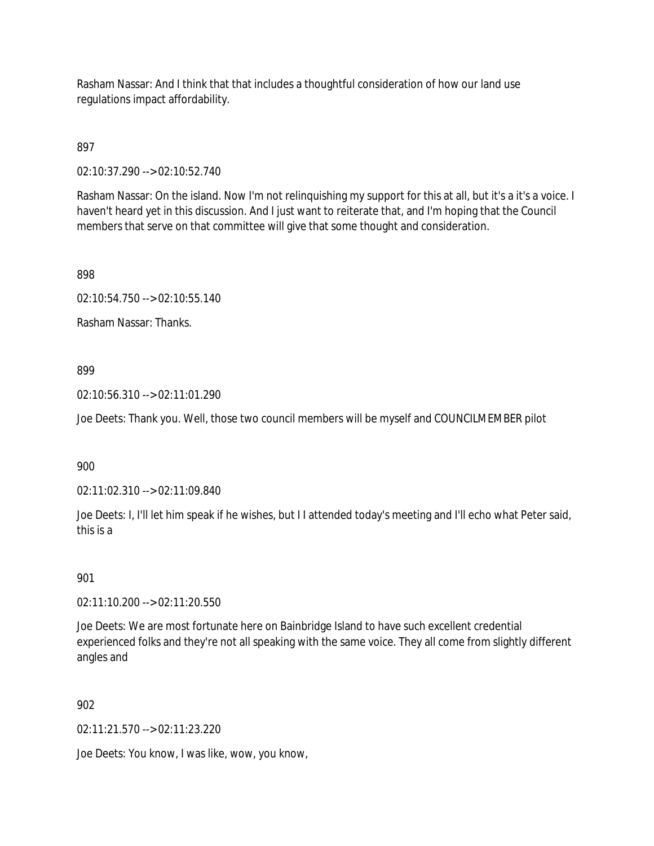Rasham Nassar: And I think that that includes a thoughtful consideration of how our land use regulations impact affordability.

897

02:10:37.290 --> 02:10:52.740

Rasham Nassar: On the island. Now I'm not relinquishing my support for this at all, but it's a it's a voice. I haven't heard yet in this discussion. And I just want to reiterate that, and I'm hoping that the Council members that serve on that committee will give that some thought and consideration.

898

02:10:54.750 --> 02:10:55.140

Rasham Nassar: Thanks.

#### 899

02:10:56.310 --> 02:11:01.290

Joe Deets: Thank you. Well, those two council members will be myself and COUNCILMEMBER pilot

900

02:11:02.310 --> 02:11:09.840

Joe Deets: I, I'll let him speak if he wishes, but I I attended today's meeting and I'll echo what Peter said, this is a

901

02:11:10.200 --> 02:11:20.550

Joe Deets: We are most fortunate here on Bainbridge Island to have such excellent credential experienced folks and they're not all speaking with the same voice. They all come from slightly different angles and

### 902

02:11:21.570 --> 02:11:23.220

Joe Deets: You know, I was like, wow, you know,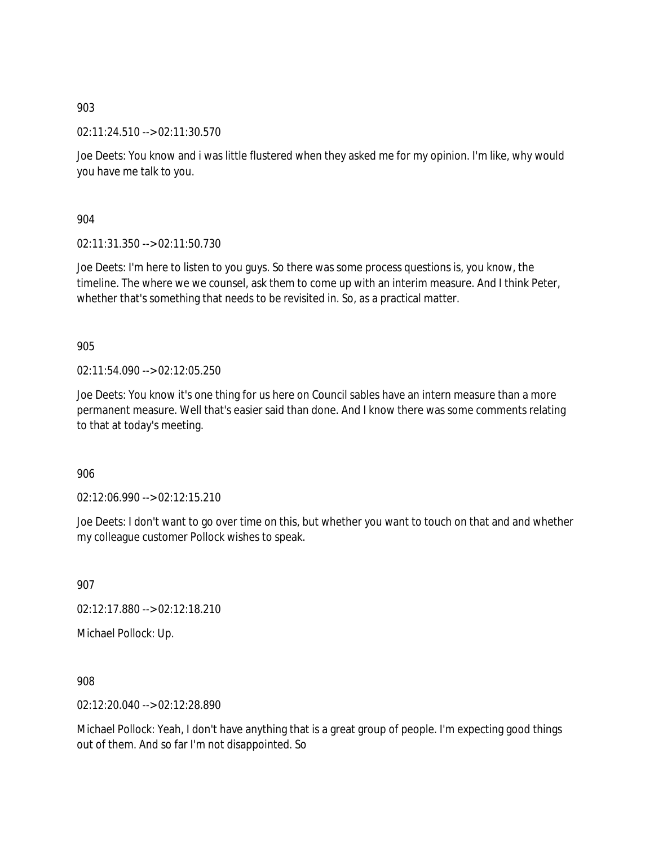02:11:24.510 --> 02:11:30.570

Joe Deets: You know and i was little flustered when they asked me for my opinion. I'm like, why would you have me talk to you.

904

02:11:31.350 --> 02:11:50.730

Joe Deets: I'm here to listen to you guys. So there was some process questions is, you know, the timeline. The where we we counsel, ask them to come up with an interim measure. And I think Peter, whether that's something that needs to be revisited in. So, as a practical matter.

905

02:11:54.090 --> 02:12:05.250

Joe Deets: You know it's one thing for us here on Council sables have an intern measure than a more permanent measure. Well that's easier said than done. And I know there was some comments relating to that at today's meeting.

906

02:12:06.990 --> 02:12:15.210

Joe Deets: I don't want to go over time on this, but whether you want to touch on that and and whether my colleague customer Pollock wishes to speak.

907

02:12:17.880 --> 02:12:18.210

Michael Pollock: Up.

908

02:12:20.040 --> 02:12:28.890

Michael Pollock: Yeah, I don't have anything that is a great group of people. I'm expecting good things out of them. And so far I'm not disappointed. So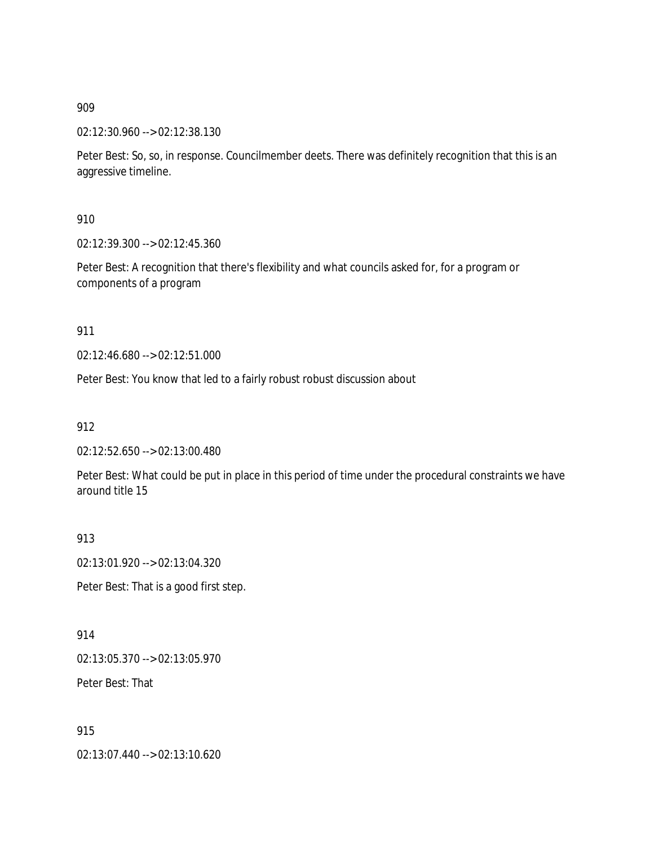02:12:30.960 --> 02:12:38.130

Peter Best: So, so, in response. Councilmember deets. There was definitely recognition that this is an aggressive timeline.

910

02:12:39.300 --> 02:12:45.360

Peter Best: A recognition that there's flexibility and what councils asked for, for a program or components of a program

911

02:12:46.680 --> 02:12:51.000

Peter Best: You know that led to a fairly robust robust discussion about

912

02:12:52.650 --> 02:13:00.480

Peter Best: What could be put in place in this period of time under the procedural constraints we have around title 15

913

02:13:01.920 --> 02:13:04.320

Peter Best: That is a good first step.

914 02:13:05.370 --> 02:13:05.970

Peter Best: That

915

02:13:07.440 --> 02:13:10.620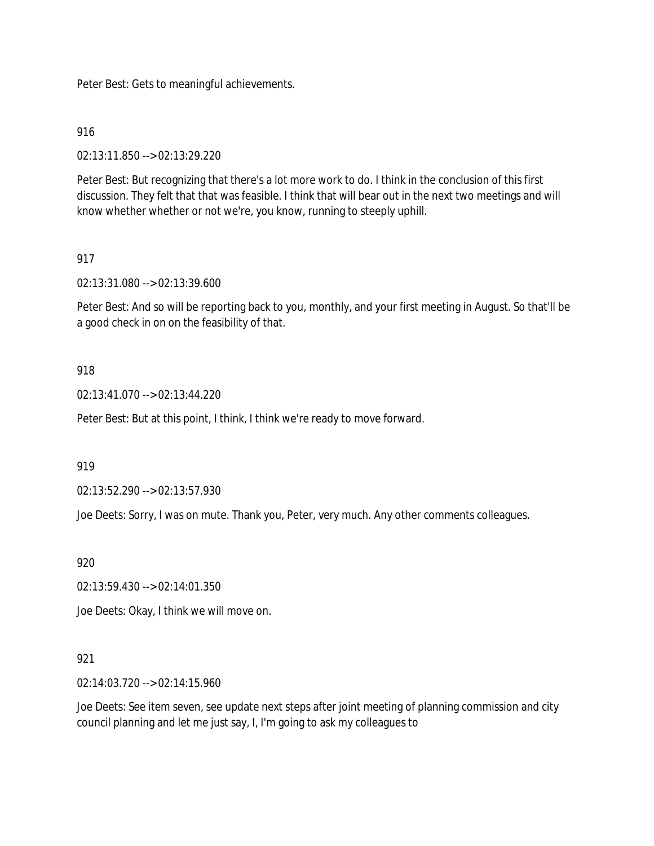Peter Best: Gets to meaningful achievements.

916

02:13:11.850 --> 02:13:29.220

Peter Best: But recognizing that there's a lot more work to do. I think in the conclusion of this first discussion. They felt that that was feasible. I think that will bear out in the next two meetings and will know whether whether or not we're, you know, running to steeply uphill.

# 917

02:13:31.080 --> 02:13:39.600

Peter Best: And so will be reporting back to you, monthly, and your first meeting in August. So that'll be a good check in on on the feasibility of that.

## 918

02:13:41.070 --> 02:13:44.220

Peter Best: But at this point, I think, I think we're ready to move forward.

919

02:13:52.290 --> 02:13:57.930

Joe Deets: Sorry, I was on mute. Thank you, Peter, very much. Any other comments colleagues.

920

02:13:59.430 --> 02:14:01.350

Joe Deets: Okay, I think we will move on.

## 921

02:14:03.720 --> 02:14:15.960

Joe Deets: See item seven, see update next steps after joint meeting of planning commission and city council planning and let me just say, I, I'm going to ask my colleagues to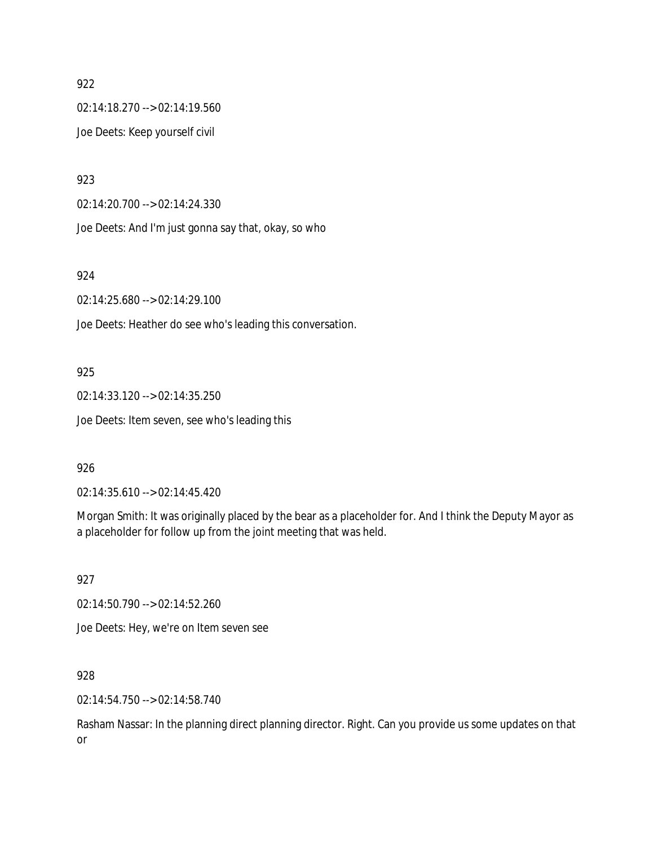02:14:18.270 --> 02:14:19.560 Joe Deets: Keep yourself civil

923

02:14:20.700 --> 02:14:24.330

Joe Deets: And I'm just gonna say that, okay, so who

924

02:14:25.680 --> 02:14:29.100

Joe Deets: Heather do see who's leading this conversation.

#### 925

02:14:33.120 --> 02:14:35.250

Joe Deets: Item seven, see who's leading this

#### 926

02:14:35.610 --> 02:14:45.420

Morgan Smith: It was originally placed by the bear as a placeholder for. And I think the Deputy Mayor as a placeholder for follow up from the joint meeting that was held.

927

02:14:50.790 --> 02:14:52.260

Joe Deets: Hey, we're on Item seven see

928

02:14:54.750 --> 02:14:58.740

Rasham Nassar: In the planning direct planning director. Right. Can you provide us some updates on that or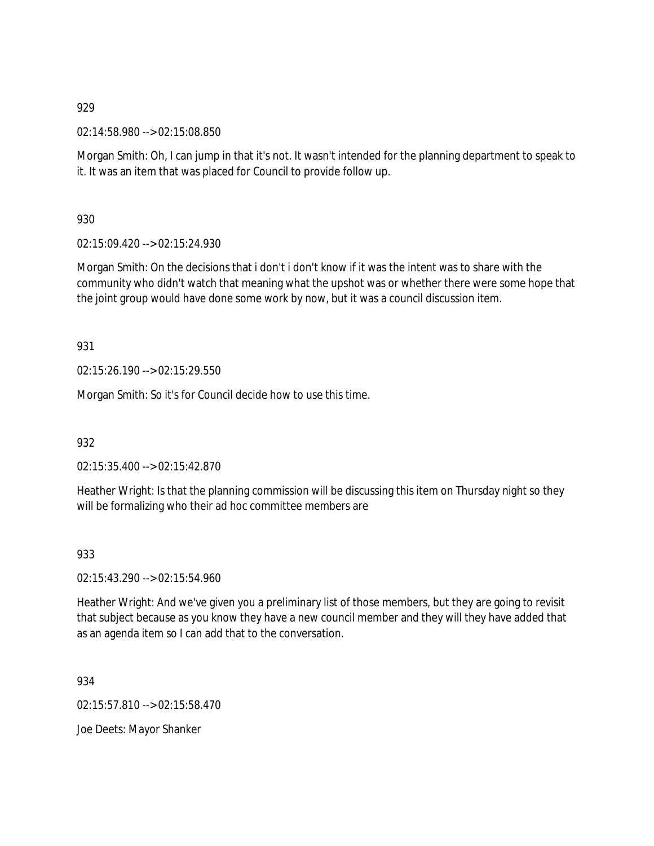02:14:58.980 --> 02:15:08.850

Morgan Smith: Oh, I can jump in that it's not. It wasn't intended for the planning department to speak to it. It was an item that was placed for Council to provide follow up.

930

02:15:09.420 --> 02:15:24.930

Morgan Smith: On the decisions that i don't i don't know if it was the intent was to share with the community who didn't watch that meaning what the upshot was or whether there were some hope that the joint group would have done some work by now, but it was a council discussion item.

931

02:15:26.190 --> 02:15:29.550

Morgan Smith: So it's for Council decide how to use this time.

932

02:15:35.400 --> 02:15:42.870

Heather Wright: Is that the planning commission will be discussing this item on Thursday night so they will be formalizing who their ad hoc committee members are

933

02:15:43.290 --> 02:15:54.960

Heather Wright: And we've given you a preliminary list of those members, but they are going to revisit that subject because as you know they have a new council member and they will they have added that as an agenda item so I can add that to the conversation.

934

02:15:57.810 --> 02:15:58.470

Joe Deets: Mayor Shanker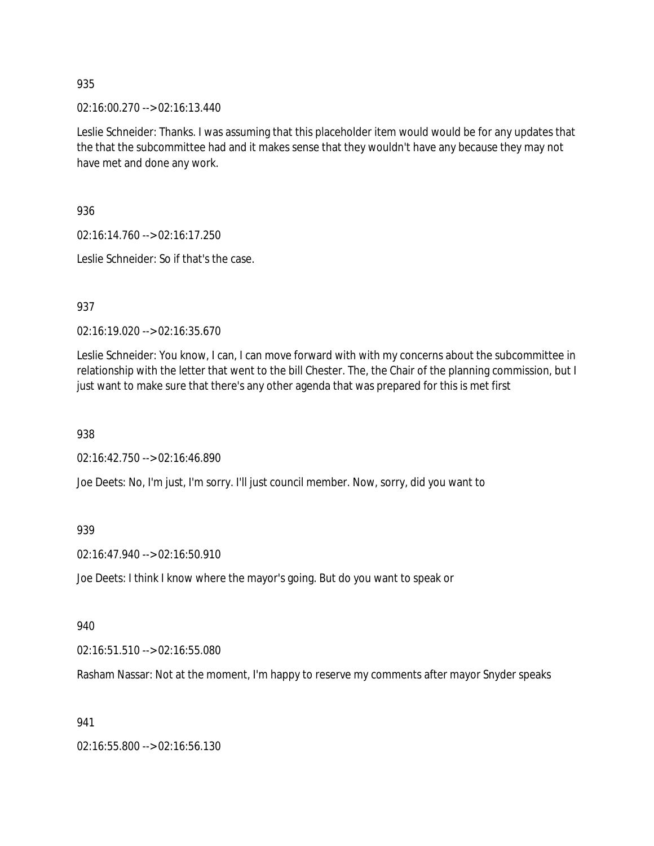02:16:00.270 --> 02:16:13.440

Leslie Schneider: Thanks. I was assuming that this placeholder item would would be for any updates that the that the subcommittee had and it makes sense that they wouldn't have any because they may not have met and done any work.

936

02:16:14.760 --> 02:16:17.250

Leslie Schneider: So if that's the case.

937

02:16:19.020 --> 02:16:35.670

Leslie Schneider: You know, I can, I can move forward with with my concerns about the subcommittee in relationship with the letter that went to the bill Chester. The, the Chair of the planning commission, but I just want to make sure that there's any other agenda that was prepared for this is met first

938

02:16:42.750 --> 02:16:46.890

Joe Deets: No, I'm just, I'm sorry. I'll just council member. Now, sorry, did you want to

939

02:16:47.940 --> 02:16:50.910

Joe Deets: I think I know where the mayor's going. But do you want to speak or

940

02:16:51.510 --> 02:16:55.080

Rasham Nassar: Not at the moment, I'm happy to reserve my comments after mayor Snyder speaks

941

02:16:55.800 --> 02:16:56.130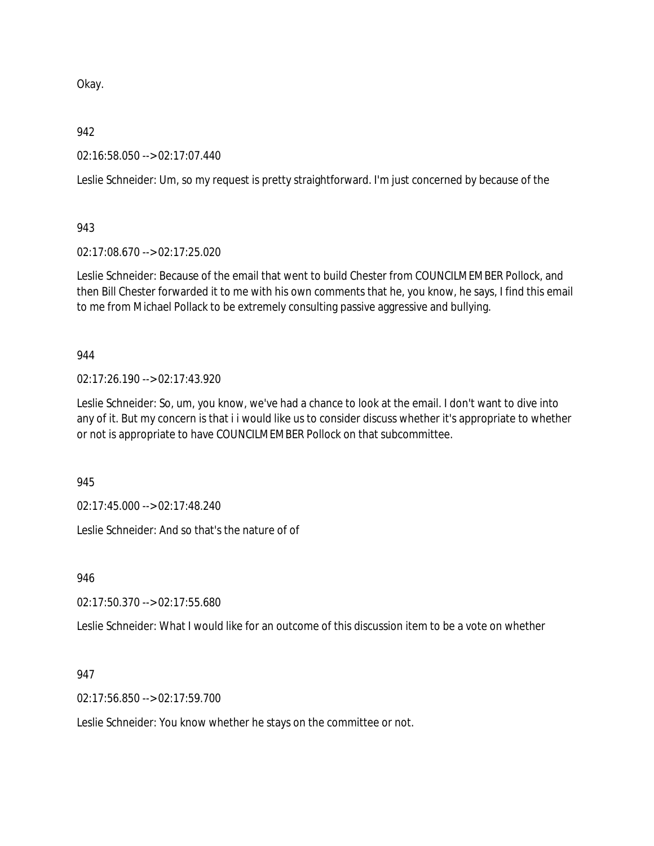Okay.

942

02:16:58.050 --> 02:17:07.440

Leslie Schneider: Um, so my request is pretty straightforward. I'm just concerned by because of the

943

02:17:08.670 --> 02:17:25.020

Leslie Schneider: Because of the email that went to build Chester from COUNCILMEMBER Pollock, and then Bill Chester forwarded it to me with his own comments that he, you know, he says, I find this email to me from Michael Pollack to be extremely consulting passive aggressive and bullying.

944

02:17:26.190 --> 02:17:43.920

Leslie Schneider: So, um, you know, we've had a chance to look at the email. I don't want to dive into any of it. But my concern is that i i would like us to consider discuss whether it's appropriate to whether or not is appropriate to have COUNCILMEMBER Pollock on that subcommittee.

945

02:17:45.000 --> 02:17:48.240

Leslie Schneider: And so that's the nature of of

946

02:17:50.370 --> 02:17:55.680

Leslie Schneider: What I would like for an outcome of this discussion item to be a vote on whether

947

02:17:56.850 --> 02:17:59.700

Leslie Schneider: You know whether he stays on the committee or not.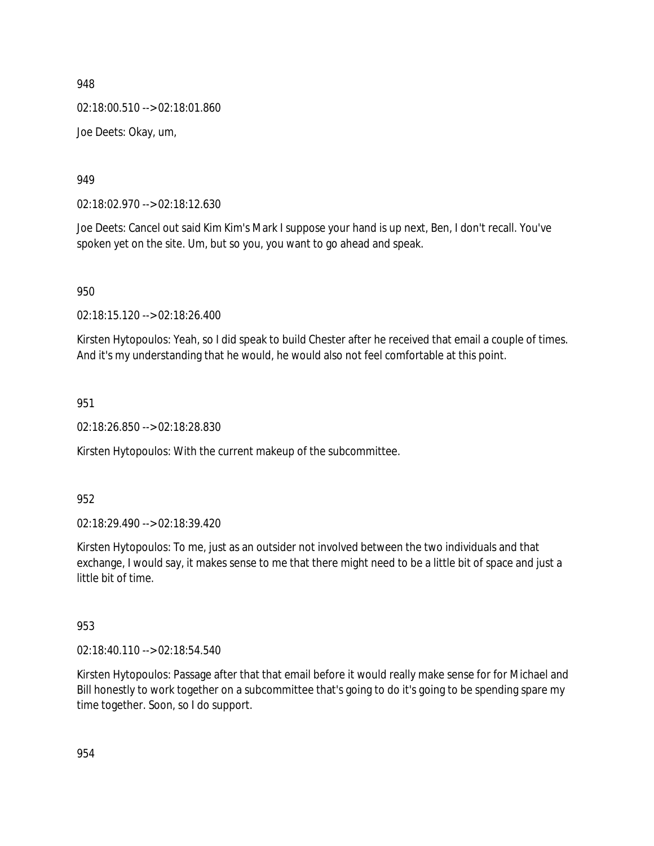02:18:00.510 --> 02:18:01.860

Joe Deets: Okay, um,

949

02:18:02.970 --> 02:18:12.630

Joe Deets: Cancel out said Kim Kim's Mark I suppose your hand is up next, Ben, I don't recall. You've spoken yet on the site. Um, but so you, you want to go ahead and speak.

950

02:18:15.120 --> 02:18:26.400

Kirsten Hytopoulos: Yeah, so I did speak to build Chester after he received that email a couple of times. And it's my understanding that he would, he would also not feel comfortable at this point.

951

02:18:26.850 --> 02:18:28.830

Kirsten Hytopoulos: With the current makeup of the subcommittee.

952

02:18:29.490 --> 02:18:39.420

Kirsten Hytopoulos: To me, just as an outsider not involved between the two individuals and that exchange, I would say, it makes sense to me that there might need to be a little bit of space and just a little bit of time.

953

02:18:40.110 --> 02:18:54.540

Kirsten Hytopoulos: Passage after that that email before it would really make sense for for Michael and Bill honestly to work together on a subcommittee that's going to do it's going to be spending spare my time together. Soon, so I do support.

954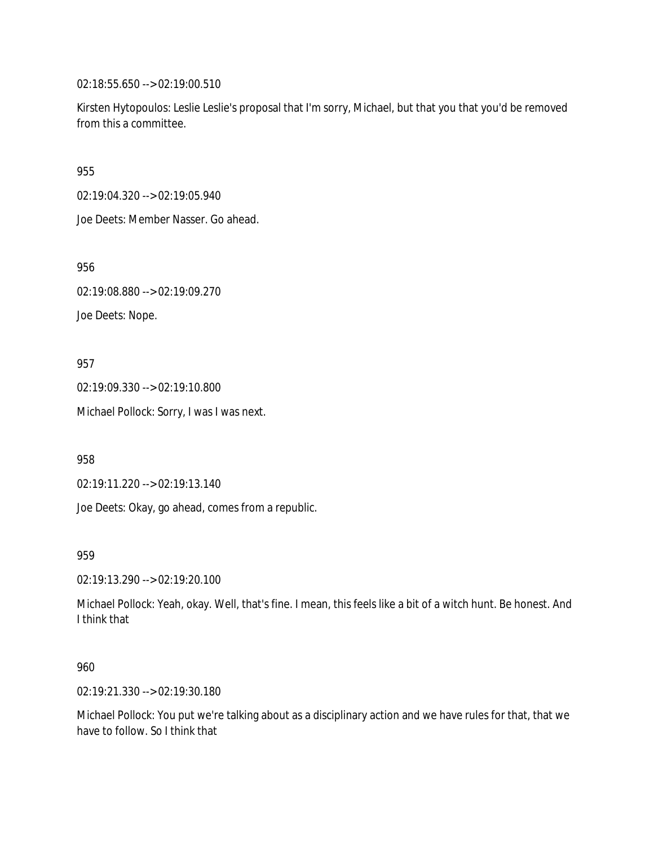02:18:55.650 --> 02:19:00.510

Kirsten Hytopoulos: Leslie Leslie's proposal that I'm sorry, Michael, but that you that you'd be removed from this a committee.

955

02:19:04.320 --> 02:19:05.940

Joe Deets: Member Nasser. Go ahead.

956

02:19:08.880 --> 02:19:09.270

Joe Deets: Nope.

957

02:19:09.330 --> 02:19:10.800

Michael Pollock: Sorry, I was I was next.

958

02:19:11.220 --> 02:19:13.140

Joe Deets: Okay, go ahead, comes from a republic.

959

02:19:13.290 --> 02:19:20.100

Michael Pollock: Yeah, okay. Well, that's fine. I mean, this feels like a bit of a witch hunt. Be honest. And I think that

960

02:19:21.330 --> 02:19:30.180

Michael Pollock: You put we're talking about as a disciplinary action and we have rules for that, that we have to follow. So I think that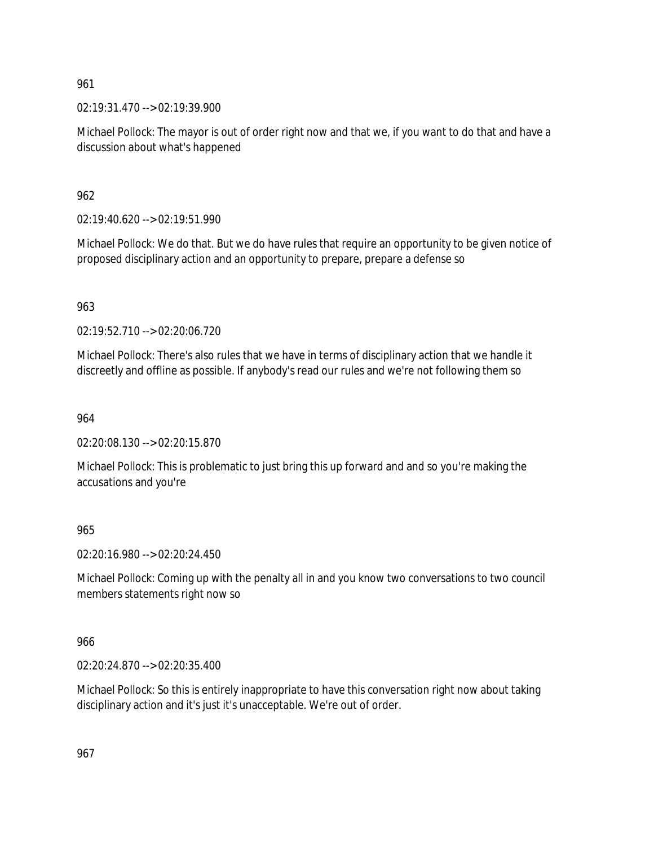02:19:31.470 --> 02:19:39.900

Michael Pollock: The mayor is out of order right now and that we, if you want to do that and have a discussion about what's happened

962

02:19:40.620 --> 02:19:51.990

Michael Pollock: We do that. But we do have rules that require an opportunity to be given notice of proposed disciplinary action and an opportunity to prepare, prepare a defense so

963

02:19:52.710 --> 02:20:06.720

Michael Pollock: There's also rules that we have in terms of disciplinary action that we handle it discreetly and offline as possible. If anybody's read our rules and we're not following them so

964

02:20:08.130 --> 02:20:15.870

Michael Pollock: This is problematic to just bring this up forward and and so you're making the accusations and you're

965

02:20:16.980 --> 02:20:24.450

Michael Pollock: Coming up with the penalty all in and you know two conversations to two council members statements right now so

966

02:20:24.870 --> 02:20:35.400

Michael Pollock: So this is entirely inappropriate to have this conversation right now about taking disciplinary action and it's just it's unacceptable. We're out of order.

967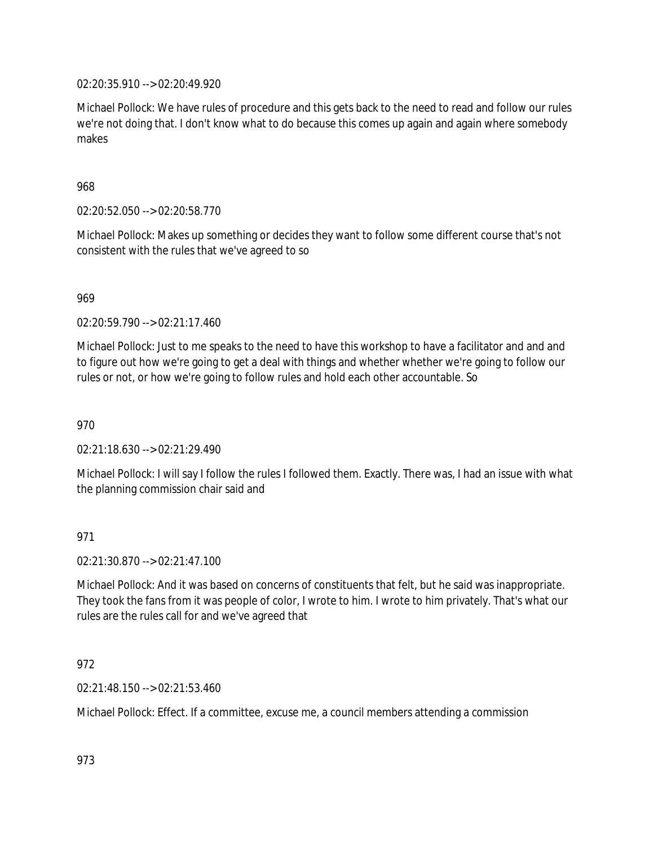02:20:35.910 --> 02:20:49.920

Michael Pollock: We have rules of procedure and this gets back to the need to read and follow our rules we're not doing that. I don't know what to do because this comes up again and again where somebody makes

968

02:20:52.050 --> 02:20:58.770

Michael Pollock: Makes up something or decides they want to follow some different course that's not consistent with the rules that we've agreed to so

969

02:20:59.790 --> 02:21:17.460

Michael Pollock: Just to me speaks to the need to have this workshop to have a facilitator and and and to figure out how we're going to get a deal with things and whether whether we're going to follow our rules or not, or how we're going to follow rules and hold each other accountable. So

970

02:21:18.630 --> 02:21:29.490

Michael Pollock: I will say I follow the rules I followed them. Exactly. There was, I had an issue with what the planning commission chair said and

971

02:21:30.870 --> 02:21:47.100

Michael Pollock: And it was based on concerns of constituents that felt, but he said was inappropriate. They took the fans from it was people of color, I wrote to him. I wrote to him privately. That's what our rules are the rules call for and we've agreed that

## 972

02:21:48.150 --> 02:21:53.460

Michael Pollock: Effect. If a committee, excuse me, a council members attending a commission

973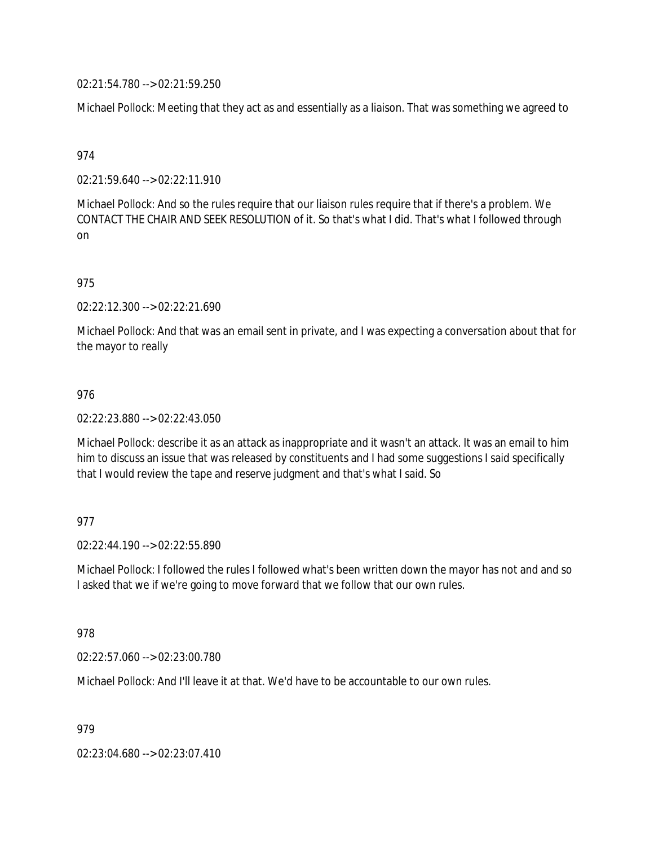02:21:54.780 --> 02:21:59.250

Michael Pollock: Meeting that they act as and essentially as a liaison. That was something we agreed to

974

02:21:59.640 --> 02:22:11.910

Michael Pollock: And so the rules require that our liaison rules require that if there's a problem. We CONTACT THE CHAIR AND SEEK RESOLUTION of it. So that's what I did. That's what I followed through on

975

02:22:12.300 --> 02:22:21.690

Michael Pollock: And that was an email sent in private, and I was expecting a conversation about that for the mayor to really

#### 976

02:22:23.880 --> 02:22:43.050

Michael Pollock: describe it as an attack as inappropriate and it wasn't an attack. It was an email to him him to discuss an issue that was released by constituents and I had some suggestions I said specifically that I would review the tape and reserve judgment and that's what I said. So

## 977

 $02.22.44.190 -5.02.22.55.890$ 

Michael Pollock: I followed the rules I followed what's been written down the mayor has not and and so I asked that we if we're going to move forward that we follow that our own rules.

978

02:22:57.060 --> 02:23:00.780

Michael Pollock: And I'll leave it at that. We'd have to be accountable to our own rules.

979

02:23:04.680 --> 02:23:07.410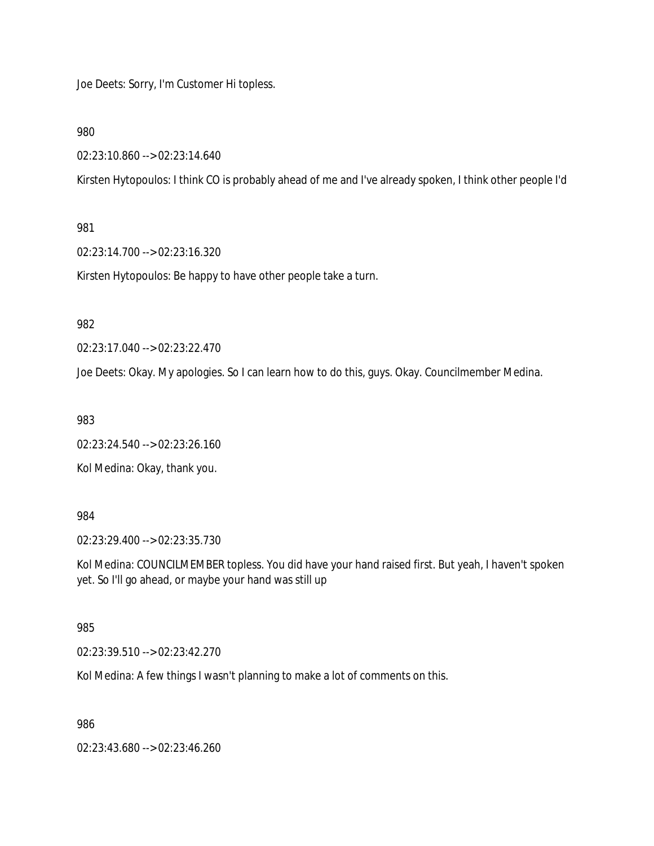Joe Deets: Sorry, I'm Customer Hi topless.

980

02:23:10.860 --> 02:23:14.640

Kirsten Hytopoulos: I think CO is probably ahead of me and I've already spoken, I think other people I'd

#### 981

02:23:14.700 --> 02:23:16.320

Kirsten Hytopoulos: Be happy to have other people take a turn.

# 982

02:23:17.040 --> 02:23:22.470

Joe Deets: Okay. My apologies. So I can learn how to do this, guys. Okay. Councilmember Medina.

983

02:23:24.540 --> 02:23:26.160

Kol Medina: Okay, thank you.

984

02:23:29.400 --> 02:23:35.730

Kol Medina: COUNCILMEMBER topless. You did have your hand raised first. But yeah, I haven't spoken yet. So I'll go ahead, or maybe your hand was still up

#### 985

02:23:39.510 --> 02:23:42.270

Kol Medina: A few things I wasn't planning to make a lot of comments on this.

986

02:23:43.680 --> 02:23:46.260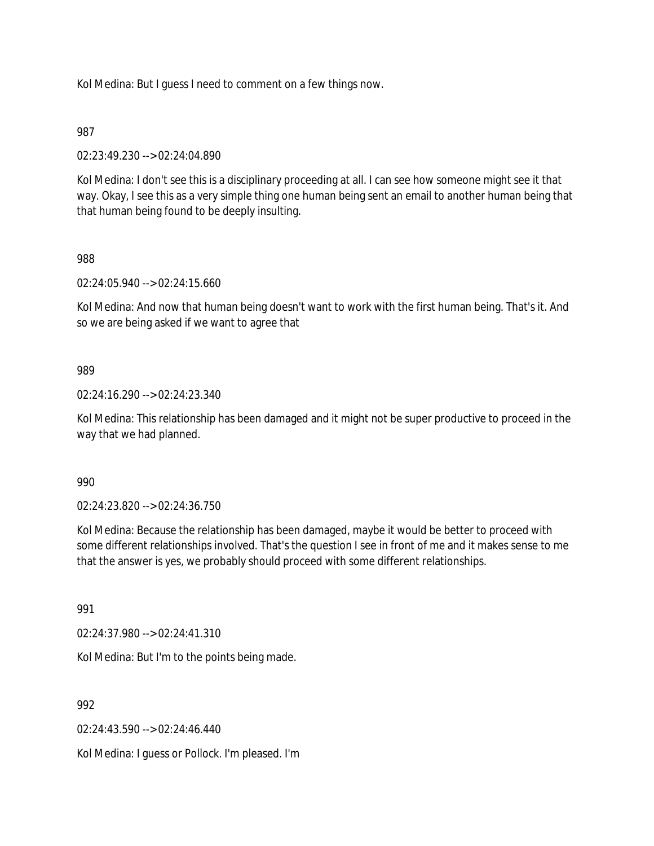Kol Medina: But I guess I need to comment on a few things now.

## 987

02:23:49.230 --> 02:24:04.890

Kol Medina: I don't see this is a disciplinary proceeding at all. I can see how someone might see it that way. Okay, I see this as a very simple thing one human being sent an email to another human being that that human being found to be deeply insulting.

#### 988

02:24:05.940 --> 02:24:15.660

Kol Medina: And now that human being doesn't want to work with the first human being. That's it. And so we are being asked if we want to agree that

## 989

02:24:16.290 --> 02:24:23.340

Kol Medina: This relationship has been damaged and it might not be super productive to proceed in the way that we had planned.

#### 990

02:24:23.820 --> 02:24:36.750

Kol Medina: Because the relationship has been damaged, maybe it would be better to proceed with some different relationships involved. That's the question I see in front of me and it makes sense to me that the answer is yes, we probably should proceed with some different relationships.

991

02:24:37.980 --> 02:24:41.310

Kol Medina: But I'm to the points being made.

992

02:24:43.590 --> 02:24:46.440

Kol Medina: I guess or Pollock. I'm pleased. I'm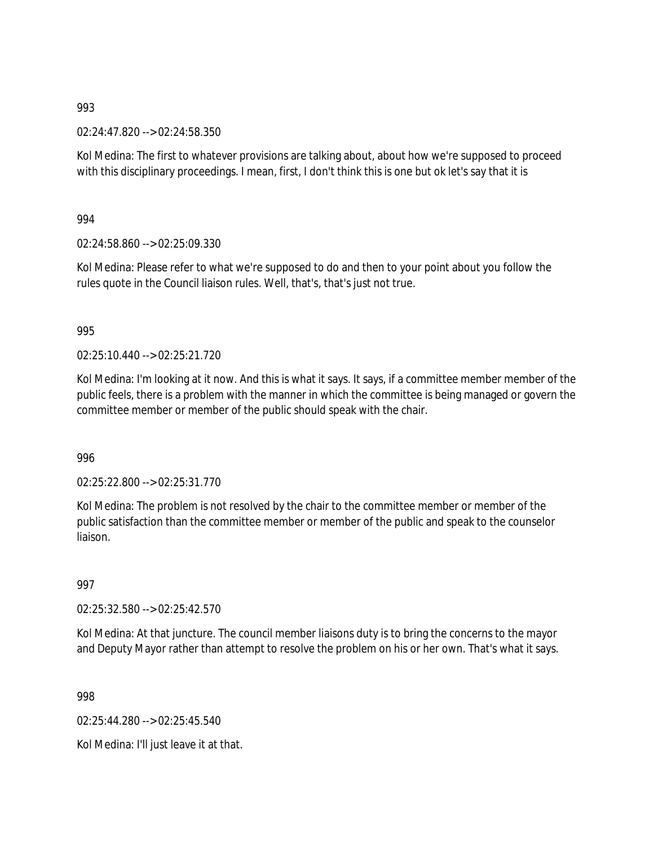02:24:47.820 --> 02:24:58.350

Kol Medina: The first to whatever provisions are talking about, about how we're supposed to proceed with this disciplinary proceedings. I mean, first, I don't think this is one but ok let's say that it is

994

02:24:58.860 --> 02:25:09.330

Kol Medina: Please refer to what we're supposed to do and then to your point about you follow the rules quote in the Council liaison rules. Well, that's, that's just not true.

995

02:25:10.440 --> 02:25:21.720

Kol Medina: I'm looking at it now. And this is what it says. It says, if a committee member member of the public feels, there is a problem with the manner in which the committee is being managed or govern the committee member or member of the public should speak with the chair.

996

02:25:22.800 --> 02:25:31.770

Kol Medina: The problem is not resolved by the chair to the committee member or member of the public satisfaction than the committee member or member of the public and speak to the counselor liaison.

997

02:25:32.580 --> 02:25:42.570

Kol Medina: At that juncture. The council member liaisons duty is to bring the concerns to the mayor and Deputy Mayor rather than attempt to resolve the problem on his or her own. That's what it says.

998

02:25:44.280 --> 02:25:45.540

Kol Medina: I'll just leave it at that.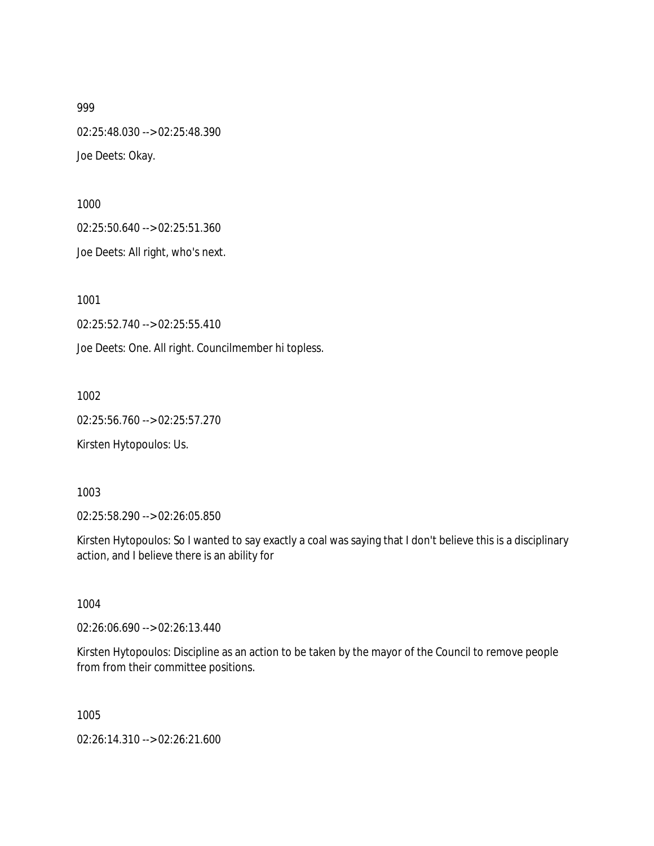02:25:48.030 --> 02:25:48.390 Joe Deets: Okay.

1000

02:25:50.640 --> 02:25:51.360

Joe Deets: All right, who's next.

1001

02:25:52.740 --> 02:25:55.410

Joe Deets: One. All right. Councilmember hi topless.

1002

02:25:56.760 --> 02:25:57.270

Kirsten Hytopoulos: Us.

1003

02:25:58.290 --> 02:26:05.850

Kirsten Hytopoulos: So I wanted to say exactly a coal was saying that I don't believe this is a disciplinary action, and I believe there is an ability for

1004

02:26:06.690 --> 02:26:13.440

Kirsten Hytopoulos: Discipline as an action to be taken by the mayor of the Council to remove people from from their committee positions.

1005

02:26:14.310 --> 02:26:21.600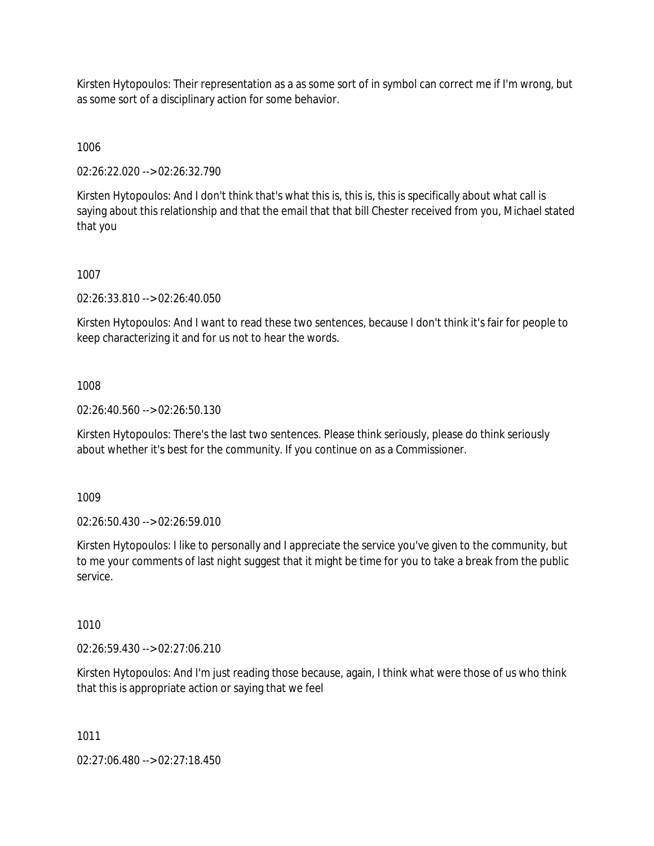Kirsten Hytopoulos: Their representation as a as some sort of in symbol can correct me if I'm wrong, but as some sort of a disciplinary action for some behavior.

1006

02:26:22.020 --> 02:26:32.790

Kirsten Hytopoulos: And I don't think that's what this is, this is, this is specifically about what call is saying about this relationship and that the email that that bill Chester received from you, Michael stated that you

1007

02:26:33.810 --> 02:26:40.050

Kirsten Hytopoulos: And I want to read these two sentences, because I don't think it's fair for people to keep characterizing it and for us not to hear the words.

1008

02:26:40.560 --> 02:26:50.130

Kirsten Hytopoulos: There's the last two sentences. Please think seriously, please do think seriously about whether it's best for the community. If you continue on as a Commissioner.

1009

02:26:50.430 --> 02:26:59.010

Kirsten Hytopoulos: I like to personally and I appreciate the service you've given to the community, but to me your comments of last night suggest that it might be time for you to take a break from the public service.

1010

02:26:59.430 --> 02:27:06.210

Kirsten Hytopoulos: And I'm just reading those because, again, I think what were those of us who think that this is appropriate action or saying that we feel

1011

02:27:06.480 --> 02:27:18.450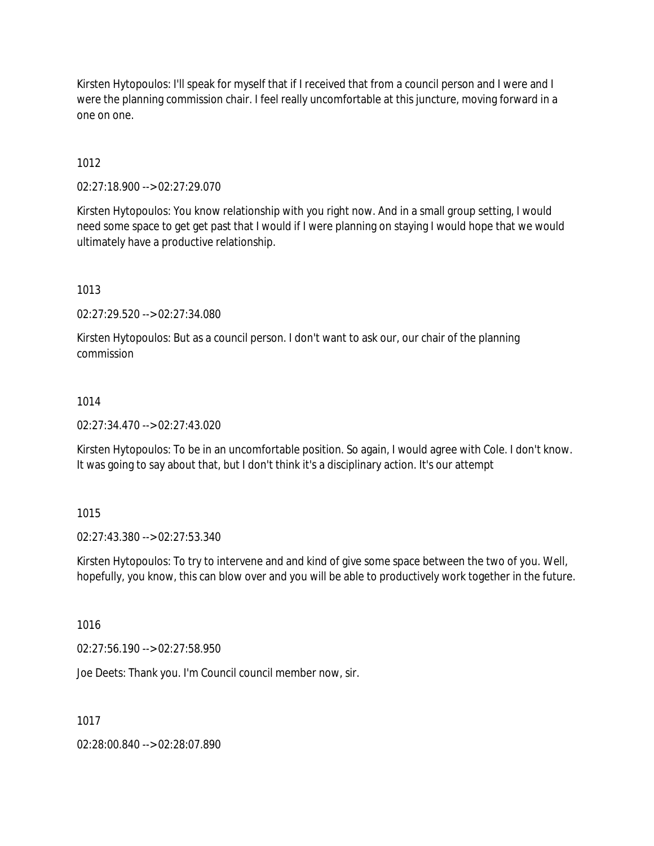Kirsten Hytopoulos: I'll speak for myself that if I received that from a council person and I were and I were the planning commission chair. I feel really uncomfortable at this juncture, moving forward in a one on one.

1012

02:27:18.900 --> 02:27:29.070

Kirsten Hytopoulos: You know relationship with you right now. And in a small group setting, I would need some space to get get past that I would if I were planning on staying I would hope that we would ultimately have a productive relationship.

1013

02:27:29.520 --> 02:27:34.080

Kirsten Hytopoulos: But as a council person. I don't want to ask our, our chair of the planning commission

## 1014

02:27:34.470 --> 02:27:43.020

Kirsten Hytopoulos: To be in an uncomfortable position. So again, I would agree with Cole. I don't know. It was going to say about that, but I don't think it's a disciplinary action. It's our attempt

## 1015

02:27:43.380 --> 02:27:53.340

Kirsten Hytopoulos: To try to intervene and and kind of give some space between the two of you. Well, hopefully, you know, this can blow over and you will be able to productively work together in the future.

1016

02:27:56.190 --> 02:27:58.950

Joe Deets: Thank you. I'm Council council member now, sir.

1017

02:28:00.840 --> 02:28:07.890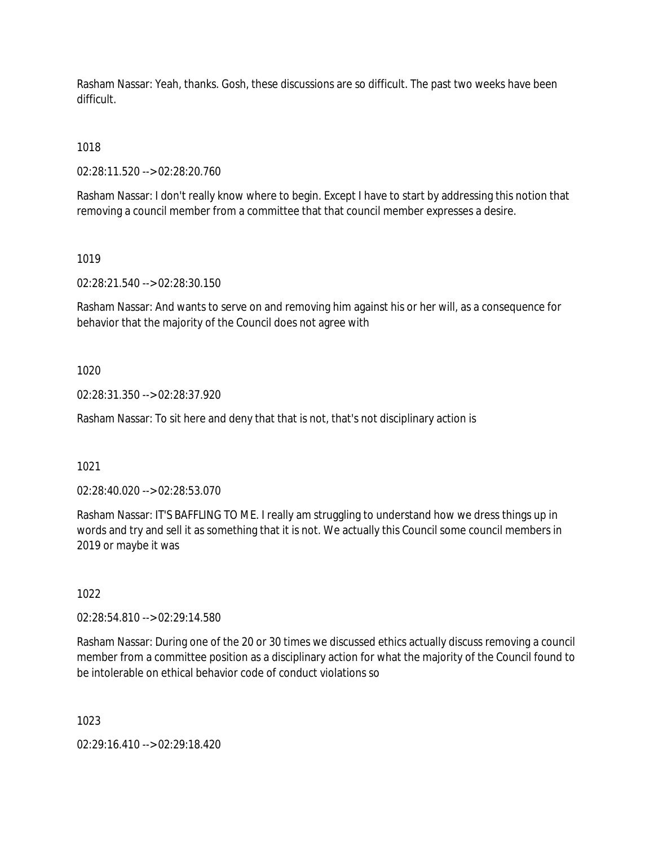Rasham Nassar: Yeah, thanks. Gosh, these discussions are so difficult. The past two weeks have been difficult.

1018

02:28:11.520 --> 02:28:20.760

Rasham Nassar: I don't really know where to begin. Except I have to start by addressing this notion that removing a council member from a committee that that council member expresses a desire.

1019

02:28:21.540 --> 02:28:30.150

Rasham Nassar: And wants to serve on and removing him against his or her will, as a consequence for behavior that the majority of the Council does not agree with

1020

02:28:31.350 --> 02:28:37.920

Rasham Nassar: To sit here and deny that that is not, that's not disciplinary action is

1021

02:28:40.020 --> 02:28:53.070

Rasham Nassar: IT'S BAFFLING TO ME. I really am struggling to understand how we dress things up in words and try and sell it as something that it is not. We actually this Council some council members in 2019 or maybe it was

1022

02:28:54.810 --> 02:29:14.580

Rasham Nassar: During one of the 20 or 30 times we discussed ethics actually discuss removing a council member from a committee position as a disciplinary action for what the majority of the Council found to be intolerable on ethical behavior code of conduct violations so

1023

02:29:16.410 --> 02:29:18.420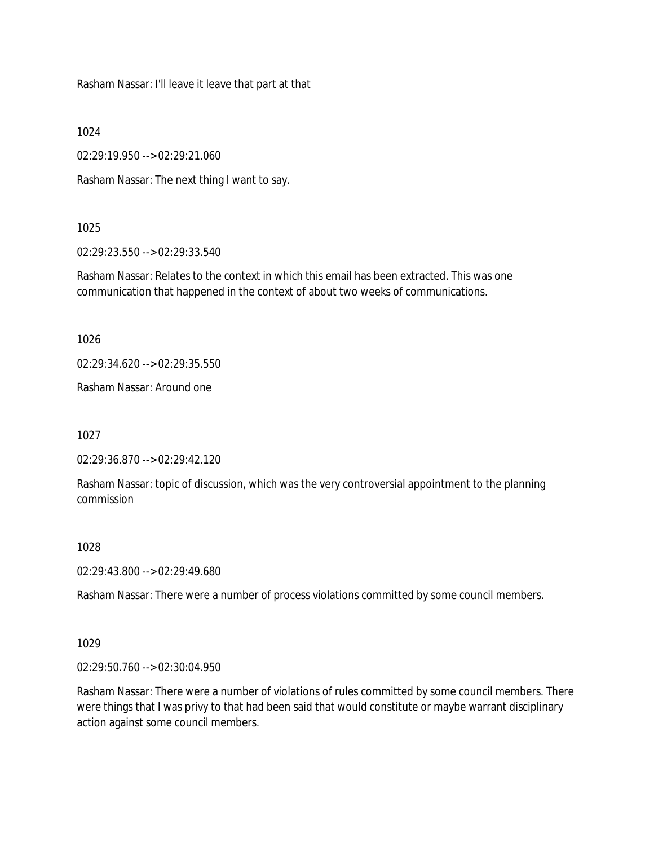Rasham Nassar: I'll leave it leave that part at that

1024

02:29:19.950 --> 02:29:21.060

Rasham Nassar: The next thing I want to say.

#### 1025

02:29:23.550 --> 02:29:33.540

Rasham Nassar: Relates to the context in which this email has been extracted. This was one communication that happened in the context of about two weeks of communications.

1026

02:29:34.620 --> 02:29:35.550

Rasham Nassar: Around one

1027

02:29:36.870 --> 02:29:42.120

Rasham Nassar: topic of discussion, which was the very controversial appointment to the planning commission

1028

02:29:43.800 --> 02:29:49.680

Rasham Nassar: There were a number of process violations committed by some council members.

1029

02:29:50.760 --> 02:30:04.950

Rasham Nassar: There were a number of violations of rules committed by some council members. There were things that I was privy to that had been said that would constitute or maybe warrant disciplinary action against some council members.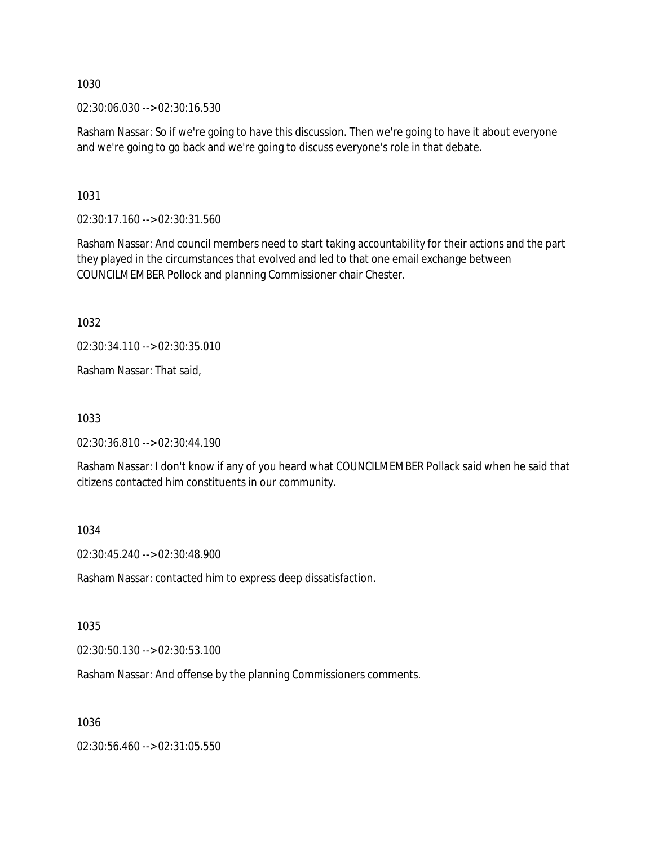02:30:06.030 --> 02:30:16.530

Rasham Nassar: So if we're going to have this discussion. Then we're going to have it about everyone and we're going to go back and we're going to discuss everyone's role in that debate.

1031

02:30:17.160 --> 02:30:31.560

Rasham Nassar: And council members need to start taking accountability for their actions and the part they played in the circumstances that evolved and led to that one email exchange between COUNCILMEMBER Pollock and planning Commissioner chair Chester.

1032

02:30:34.110 --> 02:30:35.010

Rasham Nassar: That said,

1033

02:30:36.810 --> 02:30:44.190

Rasham Nassar: I don't know if any of you heard what COUNCILMEMBER Pollack said when he said that citizens contacted him constituents in our community.

1034

02:30:45.240 --> 02:30:48.900

Rasham Nassar: contacted him to express deep dissatisfaction.

1035

02:30:50.130 --> 02:30:53.100

Rasham Nassar: And offense by the planning Commissioners comments.

1036

02:30:56.460 --> 02:31:05.550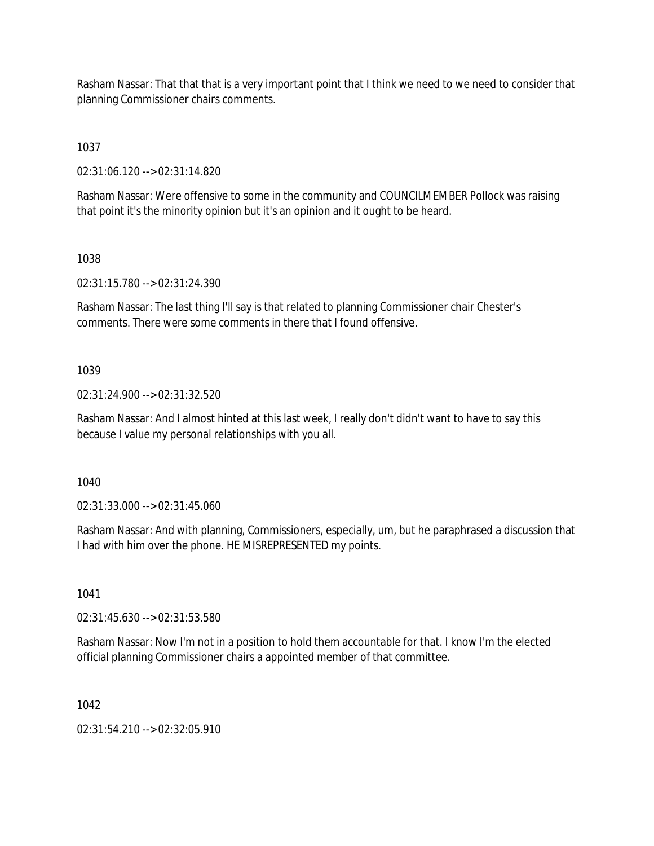Rasham Nassar: That that that is a very important point that I think we need to we need to consider that planning Commissioner chairs comments.

1037

02:31:06.120 --> 02:31:14.820

Rasham Nassar: Were offensive to some in the community and COUNCILMEMBER Pollock was raising that point it's the minority opinion but it's an opinion and it ought to be heard.

1038

02:31:15.780 --> 02:31:24.390

Rasham Nassar: The last thing I'll say is that related to planning Commissioner chair Chester's comments. There were some comments in there that I found offensive.

# 1039

02:31:24.900 --> 02:31:32.520

Rasham Nassar: And I almost hinted at this last week, I really don't didn't want to have to say this because I value my personal relationships with you all.

1040

02:31:33.000 --> 02:31:45.060

Rasham Nassar: And with planning, Commissioners, especially, um, but he paraphrased a discussion that I had with him over the phone. HE MISREPRESENTED my points.

1041

02:31:45.630 --> 02:31:53.580

Rasham Nassar: Now I'm not in a position to hold them accountable for that. I know I'm the elected official planning Commissioner chairs a appointed member of that committee.

1042

02:31:54.210 --> 02:32:05.910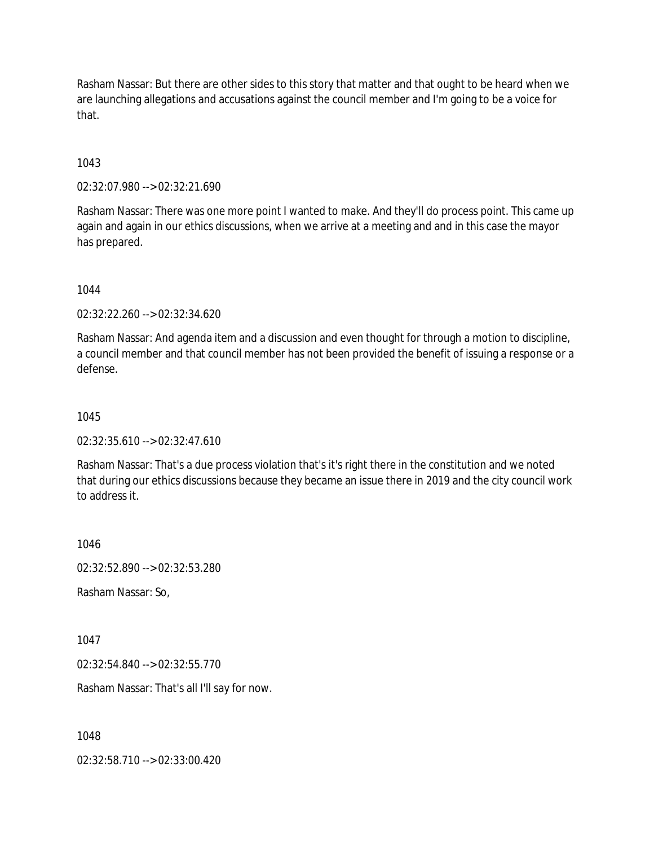Rasham Nassar: But there are other sides to this story that matter and that ought to be heard when we are launching allegations and accusations against the council member and I'm going to be a voice for that.

1043

02:32:07.980 --> 02:32:21.690

Rasham Nassar: There was one more point I wanted to make. And they'll do process point. This came up again and again in our ethics discussions, when we arrive at a meeting and and in this case the mayor has prepared.

1044

02:32:22.260 --> 02:32:34.620

Rasham Nassar: And agenda item and a discussion and even thought for through a motion to discipline, a council member and that council member has not been provided the benefit of issuing a response or a defense.

1045

02:32:35.610 --> 02:32:47.610

Rasham Nassar: That's a due process violation that's it's right there in the constitution and we noted that during our ethics discussions because they became an issue there in 2019 and the city council work to address it.

1046 02:32:52.890 --> 02:32:53.280 Rasham Nassar: So,

1047

02:32:54.840 --> 02:32:55.770

Rasham Nassar: That's all I'll say for now.

1048

02:32:58.710 --> 02:33:00.420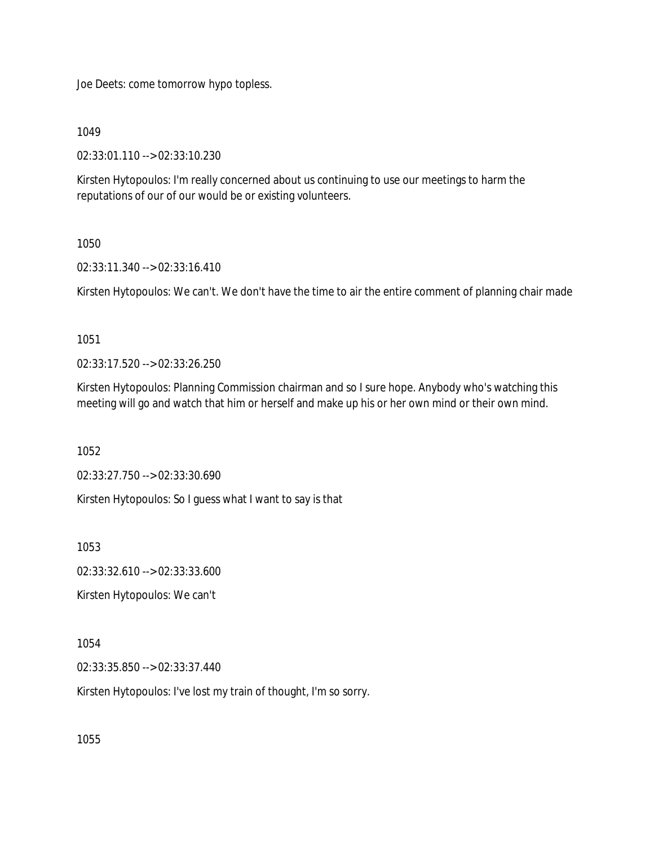Joe Deets: come tomorrow hypo topless.

1049

02:33:01.110 --> 02:33:10.230

Kirsten Hytopoulos: I'm really concerned about us continuing to use our meetings to harm the reputations of our of our would be or existing volunteers.

## 1050

02:33:11.340 --> 02:33:16.410

Kirsten Hytopoulos: We can't. We don't have the time to air the entire comment of planning chair made

1051

02:33:17.520 --> 02:33:26.250

Kirsten Hytopoulos: Planning Commission chairman and so I sure hope. Anybody who's watching this meeting will go and watch that him or herself and make up his or her own mind or their own mind.

1052

02:33:27.750 --> 02:33:30.690

Kirsten Hytopoulos: So I guess what I want to say is that

1053

02:33:32.610 --> 02:33:33.600

Kirsten Hytopoulos: We can't

1054

02:33:35.850 --> 02:33:37.440

Kirsten Hytopoulos: I've lost my train of thought, I'm so sorry.

1055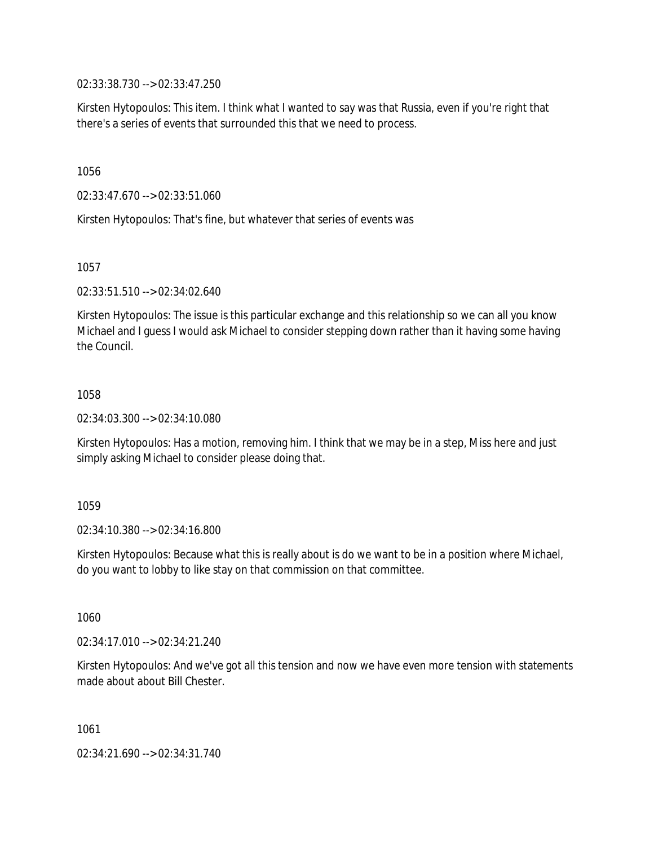02:33:38.730 --> 02:33:47.250

Kirsten Hytopoulos: This item. I think what I wanted to say was that Russia, even if you're right that there's a series of events that surrounded this that we need to process.

1056

02:33:47.670 --> 02:33:51.060

Kirsten Hytopoulos: That's fine, but whatever that series of events was

1057

02:33:51.510 --> 02:34:02.640

Kirsten Hytopoulos: The issue is this particular exchange and this relationship so we can all you know Michael and I guess I would ask Michael to consider stepping down rather than it having some having the Council.

1058

02:34:03.300 --> 02:34:10.080

Kirsten Hytopoulos: Has a motion, removing him. I think that we may be in a step, Miss here and just simply asking Michael to consider please doing that.

1059

02:34:10.380 --> 02:34:16.800

Kirsten Hytopoulos: Because what this is really about is do we want to be in a position where Michael, do you want to lobby to like stay on that commission on that committee.

1060

02:34:17.010 --> 02:34:21.240

Kirsten Hytopoulos: And we've got all this tension and now we have even more tension with statements made about about Bill Chester.

1061

02:34:21.690 --> 02:34:31.740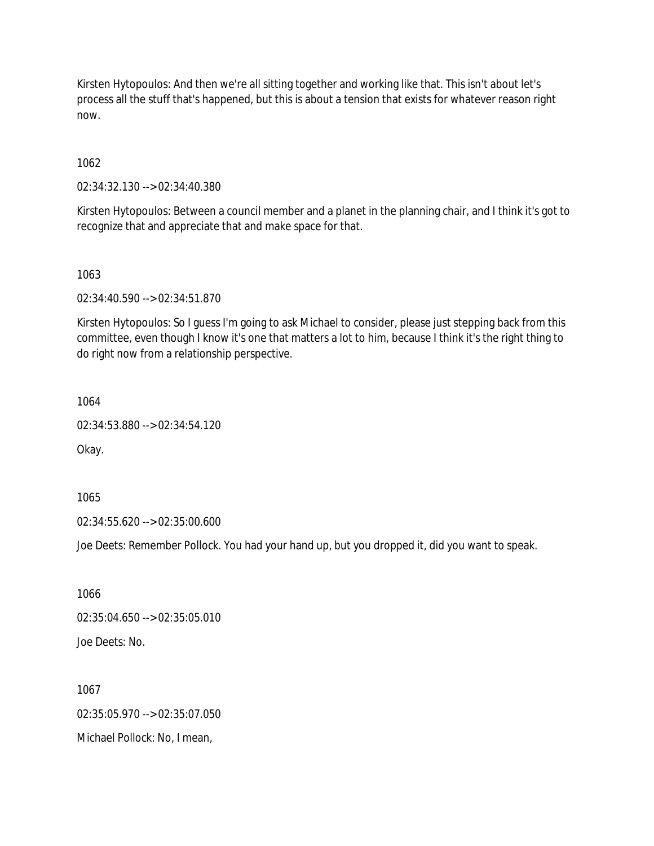Kirsten Hytopoulos: And then we're all sitting together and working like that. This isn't about let's process all the stuff that's happened, but this is about a tension that exists for whatever reason right now.

1062

02:34:32.130 --> 02:34:40.380

Kirsten Hytopoulos: Between a council member and a planet in the planning chair, and I think it's got to recognize that and appreciate that and make space for that.

1063

02:34:40.590 --> 02:34:51.870

Kirsten Hytopoulos: So I guess I'm going to ask Michael to consider, please just stepping back from this committee, even though I know it's one that matters a lot to him, because I think it's the right thing to do right now from a relationship perspective.

1064

02:34:53.880 --> 02:34:54.120

Okay.

1065

02:34:55.620 --> 02:35:00.600

Joe Deets: Remember Pollock. You had your hand up, but you dropped it, did you want to speak.

1066 02:35:04.650 --> 02:35:05.010 Joe Deets: No.

1067 02:35:05.970 --> 02:35:07.050 Michael Pollock: No, I mean,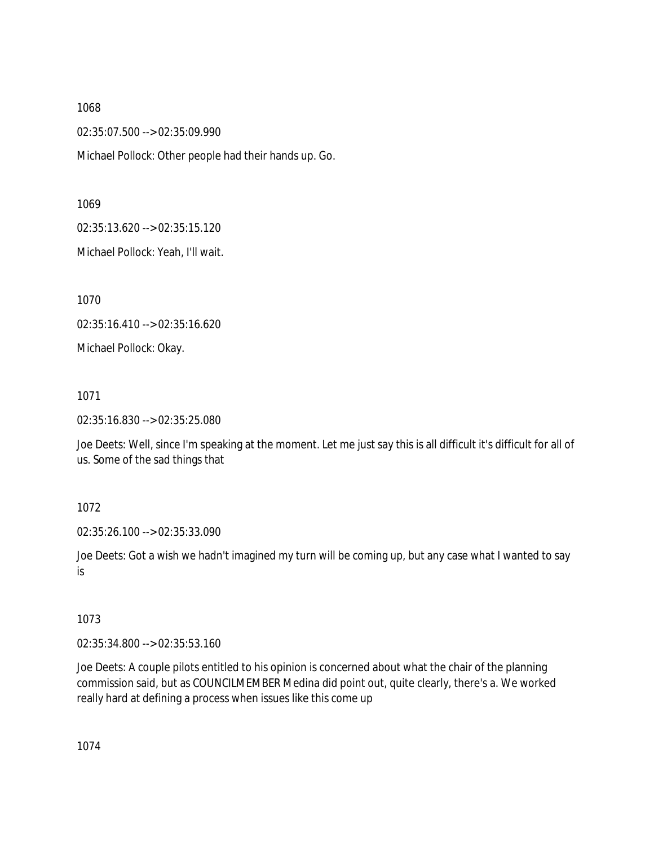02:35:07.500 --> 02:35:09.990

Michael Pollock: Other people had their hands up. Go.

1069

02:35:13.620 --> 02:35:15.120

Michael Pollock: Yeah, I'll wait.

1070

02:35:16.410 --> 02:35:16.620

Michael Pollock: Okay.

1071

02:35:16.830 --> 02:35:25.080

Joe Deets: Well, since I'm speaking at the moment. Let me just say this is all difficult it's difficult for all of us. Some of the sad things that

1072

02:35:26.100 --> 02:35:33.090

Joe Deets: Got a wish we hadn't imagined my turn will be coming up, but any case what I wanted to say is

## 1073

02:35:34.800 --> 02:35:53.160

Joe Deets: A couple pilots entitled to his opinion is concerned about what the chair of the planning commission said, but as COUNCILMEMBER Medina did point out, quite clearly, there's a. We worked really hard at defining a process when issues like this come up

1074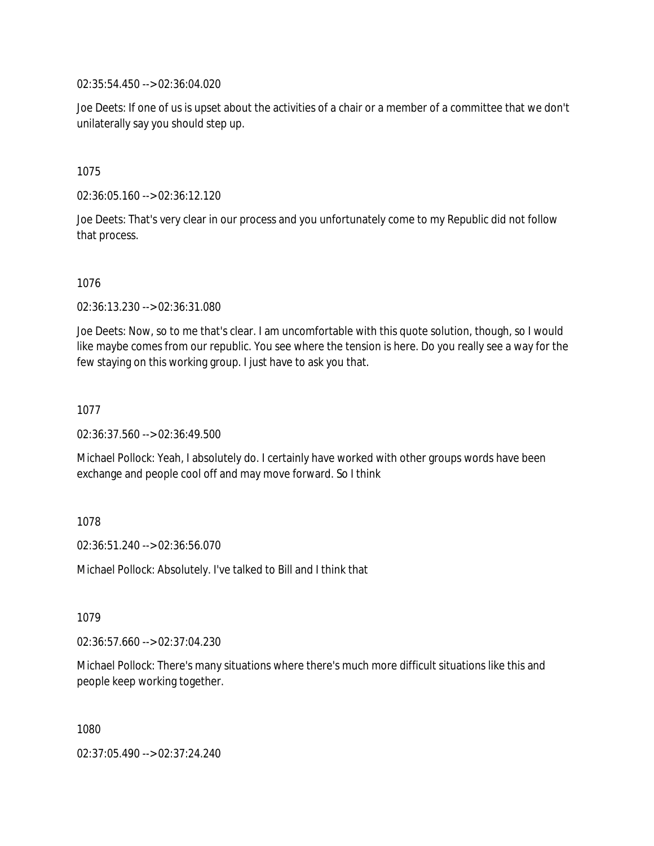02:35:54.450 --> 02:36:04.020

Joe Deets: If one of us is upset about the activities of a chair or a member of a committee that we don't unilaterally say you should step up.

1075

02:36:05.160 --> 02:36:12.120

Joe Deets: That's very clear in our process and you unfortunately come to my Republic did not follow that process.

1076

02:36:13.230 --> 02:36:31.080

Joe Deets: Now, so to me that's clear. I am uncomfortable with this quote solution, though, so I would like maybe comes from our republic. You see where the tension is here. Do you really see a way for the few staying on this working group. I just have to ask you that.

1077

02:36:37.560 --> 02:36:49.500

Michael Pollock: Yeah, I absolutely do. I certainly have worked with other groups words have been exchange and people cool off and may move forward. So I think

1078

02:36:51.240 --> 02:36:56.070

Michael Pollock: Absolutely. I've talked to Bill and I think that

1079

02:36:57.660 --> 02:37:04.230

Michael Pollock: There's many situations where there's much more difficult situations like this and people keep working together.

1080

02:37:05.490 --> 02:37:24.240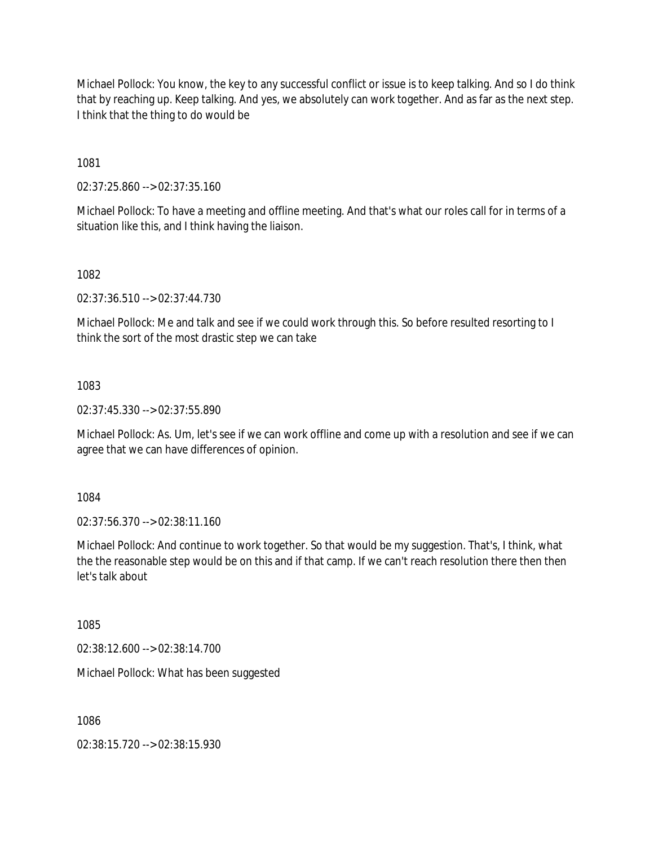Michael Pollock: You know, the key to any successful conflict or issue is to keep talking. And so I do think that by reaching up. Keep talking. And yes, we absolutely can work together. And as far as the next step. I think that the thing to do would be

1081

02:37:25.860 --> 02:37:35.160

Michael Pollock: To have a meeting and offline meeting. And that's what our roles call for in terms of a situation like this, and I think having the liaison.

1082

02:37:36.510 --> 02:37:44.730

Michael Pollock: Me and talk and see if we could work through this. So before resulted resorting to I think the sort of the most drastic step we can take

1083

02:37:45.330 --> 02:37:55.890

Michael Pollock: As. Um, let's see if we can work offline and come up with a resolution and see if we can agree that we can have differences of opinion.

1084

02:37:56.370 --> 02:38:11.160

Michael Pollock: And continue to work together. So that would be my suggestion. That's, I think, what the the reasonable step would be on this and if that camp. If we can't reach resolution there then then let's talk about

1085

02:38:12.600 --> 02:38:14.700

Michael Pollock: What has been suggested

1086

02:38:15.720 --> 02:38:15.930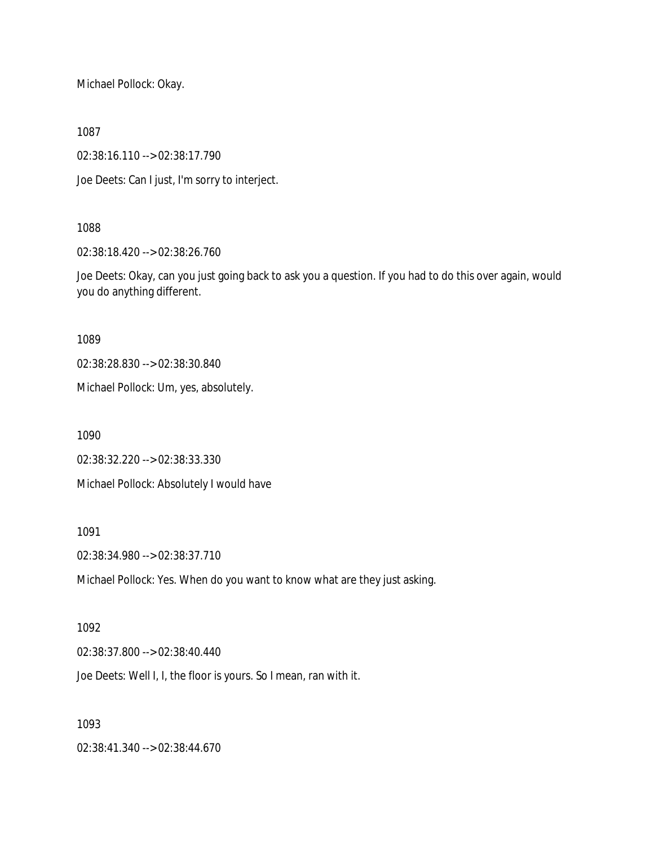Michael Pollock: Okay.

1087

02:38:16.110 --> 02:38:17.790

Joe Deets: Can I just, I'm sorry to interject.

## 1088

02:38:18.420 --> 02:38:26.760

Joe Deets: Okay, can you just going back to ask you a question. If you had to do this over again, would you do anything different.

1089

02:38:28.830 --> 02:38:30.840

Michael Pollock: Um, yes, absolutely.

1090

02:38:32.220 --> 02:38:33.330

Michael Pollock: Absolutely I would have

1091

02:38:34.980 --> 02:38:37.710

Michael Pollock: Yes. When do you want to know what are they just asking.

## 1092

02:38:37.800 --> 02:38:40.440

Joe Deets: Well I, I, the floor is yours. So I mean, ran with it.

# 1093

02:38:41.340 --> 02:38:44.670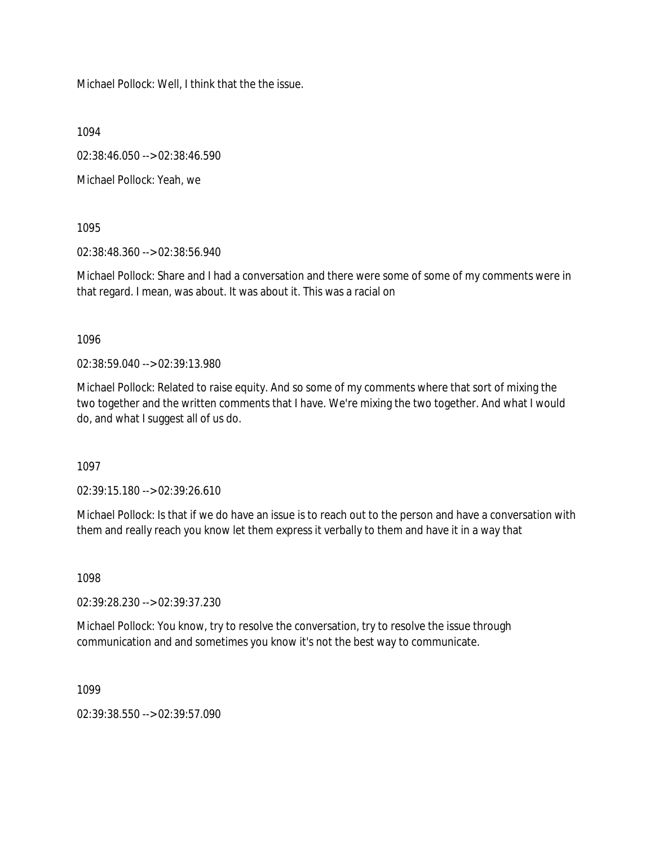Michael Pollock: Well, I think that the the issue.

1094

02:38:46.050 --> 02:38:46.590

Michael Pollock: Yeah, we

1095

02:38:48.360 --> 02:38:56.940

Michael Pollock: Share and I had a conversation and there were some of some of my comments were in that regard. I mean, was about. It was about it. This was a racial on

1096

02:38:59.040 --> 02:39:13.980

Michael Pollock: Related to raise equity. And so some of my comments where that sort of mixing the two together and the written comments that I have. We're mixing the two together. And what I would do, and what I suggest all of us do.

1097

02:39:15.180 --> 02:39:26.610

Michael Pollock: Is that if we do have an issue is to reach out to the person and have a conversation with them and really reach you know let them express it verbally to them and have it in a way that

1098

02:39:28.230 --> 02:39:37.230

Michael Pollock: You know, try to resolve the conversation, try to resolve the issue through communication and and sometimes you know it's not the best way to communicate.

1099

02:39:38.550 --> 02:39:57.090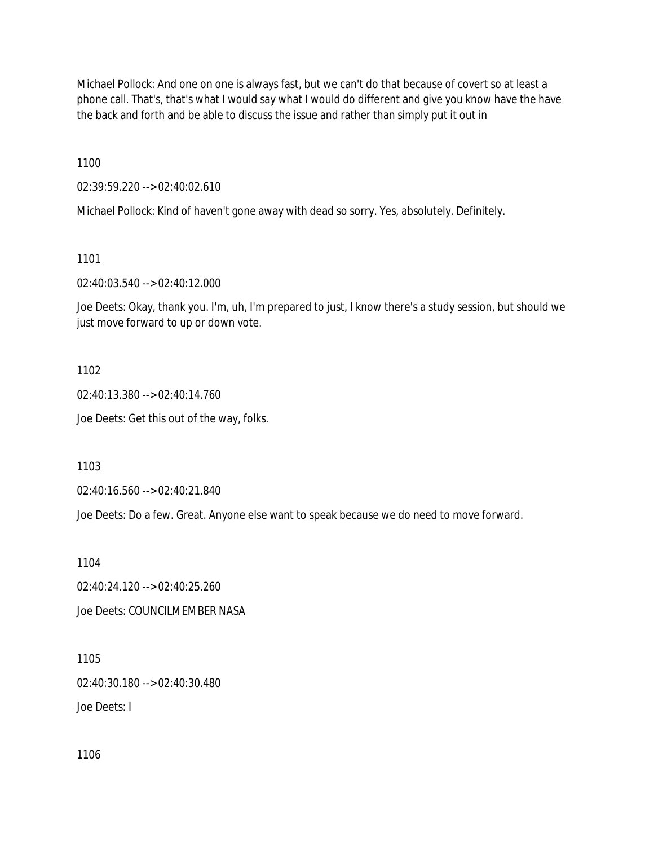Michael Pollock: And one on one is always fast, but we can't do that because of covert so at least a phone call. That's, that's what I would say what I would do different and give you know have the have the back and forth and be able to discuss the issue and rather than simply put it out in

1100

02:39:59.220 --> 02:40:02.610

Michael Pollock: Kind of haven't gone away with dead so sorry. Yes, absolutely. Definitely.

1101

02:40:03.540 --> 02:40:12.000

Joe Deets: Okay, thank you. I'm, uh, I'm prepared to just, I know there's a study session, but should we just move forward to up or down vote.

1102

02:40:13.380 --> 02:40:14.760

Joe Deets: Get this out of the way, folks.

1103

02:40:16.560 --> 02:40:21.840

Joe Deets: Do a few. Great. Anyone else want to speak because we do need to move forward.

1104

02:40:24.120 --> 02:40:25.260 Joe Deets: COUNCILMEMBER NASA

1105 02:40:30.180 --> 02:40:30.480 Joe Deets: I

1106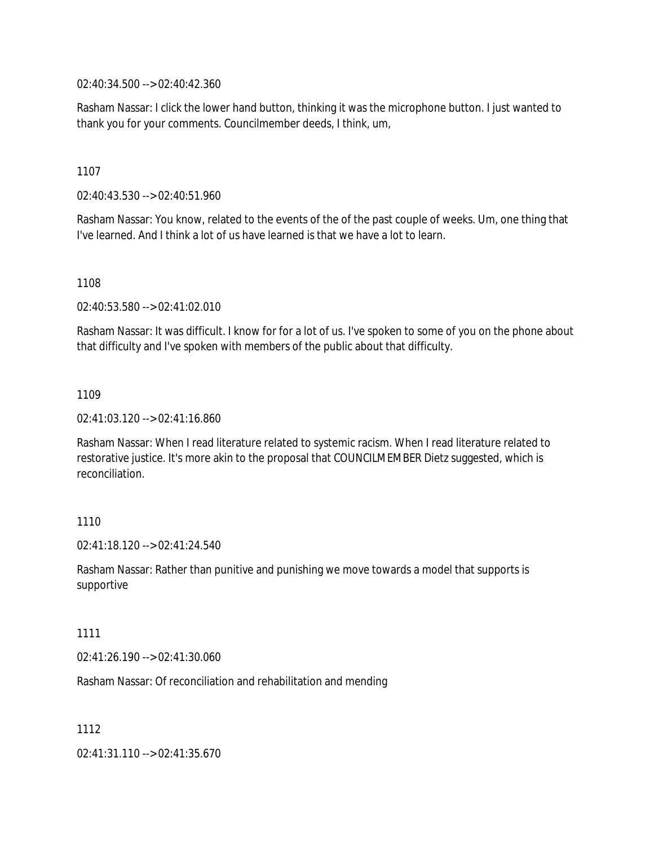02:40:34.500 --> 02:40:42.360

Rasham Nassar: I click the lower hand button, thinking it was the microphone button. I just wanted to thank you for your comments. Councilmember deeds, I think, um,

1107

02:40:43.530 --> 02:40:51.960

Rasham Nassar: You know, related to the events of the of the past couple of weeks. Um, one thing that I've learned. And I think a lot of us have learned is that we have a lot to learn.

1108

02:40:53.580 --> 02:41:02.010

Rasham Nassar: It was difficult. I know for for a lot of us. I've spoken to some of you on the phone about that difficulty and I've spoken with members of the public about that difficulty.

1109

02:41:03.120 --> 02:41:16.860

Rasham Nassar: When I read literature related to systemic racism. When I read literature related to restorative justice. It's more akin to the proposal that COUNCILMEMBER Dietz suggested, which is reconciliation.

1110

 $02.41.18.120 - 02.41.24.540$ 

Rasham Nassar: Rather than punitive and punishing we move towards a model that supports is supportive

1111

02:41:26.190 --> 02:41:30.060

Rasham Nassar: Of reconciliation and rehabilitation and mending

1112

02:41:31.110 --> 02:41:35.670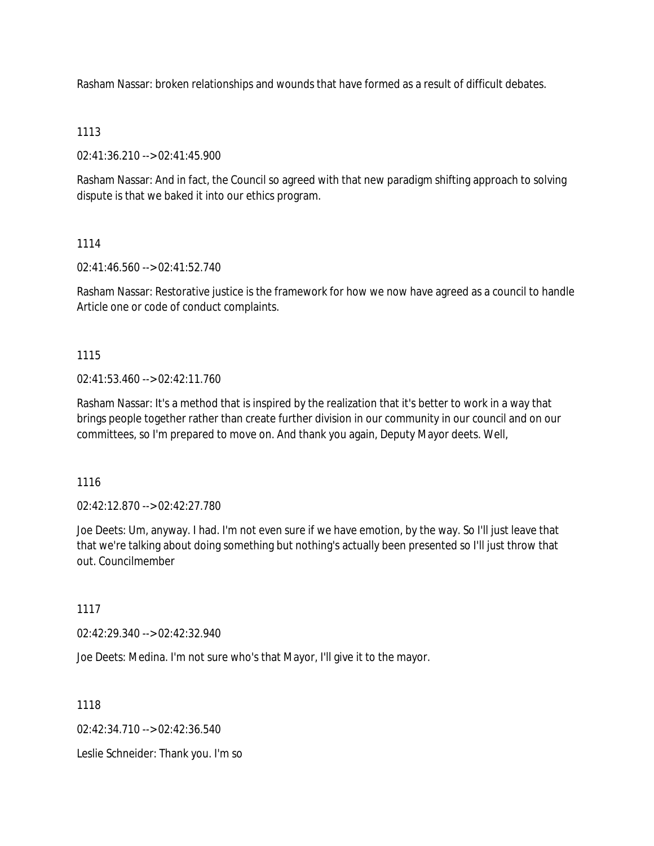Rasham Nassar: broken relationships and wounds that have formed as a result of difficult debates.

# 1113

02:41:36.210 --> 02:41:45.900

Rasham Nassar: And in fact, the Council so agreed with that new paradigm shifting approach to solving dispute is that we baked it into our ethics program.

# 1114

02:41:46.560 --> 02:41:52.740

Rasham Nassar: Restorative justice is the framework for how we now have agreed as a council to handle Article one or code of conduct complaints.

# 1115

 $02.41.53.460 -> 02.42.11.760$ 

Rasham Nassar: It's a method that is inspired by the realization that it's better to work in a way that brings people together rather than create further division in our community in our council and on our committees, so I'm prepared to move on. And thank you again, Deputy Mayor deets. Well,

1116

02:42:12.870 --> 02:42:27.780

Joe Deets: Um, anyway. I had. I'm not even sure if we have emotion, by the way. So I'll just leave that that we're talking about doing something but nothing's actually been presented so I'll just throw that out. Councilmember

1117

02:42:29.340 --> 02:42:32.940

Joe Deets: Medina. I'm not sure who's that Mayor, I'll give it to the mayor.

1118

02:42:34.710 --> 02:42:36.540

Leslie Schneider: Thank you. I'm so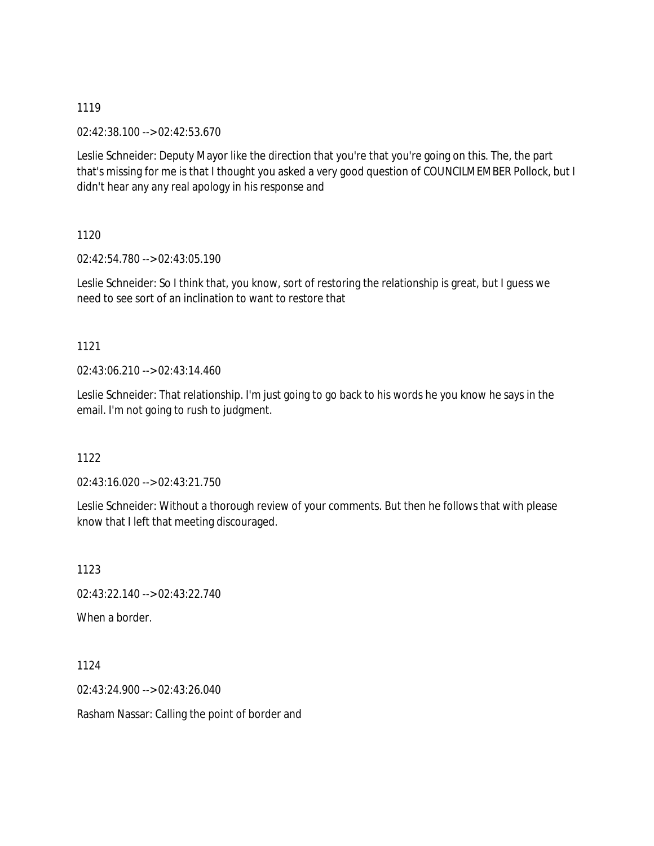02:42:38.100 --> 02:42:53.670

Leslie Schneider: Deputy Mayor like the direction that you're that you're going on this. The, the part that's missing for me is that I thought you asked a very good question of COUNCILMEMBER Pollock, but I didn't hear any any real apology in his response and

1120

02:42:54.780 --> 02:43:05.190

Leslie Schneider: So I think that, you know, sort of restoring the relationship is great, but I guess we need to see sort of an inclination to want to restore that

# 1121

02:43:06.210 --> 02:43:14.460

Leslie Schneider: That relationship. I'm just going to go back to his words he you know he says in the email. I'm not going to rush to judgment.

# 1122

02:43:16.020 --> 02:43:21.750

Leslie Schneider: Without a thorough review of your comments. But then he follows that with please know that I left that meeting discouraged.

1123 02:43:22.140 --> 02:43:22.740 When a border.

1124 02:43:24.900 --> 02:43:26.040 Rasham Nassar: Calling the point of border and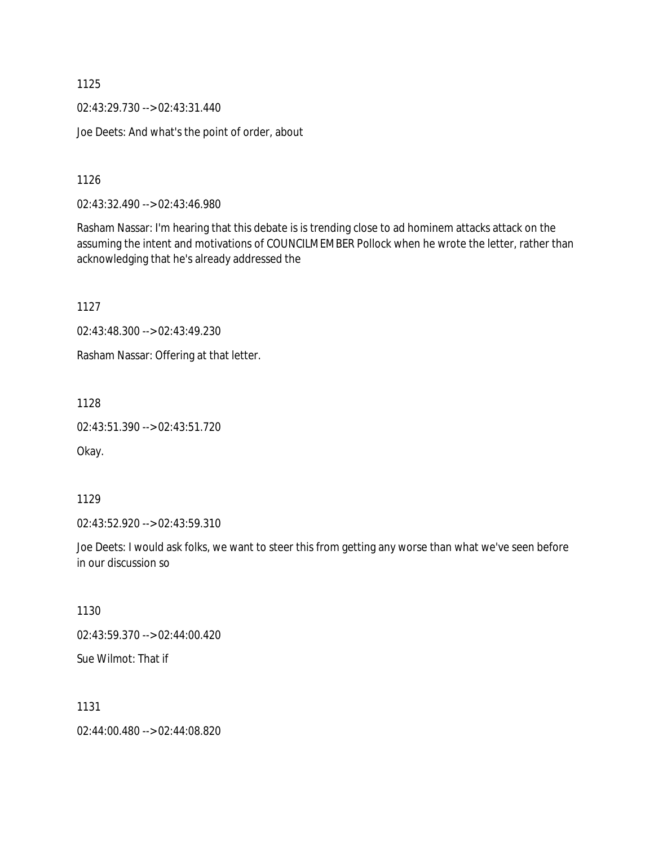02:43:29.730 --> 02:43:31.440

Joe Deets: And what's the point of order, about

1126

02:43:32.490 --> 02:43:46.980

Rasham Nassar: I'm hearing that this debate is is trending close to ad hominem attacks attack on the assuming the intent and motivations of COUNCILMEMBER Pollock when he wrote the letter, rather than acknowledging that he's already addressed the

1127

02:43:48.300 --> 02:43:49.230

Rasham Nassar: Offering at that letter.

1128

02:43:51.390 --> 02:43:51.720

Okay.

1129

02:43:52.920 --> 02:43:59.310

Joe Deets: I would ask folks, we want to steer this from getting any worse than what we've seen before in our discussion so

1130

02:43:59.370 --> 02:44:00.420

Sue Wilmot: That if

1131

02:44:00.480 --> 02:44:08.820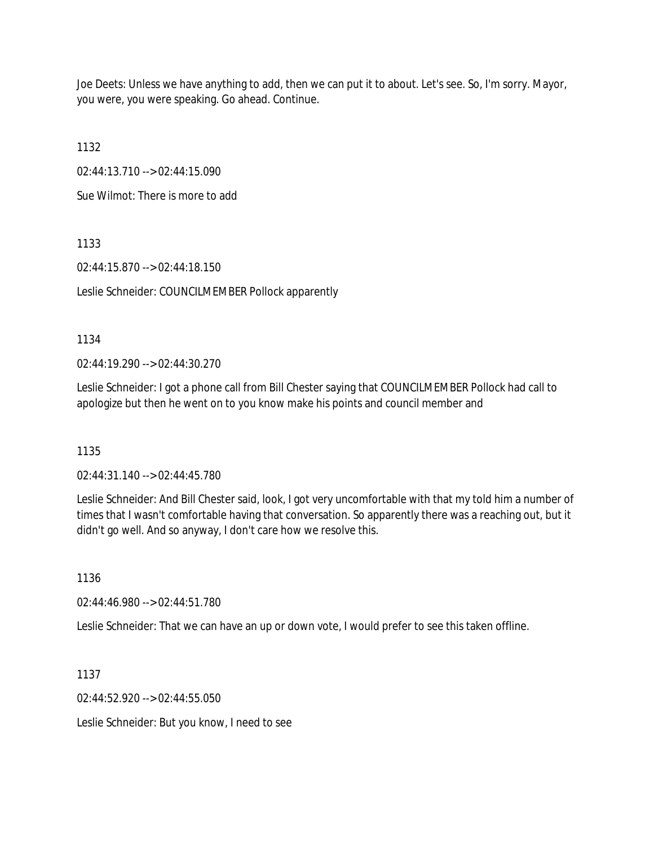Joe Deets: Unless we have anything to add, then we can put it to about. Let's see. So, I'm sorry. Mayor, you were, you were speaking. Go ahead. Continue.

1132

02:44:13.710 --> 02:44:15.090

Sue Wilmot: There is more to add

1133

02:44:15.870 --> 02:44:18.150

Leslie Schneider: COUNCILMEMBER Pollock apparently

1134

02:44:19.290 --> 02:44:30.270

Leslie Schneider: I got a phone call from Bill Chester saying that COUNCILMEMBER Pollock had call to apologize but then he went on to you know make his points and council member and

1135

02:44:31.140 --> 02:44:45.780

Leslie Schneider: And Bill Chester said, look, I got very uncomfortable with that my told him a number of times that I wasn't comfortable having that conversation. So apparently there was a reaching out, but it didn't go well. And so anyway, I don't care how we resolve this.

1136

02:44:46.980 --> 02:44:51.780

Leslie Schneider: That we can have an up or down vote, I would prefer to see this taken offline.

1137

02:44:52.920 --> 02:44:55.050

Leslie Schneider: But you know, I need to see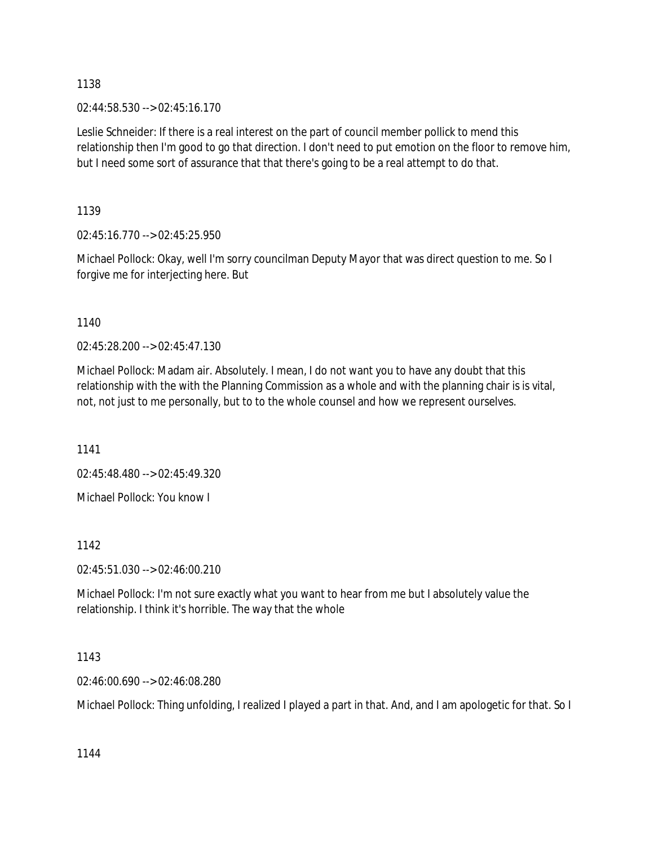02:44:58.530 --> 02:45:16.170

Leslie Schneider: If there is a real interest on the part of council member pollick to mend this relationship then I'm good to go that direction. I don't need to put emotion on the floor to remove him, but I need some sort of assurance that that there's going to be a real attempt to do that.

1139

02:45:16.770 --> 02:45:25.950

Michael Pollock: Okay, well I'm sorry councilman Deputy Mayor that was direct question to me. So I forgive me for interjecting here. But

1140

02:45:28.200 --> 02:45:47.130

Michael Pollock: Madam air. Absolutely. I mean, I do not want you to have any doubt that this relationship with the with the Planning Commission as a whole and with the planning chair is is vital, not, not just to me personally, but to to the whole counsel and how we represent ourselves.

1141

02:45:48.480 --> 02:45:49.320

Michael Pollock: You know I

1142

02:45:51.030 --> 02:46:00.210

Michael Pollock: I'm not sure exactly what you want to hear from me but I absolutely value the relationship. I think it's horrible. The way that the whole

1143

02:46:00.690 --> 02:46:08.280

Michael Pollock: Thing unfolding, I realized I played a part in that. And, and I am apologetic for that. So I

1144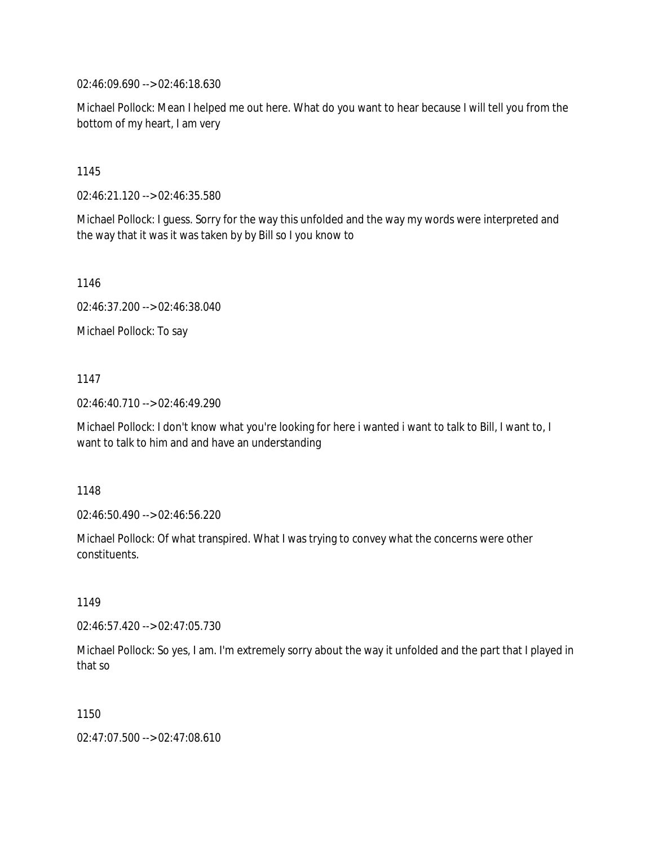02:46:09.690 --> 02:46:18.630

Michael Pollock: Mean I helped me out here. What do you want to hear because I will tell you from the bottom of my heart, I am very

1145

02:46:21.120 --> 02:46:35.580

Michael Pollock: I guess. Sorry for the way this unfolded and the way my words were interpreted and the way that it was it was taken by by Bill so I you know to

1146

02:46:37.200 --> 02:46:38.040

Michael Pollock: To say

1147

02:46:40.710 --> 02:46:49.290

Michael Pollock: I don't know what you're looking for here i wanted i want to talk to Bill, I want to, I want to talk to him and and have an understanding

1148

02:46:50.490 --> 02:46:56.220

Michael Pollock: Of what transpired. What I was trying to convey what the concerns were other constituents.

1149

02:46:57.420 --> 02:47:05.730

Michael Pollock: So yes, I am. I'm extremely sorry about the way it unfolded and the part that I played in that so

1150

02:47:07.500 --> 02:47:08.610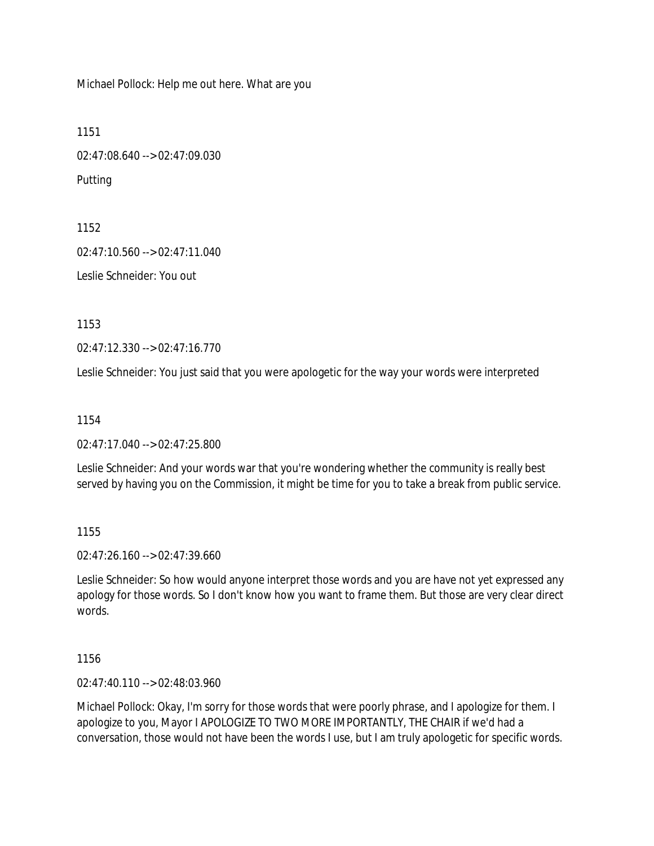Michael Pollock: Help me out here. What are you

1151 02:47:08.640 --> 02:47:09.030 Putting

1152 02:47:10.560 --> 02:47:11.040 Leslie Schneider: You out

1153

02:47:12.330 --> 02:47:16.770

Leslie Schneider: You just said that you were apologetic for the way your words were interpreted

1154

02:47:17.040 --> 02:47:25.800

Leslie Schneider: And your words war that you're wondering whether the community is really best served by having you on the Commission, it might be time for you to take a break from public service.

1155

02:47:26.160 --> 02:47:39.660

Leslie Schneider: So how would anyone interpret those words and you are have not yet expressed any apology for those words. So I don't know how you want to frame them. But those are very clear direct words.

1156

02:47:40.110 --> 02:48:03.960

Michael Pollock: Okay, I'm sorry for those words that were poorly phrase, and I apologize for them. I apologize to you, Mayor I APOLOGIZE TO TWO MORE IMPORTANTLY, THE CHAIR if we'd had a conversation, those would not have been the words I use, but I am truly apologetic for specific words.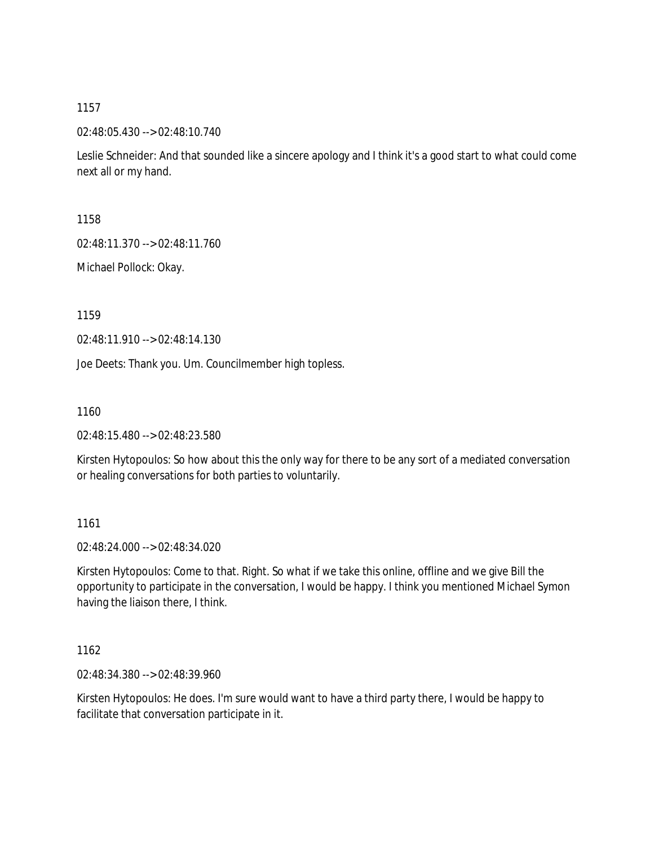02:48:05.430 --> 02:48:10.740

Leslie Schneider: And that sounded like a sincere apology and I think it's a good start to what could come next all or my hand.

1158

02:48:11.370 --> 02:48:11.760

Michael Pollock: Okay.

1159

02:48:11.910 --> 02:48:14.130

Joe Deets: Thank you. Um. Councilmember high topless.

1160

02:48:15.480 --> 02:48:23.580

Kirsten Hytopoulos: So how about this the only way for there to be any sort of a mediated conversation or healing conversations for both parties to voluntarily.

1161

02:48:24.000 --> 02:48:34.020

Kirsten Hytopoulos: Come to that. Right. So what if we take this online, offline and we give Bill the opportunity to participate in the conversation, I would be happy. I think you mentioned Michael Symon having the liaison there, I think.

1162

02:48:34.380 --> 02:48:39.960

Kirsten Hytopoulos: He does. I'm sure would want to have a third party there, I would be happy to facilitate that conversation participate in it.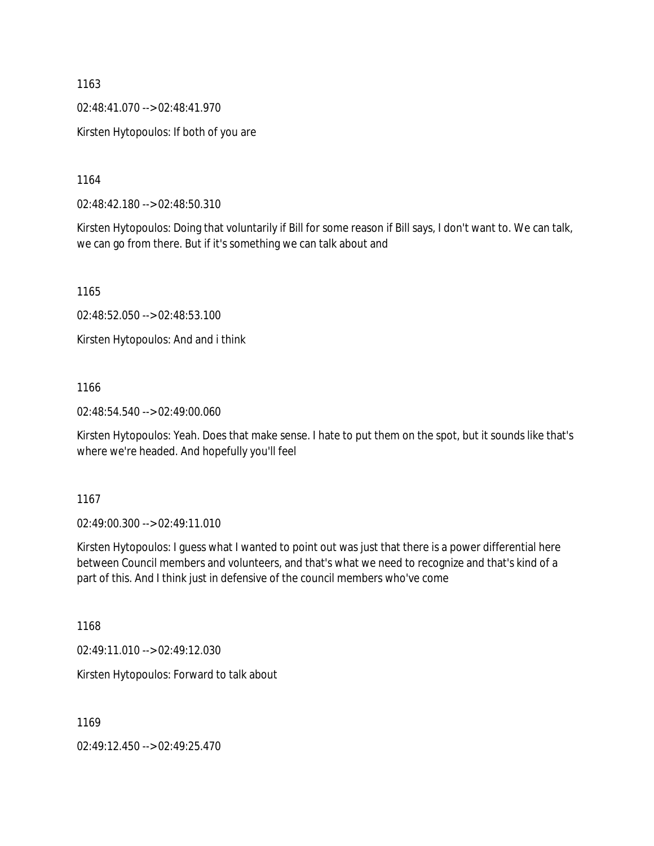02:48:41.070 --> 02:48:41.970

Kirsten Hytopoulos: If both of you are

1164

02:48:42.180 --> 02:48:50.310

Kirsten Hytopoulos: Doing that voluntarily if Bill for some reason if Bill says, I don't want to. We can talk, we can go from there. But if it's something we can talk about and

1165

02:48:52.050 --> 02:48:53.100

Kirsten Hytopoulos: And and i think

1166

02:48:54.540 --> 02:49:00.060

Kirsten Hytopoulos: Yeah. Does that make sense. I hate to put them on the spot, but it sounds like that's where we're headed. And hopefully you'll feel

1167

02:49:00.300 --> 02:49:11.010

Kirsten Hytopoulos: I guess what I wanted to point out was just that there is a power differential here between Council members and volunteers, and that's what we need to recognize and that's kind of a part of this. And I think just in defensive of the council members who've come

1168

02:49:11.010 --> 02:49:12.030

Kirsten Hytopoulos: Forward to talk about

1169

02:49:12.450 --> 02:49:25.470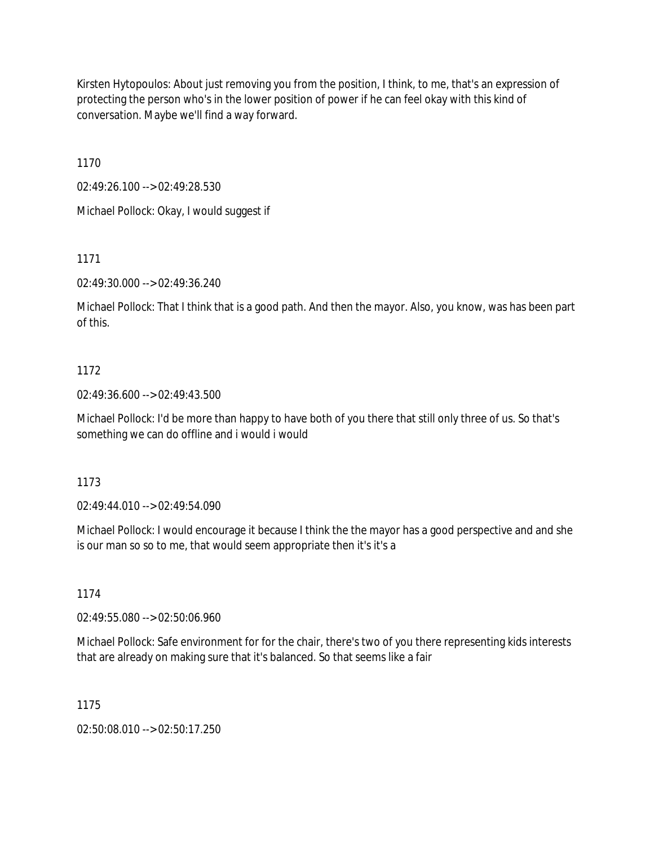Kirsten Hytopoulos: About just removing you from the position, I think, to me, that's an expression of protecting the person who's in the lower position of power if he can feel okay with this kind of conversation. Maybe we'll find a way forward.

1170

02:49:26.100 --> 02:49:28.530 Michael Pollock: Okay, I would suggest if

1171

02:49:30.000 --> 02:49:36.240

Michael Pollock: That I think that is a good path. And then the mayor. Also, you know, was has been part of this.

## 1172

02:49:36.600 --> 02:49:43.500

Michael Pollock: I'd be more than happy to have both of you there that still only three of us. So that's something we can do offline and i would i would

1173

02:49:44.010 --> 02:49:54.090

Michael Pollock: I would encourage it because I think the the mayor has a good perspective and and she is our man so so to me, that would seem appropriate then it's it's a

## 1174

02:49:55.080 --> 02:50:06.960

Michael Pollock: Safe environment for for the chair, there's two of you there representing kids interests that are already on making sure that it's balanced. So that seems like a fair

1175

02:50:08.010 --> 02:50:17.250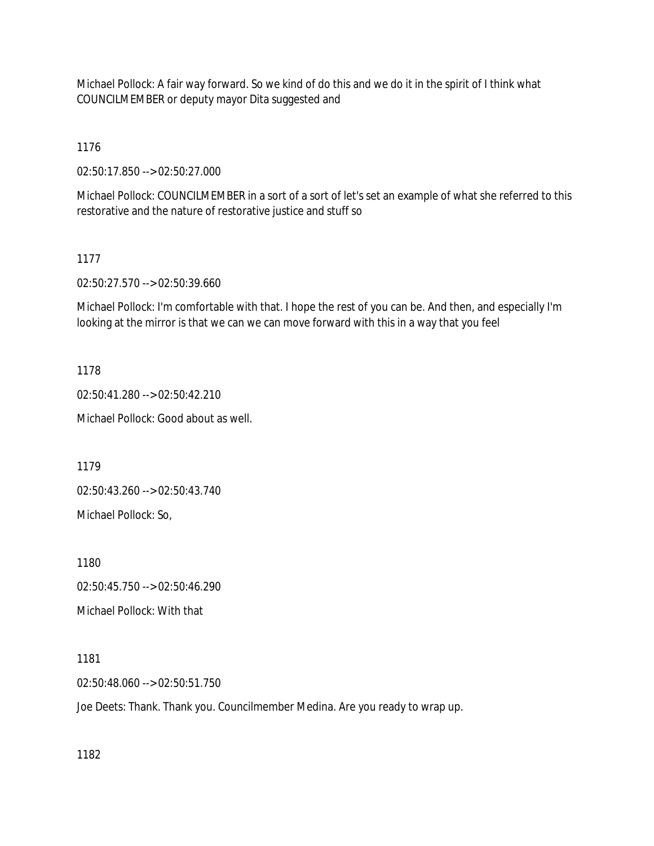Michael Pollock: A fair way forward. So we kind of do this and we do it in the spirit of I think what COUNCILMEMBER or deputy mayor Dita suggested and

1176

02:50:17.850 --> 02:50:27.000

Michael Pollock: COUNCILMEMBER in a sort of a sort of let's set an example of what she referred to this restorative and the nature of restorative justice and stuff so

## 1177

02:50:27.570 --> 02:50:39.660

Michael Pollock: I'm comfortable with that. I hope the rest of you can be. And then, and especially I'm looking at the mirror is that we can we can move forward with this in a way that you feel

1178

02:50:41.280 --> 02:50:42.210

Michael Pollock: Good about as well.

1179

02:50:43.260 --> 02:50:43.740

Michael Pollock: So,

1180

02:50:45.750 --> 02:50:46.290 Michael Pollock: With that

1181

02:50:48.060 --> 02:50:51.750

Joe Deets: Thank. Thank you. Councilmember Medina. Are you ready to wrap up.

1182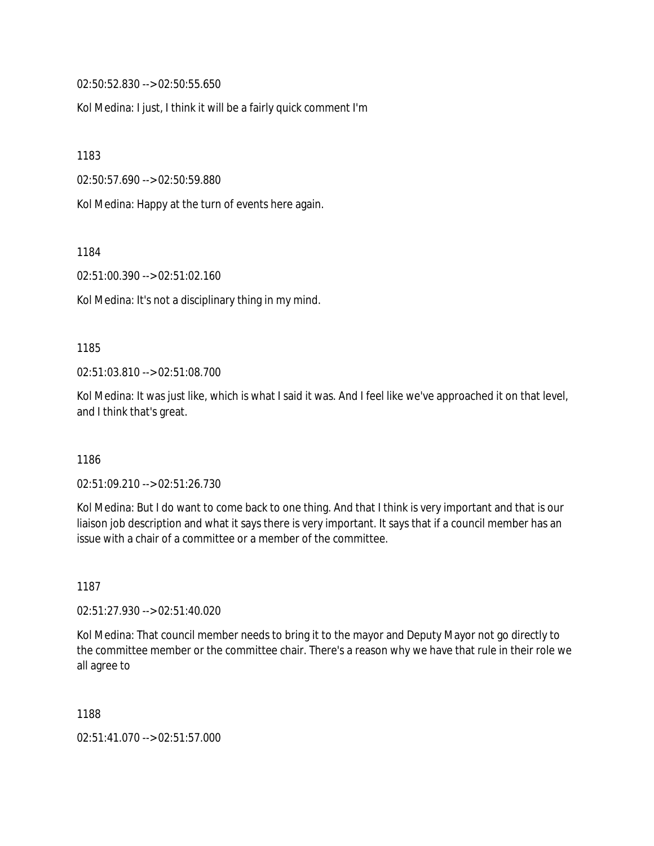02:50:52.830 --> 02:50:55.650

Kol Medina: I just, I think it will be a fairly quick comment I'm

1183

02:50:57.690 --> 02:50:59.880

Kol Medina: Happy at the turn of events here again.

1184

02:51:00.390 --> 02:51:02.160

Kol Medina: It's not a disciplinary thing in my mind.

1185

02:51:03.810 --> 02:51:08.700

Kol Medina: It was just like, which is what I said it was. And I feel like we've approached it on that level, and I think that's great.

1186

02:51:09.210 --> 02:51:26.730

Kol Medina: But I do want to come back to one thing. And that I think is very important and that is our liaison job description and what it says there is very important. It says that if a council member has an issue with a chair of a committee or a member of the committee.

1187

02:51:27.930 --> 02:51:40.020

Kol Medina: That council member needs to bring it to the mayor and Deputy Mayor not go directly to the committee member or the committee chair. There's a reason why we have that rule in their role we all agree to

1188

02:51:41.070 --> 02:51:57.000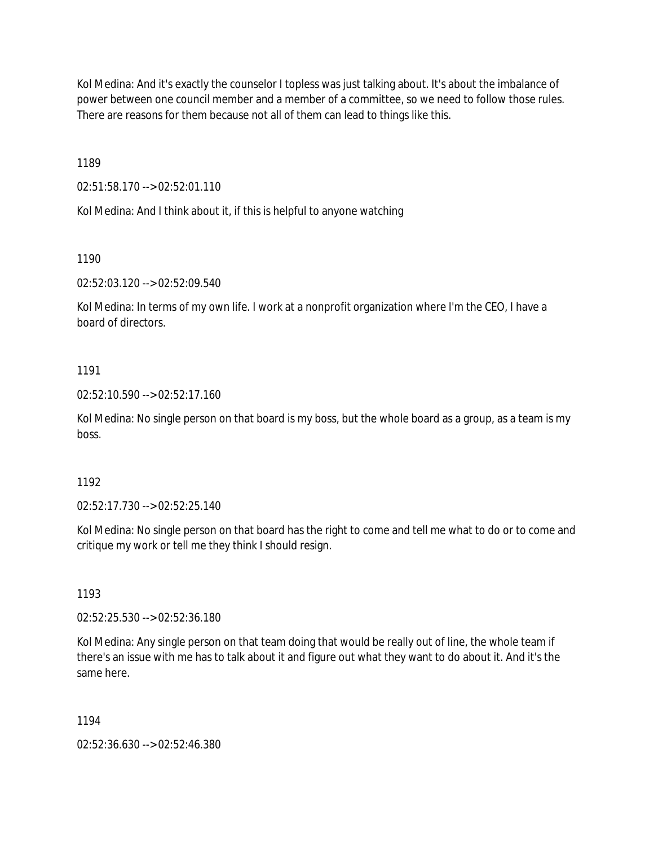Kol Medina: And it's exactly the counselor I topless was just talking about. It's about the imbalance of power between one council member and a member of a committee, so we need to follow those rules. There are reasons for them because not all of them can lead to things like this.

1189

02:51:58.170 --> 02:52:01.110

Kol Medina: And I think about it, if this is helpful to anyone watching

1190

02:52:03.120 --> 02:52:09.540

Kol Medina: In terms of my own life. I work at a nonprofit organization where I'm the CEO, I have a board of directors.

## 1191

02:52:10.590 --> 02:52:17.160

Kol Medina: No single person on that board is my boss, but the whole board as a group, as a team is my boss.

## 1192

02:52:17.730 --> 02:52:25.140

Kol Medina: No single person on that board has the right to come and tell me what to do or to come and critique my work or tell me they think I should resign.

## 1193

02:52:25.530 --> 02:52:36.180

Kol Medina: Any single person on that team doing that would be really out of line, the whole team if there's an issue with me has to talk about it and figure out what they want to do about it. And it's the same here.

## 1194

02:52:36.630 --> 02:52:46.380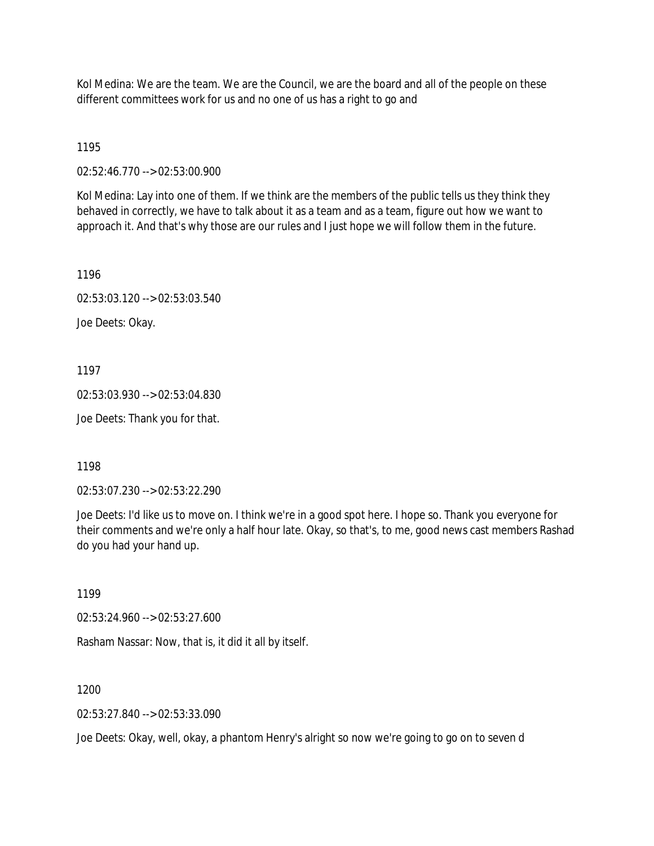Kol Medina: We are the team. We are the Council, we are the board and all of the people on these different committees work for us and no one of us has a right to go and

1195

02:52:46.770 --> 02:53:00.900

Kol Medina: Lay into one of them. If we think are the members of the public tells us they think they behaved in correctly, we have to talk about it as a team and as a team, figure out how we want to approach it. And that's why those are our rules and I just hope we will follow them in the future.

1196

02:53:03.120 --> 02:53:03.540

Joe Deets: Okay.

1197

02:53:03.930 --> 02:53:04.830

Joe Deets: Thank you for that.

1198

02:53:07.230 --> 02:53:22.290

Joe Deets: I'd like us to move on. I think we're in a good spot here. I hope so. Thank you everyone for their comments and we're only a half hour late. Okay, so that's, to me, good news cast members Rashad do you had your hand up.

1199

02:53:24.960 --> 02:53:27.600

Rasham Nassar: Now, that is, it did it all by itself.

1200

02:53:27.840 --> 02:53:33.090

Joe Deets: Okay, well, okay, a phantom Henry's alright so now we're going to go on to seven d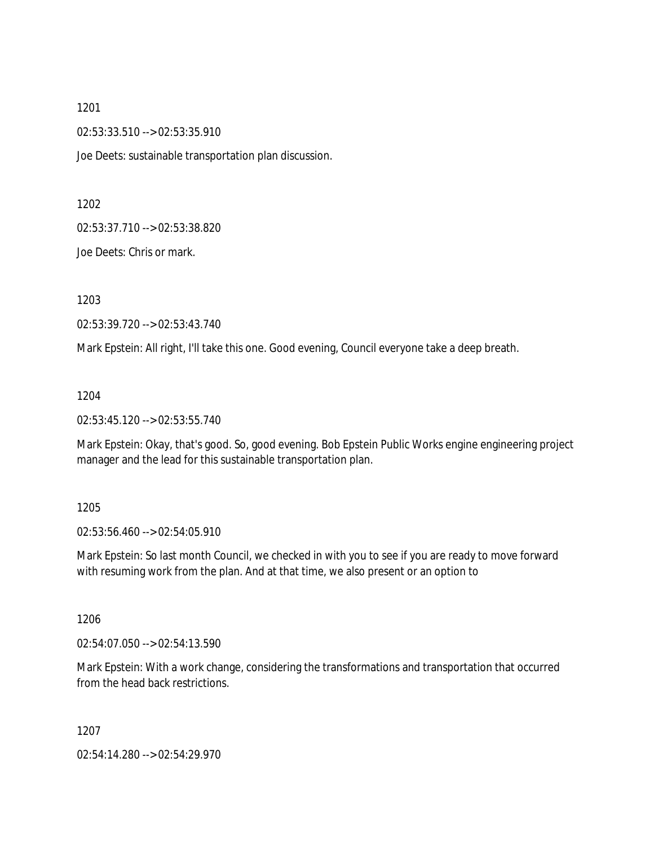02:53:33.510 --> 02:53:35.910

Joe Deets: sustainable transportation plan discussion.

1202

02:53:37.710 --> 02:53:38.820

Joe Deets: Chris or mark.

1203

02:53:39.720 --> 02:53:43.740

Mark Epstein: All right, I'll take this one. Good evening, Council everyone take a deep breath.

1204

02:53:45.120 --> 02:53:55.740

Mark Epstein: Okay, that's good. So, good evening. Bob Epstein Public Works engine engineering project manager and the lead for this sustainable transportation plan.

1205

02:53:56.460 --> 02:54:05.910

Mark Epstein: So last month Council, we checked in with you to see if you are ready to move forward with resuming work from the plan. And at that time, we also present or an option to

1206

02:54:07.050 --> 02:54:13.590

Mark Epstein: With a work change, considering the transformations and transportation that occurred from the head back restrictions.

1207

02:54:14.280 --> 02:54:29.970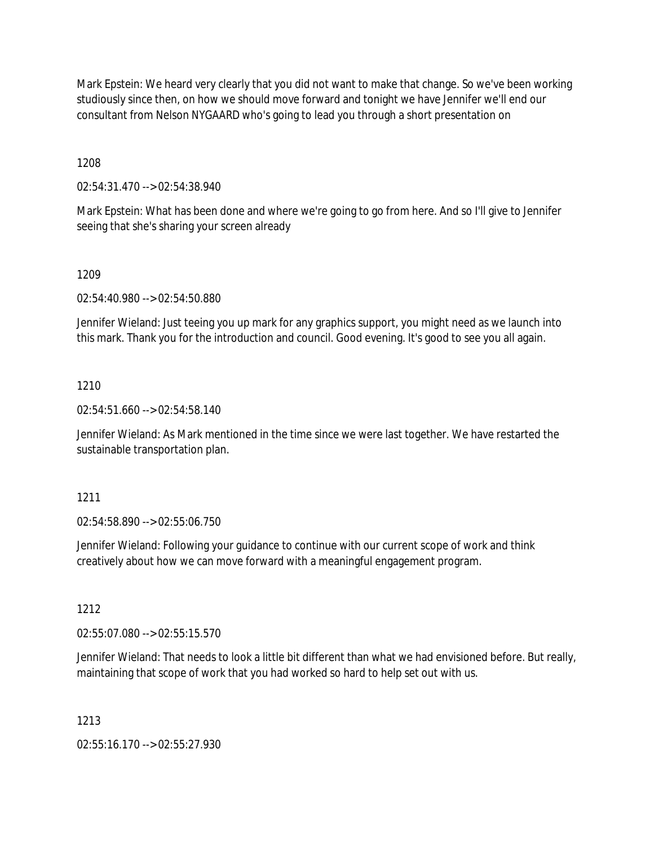Mark Epstein: We heard very clearly that you did not want to make that change. So we've been working studiously since then, on how we should move forward and tonight we have Jennifer we'll end our consultant from Nelson NYGAARD who's going to lead you through a short presentation on

1208

02:54:31.470 --> 02:54:38.940

Mark Epstein: What has been done and where we're going to go from here. And so I'll give to Jennifer seeing that she's sharing your screen already

## 1209

02:54:40.980 --> 02:54:50.880

Jennifer Wieland: Just teeing you up mark for any graphics support, you might need as we launch into this mark. Thank you for the introduction and council. Good evening. It's good to see you all again.

## 1210

02:54:51.660 --> 02:54:58.140

Jennifer Wieland: As Mark mentioned in the time since we were last together. We have restarted the sustainable transportation plan.

## 1211

02:54:58.890 --> 02:55:06.750

Jennifer Wieland: Following your guidance to continue with our current scope of work and think creatively about how we can move forward with a meaningful engagement program.

## 1212

02:55:07.080 --> 02:55:15.570

Jennifer Wieland: That needs to look a little bit different than what we had envisioned before. But really, maintaining that scope of work that you had worked so hard to help set out with us.

## 1213

02:55:16.170 --> 02:55:27.930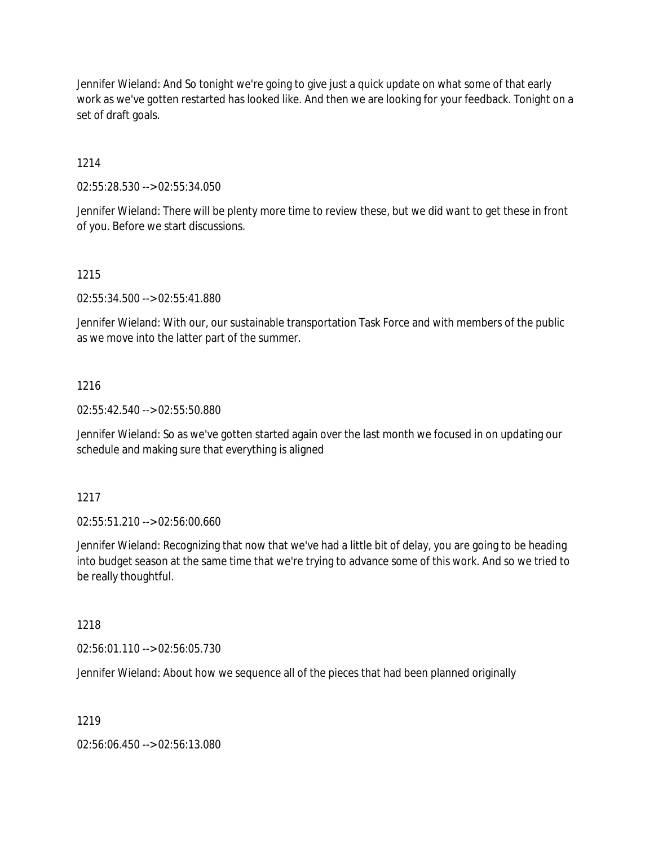Jennifer Wieland: And So tonight we're going to give just a quick update on what some of that early work as we've gotten restarted has looked like. And then we are looking for your feedback. Tonight on a set of draft goals.

## 1214

02:55:28.530 --> 02:55:34.050

Jennifer Wieland: There will be plenty more time to review these, but we did want to get these in front of you. Before we start discussions.

## 1215

02:55:34.500 --> 02:55:41.880

Jennifer Wieland: With our, our sustainable transportation Task Force and with members of the public as we move into the latter part of the summer.

## 1216

02:55:42.540 --> 02:55:50.880

Jennifer Wieland: So as we've gotten started again over the last month we focused in on updating our schedule and making sure that everything is aligned

## 1217

02:55:51.210 --> 02:56:00.660

Jennifer Wieland: Recognizing that now that we've had a little bit of delay, you are going to be heading into budget season at the same time that we're trying to advance some of this work. And so we tried to be really thoughtful.

## 1218

02:56:01.110 --> 02:56:05.730

Jennifer Wieland: About how we sequence all of the pieces that had been planned originally

## 1219

02:56:06.450 --> 02:56:13.080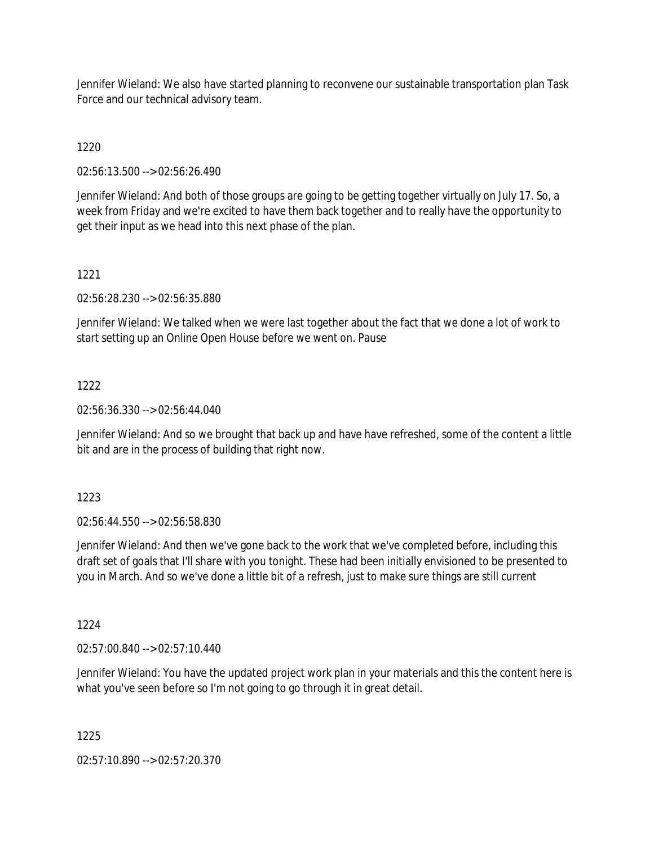Jennifer Wieland: We also have started planning to reconvene our sustainable transportation plan Task Force and our technical advisory team.

1220

02:56:13.500 --> 02:56:26.490

Jennifer Wieland: And both of those groups are going to be getting together virtually on July 17. So, a week from Friday and we're excited to have them back together and to really have the opportunity to get their input as we head into this next phase of the plan.

## 1221

02:56:28.230 --> 02:56:35.880

Jennifer Wieland: We talked when we were last together about the fact that we done a lot of work to start setting up an Online Open House before we went on. Pause

## 1222

02:56:36.330 --> 02:56:44.040

Jennifer Wieland: And so we brought that back up and have have refreshed, some of the content a little bit and are in the process of building that right now.

1223

02:56:44.550 --> 02:56:58.830

Jennifer Wieland: And then we've gone back to the work that we've completed before, including this draft set of goals that I'll share with you tonight. These had been initially envisioned to be presented to you in March. And so we've done a little bit of a refresh, just to make sure things are still current

1224

02:57:00.840 --> 02:57:10.440

Jennifer Wieland: You have the updated project work plan in your materials and this the content here is what you've seen before so I'm not going to go through it in great detail.

1225

02:57:10.890 --> 02:57:20.370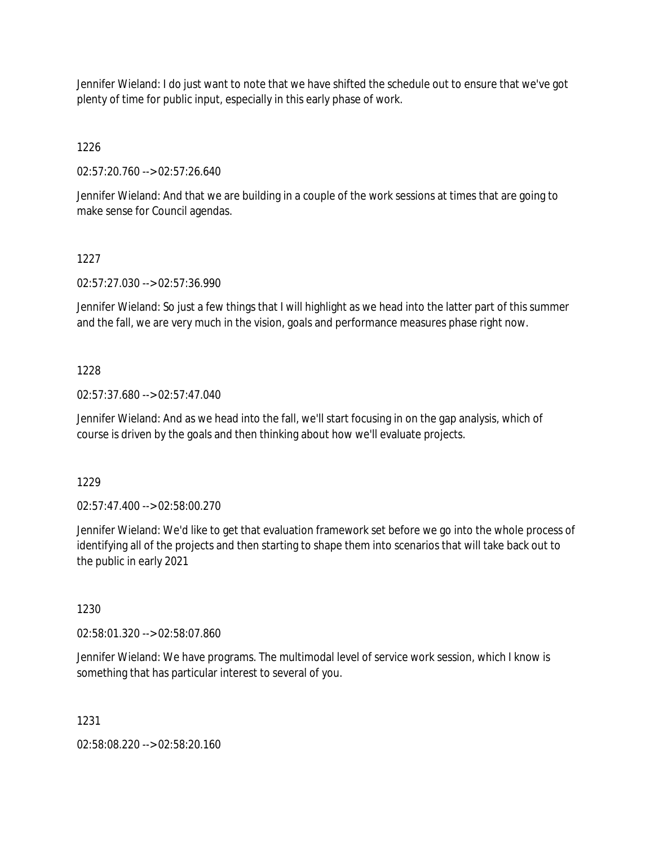Jennifer Wieland: I do just want to note that we have shifted the schedule out to ensure that we've got plenty of time for public input, especially in this early phase of work.

1226

02:57:20.760 --> 02:57:26.640

Jennifer Wieland: And that we are building in a couple of the work sessions at times that are going to make sense for Council agendas.

## 1227

02:57:27.030 --> 02:57:36.990

Jennifer Wieland: So just a few things that I will highlight as we head into the latter part of this summer and the fall, we are very much in the vision, goals and performance measures phase right now.

## 1228

02:57:37.680 --> 02:57:47.040

Jennifer Wieland: And as we head into the fall, we'll start focusing in on the gap analysis, which of course is driven by the goals and then thinking about how we'll evaluate projects.

1229

02:57:47.400 --> 02:58:00.270

Jennifer Wieland: We'd like to get that evaluation framework set before we go into the whole process of identifying all of the projects and then starting to shape them into scenarios that will take back out to the public in early 2021

1230

02:58:01.320 --> 02:58:07.860

Jennifer Wieland: We have programs. The multimodal level of service work session, which I know is something that has particular interest to several of you.

1231

02:58:08.220 --> 02:58:20.160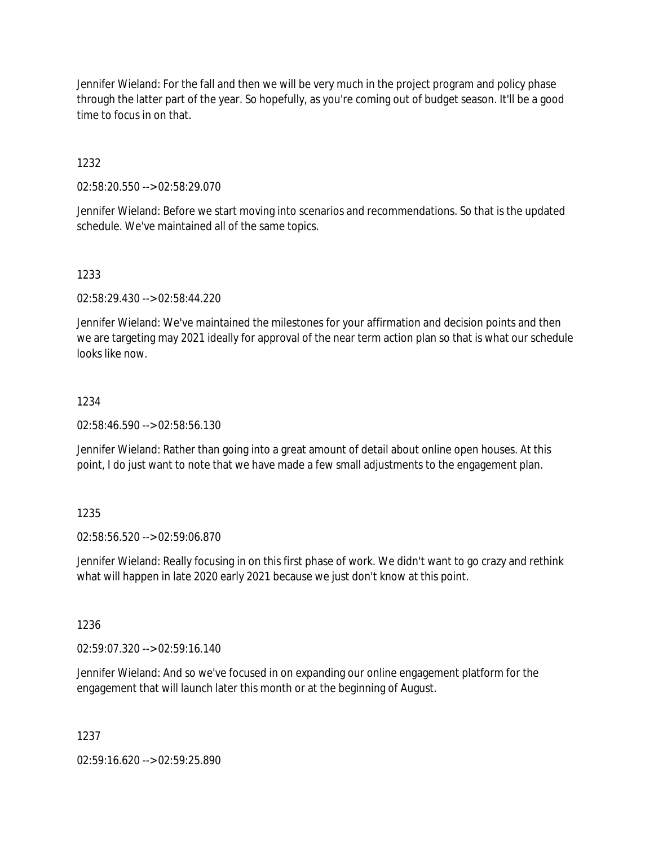Jennifer Wieland: For the fall and then we will be very much in the project program and policy phase through the latter part of the year. So hopefully, as you're coming out of budget season. It'll be a good time to focus in on that.

1232

02:58:20.550 --> 02:58:29.070

Jennifer Wieland: Before we start moving into scenarios and recommendations. So that is the updated schedule. We've maintained all of the same topics.

1233

02:58:29.430 --> 02:58:44.220

Jennifer Wieland: We've maintained the milestones for your affirmation and decision points and then we are targeting may 2021 ideally for approval of the near term action plan so that is what our schedule looks like now.

## 1234

02:58:46.590 --> 02:58:56.130

Jennifer Wieland: Rather than going into a great amount of detail about online open houses. At this point, I do just want to note that we have made a few small adjustments to the engagement plan.

## 1235

02:58:56.520 --> 02:59:06.870

Jennifer Wieland: Really focusing in on this first phase of work. We didn't want to go crazy and rethink what will happen in late 2020 early 2021 because we just don't know at this point.

1236

02:59:07.320 --> 02:59:16.140

Jennifer Wieland: And so we've focused in on expanding our online engagement platform for the engagement that will launch later this month or at the beginning of August.

1237

02:59:16.620 --> 02:59:25.890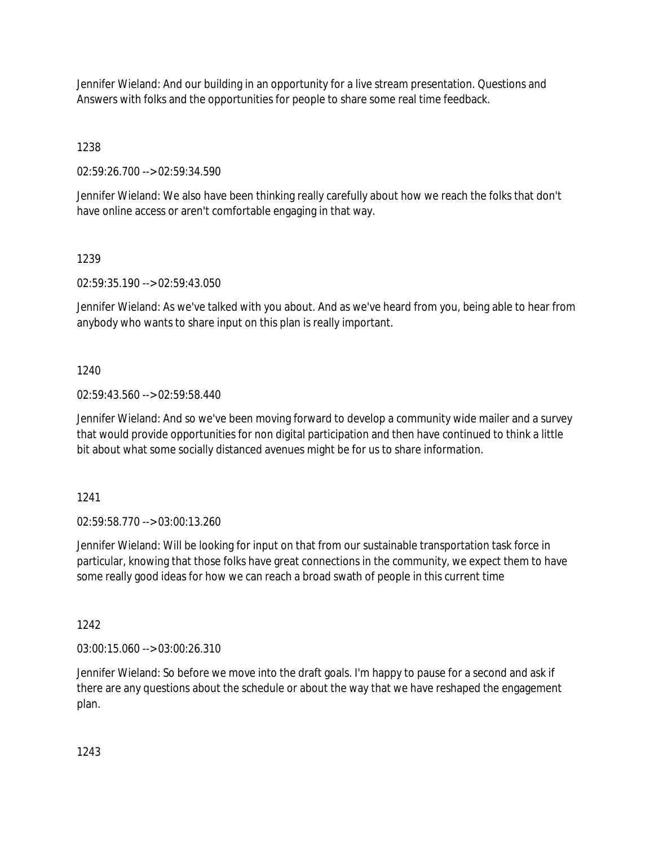Jennifer Wieland: And our building in an opportunity for a live stream presentation. Questions and Answers with folks and the opportunities for people to share some real time feedback.

1238

02:59:26.700 --> 02:59:34.590

Jennifer Wieland: We also have been thinking really carefully about how we reach the folks that don't have online access or aren't comfortable engaging in that way.

1239

02:59:35.190 --> 02:59:43.050

Jennifer Wieland: As we've talked with you about. And as we've heard from you, being able to hear from anybody who wants to share input on this plan is really important.

1240

02:59:43.560 --> 02:59:58.440

Jennifer Wieland: And so we've been moving forward to develop a community wide mailer and a survey that would provide opportunities for non digital participation and then have continued to think a little bit about what some socially distanced avenues might be for us to share information.

1241

02:59:58.770 --> 03:00:13.260

Jennifer Wieland: Will be looking for input on that from our sustainable transportation task force in particular, knowing that those folks have great connections in the community, we expect them to have some really good ideas for how we can reach a broad swath of people in this current time

1242

03:00:15.060 --> 03:00:26.310

Jennifer Wieland: So before we move into the draft goals. I'm happy to pause for a second and ask if there are any questions about the schedule or about the way that we have reshaped the engagement plan.

1243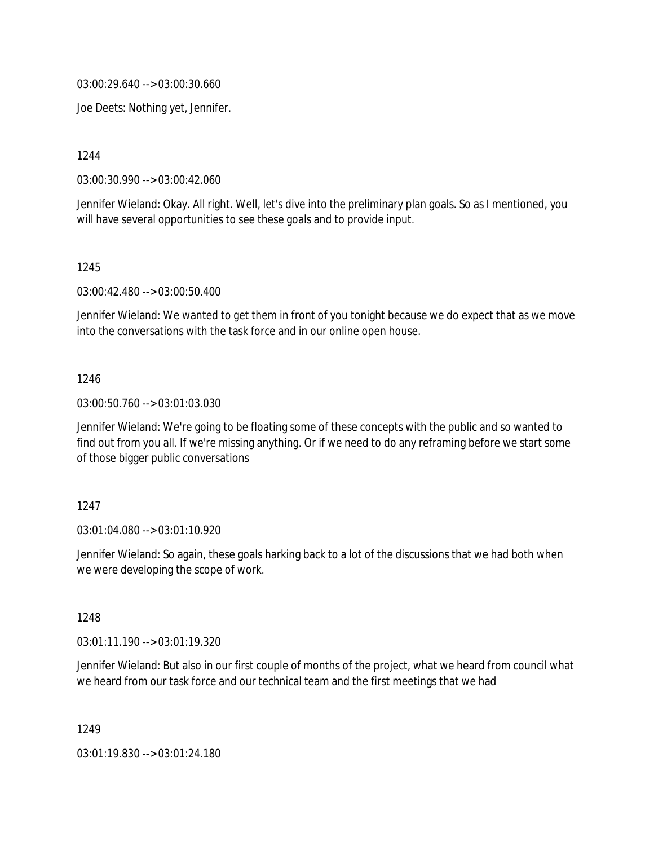03:00:29.640 --> 03:00:30.660

Joe Deets: Nothing yet, Jennifer.

1244

03:00:30.990 --> 03:00:42.060

Jennifer Wieland: Okay. All right. Well, let's dive into the preliminary plan goals. So as I mentioned, you will have several opportunities to see these goals and to provide input.

1245

03:00:42.480 --> 03:00:50.400

Jennifer Wieland: We wanted to get them in front of you tonight because we do expect that as we move into the conversations with the task force and in our online open house.

### 1246

03:00:50.760 --> 03:01:03.030

Jennifer Wieland: We're going to be floating some of these concepts with the public and so wanted to find out from you all. If we're missing anything. Or if we need to do any reframing before we start some of those bigger public conversations

#### 1247

03:01:04.080 --> 03:01:10.920

Jennifer Wieland: So again, these goals harking back to a lot of the discussions that we had both when we were developing the scope of work.

### 1248

03:01:11.190 --> 03:01:19.320

Jennifer Wieland: But also in our first couple of months of the project, what we heard from council what we heard from our task force and our technical team and the first meetings that we had

1249

03:01:19.830 --> 03:01:24.180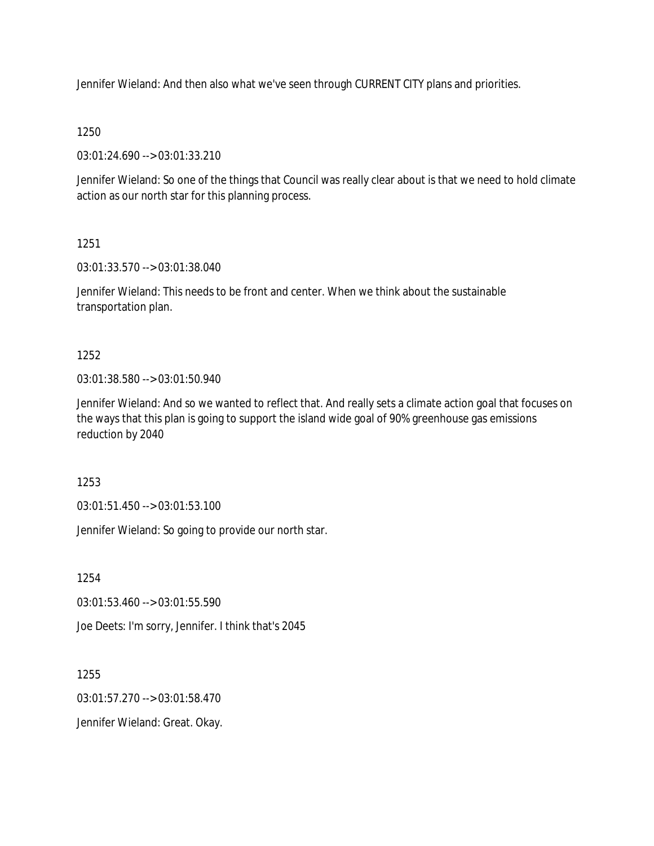Jennifer Wieland: And then also what we've seen through CURRENT CITY plans and priorities.

## 1250

03:01:24.690 --> 03:01:33.210

Jennifer Wieland: So one of the things that Council was really clear about is that we need to hold climate action as our north star for this planning process.

## 1251

03:01:33.570 --> 03:01:38.040

Jennifer Wieland: This needs to be front and center. When we think about the sustainable transportation plan.

## 1252

03:01:38.580 --> 03:01:50.940

Jennifer Wieland: And so we wanted to reflect that. And really sets a climate action goal that focuses on the ways that this plan is going to support the island wide goal of 90% greenhouse gas emissions reduction by 2040

1253

03:01:51.450 --> 03:01:53.100

Jennifer Wieland: So going to provide our north star.

1254

03:01:53.460 --> 03:01:55.590

Joe Deets: I'm sorry, Jennifer. I think that's 2045

1255

03:01:57.270 --> 03:01:58.470

Jennifer Wieland: Great. Okay.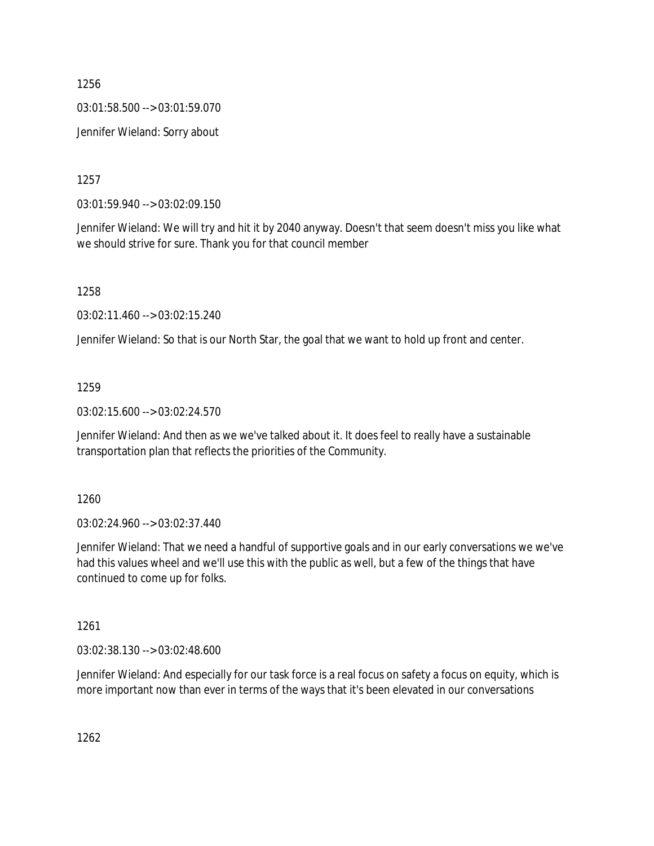03:01:58.500 --> 03:01:59.070

Jennifer Wieland: Sorry about

1257

03:01:59.940 --> 03:02:09.150

Jennifer Wieland: We will try and hit it by 2040 anyway. Doesn't that seem doesn't miss you like what we should strive for sure. Thank you for that council member

1258

03:02:11.460 --> 03:02:15.240

Jennifer Wieland: So that is our North Star, the goal that we want to hold up front and center.

## 1259

03:02:15.600 --> 03:02:24.570

Jennifer Wieland: And then as we we've talked about it. It does feel to really have a sustainable transportation plan that reflects the priorities of the Community.

1260

03:02:24.960 --> 03:02:37.440

Jennifer Wieland: That we need a handful of supportive goals and in our early conversations we we've had this values wheel and we'll use this with the public as well, but a few of the things that have continued to come up for folks.

1261

03:02:38.130 --> 03:02:48.600

Jennifer Wieland: And especially for our task force is a real focus on safety a focus on equity, which is more important now than ever in terms of the ways that it's been elevated in our conversations

1262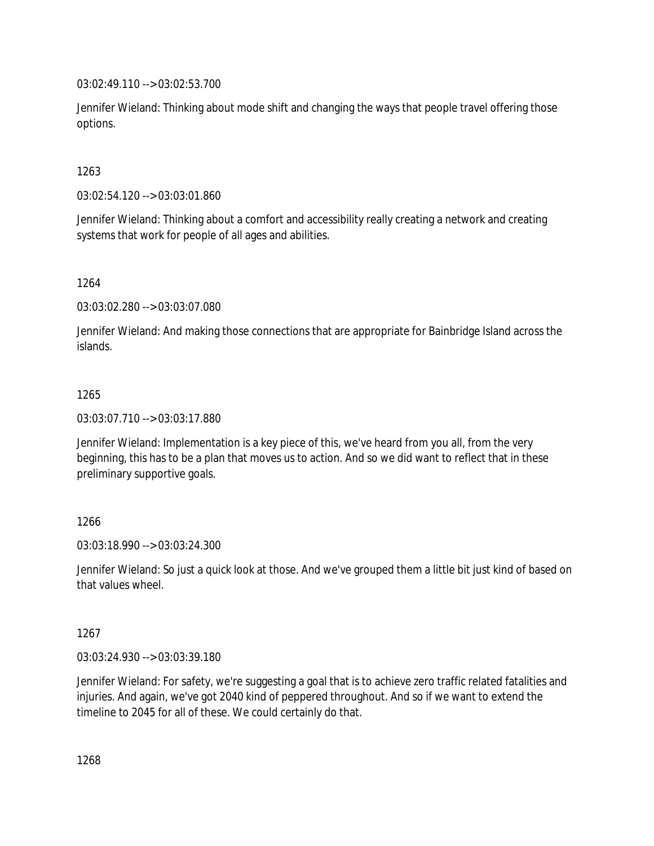03:02:49.110 --> 03:02:53.700

Jennifer Wieland: Thinking about mode shift and changing the ways that people travel offering those options.

## 1263

03:02:54.120 --> 03:03:01.860

Jennifer Wieland: Thinking about a comfort and accessibility really creating a network and creating systems that work for people of all ages and abilities.

## 1264

03:03:02.280 --> 03:03:07.080

Jennifer Wieland: And making those connections that are appropriate for Bainbridge Island across the islands.

## 1265

03:03:07.710 --> 03:03:17.880

Jennifer Wieland: Implementation is a key piece of this, we've heard from you all, from the very beginning, this has to be a plan that moves us to action. And so we did want to reflect that in these preliminary supportive goals.

## 1266

03:03:18.990 --> 03:03:24.300

Jennifer Wieland: So just a quick look at those. And we've grouped them a little bit just kind of based on that values wheel.

## 1267

03:03:24.930 --> 03:03:39.180

Jennifer Wieland: For safety, we're suggesting a goal that is to achieve zero traffic related fatalities and injuries. And again, we've got 2040 kind of peppered throughout. And so if we want to extend the timeline to 2045 for all of these. We could certainly do that.

1268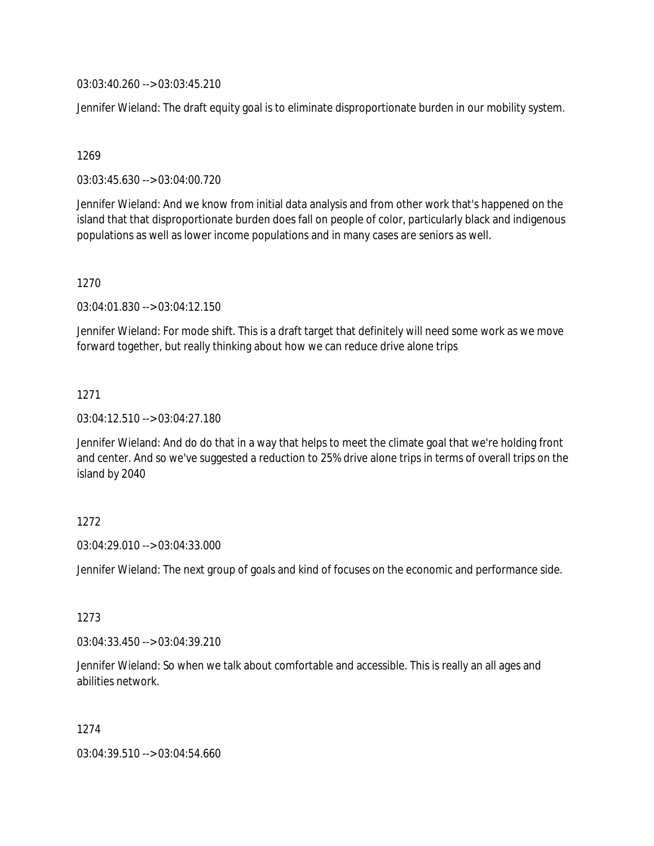03:03:40.260 --> 03:03:45.210

Jennifer Wieland: The draft equity goal is to eliminate disproportionate burden in our mobility system.

### 1269

03:03:45.630 --> 03:04:00.720

Jennifer Wieland: And we know from initial data analysis and from other work that's happened on the island that that disproportionate burden does fall on people of color, particularly black and indigenous populations as well as lower income populations and in many cases are seniors as well.

### 1270

03:04:01.830 --> 03:04:12.150

Jennifer Wieland: For mode shift. This is a draft target that definitely will need some work as we move forward together, but really thinking about how we can reduce drive alone trips

## 1271

03:04:12.510 --> 03:04:27.180

Jennifer Wieland: And do do that in a way that helps to meet the climate goal that we're holding front and center. And so we've suggested a reduction to 25% drive alone trips in terms of overall trips on the island by 2040

## 1272

03:04:29.010 --> 03:04:33.000

Jennifer Wieland: The next group of goals and kind of focuses on the economic and performance side.

### 1273

03:04:33.450 --> 03:04:39.210

Jennifer Wieland: So when we talk about comfortable and accessible. This is really an all ages and abilities network.

1274

03:04:39.510 --> 03:04:54.660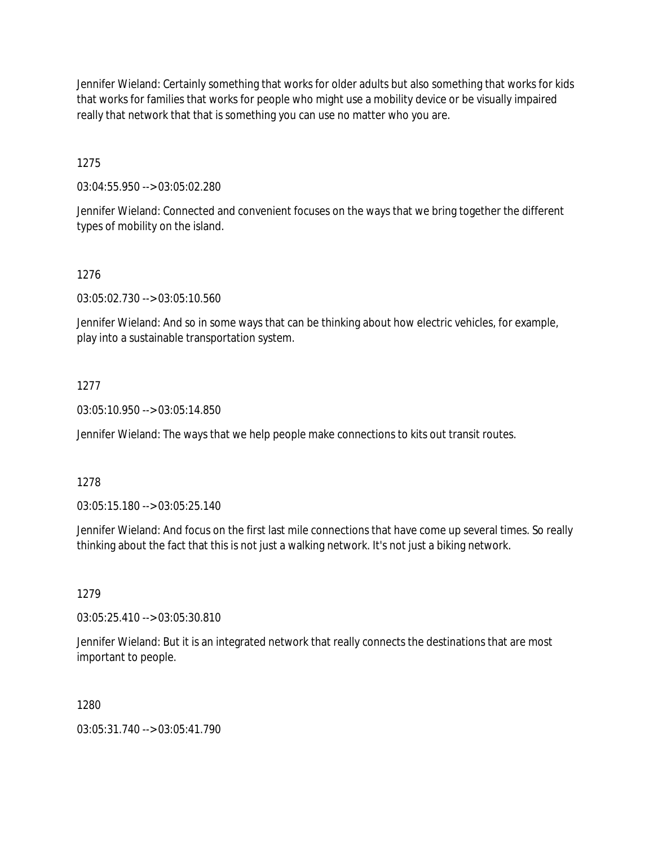Jennifer Wieland: Certainly something that works for older adults but also something that works for kids that works for families that works for people who might use a mobility device or be visually impaired really that network that that is something you can use no matter who you are.

1275

03:04:55.950 --> 03:05:02.280

Jennifer Wieland: Connected and convenient focuses on the ways that we bring together the different types of mobility on the island.

## 1276

03:05:02.730 --> 03:05:10.560

Jennifer Wieland: And so in some ways that can be thinking about how electric vehicles, for example, play into a sustainable transportation system.

## 1277

03:05:10.950 --> 03:05:14.850

Jennifer Wieland: The ways that we help people make connections to kits out transit routes.

## 1278

03:05:15.180 --> 03:05:25.140

Jennifer Wieland: And focus on the first last mile connections that have come up several times. So really thinking about the fact that this is not just a walking network. It's not just a biking network.

## 1279

03:05:25.410 --> 03:05:30.810

Jennifer Wieland: But it is an integrated network that really connects the destinations that are most important to people.

## 1280

03:05:31.740 --> 03:05:41.790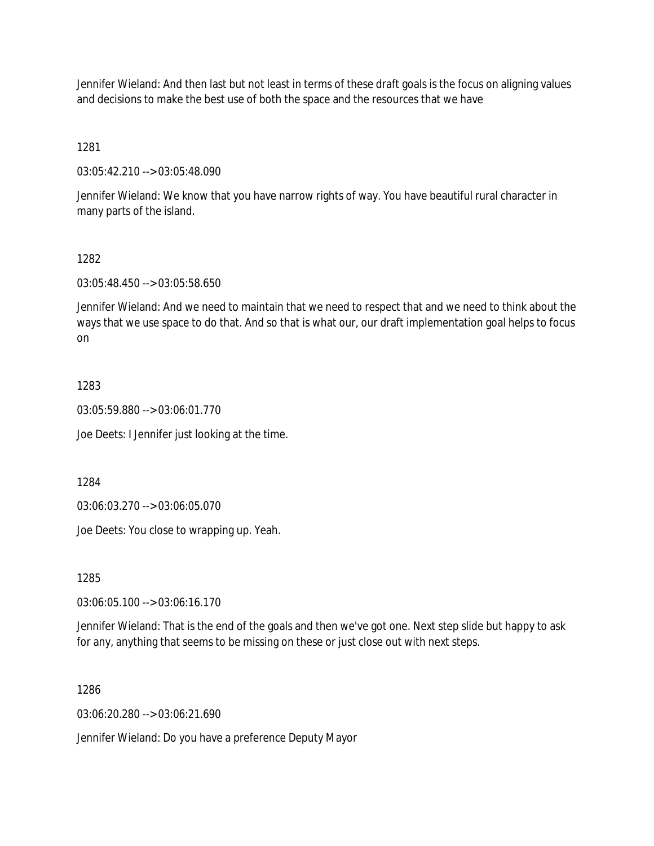Jennifer Wieland: And then last but not least in terms of these draft goals is the focus on aligning values and decisions to make the best use of both the space and the resources that we have

1281

03:05:42.210 --> 03:05:48.090

Jennifer Wieland: We know that you have narrow rights of way. You have beautiful rural character in many parts of the island.

### 1282

03:05:48.450 --> 03:05:58.650

Jennifer Wieland: And we need to maintain that we need to respect that and we need to think about the ways that we use space to do that. And so that is what our, our draft implementation goal helps to focus on

## 1283

03:05:59.880 --> 03:06:01.770

Joe Deets: I Jennifer just looking at the time.

1284

03:06:03.270 --> 03:06:05.070

Joe Deets: You close to wrapping up. Yeah.

1285

03:06:05.100 --> 03:06:16.170

Jennifer Wieland: That is the end of the goals and then we've got one. Next step slide but happy to ask for any, anything that seems to be missing on these or just close out with next steps.

## 1286

03:06:20.280 --> 03:06:21.690

Jennifer Wieland: Do you have a preference Deputy Mayor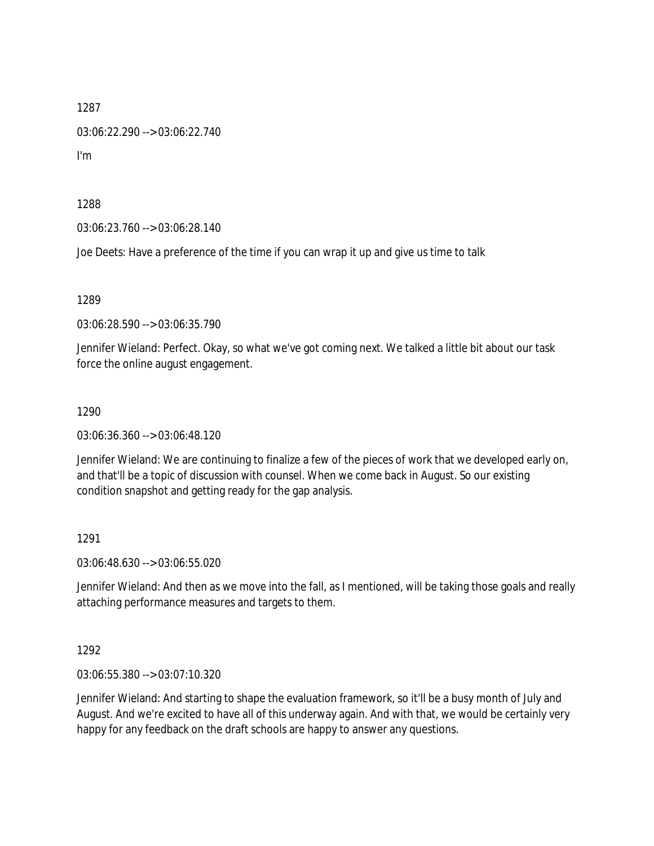03:06:22.290 --> 03:06:22.740

I'm

1288

03:06:23.760 --> 03:06:28.140

Joe Deets: Have a preference of the time if you can wrap it up and give us time to talk

1289

03:06:28.590 --> 03:06:35.790

Jennifer Wieland: Perfect. Okay, so what we've got coming next. We talked a little bit about our task force the online august engagement.

1290

03:06:36.360 --> 03:06:48.120

Jennifer Wieland: We are continuing to finalize a few of the pieces of work that we developed early on, and that'll be a topic of discussion with counsel. When we come back in August. So our existing condition snapshot and getting ready for the gap analysis.

1291

03:06:48.630 --> 03:06:55.020

Jennifer Wieland: And then as we move into the fall, as I mentioned, will be taking those goals and really attaching performance measures and targets to them.

1292

03:06:55.380 --> 03:07:10.320

Jennifer Wieland: And starting to shape the evaluation framework, so it'll be a busy month of July and August. And we're excited to have all of this underway again. And with that, we would be certainly very happy for any feedback on the draft schools are happy to answer any questions.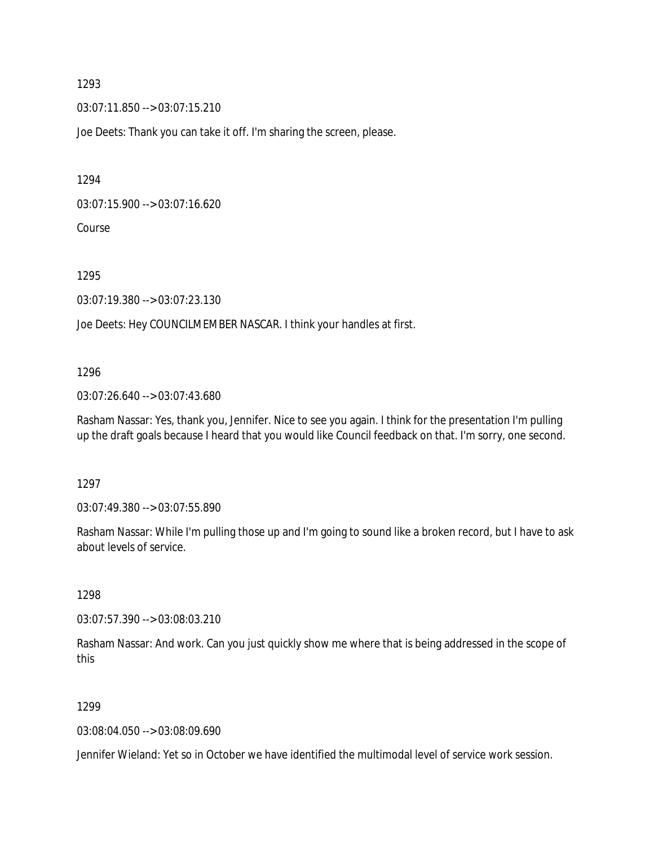03:07:11.850 --> 03:07:15.210

Joe Deets: Thank you can take it off. I'm sharing the screen, please.

1294

03:07:15.900 --> 03:07:16.620

Course

1295

03:07:19.380 --> 03:07:23.130

Joe Deets: Hey COUNCILMEMBER NASCAR. I think your handles at first.

## 1296

03:07:26.640 --> 03:07:43.680

Rasham Nassar: Yes, thank you, Jennifer. Nice to see you again. I think for the presentation I'm pulling up the draft goals because I heard that you would like Council feedback on that. I'm sorry, one second.

1297

03:07:49.380 --> 03:07:55.890

Rasham Nassar: While I'm pulling those up and I'm going to sound like a broken record, but I have to ask about levels of service.

1298

03:07:57.390 --> 03:08:03.210

Rasham Nassar: And work. Can you just quickly show me where that is being addressed in the scope of this

## 1299

03:08:04.050 --> 03:08:09.690

Jennifer Wieland: Yet so in October we have identified the multimodal level of service work session.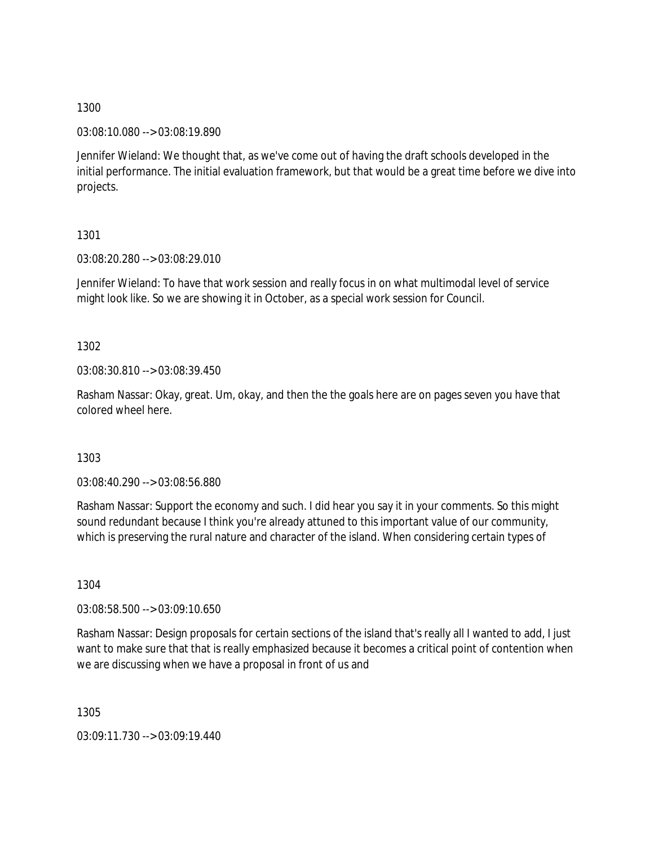03:08:10.080 --> 03:08:19.890

Jennifer Wieland: We thought that, as we've come out of having the draft schools developed in the initial performance. The initial evaluation framework, but that would be a great time before we dive into projects.

1301

03:08:20.280 --> 03:08:29.010

Jennifer Wieland: To have that work session and really focus in on what multimodal level of service might look like. So we are showing it in October, as a special work session for Council.

1302

03:08:30.810 --> 03:08:39.450

Rasham Nassar: Okay, great. Um, okay, and then the the goals here are on pages seven you have that colored wheel here.

1303

03:08:40.290 --> 03:08:56.880

Rasham Nassar: Support the economy and such. I did hear you say it in your comments. So this might sound redundant because I think you're already attuned to this important value of our community, which is preserving the rural nature and character of the island. When considering certain types of

1304

03:08:58.500 --> 03:09:10.650

Rasham Nassar: Design proposals for certain sections of the island that's really all I wanted to add, I just want to make sure that that is really emphasized because it becomes a critical point of contention when we are discussing when we have a proposal in front of us and

1305

03:09:11.730 --> 03:09:19.440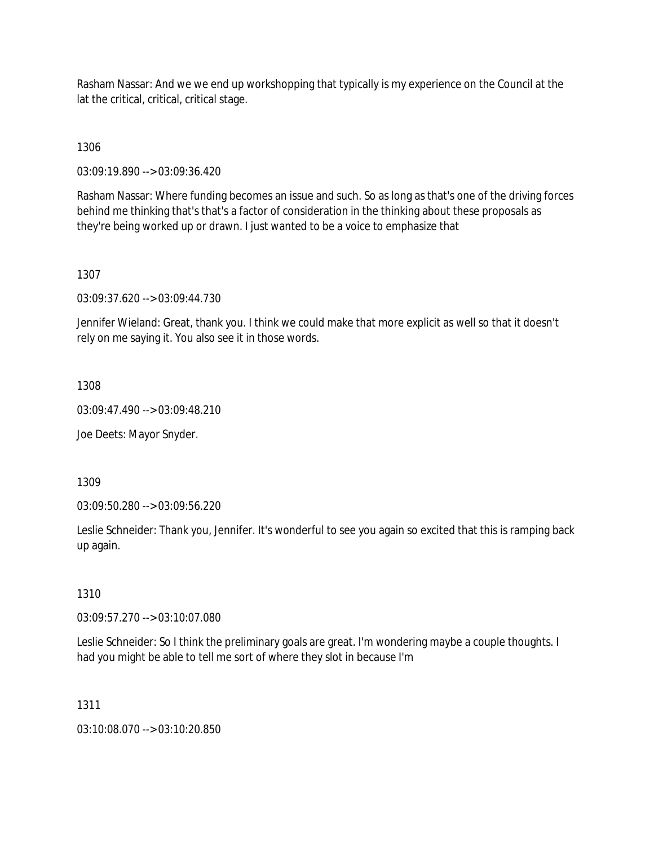Rasham Nassar: And we we end up workshopping that typically is my experience on the Council at the lat the critical, critical, critical stage.

1306

03:09:19.890 --> 03:09:36.420

Rasham Nassar: Where funding becomes an issue and such. So as long as that's one of the driving forces behind me thinking that's that's a factor of consideration in the thinking about these proposals as they're being worked up or drawn. I just wanted to be a voice to emphasize that

## 1307

03:09:37.620 --> 03:09:44.730

Jennifer Wieland: Great, thank you. I think we could make that more explicit as well so that it doesn't rely on me saying it. You also see it in those words.

## 1308

03:09:47.490 --> 03:09:48.210

Joe Deets: Mayor Snyder.

1309

03:09:50.280 --> 03:09:56.220

Leslie Schneider: Thank you, Jennifer. It's wonderful to see you again so excited that this is ramping back up again.

## 1310

03:09:57.270 --> 03:10:07.080

Leslie Schneider: So I think the preliminary goals are great. I'm wondering maybe a couple thoughts. I had you might be able to tell me sort of where they slot in because I'm

## 1311

03:10:08.070 --> 03:10:20.850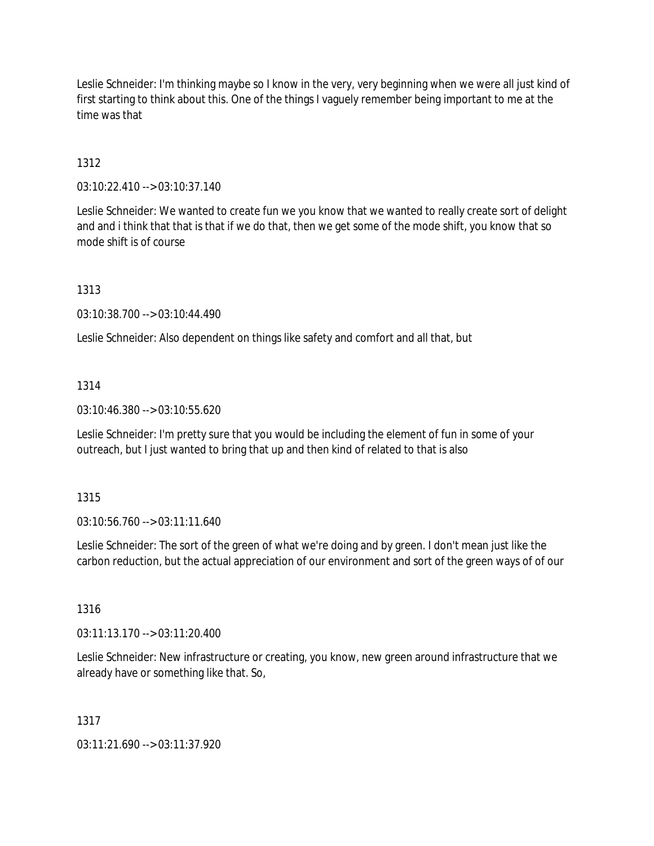Leslie Schneider: I'm thinking maybe so I know in the very, very beginning when we were all just kind of first starting to think about this. One of the things I vaguely remember being important to me at the time was that

1312

03:10:22.410 --> 03:10:37.140

Leslie Schneider: We wanted to create fun we you know that we wanted to really create sort of delight and and i think that that is that if we do that, then we get some of the mode shift, you know that so mode shift is of course

1313

03:10:38.700 --> 03:10:44.490

Leslie Schneider: Also dependent on things like safety and comfort and all that, but

## 1314

03:10:46.380 --> 03:10:55.620

Leslie Schneider: I'm pretty sure that you would be including the element of fun in some of your outreach, but I just wanted to bring that up and then kind of related to that is also

## 1315

03:10:56.760 --> 03:11:11.640

Leslie Schneider: The sort of the green of what we're doing and by green. I don't mean just like the carbon reduction, but the actual appreciation of our environment and sort of the green ways of of our

## 1316

03:11:13.170 --> 03:11:20.400

Leslie Schneider: New infrastructure or creating, you know, new green around infrastructure that we already have or something like that. So,

## 1317

03:11:21.690 --> 03:11:37.920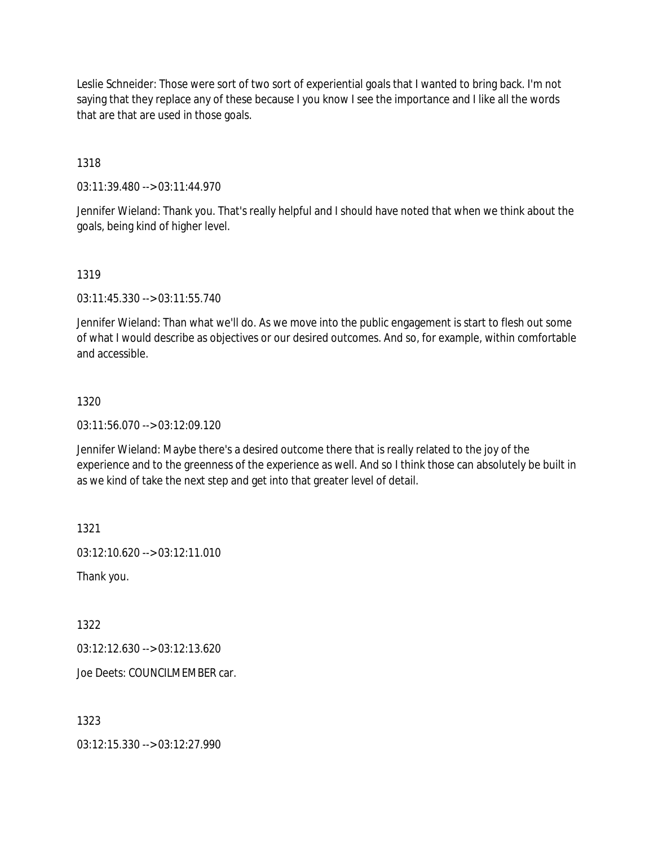Leslie Schneider: Those were sort of two sort of experiential goals that I wanted to bring back. I'm not saying that they replace any of these because I you know I see the importance and I like all the words that are that are used in those goals.

1318

03:11:39.480 --> 03:11:44.970

Jennifer Wieland: Thank you. That's really helpful and I should have noted that when we think about the goals, being kind of higher level.

## 1319

03:11:45.330 --> 03:11:55.740

Jennifer Wieland: Than what we'll do. As we move into the public engagement is start to flesh out some of what I would describe as objectives or our desired outcomes. And so, for example, within comfortable and accessible.

## 1320

03:11:56.070 --> 03:12:09.120

Jennifer Wieland: Maybe there's a desired outcome there that is really related to the joy of the experience and to the greenness of the experience as well. And so I think those can absolutely be built in as we kind of take the next step and get into that greater level of detail.

1321

03:12:10.620 --> 03:12:11.010

Thank you.

1322

03:12:12.630 --> 03:12:13.620

Joe Deets: COUNCILMEMBER car.

## 1323

03:12:15.330 --> 03:12:27.990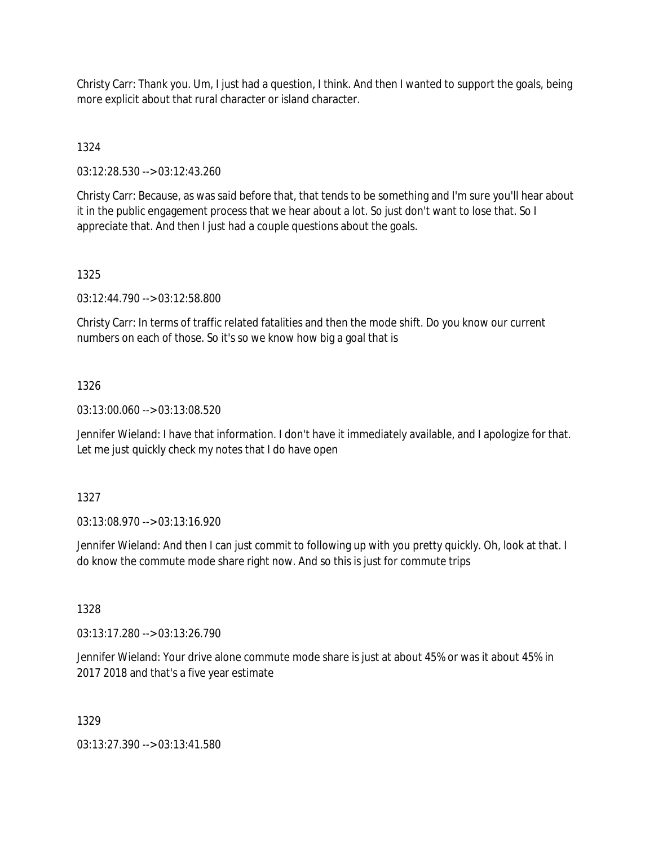Christy Carr: Thank you. Um, I just had a question, I think. And then I wanted to support the goals, being more explicit about that rural character or island character.

1324

03:12:28.530 --> 03:12:43.260

Christy Carr: Because, as was said before that, that tends to be something and I'm sure you'll hear about it in the public engagement process that we hear about a lot. So just don't want to lose that. So I appreciate that. And then I just had a couple questions about the goals.

## 1325

03:12:44.790 --> 03:12:58.800

Christy Carr: In terms of traffic related fatalities and then the mode shift. Do you know our current numbers on each of those. So it's so we know how big a goal that is

## 1326

03:13:00.060 --> 03:13:08.520

Jennifer Wieland: I have that information. I don't have it immediately available, and I apologize for that. Let me just quickly check my notes that I do have open

## 1327

03:13:08.970 --> 03:13:16.920

Jennifer Wieland: And then I can just commit to following up with you pretty quickly. Oh, look at that. I do know the commute mode share right now. And so this is just for commute trips

## 1328

03:13:17.280 --> 03:13:26.790

Jennifer Wieland: Your drive alone commute mode share is just at about 45% or was it about 45% in 2017 2018 and that's a five year estimate

## 1329

03:13:27.390 --> 03:13:41.580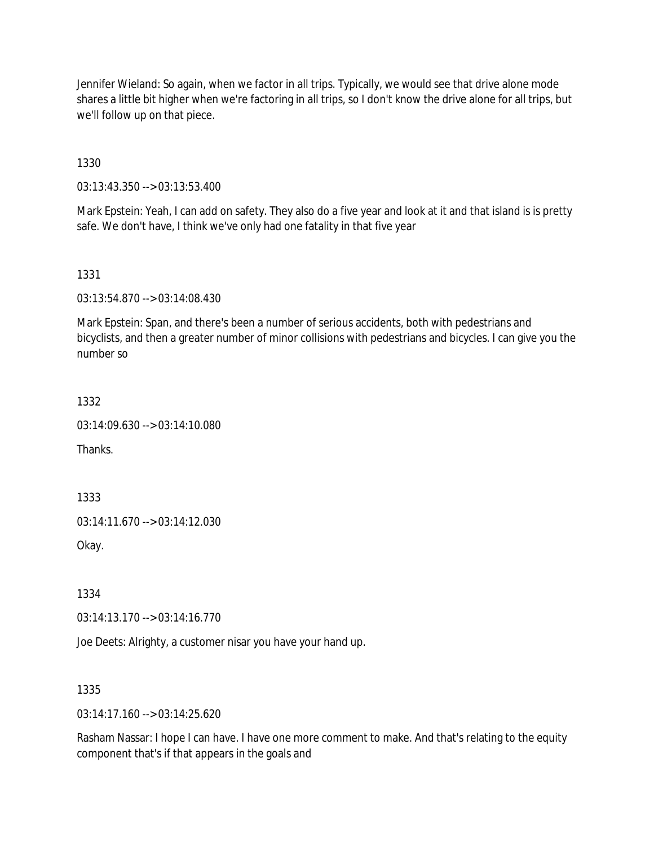Jennifer Wieland: So again, when we factor in all trips. Typically, we would see that drive alone mode shares a little bit higher when we're factoring in all trips, so I don't know the drive alone for all trips, but we'll follow up on that piece.

1330

03:13:43.350 --> 03:13:53.400

Mark Epstein: Yeah, I can add on safety. They also do a five year and look at it and that island is is pretty safe. We don't have, I think we've only had one fatality in that five year

1331

03:13:54.870 --> 03:14:08.430

Mark Epstein: Span, and there's been a number of serious accidents, both with pedestrians and bicyclists, and then a greater number of minor collisions with pedestrians and bicycles. I can give you the number so

1332

03:14:09.630 --> 03:14:10.080

**Thanks** 

1333

03:14:11.670 --> 03:14:12.030

Okay.

1334

03:14:13.170 --> 03:14:16.770

Joe Deets: Alrighty, a customer nisar you have your hand up.

1335

 $03:14:17.160 \rightarrow 03:14:25.620$ 

Rasham Nassar: I hope I can have. I have one more comment to make. And that's relating to the equity component that's if that appears in the goals and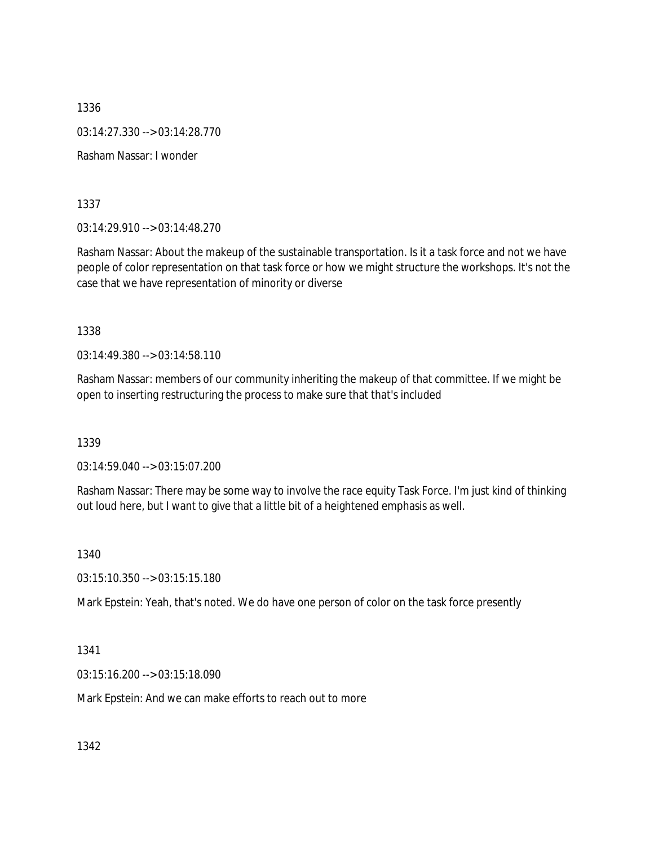1336 03:14:27.330 --> 03:14:28.770 Rasham Nassar: I wonder

1337

03:14:29.910 --> 03:14:48.270

Rasham Nassar: About the makeup of the sustainable transportation. Is it a task force and not we have people of color representation on that task force or how we might structure the workshops. It's not the case that we have representation of minority or diverse

1338

03:14:49.380 --> 03:14:58.110

Rasham Nassar: members of our community inheriting the makeup of that committee. If we might be open to inserting restructuring the process to make sure that that's included

1339

03:14:59.040 --> 03:15:07.200

Rasham Nassar: There may be some way to involve the race equity Task Force. I'm just kind of thinking out loud here, but I want to give that a little bit of a heightened emphasis as well.

1340

03:15:10.350 --> 03:15:15.180

Mark Epstein: Yeah, that's noted. We do have one person of color on the task force presently

1341

03:15:16.200 --> 03:15:18.090

Mark Epstein: And we can make efforts to reach out to more

1342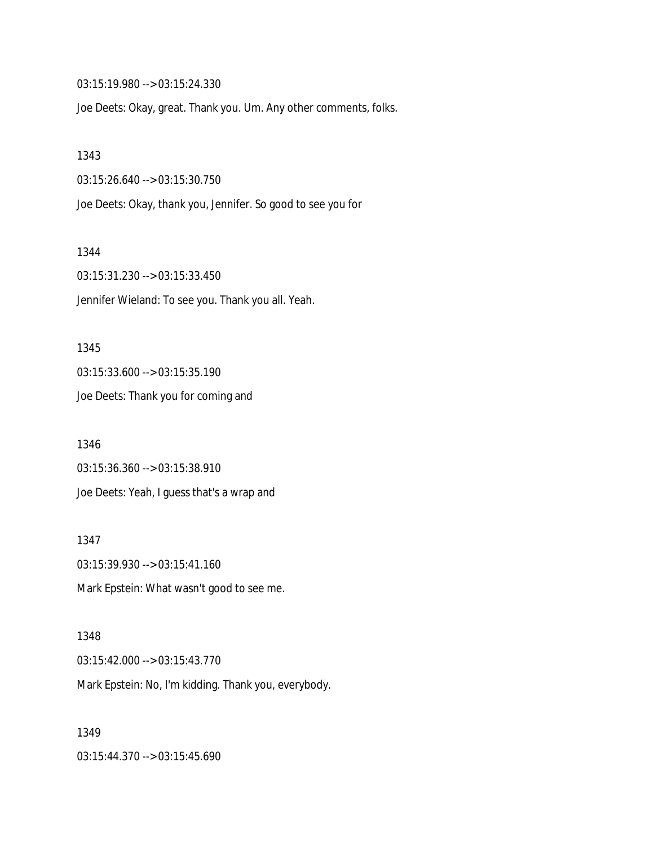03:15:19.980 --> 03:15:24.330

Joe Deets: Okay, great. Thank you. Um. Any other comments, folks.

#### 1343

03:15:26.640 --> 03:15:30.750

Joe Deets: Okay, thank you, Jennifer. So good to see you for

#### 1344

03:15:31.230 --> 03:15:33.450 Jennifer Wieland: To see you. Thank you all. Yeah.

#### 1345

03:15:33.600 --> 03:15:35.190 Joe Deets: Thank you for coming and

1346 03:15:36.360 --> 03:15:38.910 Joe Deets: Yeah, I guess that's a wrap and

# 1347 03:15:39.930 --> 03:15:41.160 Mark Epstein: What wasn't good to see me.

# 1348 03:15:42.000 --> 03:15:43.770 Mark Epstein: No, I'm kidding. Thank you, everybody.

# 1349 03:15:44.370 --> 03:15:45.690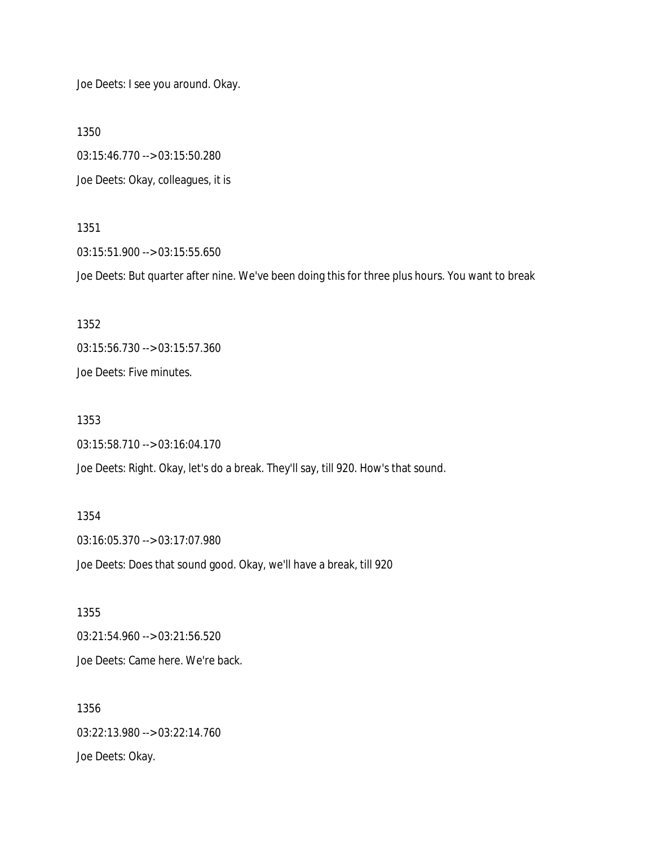Joe Deets: I see you around. Okay.

1350

03:15:46.770 --> 03:15:50.280 Joe Deets: Okay, colleagues, it is

1351

03:15:51.900 --> 03:15:55.650

Joe Deets: But quarter after nine. We've been doing this for three plus hours. You want to break

1352 03:15:56.730 --> 03:15:57.360 Joe Deets: Five minutes.

1353 03:15:58.710 --> 03:16:04.170

Joe Deets: Right. Okay, let's do a break. They'll say, till 920. How's that sound.

1354 03:16:05.370 --> 03:17:07.980 Joe Deets: Does that sound good. Okay, we'll have a break, till 920

1355 03:21:54.960 --> 03:21:56.520 Joe Deets: Came here. We're back.

1356 03:22:13.980 --> 03:22:14.760 Joe Deets: Okay.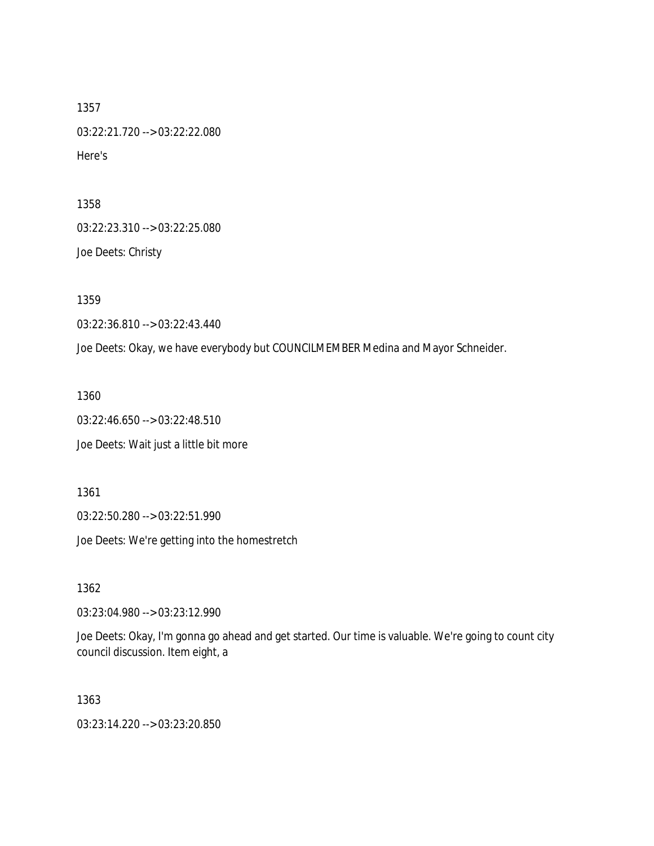1357 03:22:21.720 --> 03:22:22.080 Here's

1358

03:22:23.310 --> 03:22:25.080

Joe Deets: Christy

1359

03:22:36.810 --> 03:22:43.440

Joe Deets: Okay, we have everybody but COUNCILMEMBER Medina and Mayor Schneider.

1360

03:22:46.650 --> 03:22:48.510

Joe Deets: Wait just a little bit more

1361

03:22:50.280 --> 03:22:51.990

Joe Deets: We're getting into the homestretch

1362

03:23:04.980 --> 03:23:12.990

Joe Deets: Okay, I'm gonna go ahead and get started. Our time is valuable. We're going to count city council discussion. Item eight, a

1363

03:23:14.220 --> 03:23:20.850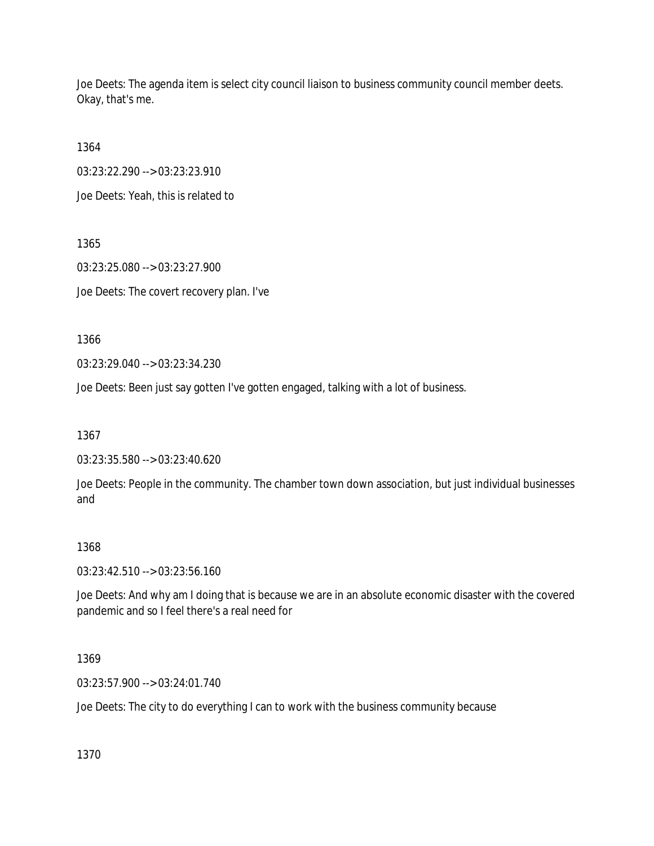Joe Deets: The agenda item is select city council liaison to business community council member deets. Okay, that's me.

1364

03:23:22.290 --> 03:23:23.910

Joe Deets: Yeah, this is related to

1365 03:23:25.080 --> 03:23:27.900 Joe Deets: The covert recovery plan. I've

1366

03:23:29.040 --> 03:23:34.230

Joe Deets: Been just say gotten I've gotten engaged, talking with a lot of business.

1367

03:23:35.580 --> 03:23:40.620

Joe Deets: People in the community. The chamber town down association, but just individual businesses and

## 1368

03:23:42.510 --> 03:23:56.160

Joe Deets: And why am I doing that is because we are in an absolute economic disaster with the covered pandemic and so I feel there's a real need for

1369

03:23:57.900 --> 03:24:01.740

Joe Deets: The city to do everything I can to work with the business community because

1370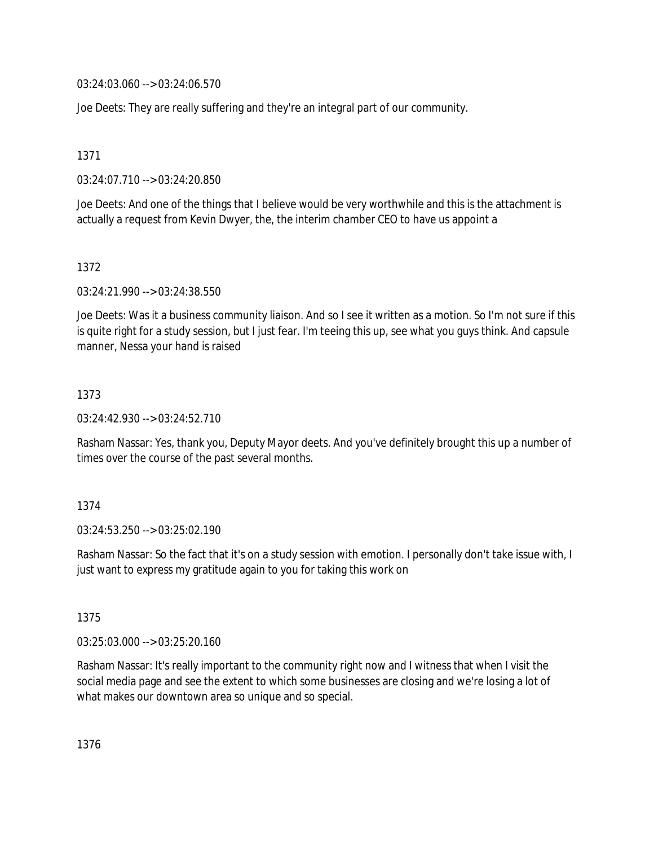03:24:03.060 --> 03:24:06.570

Joe Deets: They are really suffering and they're an integral part of our community.

1371

03:24:07.710 --> 03:24:20.850

Joe Deets: And one of the things that I believe would be very worthwhile and this is the attachment is actually a request from Kevin Dwyer, the, the interim chamber CEO to have us appoint a

1372

03:24:21.990 --> 03:24:38.550

Joe Deets: Was it a business community liaison. And so I see it written as a motion. So I'm not sure if this is quite right for a study session, but I just fear. I'm teeing this up, see what you guys think. And capsule manner, Nessa your hand is raised

1373

03:24:42.930 --> 03:24:52.710

Rasham Nassar: Yes, thank you, Deputy Mayor deets. And you've definitely brought this up a number of times over the course of the past several months.

1374

03:24:53.250 --> 03:25:02.190

Rasham Nassar: So the fact that it's on a study session with emotion. I personally don't take issue with, I just want to express my gratitude again to you for taking this work on

1375

03:25:03.000 --> 03:25:20.160

Rasham Nassar: It's really important to the community right now and I witness that when I visit the social media page and see the extent to which some businesses are closing and we're losing a lot of what makes our downtown area so unique and so special.

1376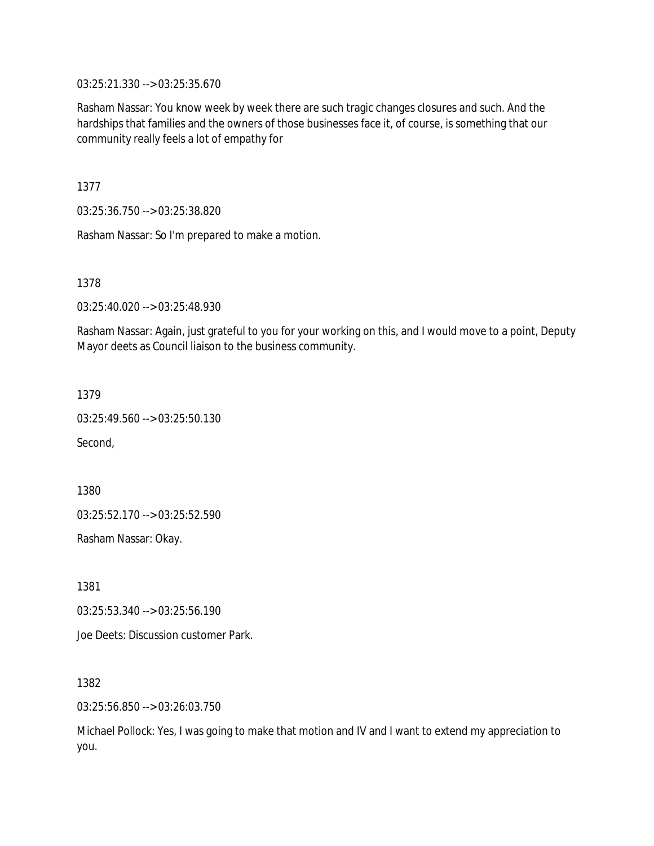03:25:21.330 --> 03:25:35.670

Rasham Nassar: You know week by week there are such tragic changes closures and such. And the hardships that families and the owners of those businesses face it, of course, is something that our community really feels a lot of empathy for

1377

03:25:36.750 --> 03:25:38.820

Rasham Nassar: So I'm prepared to make a motion.

1378

03:25:40.020 --> 03:25:48.930

Rasham Nassar: Again, just grateful to you for your working on this, and I would move to a point, Deputy Mayor deets as Council liaison to the business community.

1379

03:25:49.560 --> 03:25:50.130

Second,

1380

03:25:52.170 --> 03:25:52.590

Rasham Nassar: Okay.

1381

03:25:53.340 --> 03:25:56.190

Joe Deets: Discussion customer Park.

1382

03:25:56.850 --> 03:26:03.750

Michael Pollock: Yes, I was going to make that motion and IV and I want to extend my appreciation to you.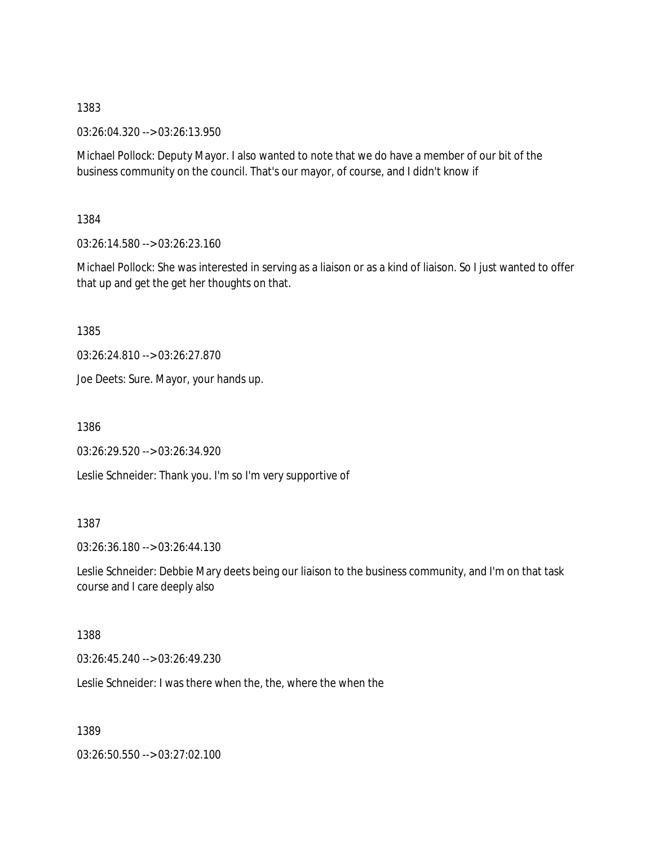03:26:04.320 --> 03:26:13.950

Michael Pollock: Deputy Mayor. I also wanted to note that we do have a member of our bit of the business community on the council. That's our mayor, of course, and I didn't know if

1384

03:26:14.580 --> 03:26:23.160

Michael Pollock: She was interested in serving as a liaison or as a kind of liaison. So I just wanted to offer that up and get the get her thoughts on that.

1385

03:26:24.810 --> 03:26:27.870

Joe Deets: Sure. Mayor, your hands up.

1386

03:26:29.520 --> 03:26:34.920

Leslie Schneider: Thank you. I'm so I'm very supportive of

#### 1387

03:26:36.180 --> 03:26:44.130

Leslie Schneider: Debbie Mary deets being our liaison to the business community, and I'm on that task course and I care deeply also

#### 1388

03:26:45.240 --> 03:26:49.230

Leslie Schneider: I was there when the, the, where the when the

1389

03:26:50.550 --> 03:27:02.100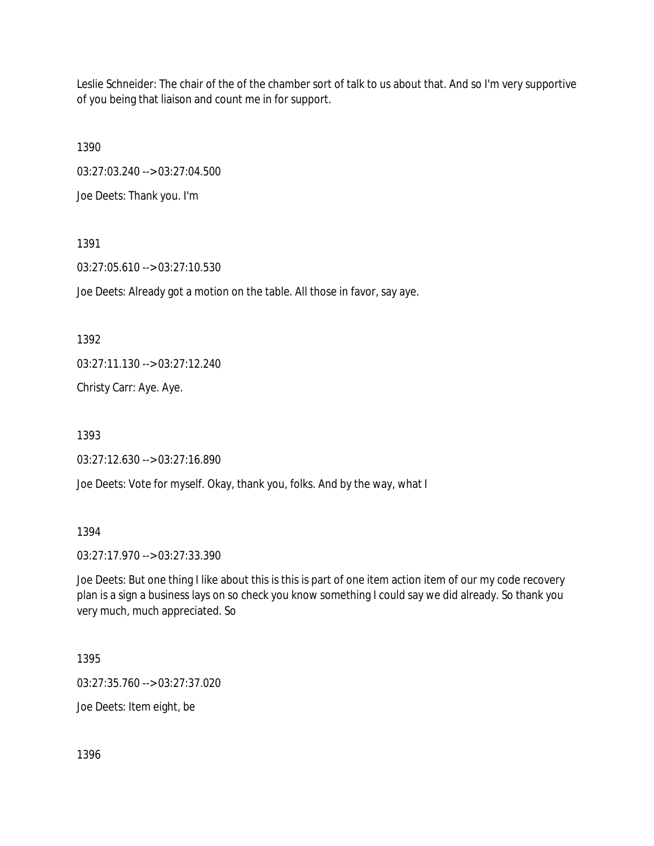Leslie Schneider: The chair of the of the chamber sort of talk to us about that. And so I'm very supportive of you being that liaison and count me in for support.

1390

03:27:03.240 --> 03:27:04.500

Joe Deets: Thank you. I'm

1391

03:27:05.610 --> 03:27:10.530

Joe Deets: Already got a motion on the table. All those in favor, say aye.

1392

03:27:11.130 --> 03:27:12.240

Christy Carr: Aye. Aye.

1393

03:27:12.630 --> 03:27:16.890

Joe Deets: Vote for myself. Okay, thank you, folks. And by the way, what I

1394

03:27:17.970 --> 03:27:33.390

Joe Deets: But one thing I like about this is this is part of one item action item of our my code recovery plan is a sign a business lays on so check you know something I could say we did already. So thank you very much, much appreciated. So

1395

03:27:35.760 --> 03:27:37.020

Joe Deets: Item eight, be

1396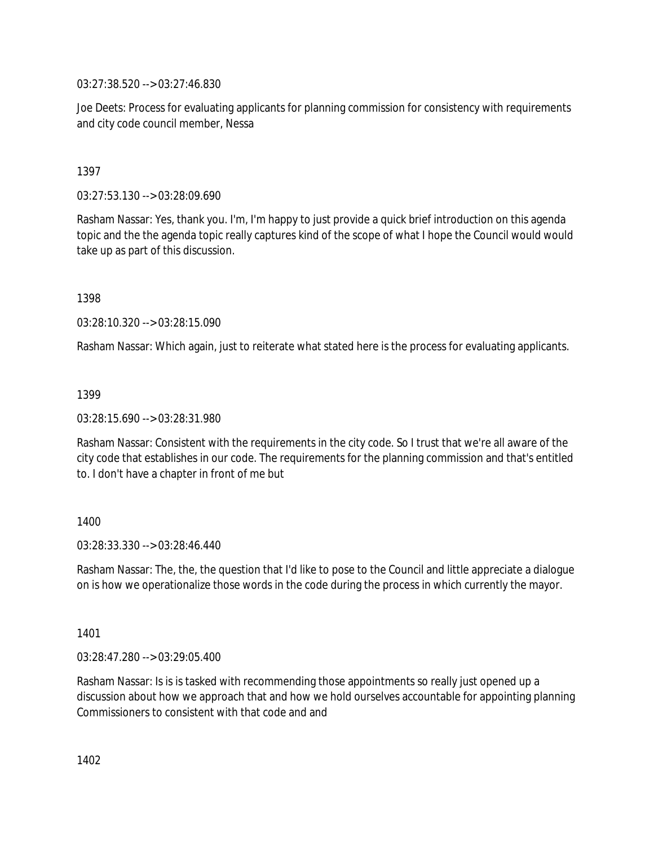03:27:38.520 --> 03:27:46.830

Joe Deets: Process for evaluating applicants for planning commission for consistency with requirements and city code council member, Nessa

### 1397

03:27:53.130 --> 03:28:09.690

Rasham Nassar: Yes, thank you. I'm, I'm happy to just provide a quick brief introduction on this agenda topic and the the agenda topic really captures kind of the scope of what I hope the Council would would take up as part of this discussion.

1398

03:28:10.320 --> 03:28:15.090

Rasham Nassar: Which again, just to reiterate what stated here is the process for evaluating applicants.

### 1399

03:28:15.690 --> 03:28:31.980

Rasham Nassar: Consistent with the requirements in the city code. So I trust that we're all aware of the city code that establishes in our code. The requirements for the planning commission and that's entitled to. I don't have a chapter in front of me but

### 1400

03:28:33.330 --> 03:28:46.440

Rasham Nassar: The, the, the question that I'd like to pose to the Council and little appreciate a dialogue on is how we operationalize those words in the code during the process in which currently the mayor.

1401

03:28:47.280 --> 03:29:05.400

Rasham Nassar: Is is is tasked with recommending those appointments so really just opened up a discussion about how we approach that and how we hold ourselves accountable for appointing planning Commissioners to consistent with that code and and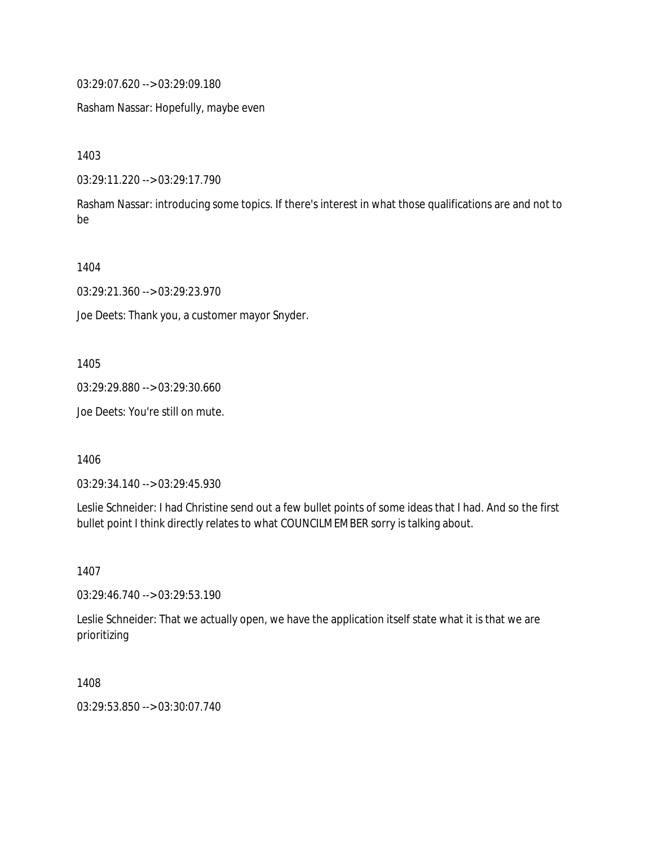03:29:07.620 --> 03:29:09.180

Rasham Nassar: Hopefully, maybe even

1403

03:29:11.220 --> 03:29:17.790

Rasham Nassar: introducing some topics. If there's interest in what those qualifications are and not to be

1404

03:29:21.360 --> 03:29:23.970

Joe Deets: Thank you, a customer mayor Snyder.

1405

03:29:29.880 --> 03:29:30.660

Joe Deets: You're still on mute.

1406

03:29:34.140 --> 03:29:45.930

Leslie Schneider: I had Christine send out a few bullet points of some ideas that I had. And so the first bullet point I think directly relates to what COUNCILMEMBER sorry is talking about.

1407

03:29:46.740 --> 03:29:53.190

Leslie Schneider: That we actually open, we have the application itself state what it is that we are prioritizing

1408

03:29:53.850 --> 03:30:07.740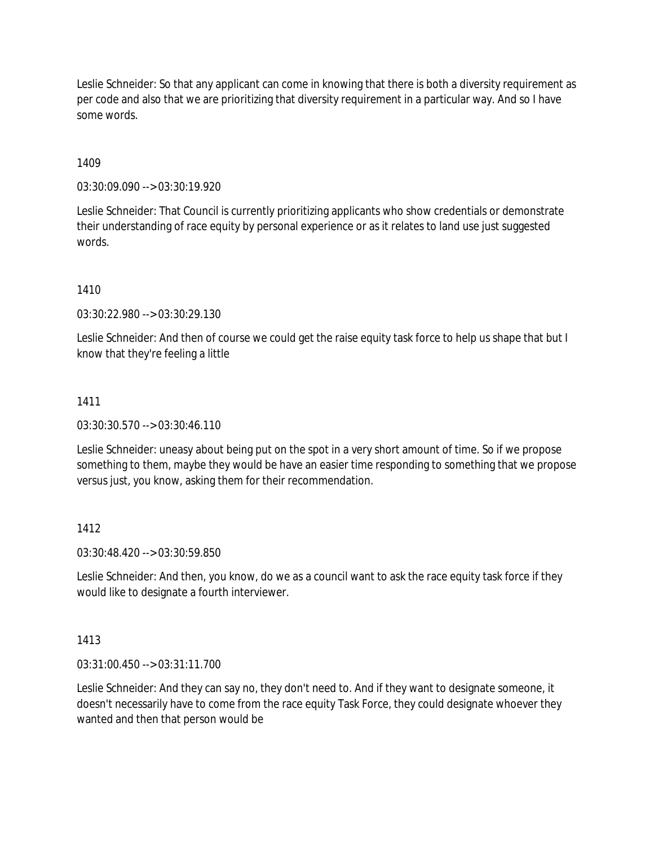Leslie Schneider: So that any applicant can come in knowing that there is both a diversity requirement as per code and also that we are prioritizing that diversity requirement in a particular way. And so I have some words.

1409

03:30:09.090 --> 03:30:19.920

Leslie Schneider: That Council is currently prioritizing applicants who show credentials or demonstrate their understanding of race equity by personal experience or as it relates to land use just suggested words.

1410

03:30:22.980 --> 03:30:29.130

Leslie Schneider: And then of course we could get the raise equity task force to help us shape that but I know that they're feeling a little

# 1411

03:30:30.570 --> 03:30:46.110

Leslie Schneider: uneasy about being put on the spot in a very short amount of time. So if we propose something to them, maybe they would be have an easier time responding to something that we propose versus just, you know, asking them for their recommendation.

### 1412

03:30:48.420 --> 03:30:59.850

Leslie Schneider: And then, you know, do we as a council want to ask the race equity task force if they would like to designate a fourth interviewer.

1413

03:31:00.450 --> 03:31:11.700

Leslie Schneider: And they can say no, they don't need to. And if they want to designate someone, it doesn't necessarily have to come from the race equity Task Force, they could designate whoever they wanted and then that person would be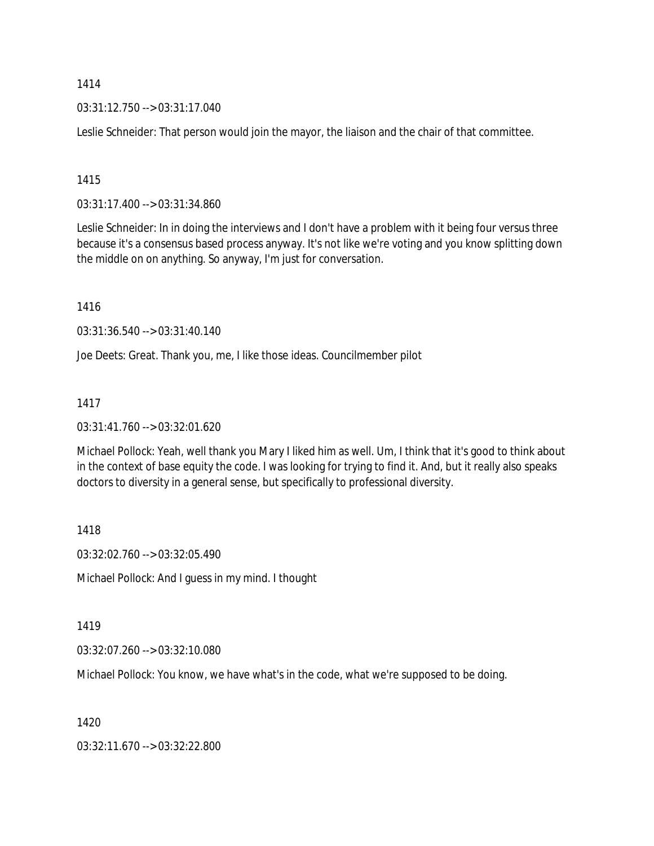03:31:12.750 --> 03:31:17.040

Leslie Schneider: That person would join the mayor, the liaison and the chair of that committee.

1415

03:31:17.400 --> 03:31:34.860

Leslie Schneider: In in doing the interviews and I don't have a problem with it being four versus three because it's a consensus based process anyway. It's not like we're voting and you know splitting down the middle on on anything. So anyway, I'm just for conversation.

1416

03:31:36.540 --> 03:31:40.140

Joe Deets: Great. Thank you, me, I like those ideas. Councilmember pilot

1417

03:31:41.760 --> 03:32:01.620

Michael Pollock: Yeah, well thank you Mary I liked him as well. Um, I think that it's good to think about in the context of base equity the code. I was looking for trying to find it. And, but it really also speaks doctors to diversity in a general sense, but specifically to professional diversity.

1418

03:32:02.760 --> 03:32:05.490

Michael Pollock: And I guess in my mind. I thought

1419

03:32:07.260 --> 03:32:10.080

Michael Pollock: You know, we have what's in the code, what we're supposed to be doing.

1420

03:32:11.670 --> 03:32:22.800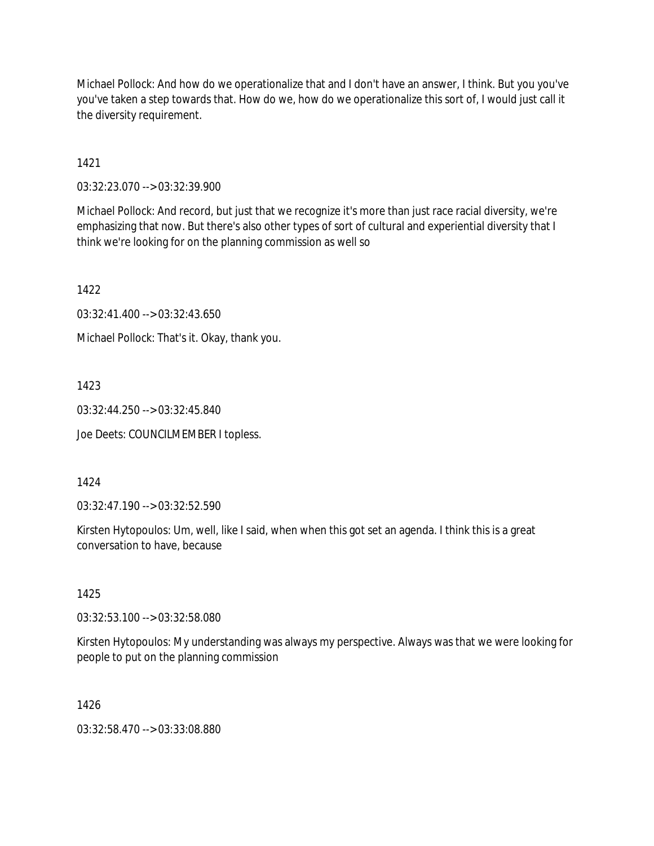Michael Pollock: And how do we operationalize that and I don't have an answer, I think. But you you've you've taken a step towards that. How do we, how do we operationalize this sort of, I would just call it the diversity requirement.

1421

03:32:23.070 --> 03:32:39.900

Michael Pollock: And record, but just that we recognize it's more than just race racial diversity, we're emphasizing that now. But there's also other types of sort of cultural and experiential diversity that I think we're looking for on the planning commission as well so

1422

03:32:41.400 --> 03:32:43.650

Michael Pollock: That's it. Okay, thank you.

1423

03:32:44.250 --> 03:32:45.840

Joe Deets: COUNCILMEMBER I topless.

### 1424

03:32:47.190 --> 03:32:52.590

Kirsten Hytopoulos: Um, well, like I said, when when this got set an agenda. I think this is a great conversation to have, because

1425

03:32:53.100 --> 03:32:58.080

Kirsten Hytopoulos: My understanding was always my perspective. Always was that we were looking for people to put on the planning commission

1426

03:32:58.470 --> 03:33:08.880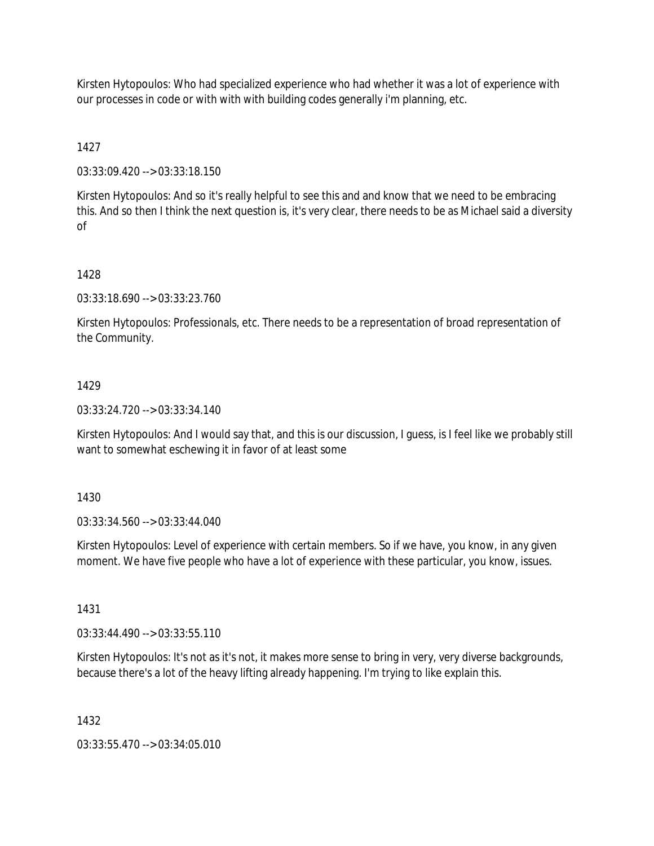Kirsten Hytopoulos: Who had specialized experience who had whether it was a lot of experience with our processes in code or with with with building codes generally i'm planning, etc.

# 1427

03:33:09.420 --> 03:33:18.150

Kirsten Hytopoulos: And so it's really helpful to see this and and know that we need to be embracing this. And so then I think the next question is, it's very clear, there needs to be as Michael said a diversity of

# 1428

03:33:18.690 --> 03:33:23.760

Kirsten Hytopoulos: Professionals, etc. There needs to be a representation of broad representation of the Community.

# 1429

03:33:24.720 --> 03:33:34.140

Kirsten Hytopoulos: And I would say that, and this is our discussion, I guess, is I feel like we probably still want to somewhat eschewing it in favor of at least some

1430

03:33:34.560 --> 03:33:44.040

Kirsten Hytopoulos: Level of experience with certain members. So if we have, you know, in any given moment. We have five people who have a lot of experience with these particular, you know, issues.

1431

03:33:44.490 --> 03:33:55.110

Kirsten Hytopoulos: It's not as it's not, it makes more sense to bring in very, very diverse backgrounds, because there's a lot of the heavy lifting already happening. I'm trying to like explain this.

1432

03:33:55.470 --> 03:34:05.010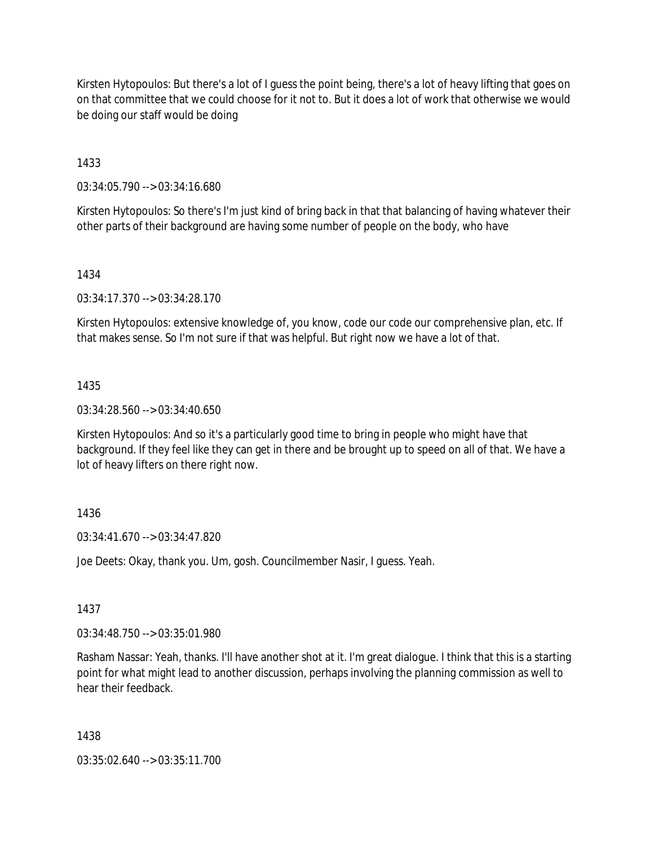Kirsten Hytopoulos: But there's a lot of I guess the point being, there's a lot of heavy lifting that goes on on that committee that we could choose for it not to. But it does a lot of work that otherwise we would be doing our staff would be doing

1433

03:34:05.790 --> 03:34:16.680

Kirsten Hytopoulos: So there's I'm just kind of bring back in that that balancing of having whatever their other parts of their background are having some number of people on the body, who have

### 1434

03:34:17.370 --> 03:34:28.170

Kirsten Hytopoulos: extensive knowledge of, you know, code our code our comprehensive plan, etc. If that makes sense. So I'm not sure if that was helpful. But right now we have a lot of that.

### 1435

03:34:28.560 --> 03:34:40.650

Kirsten Hytopoulos: And so it's a particularly good time to bring in people who might have that background. If they feel like they can get in there and be brought up to speed on all of that. We have a lot of heavy lifters on there right now.

### 1436

03:34:41.670 --> 03:34:47.820

Joe Deets: Okay, thank you. Um, gosh. Councilmember Nasir, I guess. Yeah.

### 1437

03:34:48.750 --> 03:35:01.980

Rasham Nassar: Yeah, thanks. I'll have another shot at it. I'm great dialogue. I think that this is a starting point for what might lead to another discussion, perhaps involving the planning commission as well to hear their feedback.

#### 1438

03:35:02.640 --> 03:35:11.700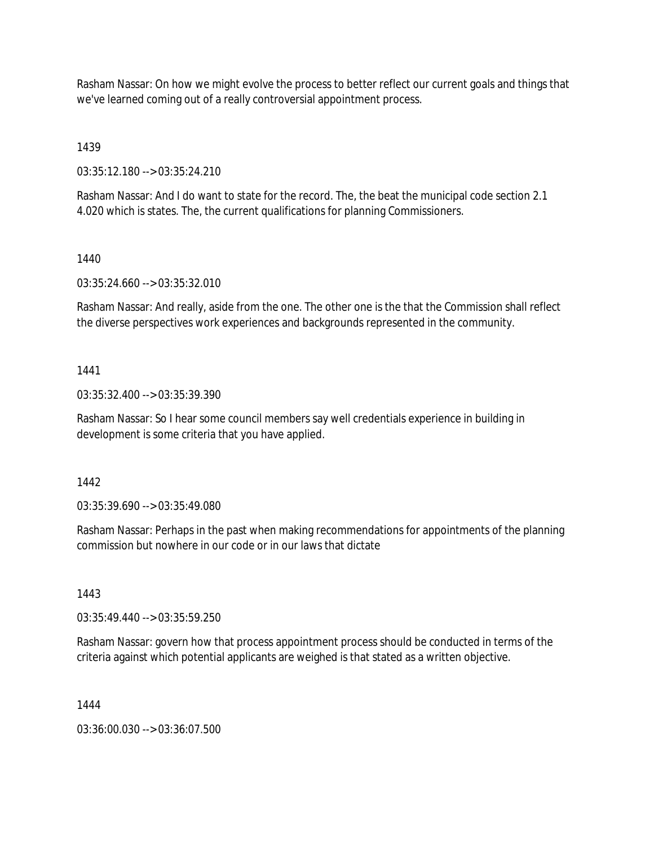Rasham Nassar: On how we might evolve the process to better reflect our current goals and things that we've learned coming out of a really controversial appointment process.

1439

03:35:12.180 --> 03:35:24.210

Rasham Nassar: And I do want to state for the record. The, the beat the municipal code section 2.1 4.020 which is states. The, the current qualifications for planning Commissioners.

# 1440

03:35:24.660 --> 03:35:32.010

Rasham Nassar: And really, aside from the one. The other one is the that the Commission shall reflect the diverse perspectives work experiences and backgrounds represented in the community.

# 1441

03:35:32.400 --> 03:35:39.390

Rasham Nassar: So I hear some council members say well credentials experience in building in development is some criteria that you have applied.

# 1442

03:35:39.690 --> 03:35:49.080

Rasham Nassar: Perhaps in the past when making recommendations for appointments of the planning commission but nowhere in our code or in our laws that dictate

### 1443

03:35:49.440 --> 03:35:59.250

Rasham Nassar: govern how that process appointment process should be conducted in terms of the criteria against which potential applicants are weighed is that stated as a written objective.

### 1444

03:36:00.030 --> 03:36:07.500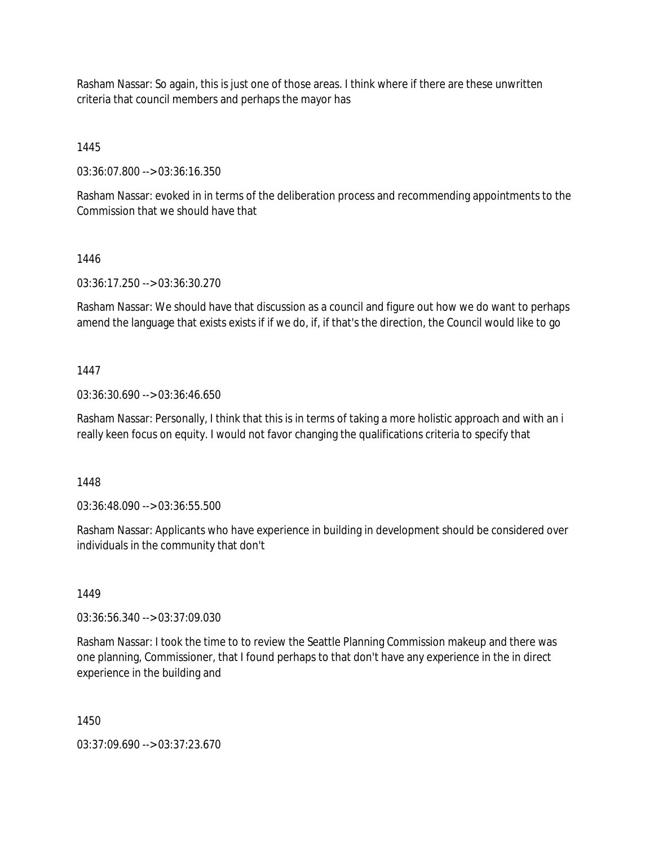Rasham Nassar: So again, this is just one of those areas. I think where if there are these unwritten criteria that council members and perhaps the mayor has

1445

03:36:07.800 --> 03:36:16.350

Rasham Nassar: evoked in in terms of the deliberation process and recommending appointments to the Commission that we should have that

#### 1446

03:36:17.250 --> 03:36:30.270

Rasham Nassar: We should have that discussion as a council and figure out how we do want to perhaps amend the language that exists exists if if we do, if, if that's the direction, the Council would like to go

#### 1447

03:36:30.690 --> 03:36:46.650

Rasham Nassar: Personally, I think that this is in terms of taking a more holistic approach and with an i really keen focus on equity. I would not favor changing the qualifications criteria to specify that

### 1448

03:36:48.090 --> 03:36:55.500

Rasham Nassar: Applicants who have experience in building in development should be considered over individuals in the community that don't

#### 1449

03:36:56.340 --> 03:37:09.030

Rasham Nassar: I took the time to to review the Seattle Planning Commission makeup and there was one planning, Commissioner, that I found perhaps to that don't have any experience in the in direct experience in the building and

1450

03:37:09.690 --> 03:37:23.670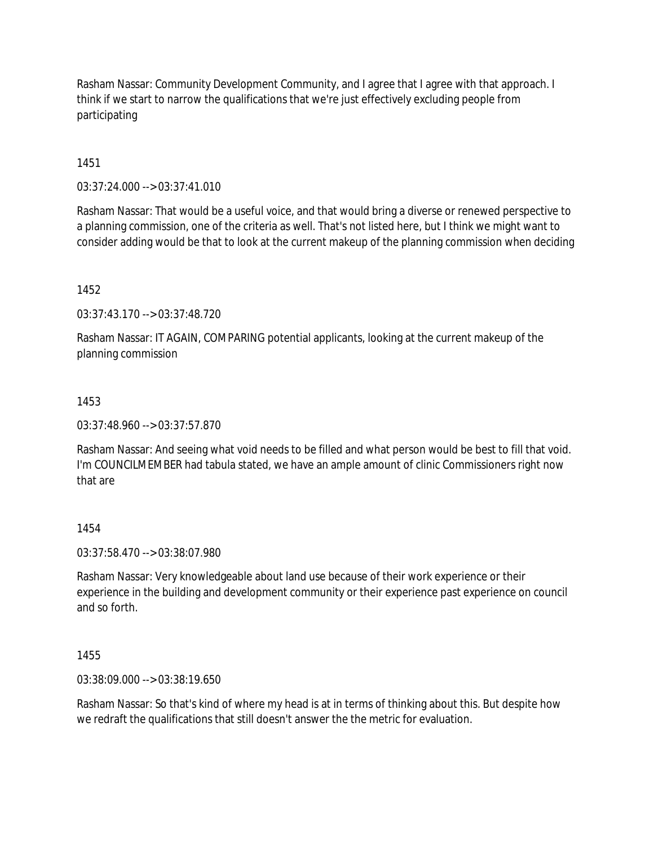Rasham Nassar: Community Development Community, and I agree that I agree with that approach. I think if we start to narrow the qualifications that we're just effectively excluding people from participating

1451

 $03:37:24.000 \rightarrow 03:37:41.010$ 

Rasham Nassar: That would be a useful voice, and that would bring a diverse or renewed perspective to a planning commission, one of the criteria as well. That's not listed here, but I think we might want to consider adding would be that to look at the current makeup of the planning commission when deciding

1452

03:37:43.170 --> 03:37:48.720

Rasham Nassar: IT AGAIN, COMPARING potential applicants, looking at the current makeup of the planning commission

### 1453

03:37:48.960 --> 03:37:57.870

Rasham Nassar: And seeing what void needs to be filled and what person would be best to fill that void. I'm COUNCILMEMBER had tabula stated, we have an ample amount of clinic Commissioners right now that are

### 1454

03:37:58.470 --> 03:38:07.980

Rasham Nassar: Very knowledgeable about land use because of their work experience or their experience in the building and development community or their experience past experience on council and so forth.

1455

03:38:09.000 --> 03:38:19.650

Rasham Nassar: So that's kind of where my head is at in terms of thinking about this. But despite how we redraft the qualifications that still doesn't answer the the metric for evaluation.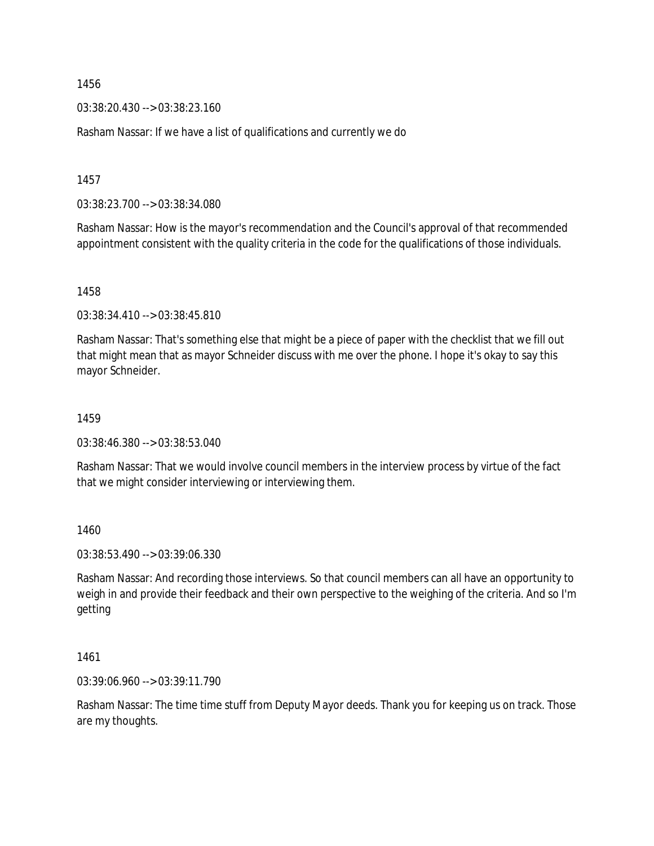03:38:20.430 --> 03:38:23.160

Rasham Nassar: If we have a list of qualifications and currently we do

1457

03:38:23.700 --> 03:38:34.080

Rasham Nassar: How is the mayor's recommendation and the Council's approval of that recommended appointment consistent with the quality criteria in the code for the qualifications of those individuals.

1458

03:38:34.410 --> 03:38:45.810

Rasham Nassar: That's something else that might be a piece of paper with the checklist that we fill out that might mean that as mayor Schneider discuss with me over the phone. I hope it's okay to say this mayor Schneider.

1459

03:38:46.380 --> 03:38:53.040

Rasham Nassar: That we would involve council members in the interview process by virtue of the fact that we might consider interviewing or interviewing them.

1460

03:38:53.490 --> 03:39:06.330

Rasham Nassar: And recording those interviews. So that council members can all have an opportunity to weigh in and provide their feedback and their own perspective to the weighing of the criteria. And so I'm getting

1461

03:39:06.960 --> 03:39:11.790

Rasham Nassar: The time time stuff from Deputy Mayor deeds. Thank you for keeping us on track. Those are my thoughts.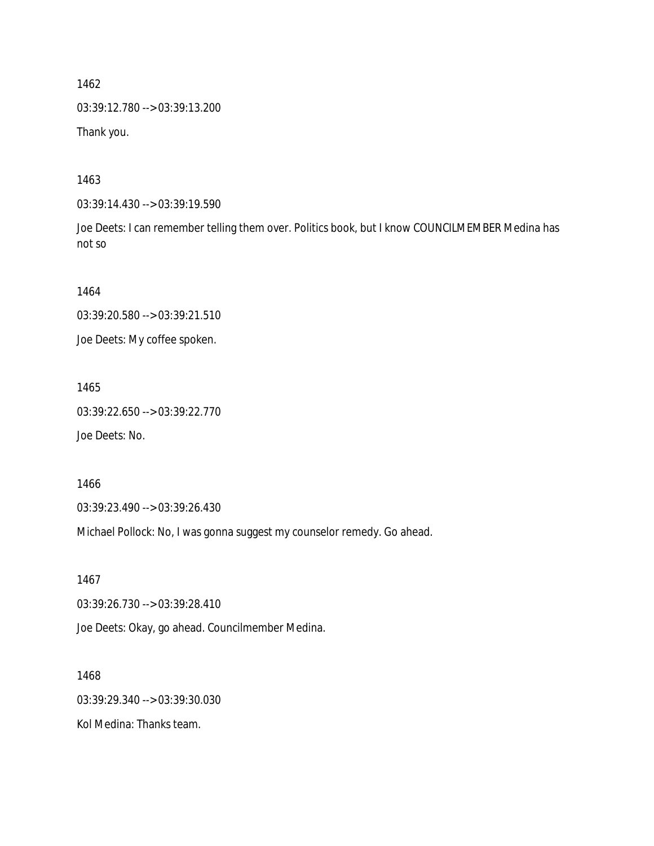03:39:12.780 --> 03:39:13.200

Thank you.

1463

03:39:14.430 --> 03:39:19.590

Joe Deets: I can remember telling them over. Politics book, but I know COUNCILMEMBER Medina has not so

1464

03:39:20.580 --> 03:39:21.510

Joe Deets: My coffee spoken.

1465

03:39:22.650 --> 03:39:22.770

Joe Deets: No.

1466

03:39:23.490 --> 03:39:26.430

Michael Pollock: No, I was gonna suggest my counselor remedy. Go ahead.

1467

03:39:26.730 --> 03:39:28.410

Joe Deets: Okay, go ahead. Councilmember Medina.

1468

03:39:29.340 --> 03:39:30.030

Kol Medina: Thanks team.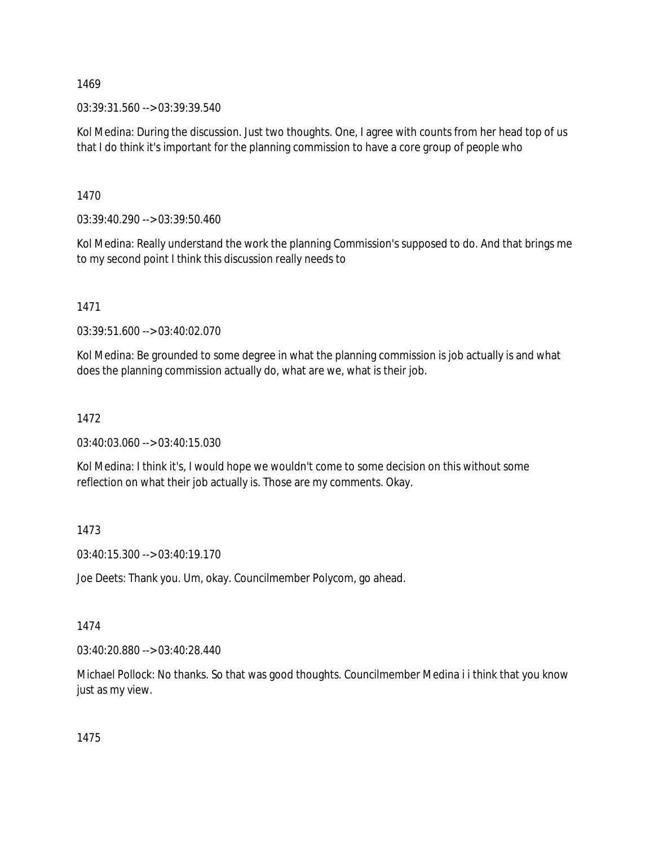03:39:31.560 --> 03:39:39.540

Kol Medina: During the discussion. Just two thoughts. One, I agree with counts from her head top of us that I do think it's important for the planning commission to have a core group of people who

1470

03:39:40.290 --> 03:39:50.460

Kol Medina: Really understand the work the planning Commission's supposed to do. And that brings me to my second point I think this discussion really needs to

1471

03:39:51.600 --> 03:40:02.070

Kol Medina: Be grounded to some degree in what the planning commission is job actually is and what does the planning commission actually do, what are we, what is their job.

# 1472

03:40:03.060 --> 03:40:15.030

Kol Medina: I think it's, I would hope we wouldn't come to some decision on this without some reflection on what their job actually is. Those are my comments. Okay.

### 1473

03:40:15.300 --> 03:40:19.170

Joe Deets: Thank you. Um, okay. Councilmember Polycom, go ahead.

### 1474

03:40:20.880 --> 03:40:28.440

Michael Pollock: No thanks. So that was good thoughts. Councilmember Medina i i think that you know just as my view.

1475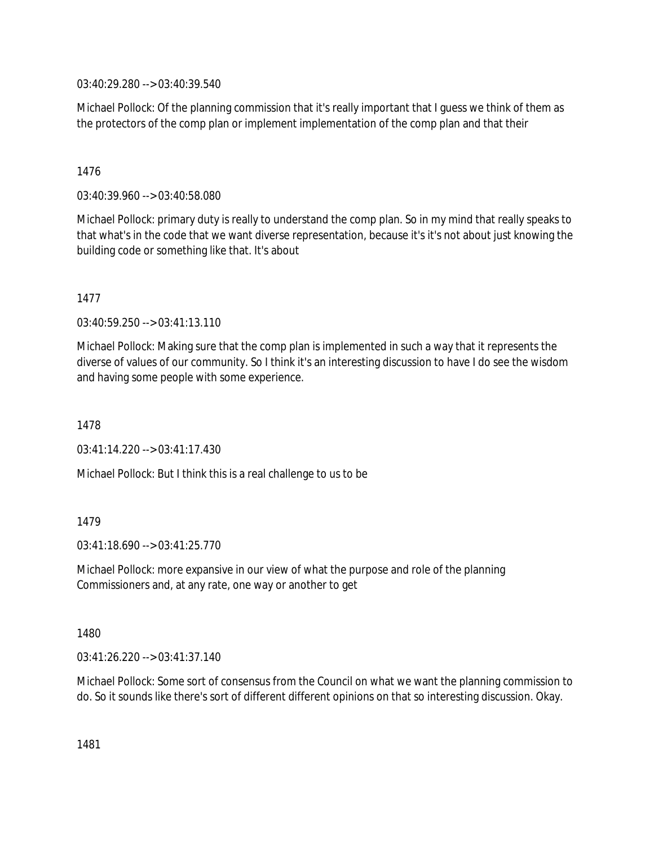03:40:29.280 --> 03:40:39.540

Michael Pollock: Of the planning commission that it's really important that I guess we think of them as the protectors of the comp plan or implement implementation of the comp plan and that their

# 1476

03:40:39.960 --> 03:40:58.080

Michael Pollock: primary duty is really to understand the comp plan. So in my mind that really speaks to that what's in the code that we want diverse representation, because it's it's not about just knowing the building code or something like that. It's about

### 1477

03:40:59.250 --> 03:41:13.110

Michael Pollock: Making sure that the comp plan is implemented in such a way that it represents the diverse of values of our community. So I think it's an interesting discussion to have I do see the wisdom and having some people with some experience.

### 1478

03:41:14.220 --> 03:41:17.430

Michael Pollock: But I think this is a real challenge to us to be

# 1479

 $03:41:18.690 \rightarrow 03:41:25.770$ 

Michael Pollock: more expansive in our view of what the purpose and role of the planning Commissioners and, at any rate, one way or another to get

### 1480

03:41:26.220 --> 03:41:37.140

Michael Pollock: Some sort of consensus from the Council on what we want the planning commission to do. So it sounds like there's sort of different different opinions on that so interesting discussion. Okay.

1481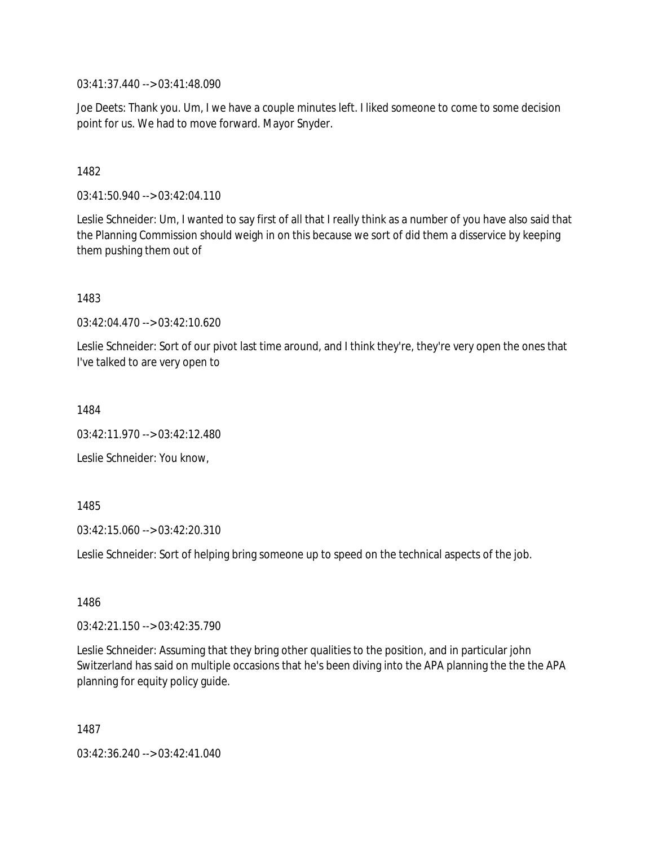03:41:37.440 --> 03:41:48.090

Joe Deets: Thank you. Um, I we have a couple minutes left. I liked someone to come to some decision point for us. We had to move forward. Mayor Snyder.

1482

03:41:50.940 --> 03:42:04.110

Leslie Schneider: Um, I wanted to say first of all that I really think as a number of you have also said that the Planning Commission should weigh in on this because we sort of did them a disservice by keeping them pushing them out of

1483

03:42:04.470 --> 03:42:10.620

Leslie Schneider: Sort of our pivot last time around, and I think they're, they're very open the ones that I've talked to are very open to

1484

03:42:11.970 --> 03:42:12.480

Leslie Schneider: You know,

1485

03:42:15.060 --> 03:42:20.310

Leslie Schneider: Sort of helping bring someone up to speed on the technical aspects of the job.

1486

03:42:21.150 --> 03:42:35.790

Leslie Schneider: Assuming that they bring other qualities to the position, and in particular john Switzerland has said on multiple occasions that he's been diving into the APA planning the the the APA planning for equity policy guide.

1487

03:42:36.240 --> 03:42:41.040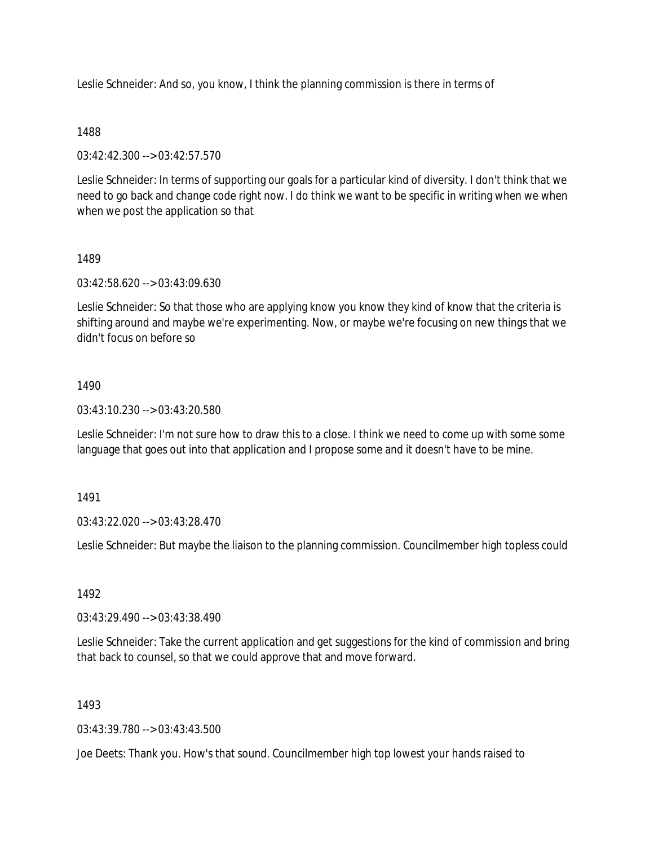Leslie Schneider: And so, you know, I think the planning commission is there in terms of

### 1488

03:42:42.300 --> 03:42:57.570

Leslie Schneider: In terms of supporting our goals for a particular kind of diversity. I don't think that we need to go back and change code right now. I do think we want to be specific in writing when we when when we post the application so that

# 1489

03:42:58.620 --> 03:43:09.630

Leslie Schneider: So that those who are applying know you know they kind of know that the criteria is shifting around and maybe we're experimenting. Now, or maybe we're focusing on new things that we didn't focus on before so

# 1490

03:43:10.230 --> 03:43:20.580

Leslie Schneider: I'm not sure how to draw this to a close. I think we need to come up with some some language that goes out into that application and I propose some and it doesn't have to be mine.

1491

03:43:22.020 --> 03:43:28.470

Leslie Schneider: But maybe the liaison to the planning commission. Councilmember high topless could

1492

03:43:29.490 --> 03:43:38.490

Leslie Schneider: Take the current application and get suggestions for the kind of commission and bring that back to counsel, so that we could approve that and move forward.

# 1493

03:43:39.780 --> 03:43:43.500

Joe Deets: Thank you. How's that sound. Councilmember high top lowest your hands raised to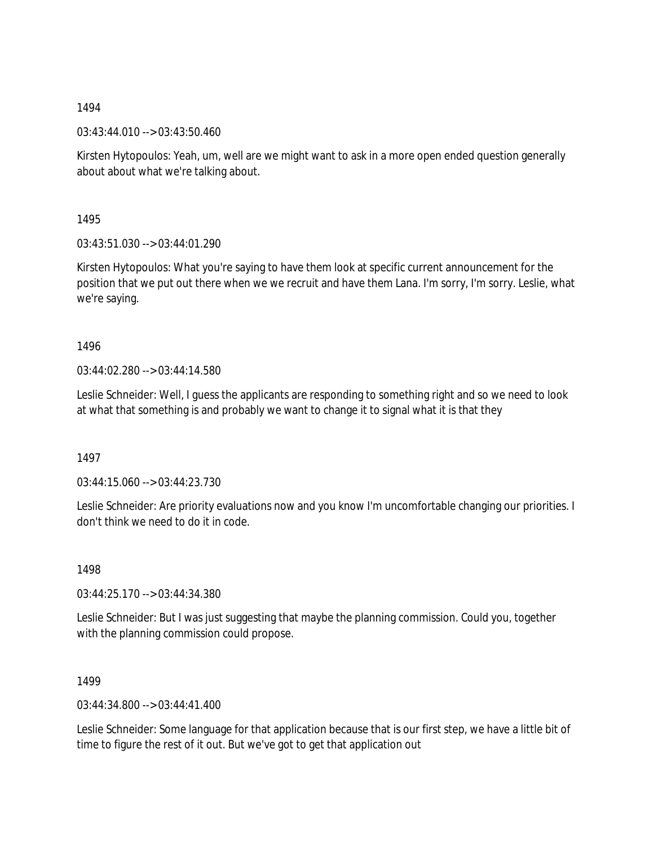03:43:44.010 --> 03:43:50.460

Kirsten Hytopoulos: Yeah, um, well are we might want to ask in a more open ended question generally about about what we're talking about.

1495

03:43:51.030 --> 03:44:01.290

Kirsten Hytopoulos: What you're saying to have them look at specific current announcement for the position that we put out there when we we recruit and have them Lana. I'm sorry, I'm sorry. Leslie, what we're saying.

1496

03:44:02.280 --> 03:44:14.580

Leslie Schneider: Well, I guess the applicants are responding to something right and so we need to look at what that something is and probably we want to change it to signal what it is that they

1497

03:44:15.060 --> 03:44:23.730

Leslie Schneider: Are priority evaluations now and you know I'm uncomfortable changing our priorities. I don't think we need to do it in code.

1498

03:44:25.170 --> 03:44:34.380

Leslie Schneider: But I was just suggesting that maybe the planning commission. Could you, together with the planning commission could propose.

1499

03:44:34.800 --> 03:44:41.400

Leslie Schneider: Some language for that application because that is our first step, we have a little bit of time to figure the rest of it out. But we've got to get that application out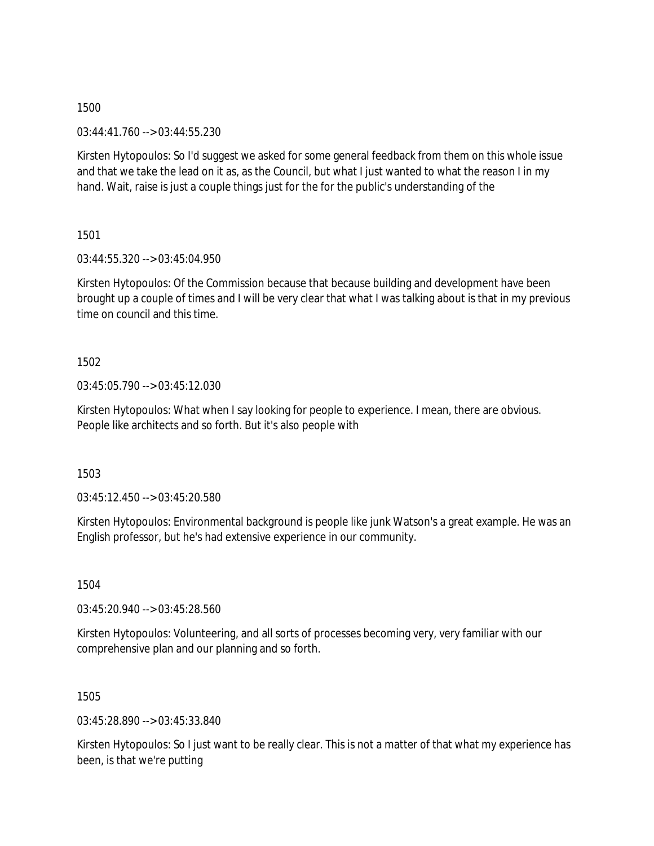03:44:41.760 --> 03:44:55.230

Kirsten Hytopoulos: So I'd suggest we asked for some general feedback from them on this whole issue and that we take the lead on it as, as the Council, but what I just wanted to what the reason I in my hand. Wait, raise is just a couple things just for the for the public's understanding of the

1501

03:44:55.320 --> 03:45:04.950

Kirsten Hytopoulos: Of the Commission because that because building and development have been brought up a couple of times and I will be very clear that what I was talking about is that in my previous time on council and this time.

1502

03:45:05.790 --> 03:45:12.030

Kirsten Hytopoulos: What when I say looking for people to experience. I mean, there are obvious. People like architects and so forth. But it's also people with

1503

03:45:12.450 --> 03:45:20.580

Kirsten Hytopoulos: Environmental background is people like junk Watson's a great example. He was an English professor, but he's had extensive experience in our community.

1504

03:45:20.940 --> 03:45:28.560

Kirsten Hytopoulos: Volunteering, and all sorts of processes becoming very, very familiar with our comprehensive plan and our planning and so forth.

1505

03:45:28.890 --> 03:45:33.840

Kirsten Hytopoulos: So I just want to be really clear. This is not a matter of that what my experience has been, is that we're putting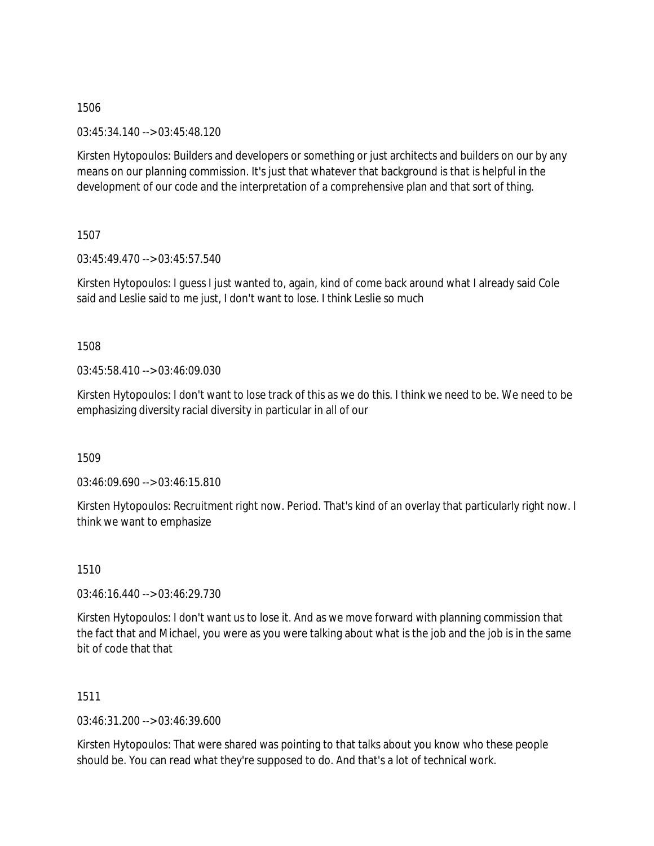03:45:34.140 --> 03:45:48.120

Kirsten Hytopoulos: Builders and developers or something or just architects and builders on our by any means on our planning commission. It's just that whatever that background is that is helpful in the development of our code and the interpretation of a comprehensive plan and that sort of thing.

1507

03:45:49.470 --> 03:45:57.540

Kirsten Hytopoulos: I guess I just wanted to, again, kind of come back around what I already said Cole said and Leslie said to me just, I don't want to lose. I think Leslie so much

1508

03:45:58.410 --> 03:46:09.030

Kirsten Hytopoulos: I don't want to lose track of this as we do this. I think we need to be. We need to be emphasizing diversity racial diversity in particular in all of our

1509

03:46:09.690 --> 03:46:15.810

Kirsten Hytopoulos: Recruitment right now. Period. That's kind of an overlay that particularly right now. I think we want to emphasize

1510

03:46:16.440 --> 03:46:29.730

Kirsten Hytopoulos: I don't want us to lose it. And as we move forward with planning commission that the fact that and Michael, you were as you were talking about what is the job and the job is in the same bit of code that that

1511

03:46:31.200 --> 03:46:39.600

Kirsten Hytopoulos: That were shared was pointing to that talks about you know who these people should be. You can read what they're supposed to do. And that's a lot of technical work.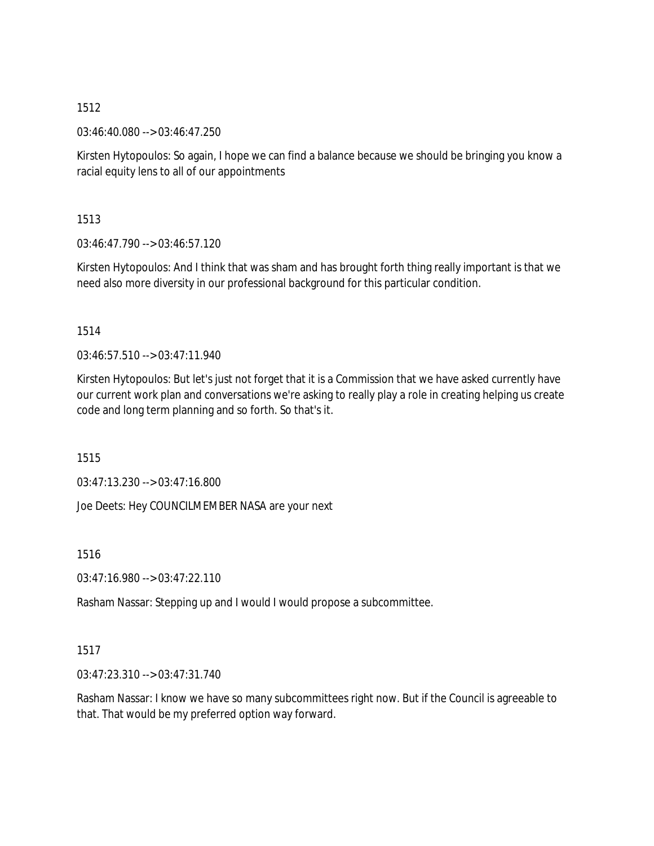03:46:40.080 --> 03:46:47.250

Kirsten Hytopoulos: So again, I hope we can find a balance because we should be bringing you know a racial equity lens to all of our appointments

1513

03:46:47.790 --> 03:46:57.120

Kirsten Hytopoulos: And I think that was sham and has brought forth thing really important is that we need also more diversity in our professional background for this particular condition.

1514

03:46:57.510 --> 03:47:11.940

Kirsten Hytopoulos: But let's just not forget that it is a Commission that we have asked currently have our current work plan and conversations we're asking to really play a role in creating helping us create code and long term planning and so forth. So that's it.

1515

03:47:13.230 --> 03:47:16.800

Joe Deets: Hey COUNCILMEMBER NASA are your next

1516

 $03:47:16.980 \rightarrow 03:47:22.110$ 

Rasham Nassar: Stepping up and I would I would propose a subcommittee.

1517

03:47:23.310 --> 03:47:31.740

Rasham Nassar: I know we have so many subcommittees right now. But if the Council is agreeable to that. That would be my preferred option way forward.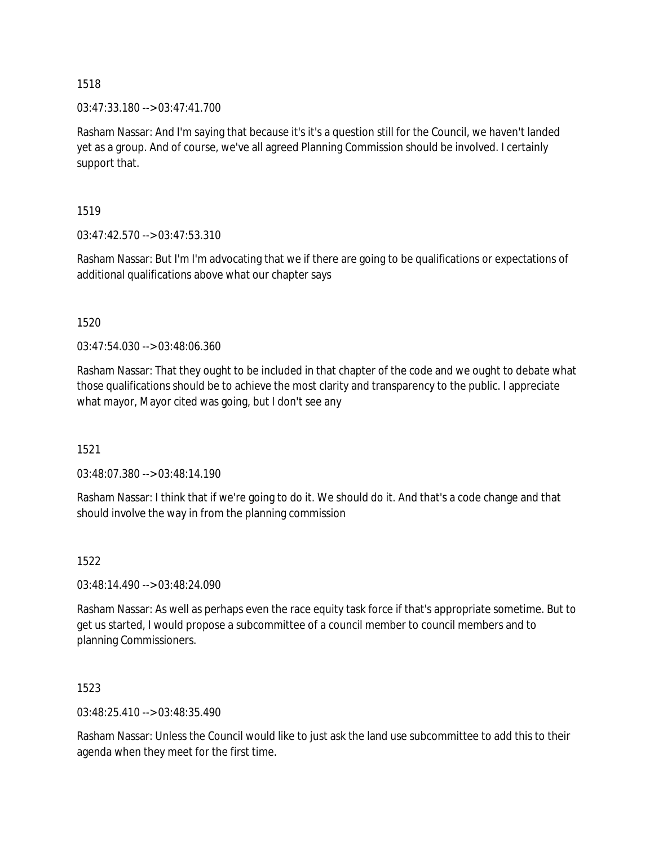03:47:33.180 --> 03:47:41.700

Rasham Nassar: And I'm saying that because it's it's a question still for the Council, we haven't landed yet as a group. And of course, we've all agreed Planning Commission should be involved. I certainly support that.

1519

03:47:42.570 --> 03:47:53.310

Rasham Nassar: But I'm I'm advocating that we if there are going to be qualifications or expectations of additional qualifications above what our chapter says

1520

03:47:54.030 --> 03:48:06.360

Rasham Nassar: That they ought to be included in that chapter of the code and we ought to debate what those qualifications should be to achieve the most clarity and transparency to the public. I appreciate what mayor, Mayor cited was going, but I don't see any

1521

03:48:07.380 --> 03:48:14.190

Rasham Nassar: I think that if we're going to do it. We should do it. And that's a code change and that should involve the way in from the planning commission

1522

03:48:14.490 --> 03:48:24.090

Rasham Nassar: As well as perhaps even the race equity task force if that's appropriate sometime. But to get us started, I would propose a subcommittee of a council member to council members and to planning Commissioners.

1523

03:48:25.410 --> 03:48:35.490

Rasham Nassar: Unless the Council would like to just ask the land use subcommittee to add this to their agenda when they meet for the first time.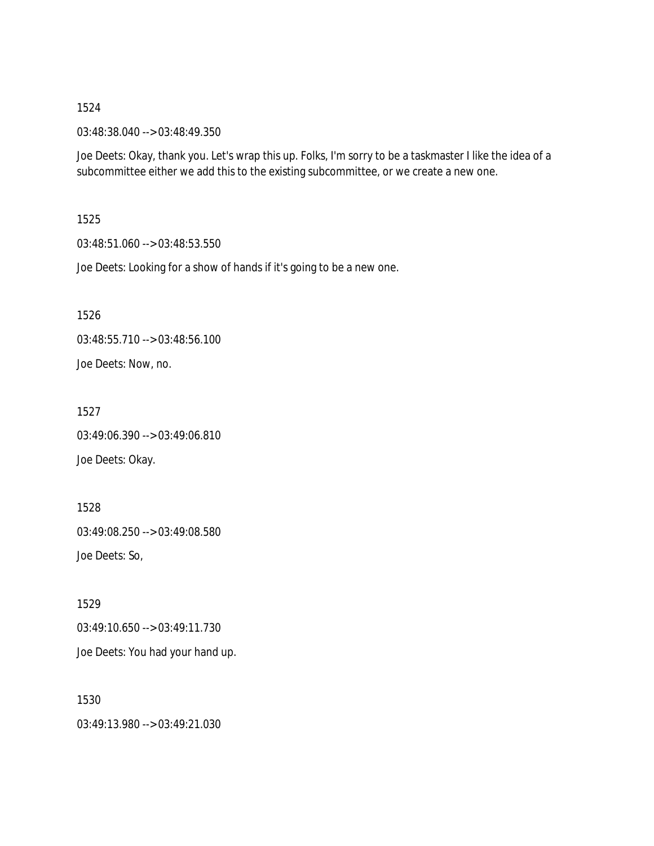03:48:38.040 --> 03:48:49.350

Joe Deets: Okay, thank you. Let's wrap this up. Folks, I'm sorry to be a taskmaster I like the idea of a subcommittee either we add this to the existing subcommittee, or we create a new one.

1525

03:48:51.060 --> 03:48:53.550

Joe Deets: Looking for a show of hands if it's going to be a new one.

1526

03:48:55.710 --> 03:48:56.100 Joe Deets: Now, no.

1527 03:49:06.390 --> 03:49:06.810 Joe Deets: Okay.

1528 03:49:08.250 --> 03:49:08.580 Joe Deets: So,

1529 03:49:10.650 --> 03:49:11.730

Joe Deets: You had your hand up.

1530 03:49:13.980 --> 03:49:21.030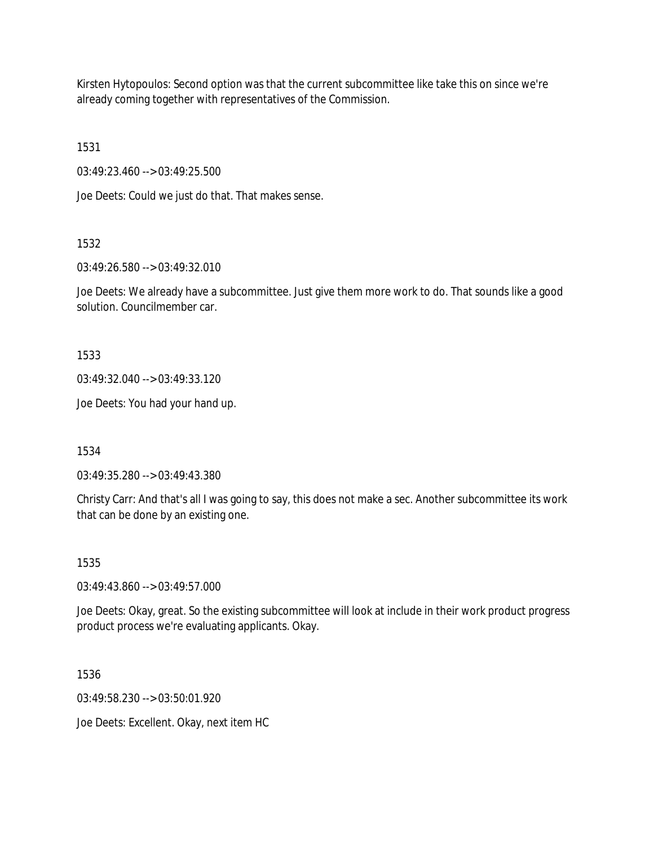Kirsten Hytopoulos: Second option was that the current subcommittee like take this on since we're already coming together with representatives of the Commission.

1531

03:49:23.460 --> 03:49:25.500

Joe Deets: Could we just do that. That makes sense.

1532

03:49:26.580 --> 03:49:32.010

Joe Deets: We already have a subcommittee. Just give them more work to do. That sounds like a good solution. Councilmember car.

1533

03:49:32.040 --> 03:49:33.120

Joe Deets: You had your hand up.

1534

03:49:35.280 --> 03:49:43.380

Christy Carr: And that's all I was going to say, this does not make a sec. Another subcommittee its work that can be done by an existing one.

1535

03:49:43.860 --> 03:49:57.000

Joe Deets: Okay, great. So the existing subcommittee will look at include in their work product progress product process we're evaluating applicants. Okay.

1536

03:49:58.230 --> 03:50:01.920

Joe Deets: Excellent. Okay, next item HC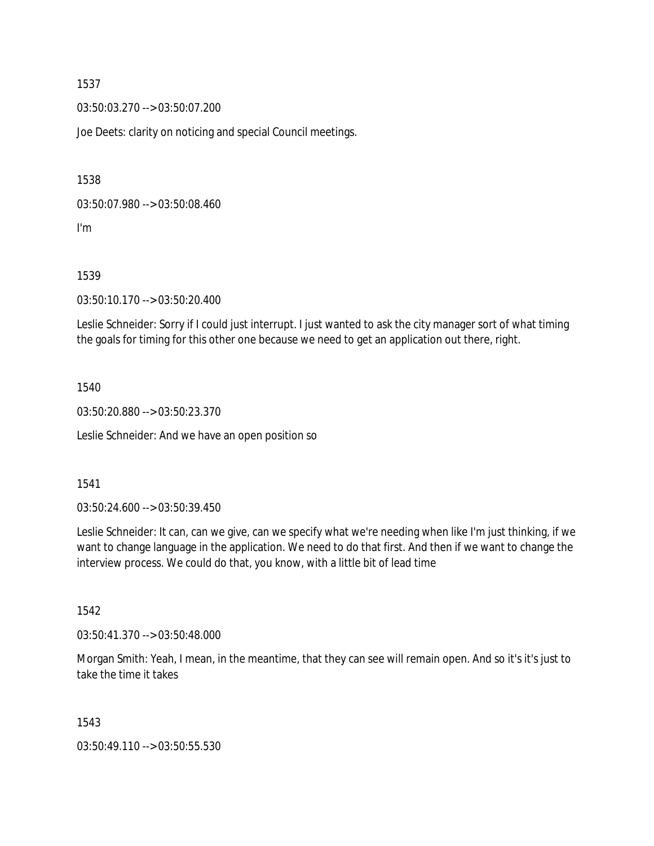03:50:03.270 --> 03:50:07.200

Joe Deets: clarity on noticing and special Council meetings.

1538

03:50:07.980 --> 03:50:08.460

I'm

1539

03:50:10.170 --> 03:50:20.400

Leslie Schneider: Sorry if I could just interrupt. I just wanted to ask the city manager sort of what timing the goals for timing for this other one because we need to get an application out there, right.

### 1540

03:50:20.880 --> 03:50:23.370

Leslie Schneider: And we have an open position so

# 1541

03:50:24.600 --> 03:50:39.450

Leslie Schneider: It can, can we give, can we specify what we're needing when like I'm just thinking, if we want to change language in the application. We need to do that first. And then if we want to change the interview process. We could do that, you know, with a little bit of lead time

1542

03:50:41.370 --> 03:50:48.000

Morgan Smith: Yeah, I mean, in the meantime, that they can see will remain open. And so it's it's just to take the time it takes

1543

03:50:49.110 --> 03:50:55.530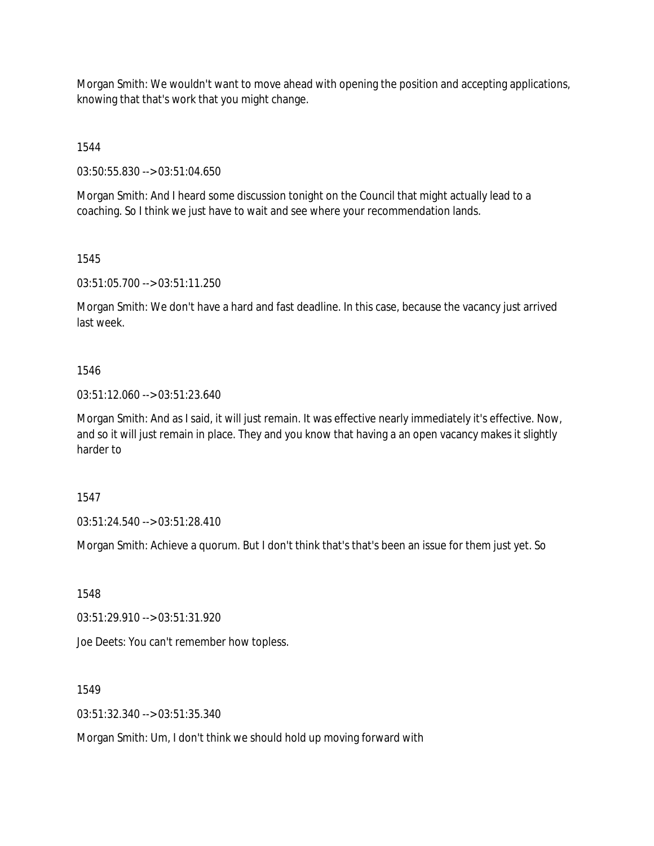Morgan Smith: We wouldn't want to move ahead with opening the position and accepting applications, knowing that that's work that you might change.

1544

03:50:55.830 --> 03:51:04.650

Morgan Smith: And I heard some discussion tonight on the Council that might actually lead to a coaching. So I think we just have to wait and see where your recommendation lands.

1545

03:51:05.700 --> 03:51:11.250

Morgan Smith: We don't have a hard and fast deadline. In this case, because the vacancy just arrived last week.

1546

03:51:12.060 --> 03:51:23.640

Morgan Smith: And as I said, it will just remain. It was effective nearly immediately it's effective. Now, and so it will just remain in place. They and you know that having a an open vacancy makes it slightly harder to

1547

03:51:24.540 --> 03:51:28.410

Morgan Smith: Achieve a quorum. But I don't think that's that's been an issue for them just yet. So

1548

03:51:29.910 --> 03:51:31.920

Joe Deets: You can't remember how topless.

1549

03:51:32.340 --> 03:51:35.340

Morgan Smith: Um, I don't think we should hold up moving forward with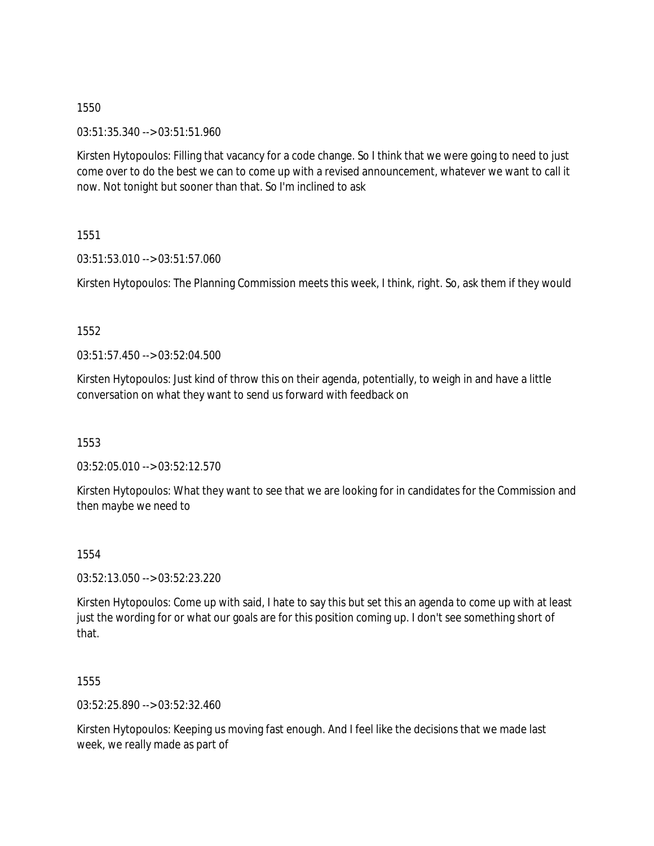03:51:35.340 --> 03:51:51.960

Kirsten Hytopoulos: Filling that vacancy for a code change. So I think that we were going to need to just come over to do the best we can to come up with a revised announcement, whatever we want to call it now. Not tonight but sooner than that. So I'm inclined to ask

1551

03:51:53.010 --> 03:51:57.060

Kirsten Hytopoulos: The Planning Commission meets this week, I think, right. So, ask them if they would

1552

 $03:51:57.450 \rightarrow 03:52:04.500$ 

Kirsten Hytopoulos: Just kind of throw this on their agenda, potentially, to weigh in and have a little conversation on what they want to send us forward with feedback on

1553

03:52:05.010 --> 03:52:12.570

Kirsten Hytopoulos: What they want to see that we are looking for in candidates for the Commission and then maybe we need to

1554

03:52:13.050 --> 03:52:23.220

Kirsten Hytopoulos: Come up with said, I hate to say this but set this an agenda to come up with at least just the wording for or what our goals are for this position coming up. I don't see something short of that.

1555

03:52:25.890 --> 03:52:32.460

Kirsten Hytopoulos: Keeping us moving fast enough. And I feel like the decisions that we made last week, we really made as part of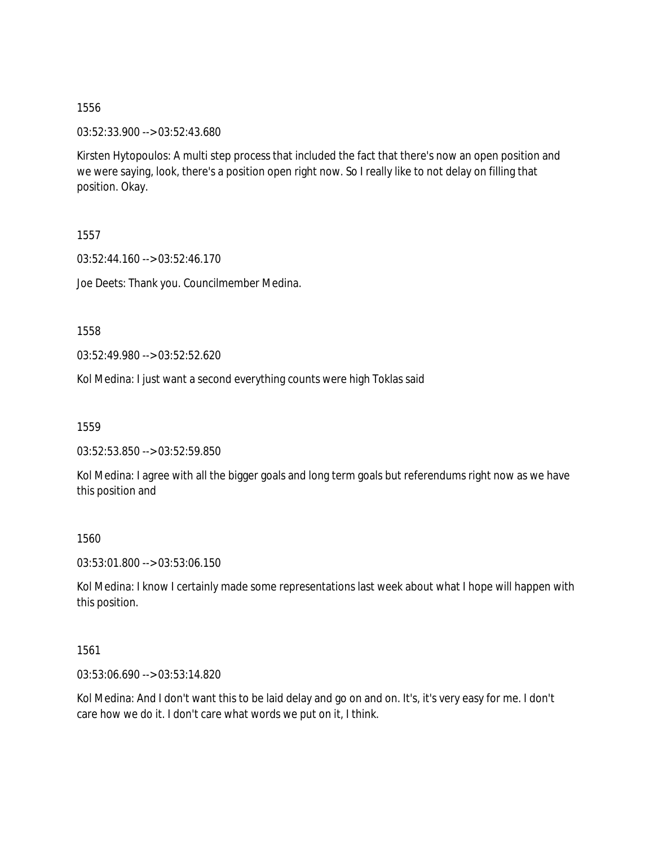03:52:33.900 --> 03:52:43.680

Kirsten Hytopoulos: A multi step process that included the fact that there's now an open position and we were saying, look, there's a position open right now. So I really like to not delay on filling that position. Okay.

1557

03:52:44.160 --> 03:52:46.170

Joe Deets: Thank you. Councilmember Medina.

1558

03:52:49.980 --> 03:52:52.620

Kol Medina: I just want a second everything counts were high Toklas said

1559

03:52:53.850 --> 03:52:59.850

Kol Medina: I agree with all the bigger goals and long term goals but referendums right now as we have this position and

1560

03:53:01.800 --> 03:53:06.150

Kol Medina: I know I certainly made some representations last week about what I hope will happen with this position.

1561

03:53:06.690 --> 03:53:14.820

Kol Medina: And I don't want this to be laid delay and go on and on. It's, it's very easy for me. I don't care how we do it. I don't care what words we put on it, I think.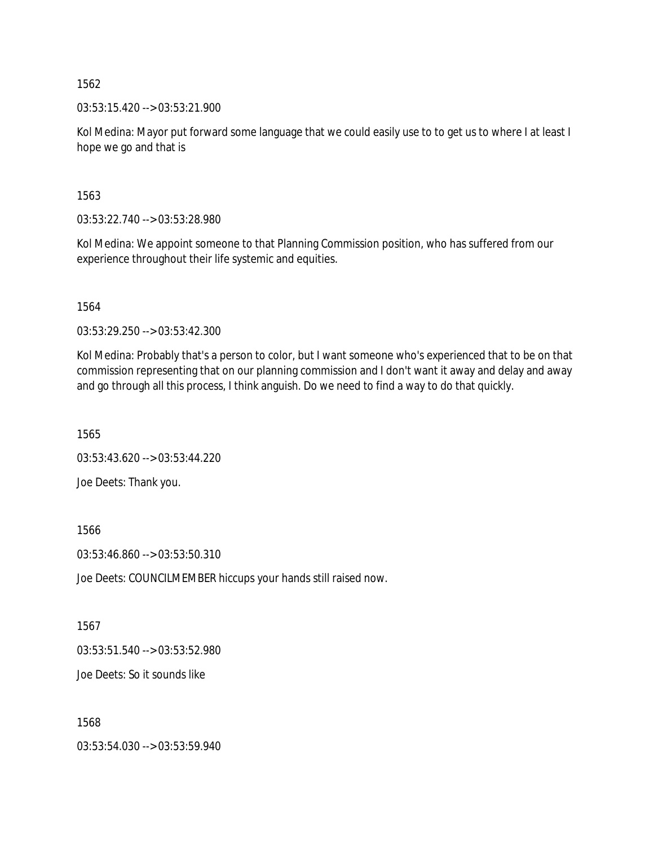03:53:15.420 --> 03:53:21.900

Kol Medina: Mayor put forward some language that we could easily use to to get us to where I at least I hope we go and that is

1563

03:53:22.740 --> 03:53:28.980

Kol Medina: We appoint someone to that Planning Commission position, who has suffered from our experience throughout their life systemic and equities.

1564

03:53:29.250 --> 03:53:42.300

Kol Medina: Probably that's a person to color, but I want someone who's experienced that to be on that commission representing that on our planning commission and I don't want it away and delay and away and go through all this process, I think anguish. Do we need to find a way to do that quickly.

1565

03:53:43.620 --> 03:53:44.220

Joe Deets: Thank you.

1566

03:53:46.860 --> 03:53:50.310

Joe Deets: COUNCILMEMBER hiccups your hands still raised now.

1567

03:53:51.540 --> 03:53:52.980

Joe Deets: So it sounds like

1568

03:53:54.030 --> 03:53:59.940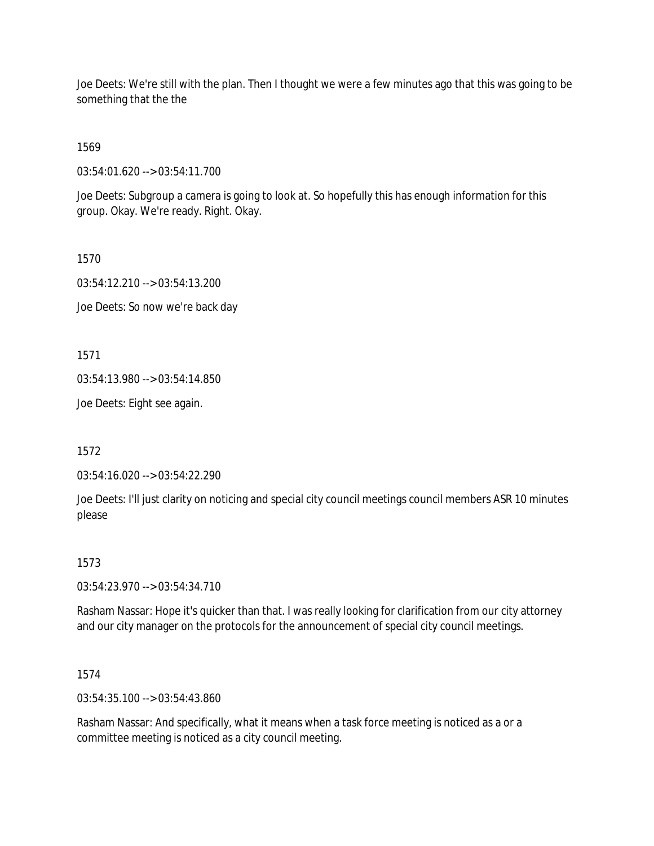Joe Deets: We're still with the plan. Then I thought we were a few minutes ago that this was going to be something that the the

1569

03:54:01.620 --> 03:54:11.700

Joe Deets: Subgroup a camera is going to look at. So hopefully this has enough information for this group. Okay. We're ready. Right. Okay.

1570 03:54:12.210 --> 03:54:13.200 Joe Deets: So now we're back day

1571

03:54:13.980 --> 03:54:14.850

Joe Deets: Eight see again.

1572

03:54:16.020 --> 03:54:22.290

Joe Deets: I'll just clarity on noticing and special city council meetings council members ASR 10 minutes please

### 1573

03:54:23.970 --> 03:54:34.710

Rasham Nassar: Hope it's quicker than that. I was really looking for clarification from our city attorney and our city manager on the protocols for the announcement of special city council meetings.

1574

03:54:35.100 --> 03:54:43.860

Rasham Nassar: And specifically, what it means when a task force meeting is noticed as a or a committee meeting is noticed as a city council meeting.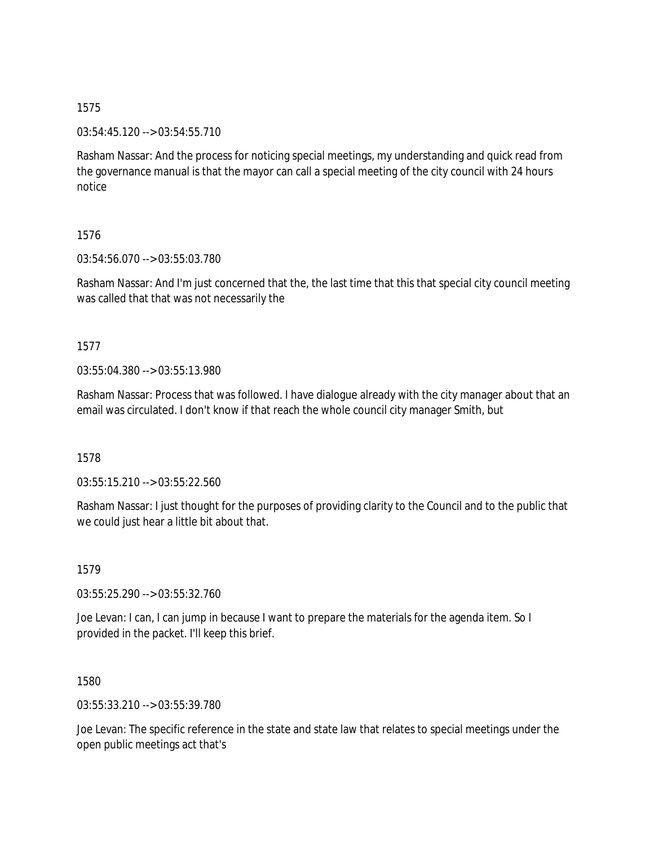03:54:45.120 --> 03:54:55.710

Rasham Nassar: And the process for noticing special meetings, my understanding and quick read from the governance manual is that the mayor can call a special meeting of the city council with 24 hours notice

### 1576

03:54:56.070 --> 03:55:03.780

Rasham Nassar: And I'm just concerned that the, the last time that this that special city council meeting was called that that was not necessarily the

# 1577

03:55:04.380 --> 03:55:13.980

Rasham Nassar: Process that was followed. I have dialogue already with the city manager about that an email was circulated. I don't know if that reach the whole council city manager Smith, but

### 1578

03:55:15.210 --> 03:55:22.560

Rasham Nassar: I just thought for the purposes of providing clarity to the Council and to the public that we could just hear a little bit about that.

1579

03:55:25.290 --> 03:55:32.760

Joe Levan: I can, I can jump in because I want to prepare the materials for the agenda item. So I provided in the packet. I'll keep this brief.

1580

03:55:33.210 --> 03:55:39.780

Joe Levan: The specific reference in the state and state law that relates to special meetings under the open public meetings act that's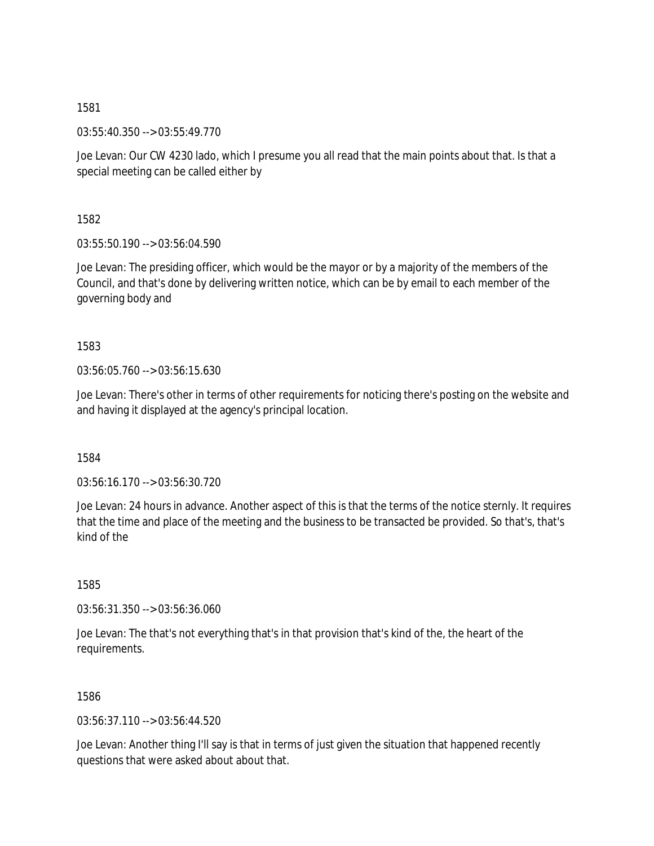03:55:40.350 --> 03:55:49.770

Joe Levan: Our CW 4230 lado, which I presume you all read that the main points about that. Is that a special meeting can be called either by

1582

03:55:50.190 --> 03:56:04.590

Joe Levan: The presiding officer, which would be the mayor or by a majority of the members of the Council, and that's done by delivering written notice, which can be by email to each member of the governing body and

1583

03:56:05.760 --> 03:56:15.630

Joe Levan: There's other in terms of other requirements for noticing there's posting on the website and and having it displayed at the agency's principal location.

1584

03:56:16.170 --> 03:56:30.720

Joe Levan: 24 hours in advance. Another aspect of this is that the terms of the notice sternly. It requires that the time and place of the meeting and the business to be transacted be provided. So that's, that's kind of the

1585

03:56:31.350 --> 03:56:36.060

Joe Levan: The that's not everything that's in that provision that's kind of the, the heart of the requirements.

1586

03:56:37.110 --> 03:56:44.520

Joe Levan: Another thing I'll say is that in terms of just given the situation that happened recently questions that were asked about about that.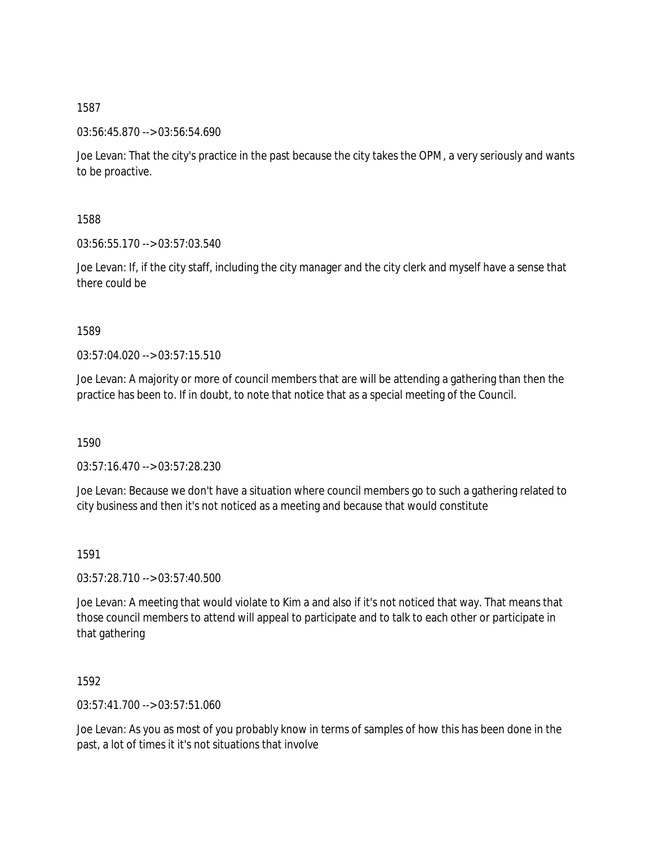03:56:45.870 --> 03:56:54.690

Joe Levan: That the city's practice in the past because the city takes the OPM, a very seriously and wants to be proactive.

1588

03:56:55.170 --> 03:57:03.540

Joe Levan: If, if the city staff, including the city manager and the city clerk and myself have a sense that there could be

1589

 $03:57:04.020 \rightarrow 03:57:15.510$ 

Joe Levan: A majority or more of council members that are will be attending a gathering than then the practice has been to. If in doubt, to note that notice that as a special meeting of the Council.

1590

03:57:16.470 --> 03:57:28.230

Joe Levan: Because we don't have a situation where council members go to such a gathering related to city business and then it's not noticed as a meeting and because that would constitute

1591

03:57:28.710 --> 03:57:40.500

Joe Levan: A meeting that would violate to Kim a and also if it's not noticed that way. That means that those council members to attend will appeal to participate and to talk to each other or participate in that gathering

1592

03:57:41.700 --> 03:57:51.060

Joe Levan: As you as most of you probably know in terms of samples of how this has been done in the past, a lot of times it it's not situations that involve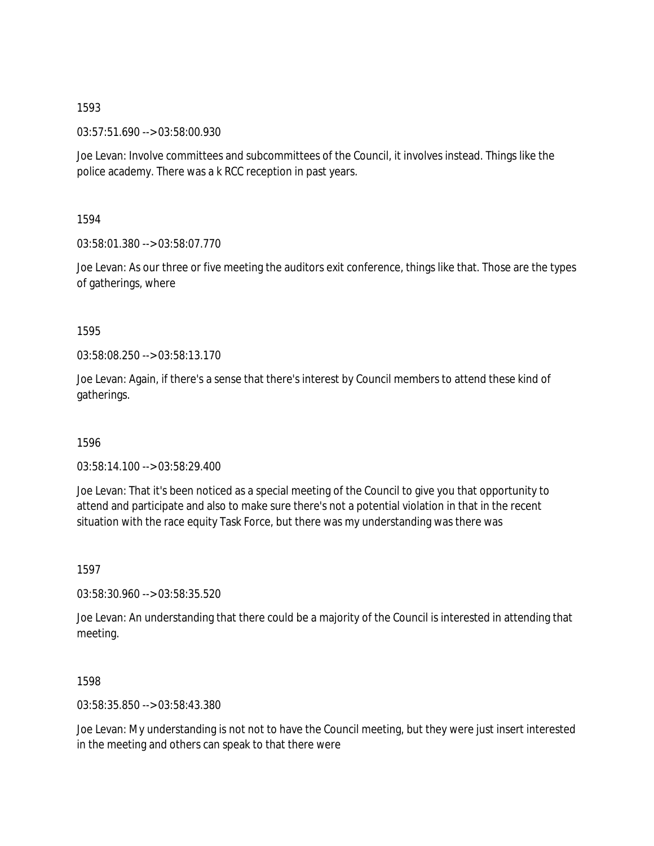03:57:51.690 --> 03:58:00.930

Joe Levan: Involve committees and subcommittees of the Council, it involves instead. Things like the police academy. There was a k RCC reception in past years.

1594

03:58:01.380 --> 03:58:07.770

Joe Levan: As our three or five meeting the auditors exit conference, things like that. Those are the types of gatherings, where

1595

03:58:08.250 --> 03:58:13.170

Joe Levan: Again, if there's a sense that there's interest by Council members to attend these kind of gatherings.

1596

03:58:14.100 --> 03:58:29.400

Joe Levan: That it's been noticed as a special meeting of the Council to give you that opportunity to attend and participate and also to make sure there's not a potential violation in that in the recent situation with the race equity Task Force, but there was my understanding was there was

1597

03:58:30.960 --> 03:58:35.520

Joe Levan: An understanding that there could be a majority of the Council is interested in attending that meeting.

1598

03:58:35.850 --> 03:58:43.380

Joe Levan: My understanding is not not to have the Council meeting, but they were just insert interested in the meeting and others can speak to that there were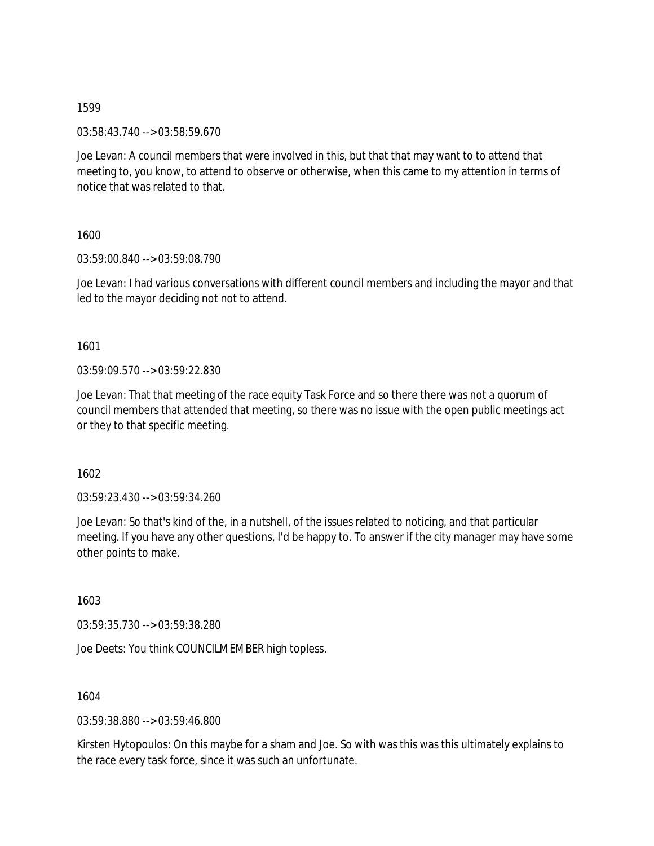03:58:43.740 --> 03:58:59.670

Joe Levan: A council members that were involved in this, but that that may want to to attend that meeting to, you know, to attend to observe or otherwise, when this came to my attention in terms of notice that was related to that.

1600

03:59:00.840 --> 03:59:08.790

Joe Levan: I had various conversations with different council members and including the mayor and that led to the mayor deciding not not to attend.

1601

03:59:09.570 --> 03:59:22.830

Joe Levan: That that meeting of the race equity Task Force and so there there was not a quorum of council members that attended that meeting, so there was no issue with the open public meetings act or they to that specific meeting.

1602

03:59:23.430 --> 03:59:34.260

Joe Levan: So that's kind of the, in a nutshell, of the issues related to noticing, and that particular meeting. If you have any other questions, I'd be happy to. To answer if the city manager may have some other points to make.

1603

03:59:35.730 --> 03:59:38.280

Joe Deets: You think COUNCILMEMBER high topless.

1604

03:59:38.880 --> 03:59:46.800

Kirsten Hytopoulos: On this maybe for a sham and Joe. So with was this was this ultimately explains to the race every task force, since it was such an unfortunate.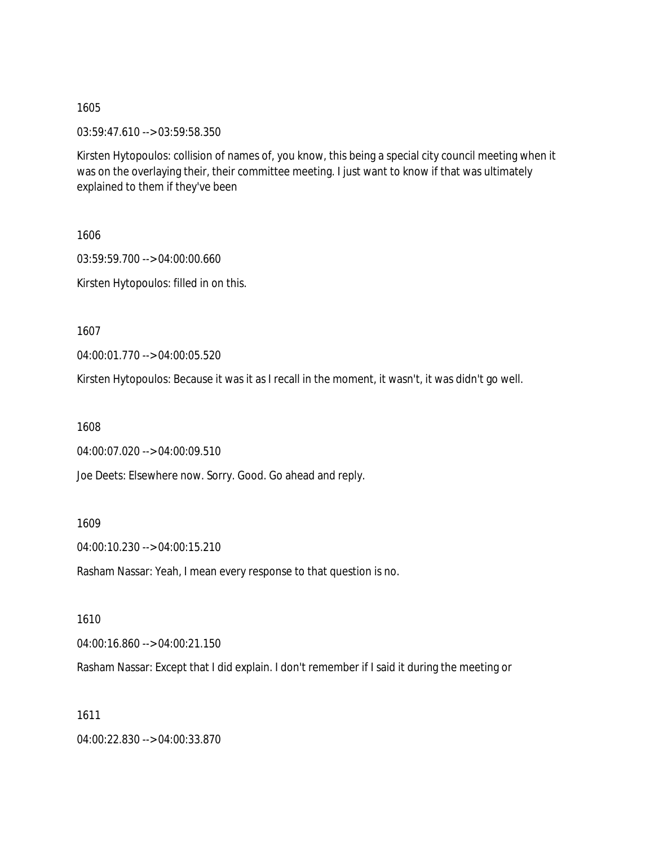03:59:47.610 --> 03:59:58.350

Kirsten Hytopoulos: collision of names of, you know, this being a special city council meeting when it was on the overlaying their, their committee meeting. I just want to know if that was ultimately explained to them if they've been

1606 03:59:59.700 --> 04:00:00.660 Kirsten Hytopoulos: filled in on this.

1607

04:00:01.770 --> 04:00:05.520

Kirsten Hytopoulos: Because it was it as I recall in the moment, it wasn't, it was didn't go well.

1608

04:00:07.020 --> 04:00:09.510

Joe Deets: Elsewhere now. Sorry. Good. Go ahead and reply.

1609

04:00:10.230 --> 04:00:15.210

Rasham Nassar: Yeah, I mean every response to that question is no.

1610

04:00:16.860 --> 04:00:21.150

Rasham Nassar: Except that I did explain. I don't remember if I said it during the meeting or

1611

04:00:22.830 --> 04:00:33.870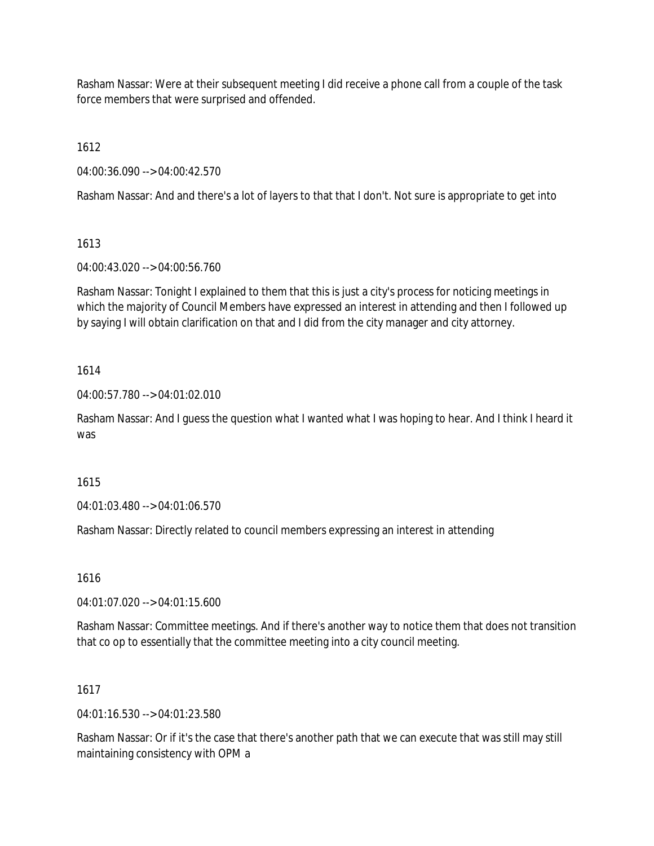Rasham Nassar: Were at their subsequent meeting I did receive a phone call from a couple of the task force members that were surprised and offended.

1612

04:00:36.090 --> 04:00:42.570

Rasham Nassar: And and there's a lot of layers to that that I don't. Not sure is appropriate to get into

# 1613

04:00:43.020 --> 04:00:56.760

Rasham Nassar: Tonight I explained to them that this is just a city's process for noticing meetings in which the majority of Council Members have expressed an interest in attending and then I followed up by saying I will obtain clarification on that and I did from the city manager and city attorney.

# 1614

04:00:57.780 --> 04:01:02.010

Rasham Nassar: And I guess the question what I wanted what I was hoping to hear. And I think I heard it was

# 1615

04:01:03.480 --> 04:01:06.570

Rasham Nassar: Directly related to council members expressing an interest in attending

# 1616

04:01:07.020 --> 04:01:15.600

Rasham Nassar: Committee meetings. And if there's another way to notice them that does not transition that co op to essentially that the committee meeting into a city council meeting.

# 1617

04:01:16.530 --> 04:01:23.580

Rasham Nassar: Or if it's the case that there's another path that we can execute that was still may still maintaining consistency with OPM a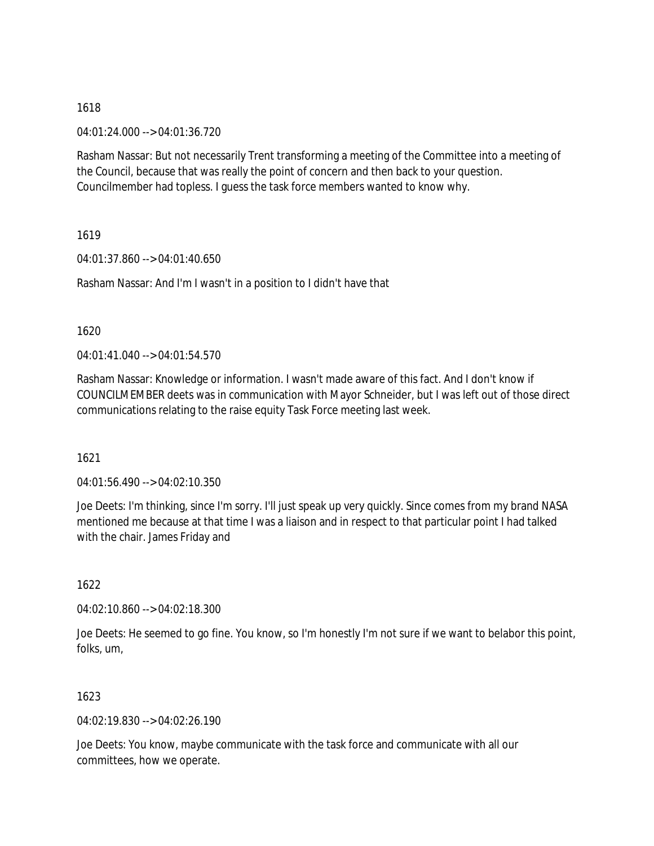04:01:24.000 --> 04:01:36.720

Rasham Nassar: But not necessarily Trent transforming a meeting of the Committee into a meeting of the Council, because that was really the point of concern and then back to your question. Councilmember had topless. I guess the task force members wanted to know why.

1619

04:01:37.860 --> 04:01:40.650

Rasham Nassar: And I'm I wasn't in a position to I didn't have that

1620

 $04.01.41.040 -> 04.01.54.570$ 

Rasham Nassar: Knowledge or information. I wasn't made aware of this fact. And I don't know if COUNCILMEMBER deets was in communication with Mayor Schneider, but I was left out of those direct communications relating to the raise equity Task Force meeting last week.

1621

04:01:56.490 --> 04:02:10.350

Joe Deets: I'm thinking, since I'm sorry. I'll just speak up very quickly. Since comes from my brand NASA mentioned me because at that time I was a liaison and in respect to that particular point I had talked with the chair. James Friday and

1622

04:02:10.860 --> 04:02:18.300

Joe Deets: He seemed to go fine. You know, so I'm honestly I'm not sure if we want to belabor this point, folks, um,

1623

04:02:19.830 --> 04:02:26.190

Joe Deets: You know, maybe communicate with the task force and communicate with all our committees, how we operate.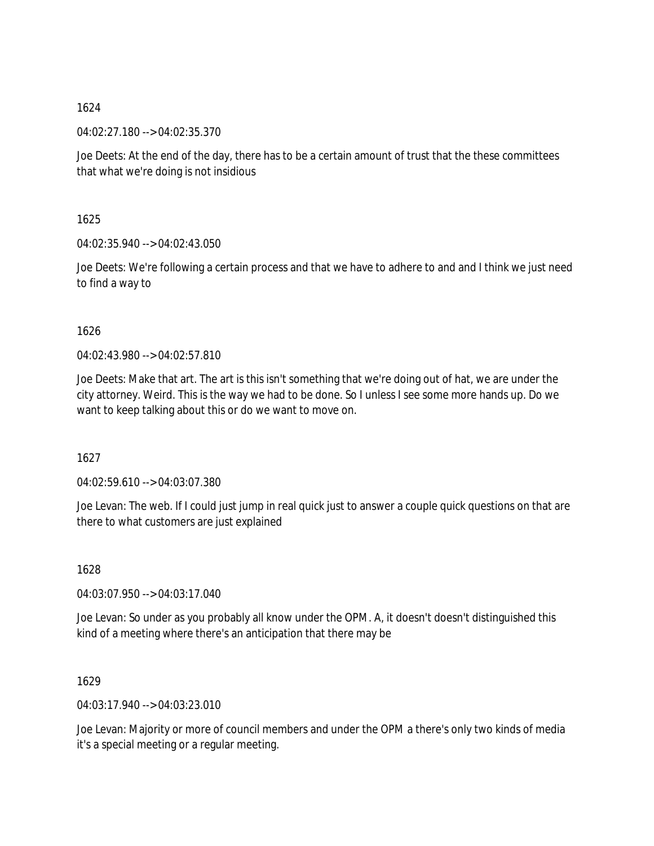04:02:27.180 --> 04:02:35.370

Joe Deets: At the end of the day, there has to be a certain amount of trust that the these committees that what we're doing is not insidious

1625

04:02:35.940 --> 04:02:43.050

Joe Deets: We're following a certain process and that we have to adhere to and and I think we just need to find a way to

## 1626

04:02:43.980 --> 04:02:57.810

Joe Deets: Make that art. The art is this isn't something that we're doing out of hat, we are under the city attorney. Weird. This is the way we had to be done. So I unless I see some more hands up. Do we want to keep talking about this or do we want to move on.

1627

04:02:59.610 --> 04:03:07.380

Joe Levan: The web. If I could just jump in real quick just to answer a couple quick questions on that are there to what customers are just explained

1628

04:03:07.950 --> 04:03:17.040

Joe Levan: So under as you probably all know under the OPM. A, it doesn't doesn't distinguished this kind of a meeting where there's an anticipation that there may be

1629

04:03:17.940 --> 04:03:23.010

Joe Levan: Majority or more of council members and under the OPM a there's only two kinds of media it's a special meeting or a regular meeting.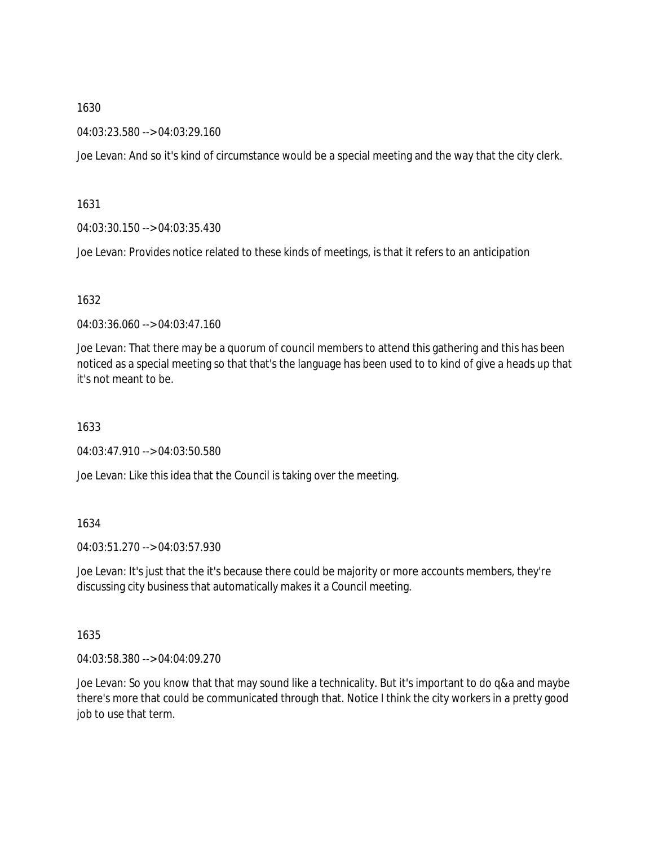04:03:23.580 --> 04:03:29.160

Joe Levan: And so it's kind of circumstance would be a special meeting and the way that the city clerk.

1631

04:03:30.150 --> 04:03:35.430

Joe Levan: Provides notice related to these kinds of meetings, is that it refers to an anticipation

1632

04:03:36.060 --> 04:03:47.160

Joe Levan: That there may be a quorum of council members to attend this gathering and this has been noticed as a special meeting so that that's the language has been used to to kind of give a heads up that it's not meant to be.

1633

04:03:47.910 --> 04:03:50.580

Joe Levan: Like this idea that the Council is taking over the meeting.

1634

04:03:51.270 --> 04:03:57.930

Joe Levan: It's just that the it's because there could be majority or more accounts members, they're discussing city business that automatically makes it a Council meeting.

1635

04:03:58.380 --> 04:04:09.270

Joe Levan: So you know that that may sound like a technicality. But it's important to do q&a and maybe there's more that could be communicated through that. Notice I think the city workers in a pretty good job to use that term.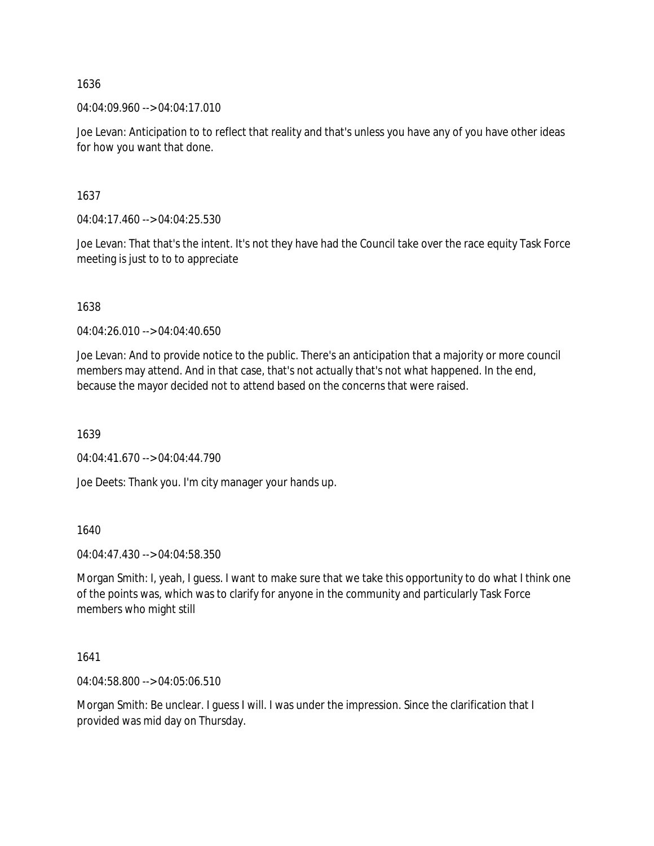04:04:09.960 --> 04:04:17.010

Joe Levan: Anticipation to to reflect that reality and that's unless you have any of you have other ideas for how you want that done.

1637

04:04:17.460 --> 04:04:25.530

Joe Levan: That that's the intent. It's not they have had the Council take over the race equity Task Force meeting is just to to to appreciate

1638

04:04:26.010 --> 04:04:40.650

Joe Levan: And to provide notice to the public. There's an anticipation that a majority or more council members may attend. And in that case, that's not actually that's not what happened. In the end, because the mayor decided not to attend based on the concerns that were raised.

1639

04:04:41.670 --> 04:04:44.790

Joe Deets: Thank you. I'm city manager your hands up.

1640

04:04:47.430 --> 04:04:58.350

Morgan Smith: I, yeah, I guess. I want to make sure that we take this opportunity to do what I think one of the points was, which was to clarify for anyone in the community and particularly Task Force members who might still

1641

04:04:58.800 --> 04:05:06.510

Morgan Smith: Be unclear. I guess I will. I was under the impression. Since the clarification that I provided was mid day on Thursday.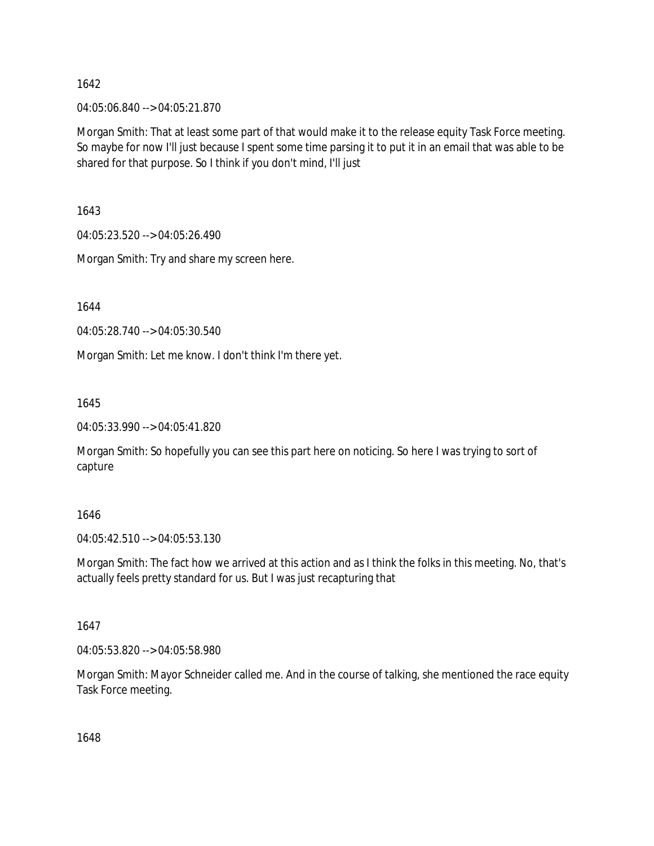04:05:06.840 --> 04:05:21.870

Morgan Smith: That at least some part of that would make it to the release equity Task Force meeting. So maybe for now I'll just because I spent some time parsing it to put it in an email that was able to be shared for that purpose. So I think if you don't mind, I'll just

1643

04:05:23.520 --> 04:05:26.490

Morgan Smith: Try and share my screen here.

1644

04:05:28.740 --> 04:05:30.540

Morgan Smith: Let me know. I don't think I'm there yet.

1645

04:05:33.990 --> 04:05:41.820

Morgan Smith: So hopefully you can see this part here on noticing. So here I was trying to sort of capture

1646

04:05:42.510 --> 04:05:53.130

Morgan Smith: The fact how we arrived at this action and as I think the folks in this meeting. No, that's actually feels pretty standard for us. But I was just recapturing that

1647

04:05:53.820 --> 04:05:58.980

Morgan Smith: Mayor Schneider called me. And in the course of talking, she mentioned the race equity Task Force meeting.

1648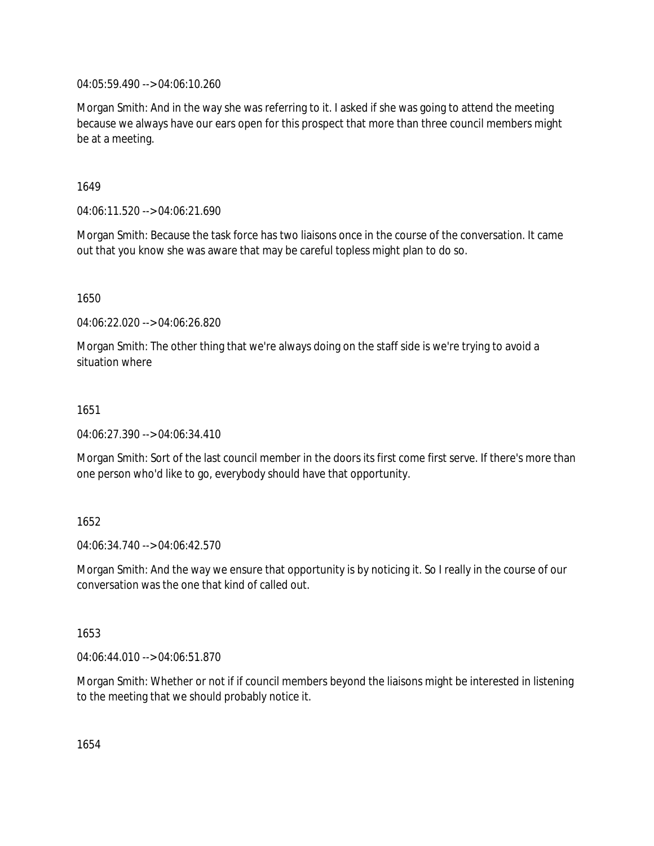04:05:59.490 --> 04:06:10.260

Morgan Smith: And in the way she was referring to it. I asked if she was going to attend the meeting because we always have our ears open for this prospect that more than three council members might be at a meeting.

1649

04:06:11.520 --> 04:06:21.690

Morgan Smith: Because the task force has two liaisons once in the course of the conversation. It came out that you know she was aware that may be careful topless might plan to do so.

1650

04:06:22.020 --> 04:06:26.820

Morgan Smith: The other thing that we're always doing on the staff side is we're trying to avoid a situation where

1651

04:06:27.390 --> 04:06:34.410

Morgan Smith: Sort of the last council member in the doors its first come first serve. If there's more than one person who'd like to go, everybody should have that opportunity.

1652

04:06:34.740 --> 04:06:42.570

Morgan Smith: And the way we ensure that opportunity is by noticing it. So I really in the course of our conversation was the one that kind of called out.

1653

04:06:44.010 --> 04:06:51.870

Morgan Smith: Whether or not if if council members beyond the liaisons might be interested in listening to the meeting that we should probably notice it.

1654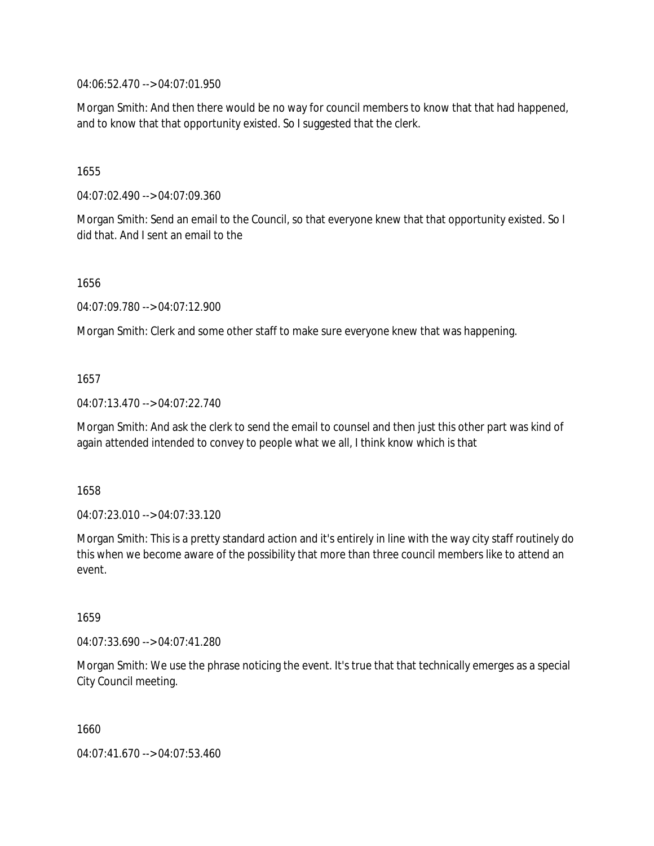04:06:52.470 --> 04:07:01.950

Morgan Smith: And then there would be no way for council members to know that that had happened, and to know that that opportunity existed. So I suggested that the clerk.

1655

04:07:02.490 --> 04:07:09.360

Morgan Smith: Send an email to the Council, so that everyone knew that that opportunity existed. So I did that. And I sent an email to the

1656

04:07:09.780 --> 04:07:12.900

Morgan Smith: Clerk and some other staff to make sure everyone knew that was happening.

1657

04:07:13.470 --> 04:07:22.740

Morgan Smith: And ask the clerk to send the email to counsel and then just this other part was kind of again attended intended to convey to people what we all, I think know which is that

1658

04:07:23.010 --> 04:07:33.120

Morgan Smith: This is a pretty standard action and it's entirely in line with the way city staff routinely do this when we become aware of the possibility that more than three council members like to attend an event.

1659

04:07:33.690 --> 04:07:41.280

Morgan Smith: We use the phrase noticing the event. It's true that that technically emerges as a special City Council meeting.

1660

04:07:41.670 --> 04:07:53.460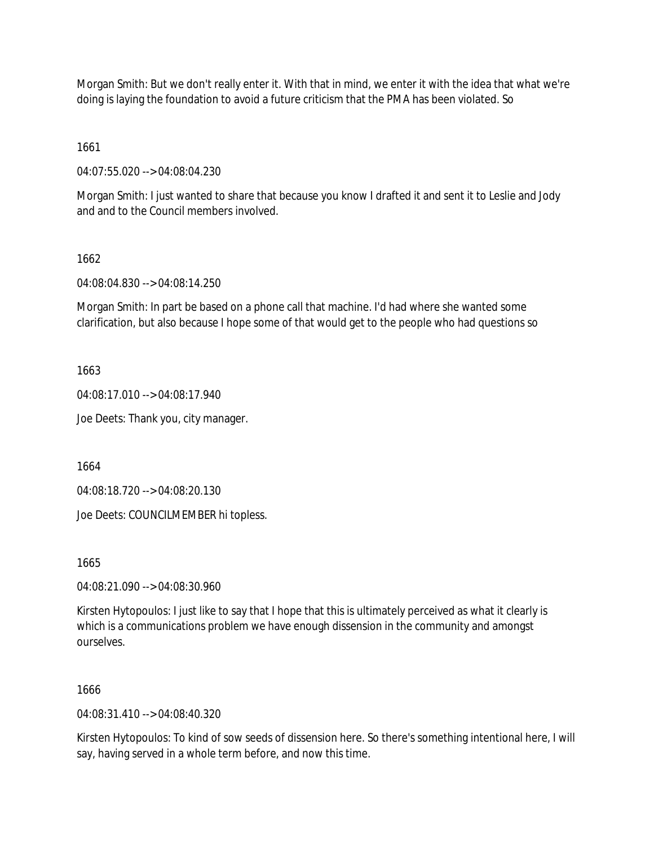Morgan Smith: But we don't really enter it. With that in mind, we enter it with the idea that what we're doing is laying the foundation to avoid a future criticism that the PMA has been violated. So

1661

04:07:55.020 --> 04:08:04.230

Morgan Smith: I just wanted to share that because you know I drafted it and sent it to Leslie and Jody and and to the Council members involved.

### 1662

04:08:04.830 --> 04:08:14.250

Morgan Smith: In part be based on a phone call that machine. I'd had where she wanted some clarification, but also because I hope some of that would get to the people who had questions so

1663

04:08:17.010 --> 04:08:17.940

Joe Deets: Thank you, city manager.

1664

04:08:18.720 --> 04:08:20.130

Joe Deets: COUNCILMEMBER hi topless.

1665

04:08:21.090 --> 04:08:30.960

Kirsten Hytopoulos: I just like to say that I hope that this is ultimately perceived as what it clearly is which is a communications problem we have enough dissension in the community and amongst ourselves.

1666

04:08:31.410 --> 04:08:40.320

Kirsten Hytopoulos: To kind of sow seeds of dissension here. So there's something intentional here, I will say, having served in a whole term before, and now this time.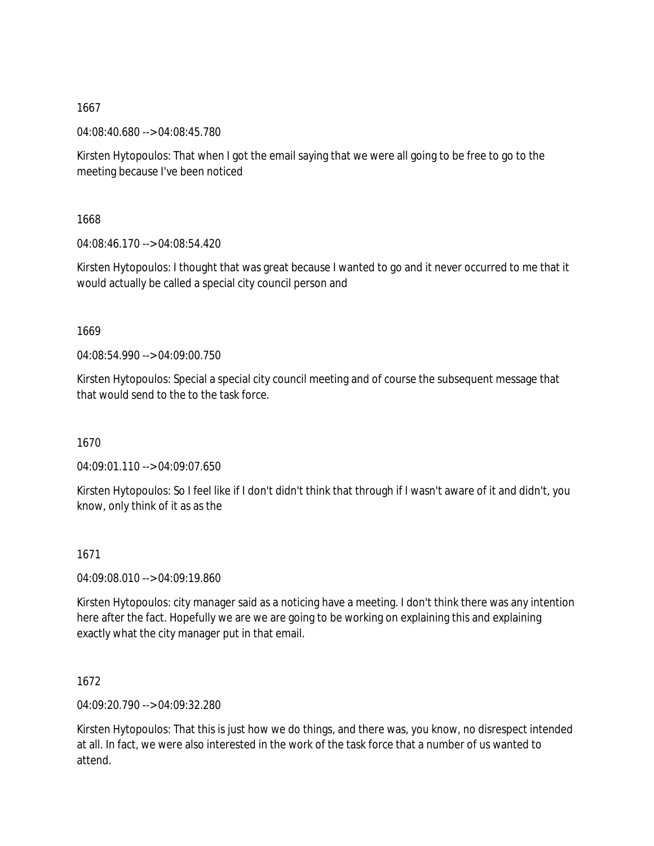04:08:40.680 --> 04:08:45.780

Kirsten Hytopoulos: That when I got the email saying that we were all going to be free to go to the meeting because I've been noticed

1668

04:08:46.170 --> 04:08:54.420

Kirsten Hytopoulos: I thought that was great because I wanted to go and it never occurred to me that it would actually be called a special city council person and

1669

04:08:54.990 --> 04:09:00.750

Kirsten Hytopoulos: Special a special city council meeting and of course the subsequent message that that would send to the to the task force.

1670

04:09:01.110 --> 04:09:07.650

Kirsten Hytopoulos: So I feel like if I don't didn't think that through if I wasn't aware of it and didn't, you know, only think of it as as the

1671

04:09:08.010 --> 04:09:19.860

Kirsten Hytopoulos: city manager said as a noticing have a meeting. I don't think there was any intention here after the fact. Hopefully we are we are going to be working on explaining this and explaining exactly what the city manager put in that email.

1672

04:09:20.790 --> 04:09:32.280

Kirsten Hytopoulos: That this is just how we do things, and there was, you know, no disrespect intended at all. In fact, we were also interested in the work of the task force that a number of us wanted to attend.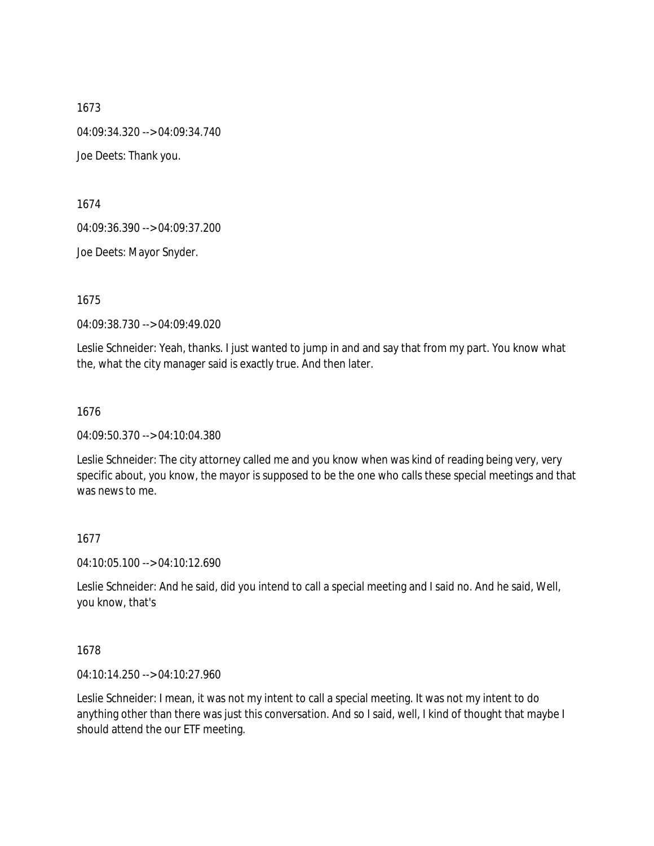1673 04:09:34.320 --> 04:09:34.740 Joe Deets: Thank you.

1674

04:09:36.390 --> 04:09:37.200

Joe Deets: Mayor Snyder.

1675

04:09:38.730 --> 04:09:49.020

Leslie Schneider: Yeah, thanks. I just wanted to jump in and and say that from my part. You know what the, what the city manager said is exactly true. And then later.

1676

04:09:50.370 --> 04:10:04.380

Leslie Schneider: The city attorney called me and you know when was kind of reading being very, very specific about, you know, the mayor is supposed to be the one who calls these special meetings and that was news to me.

### 1677

04:10:05.100 --> 04:10:12.690

Leslie Schneider: And he said, did you intend to call a special meeting and I said no. And he said, Well, you know, that's

### 1678

04:10:14.250 --> 04:10:27.960

Leslie Schneider: I mean, it was not my intent to call a special meeting. It was not my intent to do anything other than there was just this conversation. And so I said, well, I kind of thought that maybe I should attend the our ETF meeting.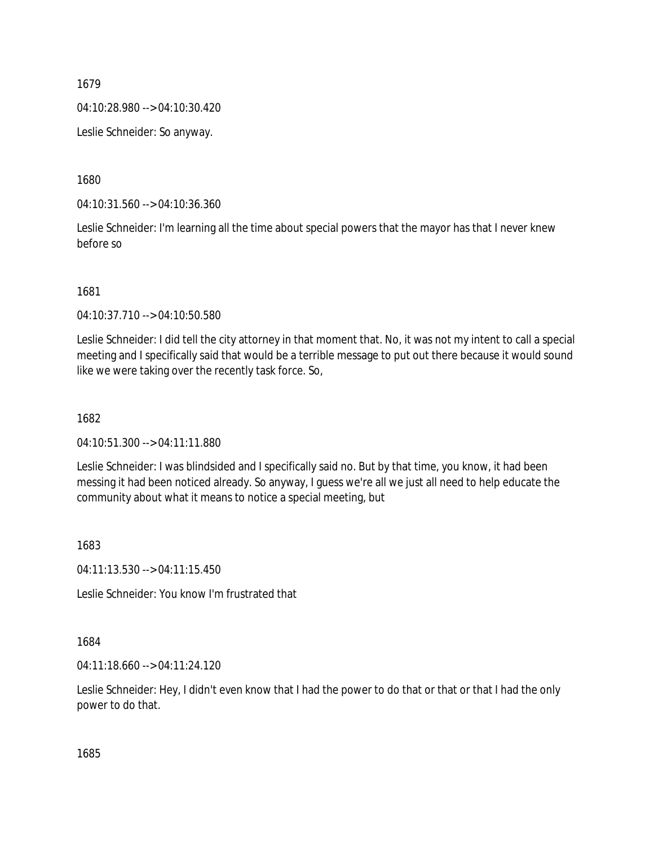04:10:28.980 --> 04:10:30.420

Leslie Schneider: So anyway.

1680

04:10:31.560 --> 04:10:36.360

Leslie Schneider: I'm learning all the time about special powers that the mayor has that I never knew before so

1681

04:10:37.710 --> 04:10:50.580

Leslie Schneider: I did tell the city attorney in that moment that. No, it was not my intent to call a special meeting and I specifically said that would be a terrible message to put out there because it would sound like we were taking over the recently task force. So,

1682

04:10:51.300 --> 04:11:11.880

Leslie Schneider: I was blindsided and I specifically said no. But by that time, you know, it had been messing it had been noticed already. So anyway, I guess we're all we just all need to help educate the community about what it means to notice a special meeting, but

1683

04:11:13.530 --> 04:11:15.450

Leslie Schneider: You know I'm frustrated that

1684

04:11:18.660 --> 04:11:24.120

Leslie Schneider: Hey, I didn't even know that I had the power to do that or that or that I had the only power to do that.

1685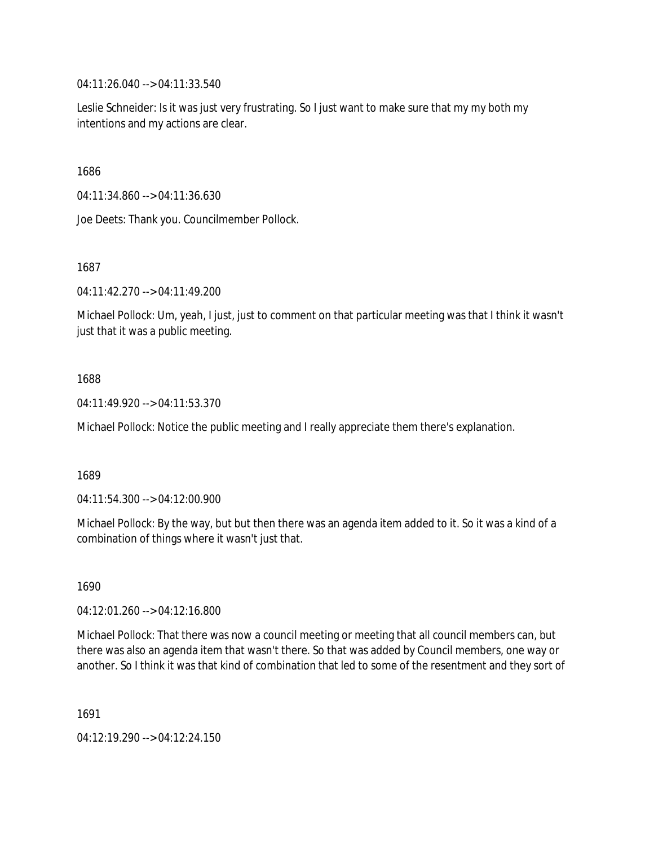04:11:26.040 --> 04:11:33.540

Leslie Schneider: Is it was just very frustrating. So I just want to make sure that my my both my intentions and my actions are clear.

1686

04:11:34.860 --> 04:11:36.630

Joe Deets: Thank you. Councilmember Pollock.

1687

04:11:42.270 --> 04:11:49.200

Michael Pollock: Um, yeah, I just, just to comment on that particular meeting was that I think it wasn't just that it was a public meeting.

### 1688

04:11:49.920 --> 04:11:53.370

Michael Pollock: Notice the public meeting and I really appreciate them there's explanation.

### 1689

04:11:54.300 --> 04:12:00.900

Michael Pollock: By the way, but but then there was an agenda item added to it. So it was a kind of a combination of things where it wasn't just that.

1690

04:12:01.260 --> 04:12:16.800

Michael Pollock: That there was now a council meeting or meeting that all council members can, but there was also an agenda item that wasn't there. So that was added by Council members, one way or another. So I think it was that kind of combination that led to some of the resentment and they sort of

1691

04:12:19.290 --> 04:12:24.150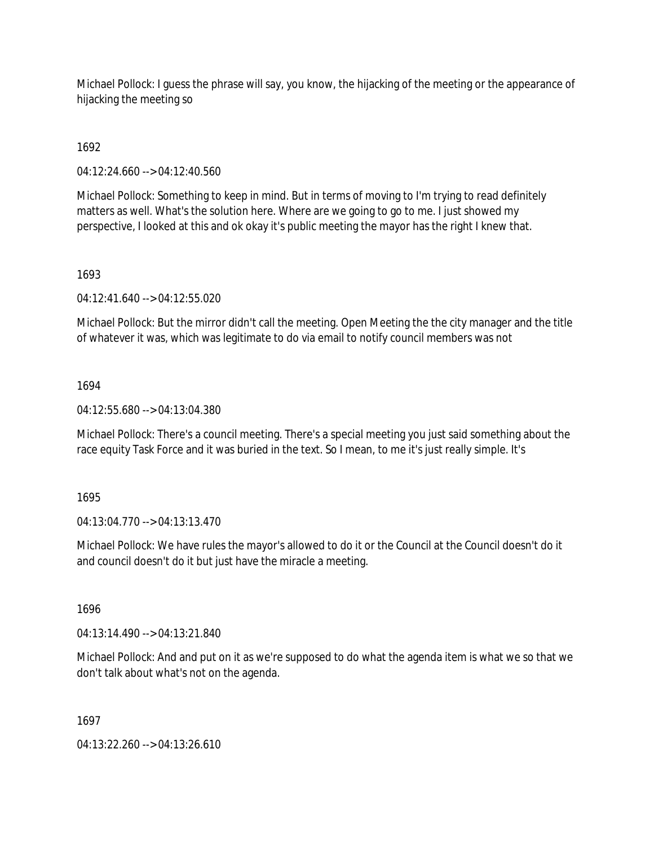Michael Pollock: I guess the phrase will say, you know, the hijacking of the meeting or the appearance of hijacking the meeting so

1692

04:12:24.660 --> 04:12:40.560

Michael Pollock: Something to keep in mind. But in terms of moving to I'm trying to read definitely matters as well. What's the solution here. Where are we going to go to me. I just showed my perspective, I looked at this and ok okay it's public meeting the mayor has the right I knew that.

### 1693

04:12:41.640 --> 04:12:55.020

Michael Pollock: But the mirror didn't call the meeting. Open Meeting the the city manager and the title of whatever it was, which was legitimate to do via email to notify council members was not

### 1694

04:12:55.680 --> 04:13:04.380

Michael Pollock: There's a council meeting. There's a special meeting you just said something about the race equity Task Force and it was buried in the text. So I mean, to me it's just really simple. It's

1695

04:13:04.770 --> 04:13:13.470

Michael Pollock: We have rules the mayor's allowed to do it or the Council at the Council doesn't do it and council doesn't do it but just have the miracle a meeting.

1696

04:13:14.490 --> 04:13:21.840

Michael Pollock: And and put on it as we're supposed to do what the agenda item is what we so that we don't talk about what's not on the agenda.

1697

04:13:22.260 --> 04:13:26.610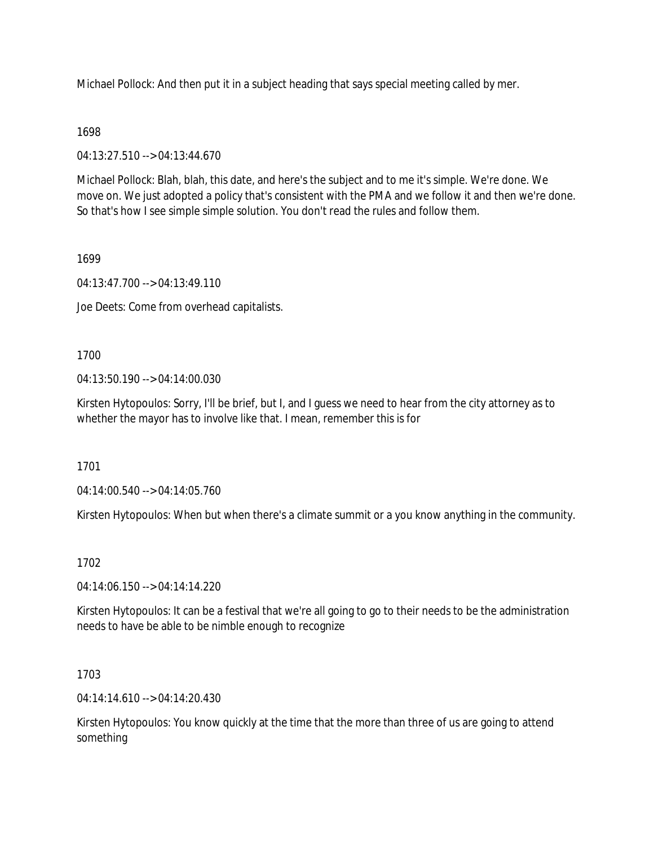Michael Pollock: And then put it in a subject heading that says special meeting called by mer.

### 1698

04:13:27.510 --> 04:13:44.670

Michael Pollock: Blah, blah, this date, and here's the subject and to me it's simple. We're done. We move on. We just adopted a policy that's consistent with the PMA and we follow it and then we're done. So that's how I see simple simple solution. You don't read the rules and follow them.

#### 1699

04:13:47.700 --> 04:13:49.110

Joe Deets: Come from overhead capitalists.

### 1700

04:13:50.190 --> 04:14:00.030

Kirsten Hytopoulos: Sorry, I'll be brief, but I, and I guess we need to hear from the city attorney as to whether the mayor has to involve like that. I mean, remember this is for

1701

04:14:00.540 --> 04:14:05.760

Kirsten Hytopoulos: When but when there's a climate summit or a you know anything in the community.

### 1702

04:14:06.150 --> 04:14:14.220

Kirsten Hytopoulos: It can be a festival that we're all going to go to their needs to be the administration needs to have be able to be nimble enough to recognize

### 1703

04:14:14.610 --> 04:14:20.430

Kirsten Hytopoulos: You know quickly at the time that the more than three of us are going to attend something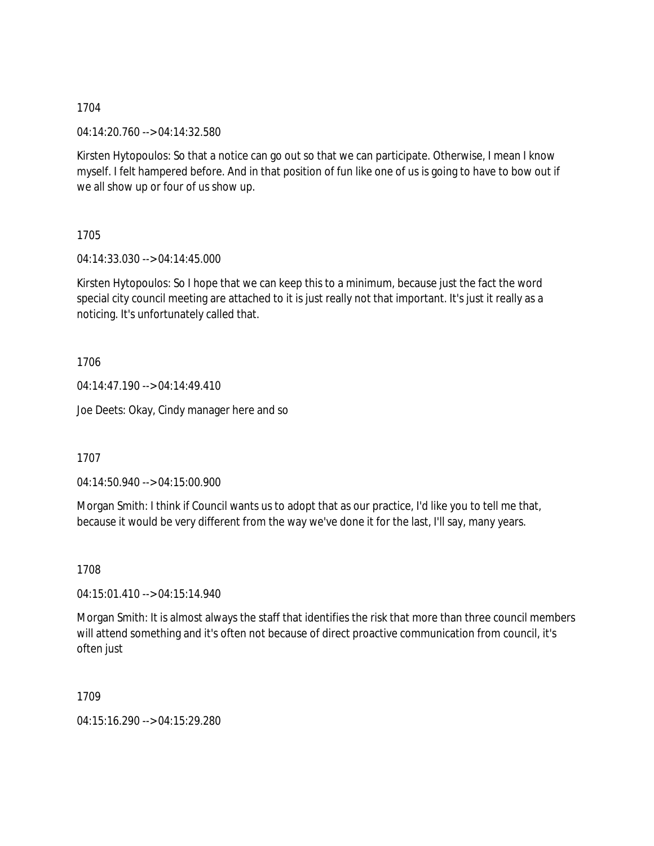04:14:20.760 --> 04:14:32.580

Kirsten Hytopoulos: So that a notice can go out so that we can participate. Otherwise, I mean I know myself. I felt hampered before. And in that position of fun like one of us is going to have to bow out if we all show up or four of us show up.

1705

04:14:33.030 --> 04:14:45.000

Kirsten Hytopoulos: So I hope that we can keep this to a minimum, because just the fact the word special city council meeting are attached to it is just really not that important. It's just it really as a noticing. It's unfortunately called that.

1706

04:14:47.190 --> 04:14:49.410

Joe Deets: Okay, Cindy manager here and so

1707

04:14:50.940 --> 04:15:00.900

Morgan Smith: I think if Council wants us to adopt that as our practice, I'd like you to tell me that, because it would be very different from the way we've done it for the last, I'll say, many years.

1708

04:15:01.410 --> 04:15:14.940

Morgan Smith: It is almost always the staff that identifies the risk that more than three council members will attend something and it's often not because of direct proactive communication from council, it's often just

1709

04:15:16.290 --> 04:15:29.280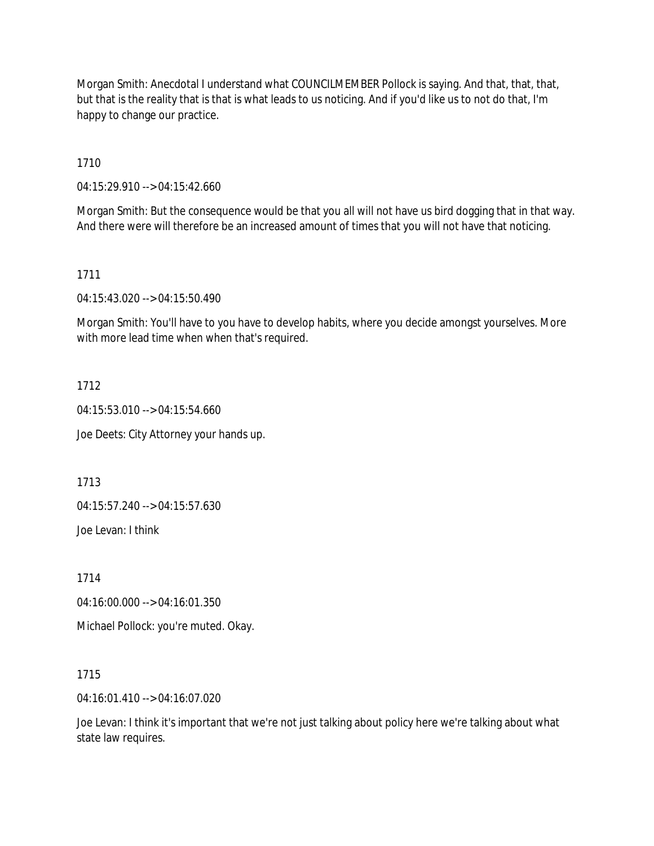Morgan Smith: Anecdotal I understand what COUNCILMEMBER Pollock is saying. And that, that, that, but that is the reality that is that is what leads to us noticing. And if you'd like us to not do that, I'm happy to change our practice.

1710

04:15:29.910 --> 04:15:42.660

Morgan Smith: But the consequence would be that you all will not have us bird dogging that in that way. And there were will therefore be an increased amount of times that you will not have that noticing.

1711

04:15:43.020 --> 04:15:50.490

Morgan Smith: You'll have to you have to develop habits, where you decide amongst yourselves. More with more lead time when when that's required.

1712

04:15:53.010 --> 04:15:54.660

Joe Deets: City Attorney your hands up.

1713

04:15:57.240 --> 04:15:57.630

Joe Levan: I think

1714

04:16:00.000 --> 04:16:01.350

Michael Pollock: you're muted. Okay.

1715

04:16:01.410 --> 04:16:07.020

Joe Levan: I think it's important that we're not just talking about policy here we're talking about what state law requires.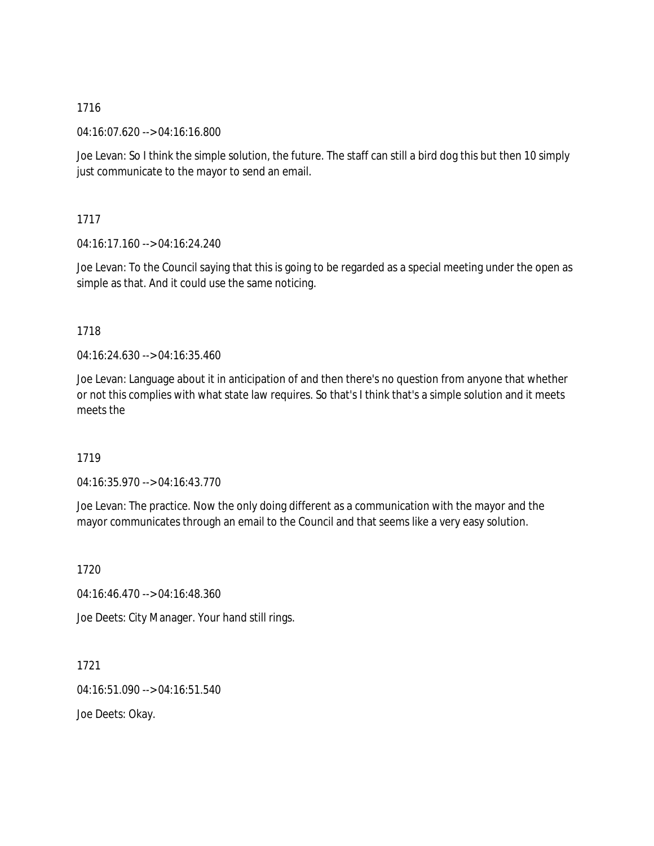04:16:07.620 --> 04:16:16.800

Joe Levan: So I think the simple solution, the future. The staff can still a bird dog this but then 10 simply just communicate to the mayor to send an email.

1717

04:16:17.160 --> 04:16:24.240

Joe Levan: To the Council saying that this is going to be regarded as a special meeting under the open as simple as that. And it could use the same noticing.

## 1718

04:16:24.630 --> 04:16:35.460

Joe Levan: Language about it in anticipation of and then there's no question from anyone that whether or not this complies with what state law requires. So that's I think that's a simple solution and it meets meets the

# 1719

04:16:35.970 --> 04:16:43.770

Joe Levan: The practice. Now the only doing different as a communication with the mayor and the mayor communicates through an email to the Council and that seems like a very easy solution.

1720

04:16:46.470 --> 04:16:48.360

Joe Deets: City Manager. Your hand still rings.

1721 04:16:51.090 --> 04:16:51.540 Joe Deets: Okay.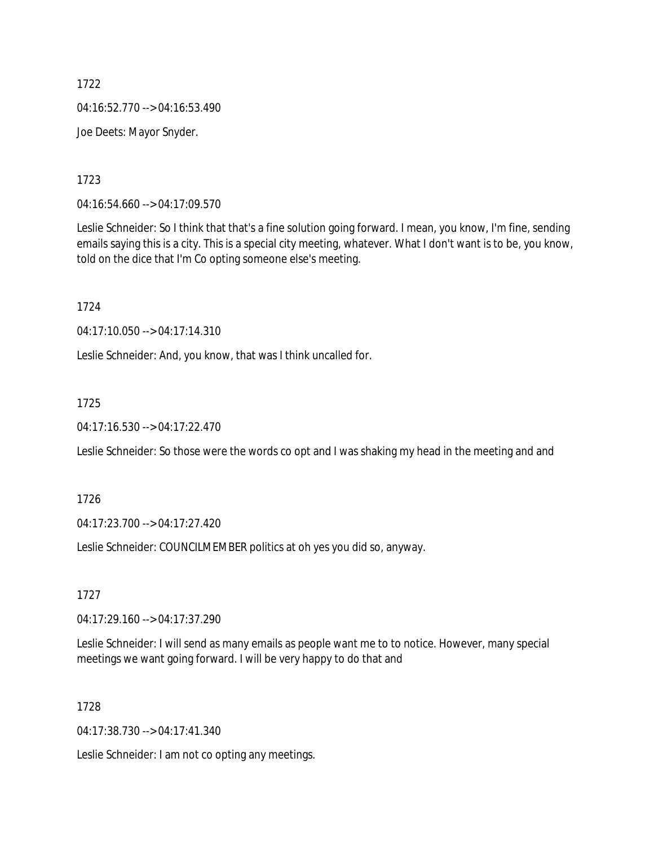04:16:52.770 --> 04:16:53.490

Joe Deets: Mayor Snyder.

1723

04:16:54.660 --> 04:17:09.570

Leslie Schneider: So I think that that's a fine solution going forward. I mean, you know, I'm fine, sending emails saying this is a city. This is a special city meeting, whatever. What I don't want is to be, you know, told on the dice that I'm Co opting someone else's meeting.

1724

04:17:10.050 --> 04:17:14.310

Leslie Schneider: And, you know, that was I think uncalled for.

1725

04:17:16.530 --> 04:17:22.470

Leslie Schneider: So those were the words co opt and I was shaking my head in the meeting and and

1726

04:17:23.700 --> 04:17:27.420

Leslie Schneider: COUNCILMEMBER politics at oh yes you did so, anyway.

1727

04:17:29.160 --> 04:17:37.290

Leslie Schneider: I will send as many emails as people want me to to notice. However, many special meetings we want going forward. I will be very happy to do that and

1728

04:17:38.730 --> 04:17:41.340

Leslie Schneider: I am not co opting any meetings.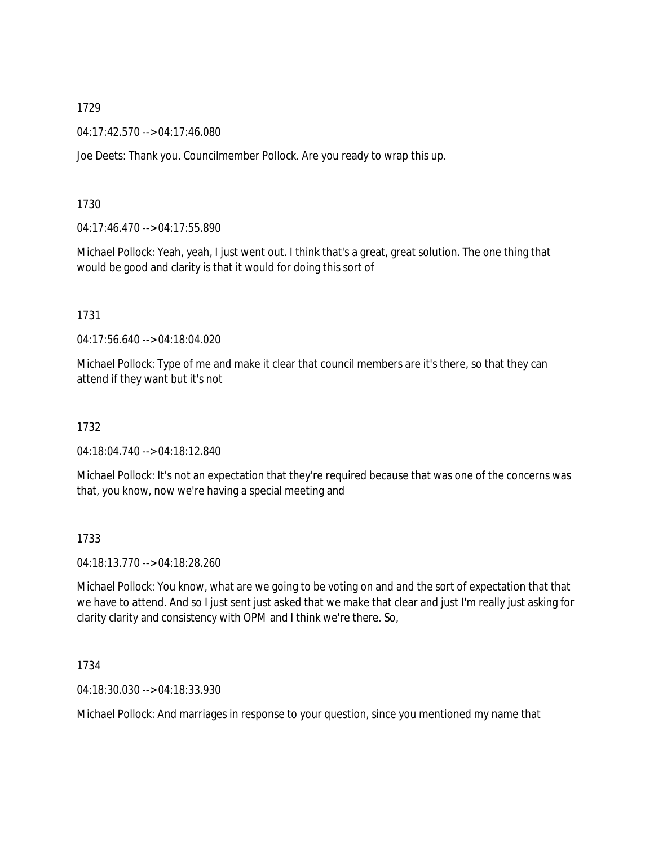04:17:42.570 --> 04:17:46.080

Joe Deets: Thank you. Councilmember Pollock. Are you ready to wrap this up.

1730

04:17:46.470 --> 04:17:55.890

Michael Pollock: Yeah, yeah, I just went out. I think that's a great, great solution. The one thing that would be good and clarity is that it would for doing this sort of

1731

04:17:56.640 --> 04:18:04.020

Michael Pollock: Type of me and make it clear that council members are it's there, so that they can attend if they want but it's not

1732

04:18:04.740 --> 04:18:12.840

Michael Pollock: It's not an expectation that they're required because that was one of the concerns was that, you know, now we're having a special meeting and

1733

04:18:13.770 --> 04:18:28.260

Michael Pollock: You know, what are we going to be voting on and and the sort of expectation that that we have to attend. And so I just sent just asked that we make that clear and just I'm really just asking for clarity clarity and consistency with OPM and I think we're there. So,

1734

04:18:30.030 --> 04:18:33.930

Michael Pollock: And marriages in response to your question, since you mentioned my name that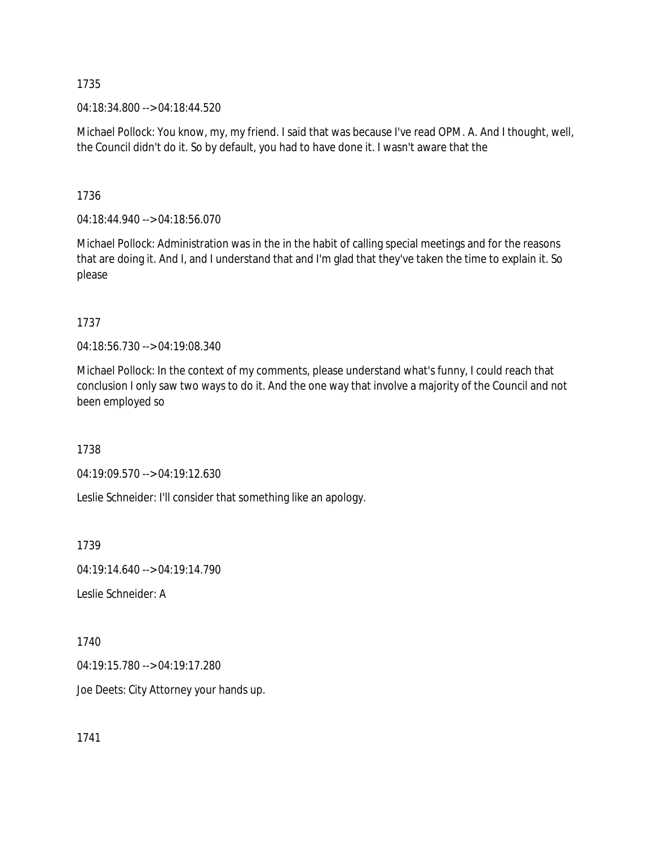04:18:34.800 --> 04:18:44.520

Michael Pollock: You know, my, my friend. I said that was because I've read OPM. A. And I thought, well, the Council didn't do it. So by default, you had to have done it. I wasn't aware that the

1736

04:18:44.940 --> 04:18:56.070

Michael Pollock: Administration was in the in the habit of calling special meetings and for the reasons that are doing it. And I, and I understand that and I'm glad that they've taken the time to explain it. So please

1737

04:18:56.730 --> 04:19:08.340

Michael Pollock: In the context of my comments, please understand what's funny, I could reach that conclusion I only saw two ways to do it. And the one way that involve a majority of the Council and not been employed so

1738

04:19:09.570 --> 04:19:12.630

Leslie Schneider: I'll consider that something like an apology.

1739

04:19:14.640 --> 04:19:14.790

Leslie Schneider: A

1740

04:19:15.780 --> 04:19:17.280

Joe Deets: City Attorney your hands up.

1741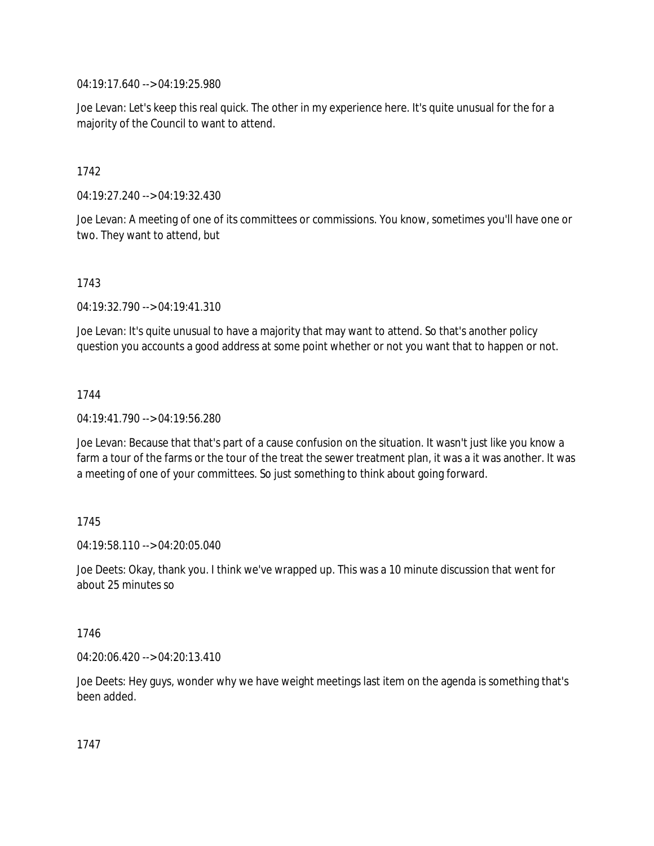04:19:17.640 --> 04:19:25.980

Joe Levan: Let's keep this real quick. The other in my experience here. It's quite unusual for the for a majority of the Council to want to attend.

1742

04:19:27.240 --> 04:19:32.430

Joe Levan: A meeting of one of its committees or commissions. You know, sometimes you'll have one or two. They want to attend, but

1743

04:19:32.790 --> 04:19:41.310

Joe Levan: It's quite unusual to have a majority that may want to attend. So that's another policy question you accounts a good address at some point whether or not you want that to happen or not.

1744

04:19:41.790 --> 04:19:56.280

Joe Levan: Because that that's part of a cause confusion on the situation. It wasn't just like you know a farm a tour of the farms or the tour of the treat the sewer treatment plan, it was a it was another. It was a meeting of one of your committees. So just something to think about going forward.

### 1745

04:19:58.110 --> 04:20:05.040

Joe Deets: Okay, thank you. I think we've wrapped up. This was a 10 minute discussion that went for about 25 minutes so

### 1746

04:20:06.420 --> 04:20:13.410

Joe Deets: Hey guys, wonder why we have weight meetings last item on the agenda is something that's been added.

1747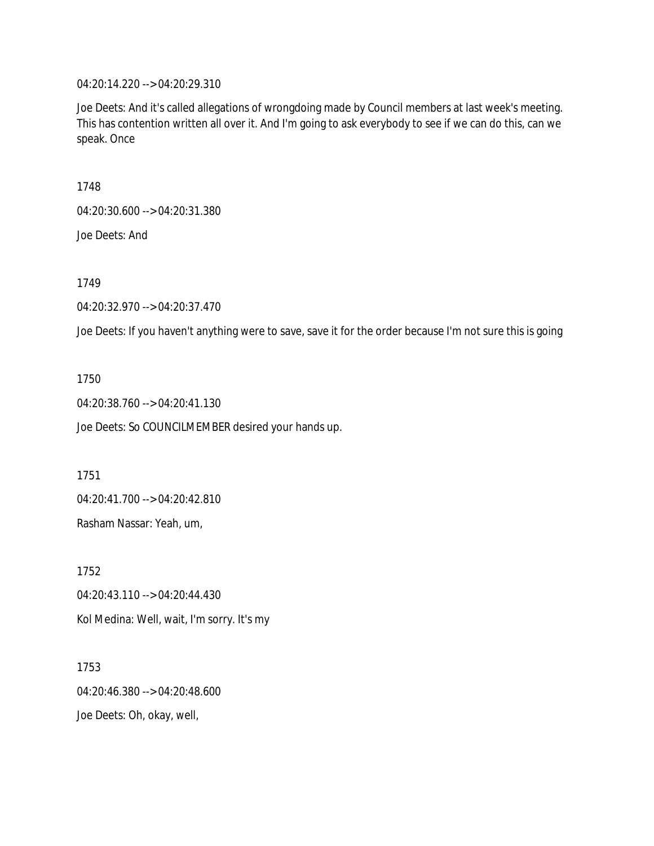04:20:14.220 --> 04:20:29.310

Joe Deets: And it's called allegations of wrongdoing made by Council members at last week's meeting. This has contention written all over it. And I'm going to ask everybody to see if we can do this, can we speak. Once

1748

04:20:30.600 --> 04:20:31.380

Joe Deets: And

1749

04:20:32.970 --> 04:20:37.470

Joe Deets: If you haven't anything were to save, save it for the order because I'm not sure this is going

1750

04:20:38.760 --> 04:20:41.130

Joe Deets: So COUNCILMEMBER desired your hands up.

1751

04:20:41.700 --> 04:20:42.810

Rasham Nassar: Yeah, um,

1752 04:20:43.110 --> 04:20:44.430 Kol Medina: Well, wait, I'm sorry. It's my

1753 04:20:46.380 --> 04:20:48.600 Joe Deets: Oh, okay, well,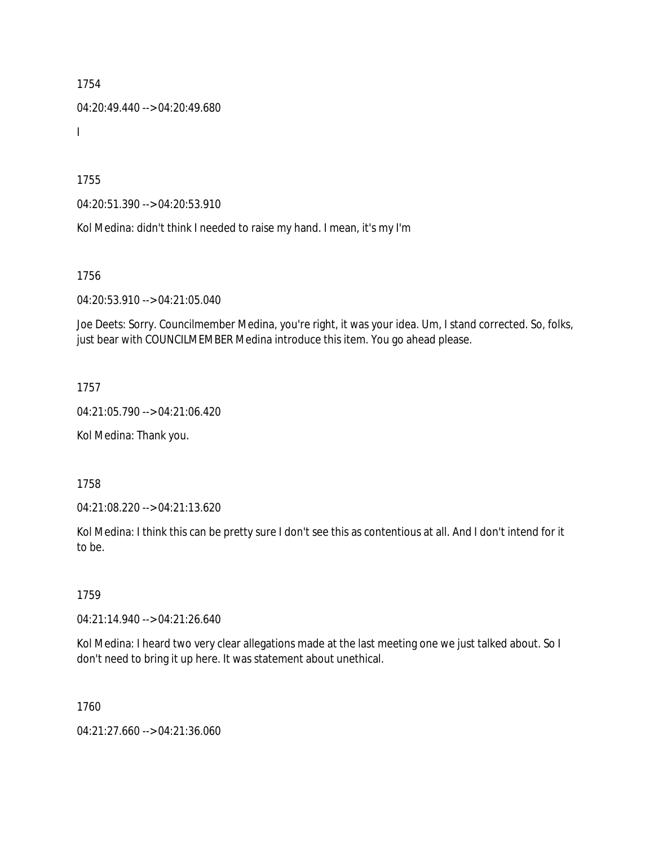04:20:49.440 --> 04:20:49.680

I

1755

04:20:51.390 --> 04:20:53.910

Kol Medina: didn't think I needed to raise my hand. I mean, it's my I'm

1756

04:20:53.910 --> 04:21:05.040

Joe Deets: Sorry. Councilmember Medina, you're right, it was your idea. Um, I stand corrected. So, folks, just bear with COUNCILMEMBER Medina introduce this item. You go ahead please.

1757

04:21:05.790 --> 04:21:06.420

Kol Medina: Thank you.

1758

04:21:08.220 --> 04:21:13.620

Kol Medina: I think this can be pretty sure I don't see this as contentious at all. And I don't intend for it to be.

1759

04:21:14.940 --> 04:21:26.640

Kol Medina: I heard two very clear allegations made at the last meeting one we just talked about. So I don't need to bring it up here. It was statement about unethical.

1760

04:21:27.660 --> 04:21:36.060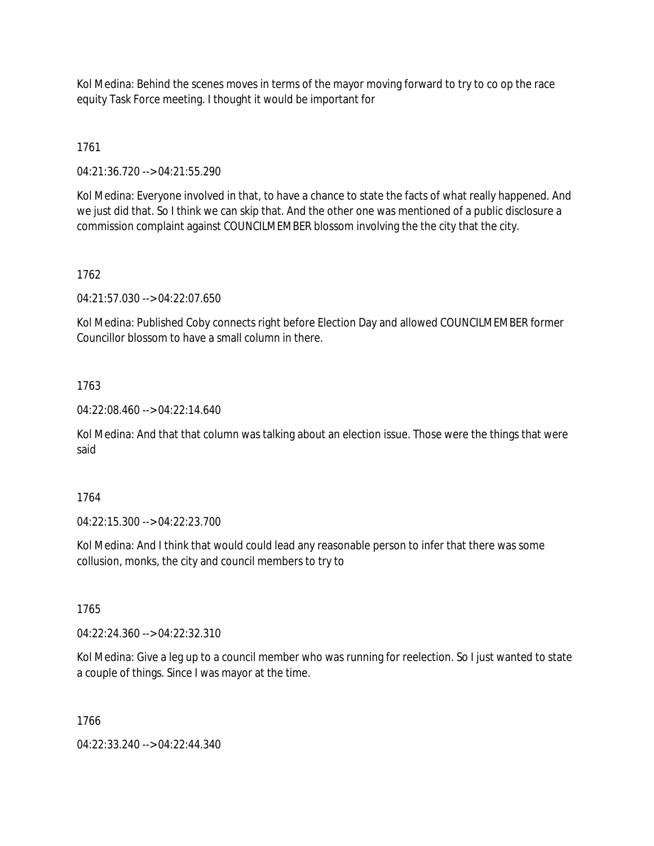Kol Medina: Behind the scenes moves in terms of the mayor moving forward to try to co op the race equity Task Force meeting. I thought it would be important for

1761

04:21:36.720 --> 04:21:55.290

Kol Medina: Everyone involved in that, to have a chance to state the facts of what really happened. And we just did that. So I think we can skip that. And the other one was mentioned of a public disclosure a commission complaint against COUNCILMEMBER blossom involving the the city that the city.

## 1762

04:21:57.030 --> 04:22:07.650

Kol Medina: Published Coby connects right before Election Day and allowed COUNCILMEMBER former Councillor blossom to have a small column in there.

## 1763

04:22:08.460 --> 04:22:14.640

Kol Medina: And that that column was talking about an election issue. Those were the things that were said

### 1764

04:22:15.300 --> 04:22:23.700

Kol Medina: And I think that would could lead any reasonable person to infer that there was some collusion, monks, the city and council members to try to

1765

04:22:24.360 --> 04:22:32.310

Kol Medina: Give a leg up to a council member who was running for reelection. So I just wanted to state a couple of things. Since I was mayor at the time.

1766

04:22:33.240 --> 04:22:44.340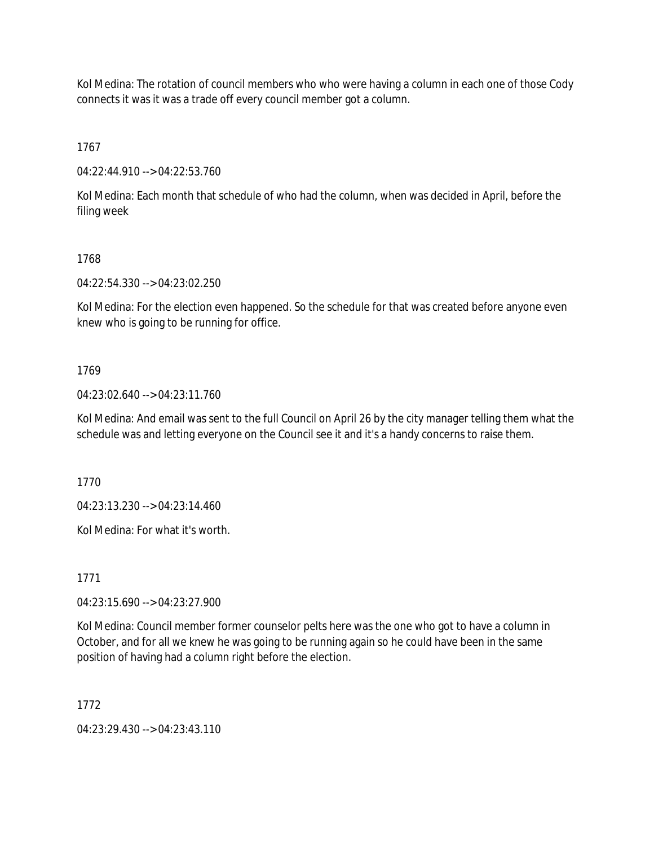Kol Medina: The rotation of council members who who were having a column in each one of those Cody connects it was it was a trade off every council member got a column.

1767

04:22:44.910 --> 04:22:53.760

Kol Medina: Each month that schedule of who had the column, when was decided in April, before the filing week

## 1768

04:22:54.330 --> 04:23:02.250

Kol Medina: For the election even happened. So the schedule for that was created before anyone even knew who is going to be running for office.

## 1769

04:23:02.640 --> 04:23:11.760

Kol Medina: And email was sent to the full Council on April 26 by the city manager telling them what the schedule was and letting everyone on the Council see it and it's a handy concerns to raise them.

1770

04:23:13.230 --> 04:23:14.460

Kol Medina: For what it's worth.

1771

04:23:15.690 --> 04:23:27.900

Kol Medina: Council member former counselor pelts here was the one who got to have a column in October, and for all we knew he was going to be running again so he could have been in the same position of having had a column right before the election.

1772

04:23:29.430 --> 04:23:43.110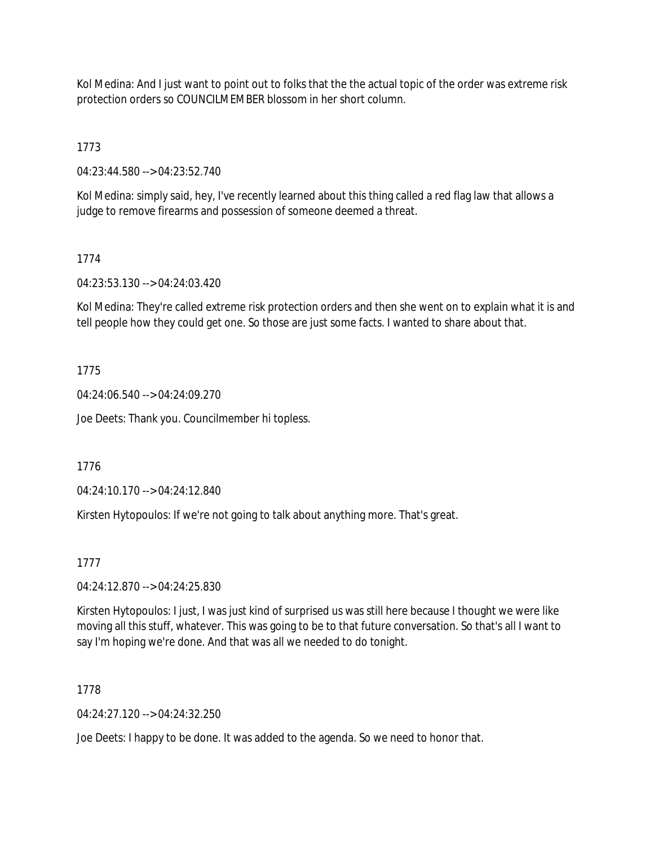Kol Medina: And I just want to point out to folks that the the actual topic of the order was extreme risk protection orders so COUNCILMEMBER blossom in her short column.

1773

04:23:44.580 --> 04:23:52.740

Kol Medina: simply said, hey, I've recently learned about this thing called a red flag law that allows a judge to remove firearms and possession of someone deemed a threat.

## 1774

04:23:53.130 --> 04:24:03.420

Kol Medina: They're called extreme risk protection orders and then she went on to explain what it is and tell people how they could get one. So those are just some facts. I wanted to share about that.

## 1775

04:24:06.540 --> 04:24:09.270

Joe Deets: Thank you. Councilmember hi topless.

1776

04:24:10.170 --> 04:24:12.840

Kirsten Hytopoulos: If we're not going to talk about anything more. That's great.

### 1777

04:24:12.870 --> 04:24:25.830

Kirsten Hytopoulos: I just, I was just kind of surprised us was still here because I thought we were like moving all this stuff, whatever. This was going to be to that future conversation. So that's all I want to say I'm hoping we're done. And that was all we needed to do tonight.

### 1778

 $04.24.27.120 - 04.24.32.250$ 

Joe Deets: I happy to be done. It was added to the agenda. So we need to honor that.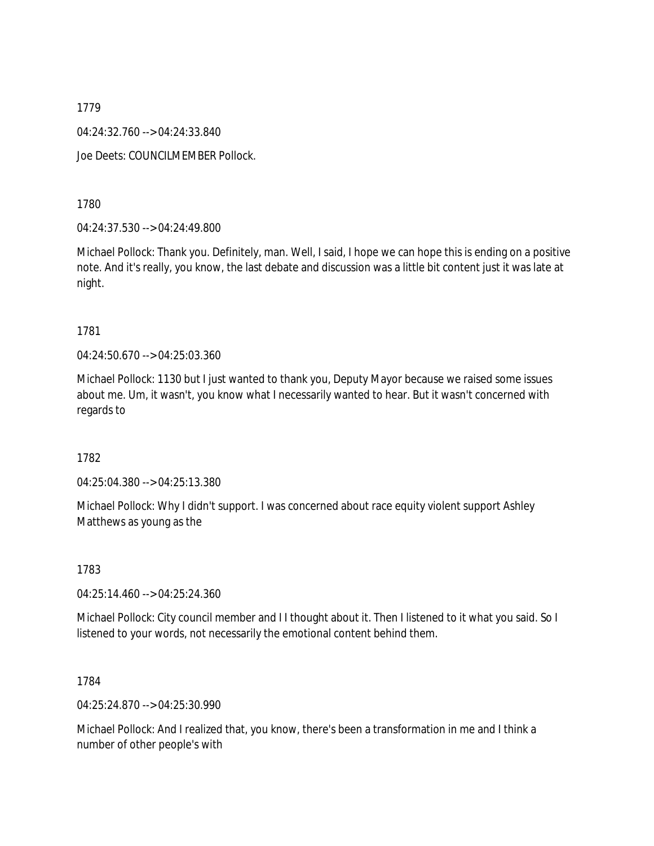04:24:32.760 --> 04:24:33.840

Joe Deets: COUNCILMEMBER Pollock.

1780

04:24:37.530 --> 04:24:49.800

Michael Pollock: Thank you. Definitely, man. Well, I said, I hope we can hope this is ending on a positive note. And it's really, you know, the last debate and discussion was a little bit content just it was late at night.

#### 1781

04:24:50.670 --> 04:25:03.360

Michael Pollock: 1130 but I just wanted to thank you, Deputy Mayor because we raised some issues about me. Um, it wasn't, you know what I necessarily wanted to hear. But it wasn't concerned with regards to

1782

04:25:04.380 --> 04:25:13.380

Michael Pollock: Why I didn't support. I was concerned about race equity violent support Ashley Matthews as young as the

1783

04:25:14.460 --> 04:25:24.360

Michael Pollock: City council member and I I thought about it. Then I listened to it what you said. So I listened to your words, not necessarily the emotional content behind them.

1784

04:25:24.870 --> 04:25:30.990

Michael Pollock: And I realized that, you know, there's been a transformation in me and I think a number of other people's with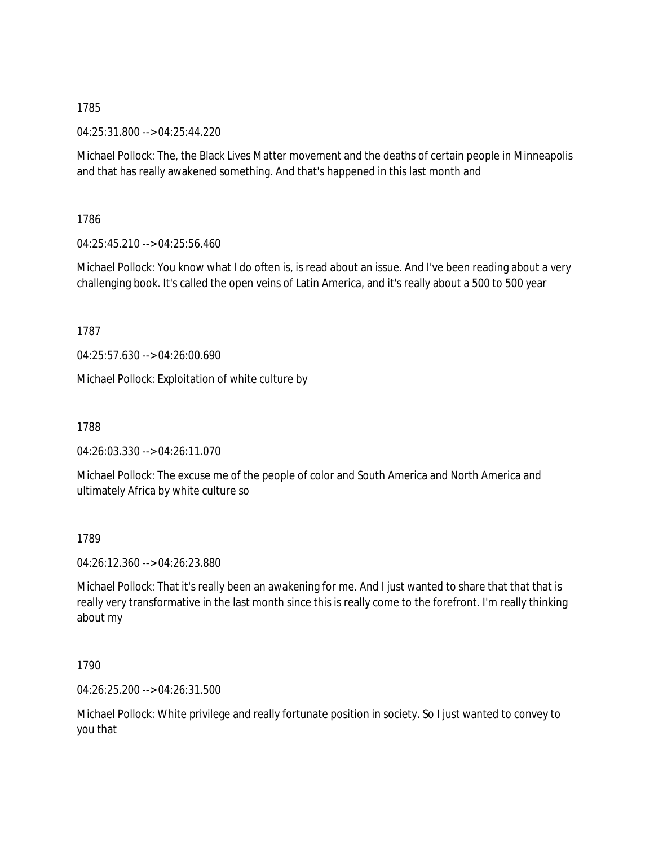04:25:31.800 --> 04:25:44.220

Michael Pollock: The, the Black Lives Matter movement and the deaths of certain people in Minneapolis and that has really awakened something. And that's happened in this last month and

1786

04:25:45.210 --> 04:25:56.460

Michael Pollock: You know what I do often is, is read about an issue. And I've been reading about a very challenging book. It's called the open veins of Latin America, and it's really about a 500 to 500 year

1787

04:25:57.630 --> 04:26:00.690

Michael Pollock: Exploitation of white culture by

1788

04:26:03.330 --> 04:26:11.070

Michael Pollock: The excuse me of the people of color and South America and North America and ultimately Africa by white culture so

1789

04:26:12.360 --> 04:26:23.880

Michael Pollock: That it's really been an awakening for me. And I just wanted to share that that that is really very transformative in the last month since this is really come to the forefront. I'm really thinking about my

1790

04:26:25.200 --> 04:26:31.500

Michael Pollock: White privilege and really fortunate position in society. So I just wanted to convey to you that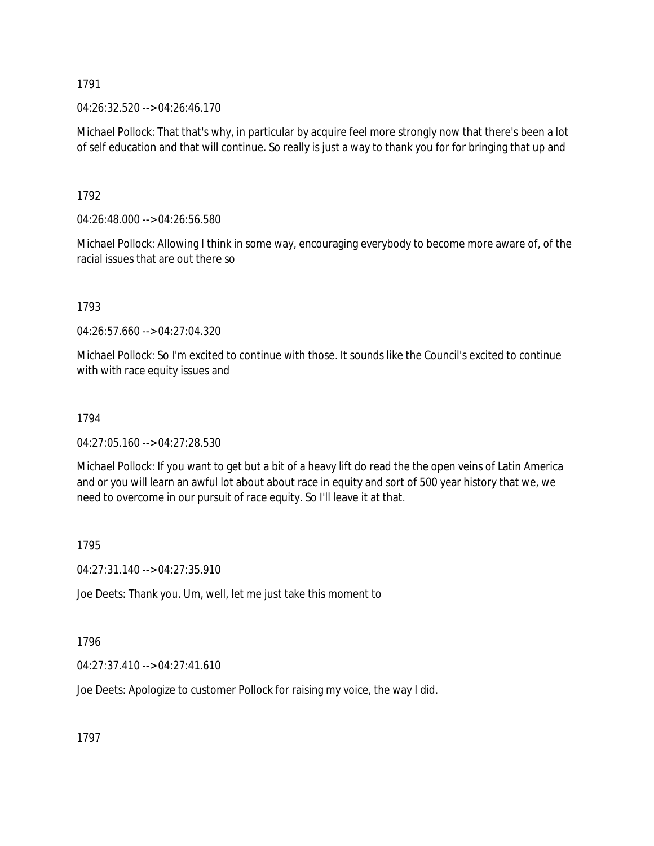04:26:32.520 --> 04:26:46.170

Michael Pollock: That that's why, in particular by acquire feel more strongly now that there's been a lot of self education and that will continue. So really is just a way to thank you for for bringing that up and

1792

04:26:48.000 --> 04:26:56.580

Michael Pollock: Allowing I think in some way, encouraging everybody to become more aware of, of the racial issues that are out there so

1793

04:26:57.660 --> 04:27:04.320

Michael Pollock: So I'm excited to continue with those. It sounds like the Council's excited to continue with with race equity issues and

#### 1794

04:27:05.160 --> 04:27:28.530

Michael Pollock: If you want to get but a bit of a heavy lift do read the the open veins of Latin America and or you will learn an awful lot about about race in equity and sort of 500 year history that we, we need to overcome in our pursuit of race equity. So I'll leave it at that.

1795

04:27:31.140 --> 04:27:35.910

Joe Deets: Thank you. Um, well, let me just take this moment to

1796

04:27:37.410 --> 04:27:41.610

Joe Deets: Apologize to customer Pollock for raising my voice, the way I did.

1797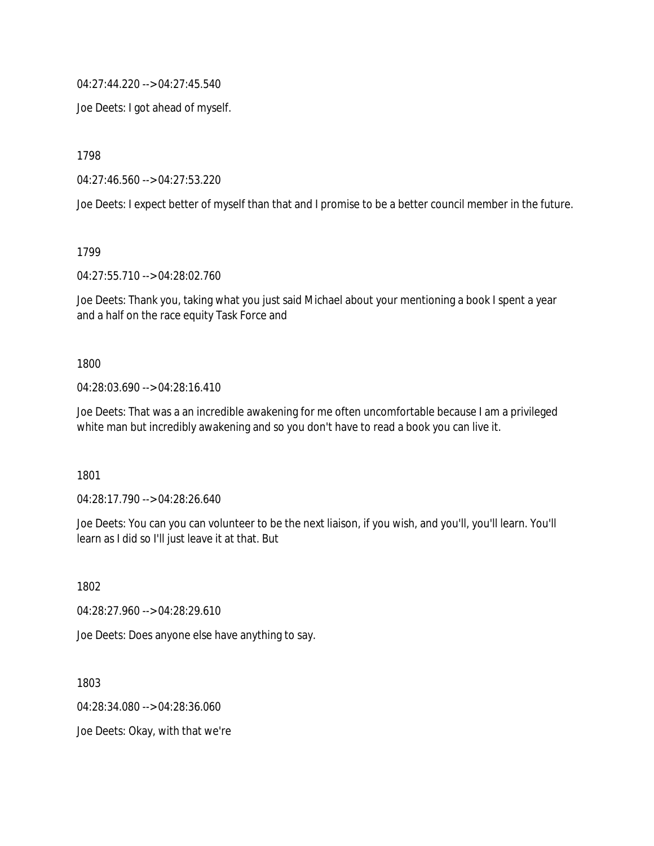04:27:44.220 --> 04:27:45.540

Joe Deets: I got ahead of myself.

1798

04:27:46.560 --> 04:27:53.220

Joe Deets: I expect better of myself than that and I promise to be a better council member in the future.

1799

04:27:55.710 --> 04:28:02.760

Joe Deets: Thank you, taking what you just said Michael about your mentioning a book I spent a year and a half on the race equity Task Force and

1800

04:28:03.690 --> 04:28:16.410

Joe Deets: That was a an incredible awakening for me often uncomfortable because I am a privileged white man but incredibly awakening and so you don't have to read a book you can live it.

1801

04:28:17.790 --> 04:28:26.640

Joe Deets: You can you can volunteer to be the next liaison, if you wish, and you'll, you'll learn. You'll learn as I did so I'll just leave it at that. But

1802

04:28:27.960 --> 04:28:29.610

Joe Deets: Does anyone else have anything to say.

1803 04:28:34.080 --> 04:28:36.060 Joe Deets: Okay, with that we're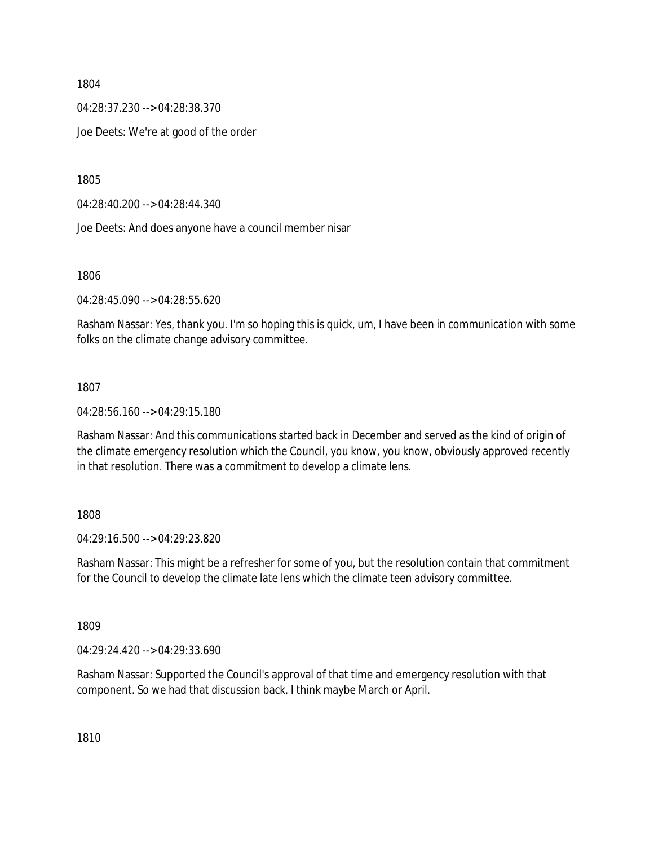04:28:37.230 --> 04:28:38.370

Joe Deets: We're at good of the order

1805

04:28:40.200 --> 04:28:44.340

Joe Deets: And does anyone have a council member nisar

1806

04:28:45.090 --> 04:28:55.620

Rasham Nassar: Yes, thank you. I'm so hoping this is quick, um, I have been in communication with some folks on the climate change advisory committee.

#### 1807

04:28:56.160 --> 04:29:15.180

Rasham Nassar: And this communications started back in December and served as the kind of origin of the climate emergency resolution which the Council, you know, you know, obviously approved recently in that resolution. There was a commitment to develop a climate lens.

#### 1808

04:29:16.500 --> 04:29:23.820

Rasham Nassar: This might be a refresher for some of you, but the resolution contain that commitment for the Council to develop the climate late lens which the climate teen advisory committee.

1809

04:29:24.420 --> 04:29:33.690

Rasham Nassar: Supported the Council's approval of that time and emergency resolution with that component. So we had that discussion back. I think maybe March or April.

1810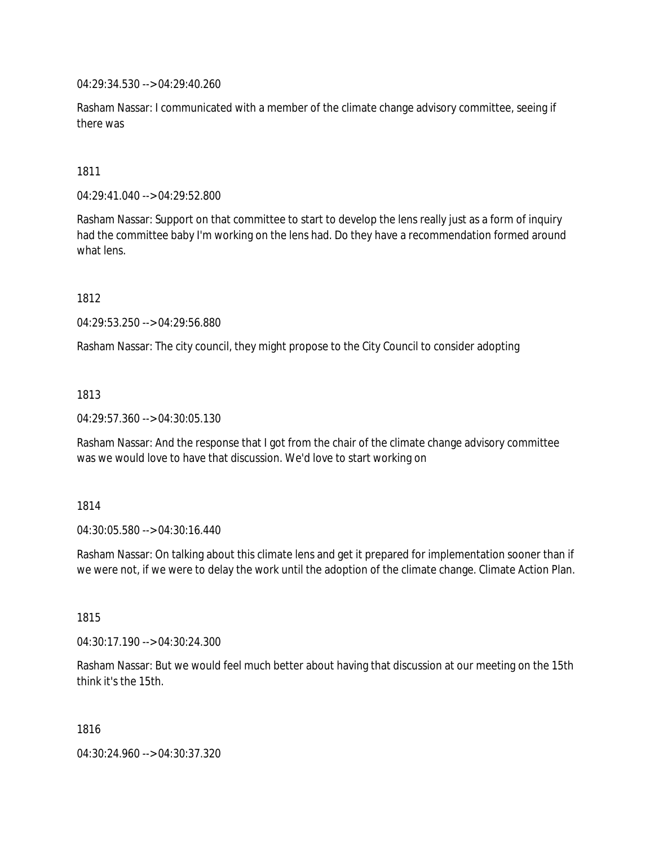04:29:34.530 --> 04:29:40.260

Rasham Nassar: I communicated with a member of the climate change advisory committee, seeing if there was

1811

04:29:41.040 --> 04:29:52.800

Rasham Nassar: Support on that committee to start to develop the lens really just as a form of inquiry had the committee baby I'm working on the lens had. Do they have a recommendation formed around what lens.

1812

04:29:53.250 --> 04:29:56.880

Rasham Nassar: The city council, they might propose to the City Council to consider adopting

1813

04:29:57.360 --> 04:30:05.130

Rasham Nassar: And the response that I got from the chair of the climate change advisory committee was we would love to have that discussion. We'd love to start working on

1814

04:30:05.580 --> 04:30:16.440

Rasham Nassar: On talking about this climate lens and get it prepared for implementation sooner than if we were not, if we were to delay the work until the adoption of the climate change. Climate Action Plan.

1815

04:30:17.190 --> 04:30:24.300

Rasham Nassar: But we would feel much better about having that discussion at our meeting on the 15th think it's the 15th.

1816

04:30:24.960 --> 04:30:37.320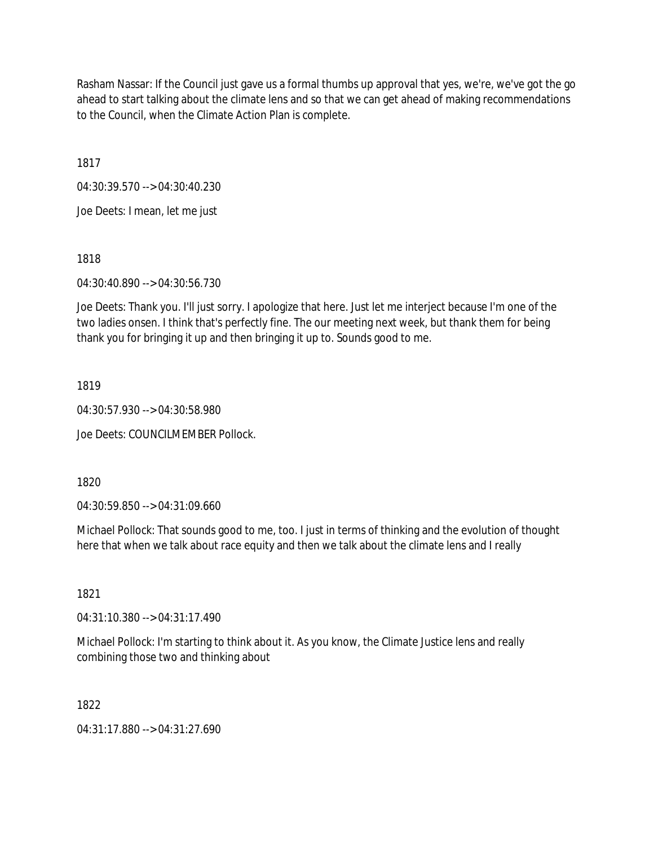Rasham Nassar: If the Council just gave us a formal thumbs up approval that yes, we're, we've got the go ahead to start talking about the climate lens and so that we can get ahead of making recommendations to the Council, when the Climate Action Plan is complete.

1817

04:30:39.570 --> 04:30:40.230

Joe Deets: I mean, let me just

1818

04:30:40.890 --> 04:30:56.730

Joe Deets: Thank you. I'll just sorry. I apologize that here. Just let me interject because I'm one of the two ladies onsen. I think that's perfectly fine. The our meeting next week, but thank them for being thank you for bringing it up and then bringing it up to. Sounds good to me.

1819

04:30:57.930 --> 04:30:58.980

Joe Deets: COUNCILMEMBER Pollock.

1820

04:30:59.850 --> 04:31:09.660

Michael Pollock: That sounds good to me, too. I just in terms of thinking and the evolution of thought here that when we talk about race equity and then we talk about the climate lens and I really

1821

04:31:10.380 --> 04:31:17.490

Michael Pollock: I'm starting to think about it. As you know, the Climate Justice lens and really combining those two and thinking about

1822

04:31:17.880 --> 04:31:27.690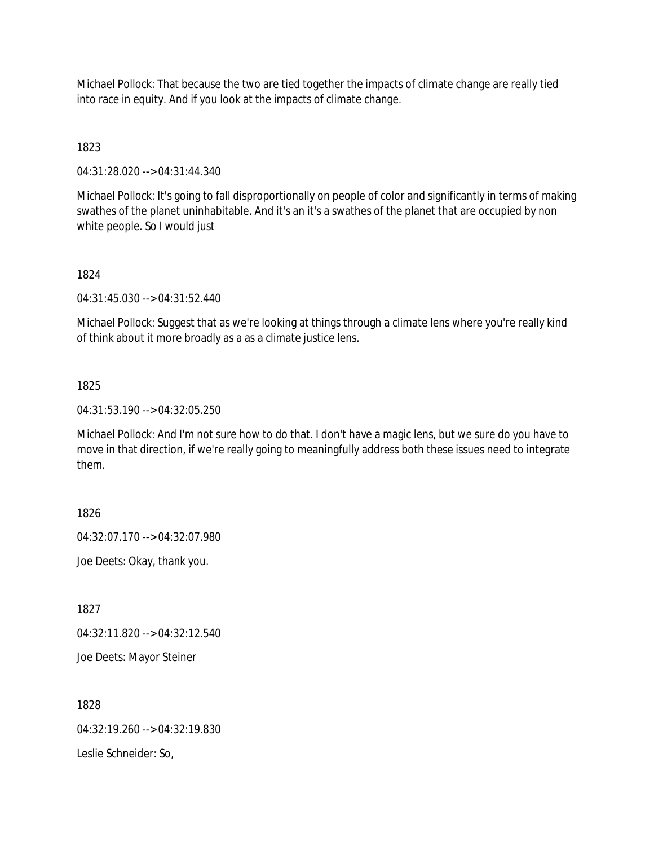Michael Pollock: That because the two are tied together the impacts of climate change are really tied into race in equity. And if you look at the impacts of climate change.

1823

04:31:28.020 --> 04:31:44.340

Michael Pollock: It's going to fall disproportionally on people of color and significantly in terms of making swathes of the planet uninhabitable. And it's an it's a swathes of the planet that are occupied by non white people. So I would just

1824

04:31:45.030 --> 04:31:52.440

Michael Pollock: Suggest that as we're looking at things through a climate lens where you're really kind of think about it more broadly as a as a climate justice lens.

1825

04:31:53.190 --> 04:32:05.250

Michael Pollock: And I'm not sure how to do that. I don't have a magic lens, but we sure do you have to move in that direction, if we're really going to meaningfully address both these issues need to integrate them.

1826

04:32:07.170 --> 04:32:07.980

Joe Deets: Okay, thank you.

1827

04:32:11.820 --> 04:32:12.540

Joe Deets: Mayor Steiner

1828

04:32:19.260 --> 04:32:19.830

Leslie Schneider: So,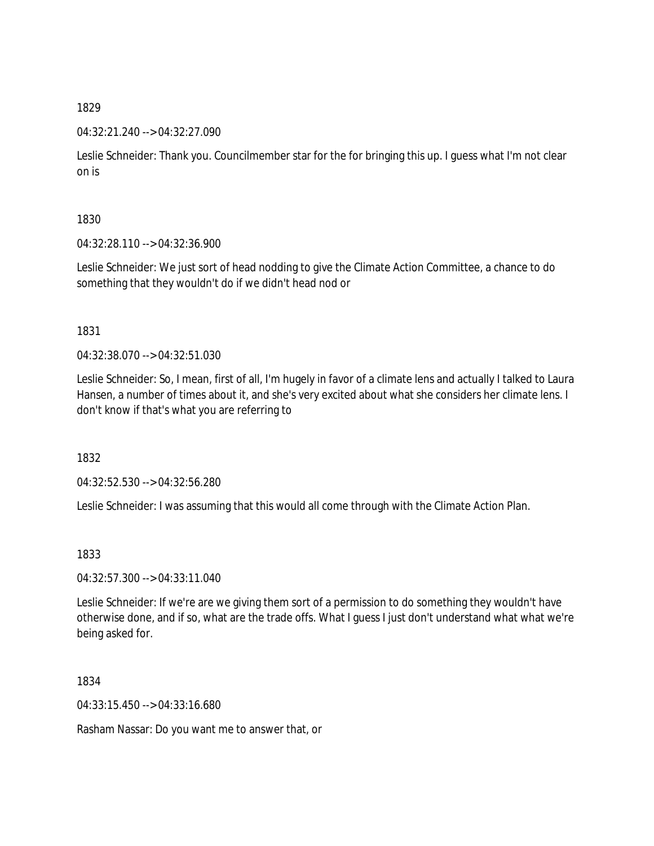## 04:32:21.240 --> 04:32:27.090

Leslie Schneider: Thank you. Councilmember star for the for bringing this up. I guess what I'm not clear on is

1830

04:32:28.110 --> 04:32:36.900

Leslie Schneider: We just sort of head nodding to give the Climate Action Committee, a chance to do something that they wouldn't do if we didn't head nod or

1831

04:32:38.070 --> 04:32:51.030

Leslie Schneider: So, I mean, first of all, I'm hugely in favor of a climate lens and actually I talked to Laura Hansen, a number of times about it, and she's very excited about what she considers her climate lens. I don't know if that's what you are referring to

1832

04:32:52.530 --> 04:32:56.280

Leslie Schneider: I was assuming that this would all come through with the Climate Action Plan.

1833

04:32:57.300 --> 04:33:11.040

Leslie Schneider: If we're are we giving them sort of a permission to do something they wouldn't have otherwise done, and if so, what are the trade offs. What I guess I just don't understand what what we're being asked for.

1834

04:33:15.450 --> 04:33:16.680

Rasham Nassar: Do you want me to answer that, or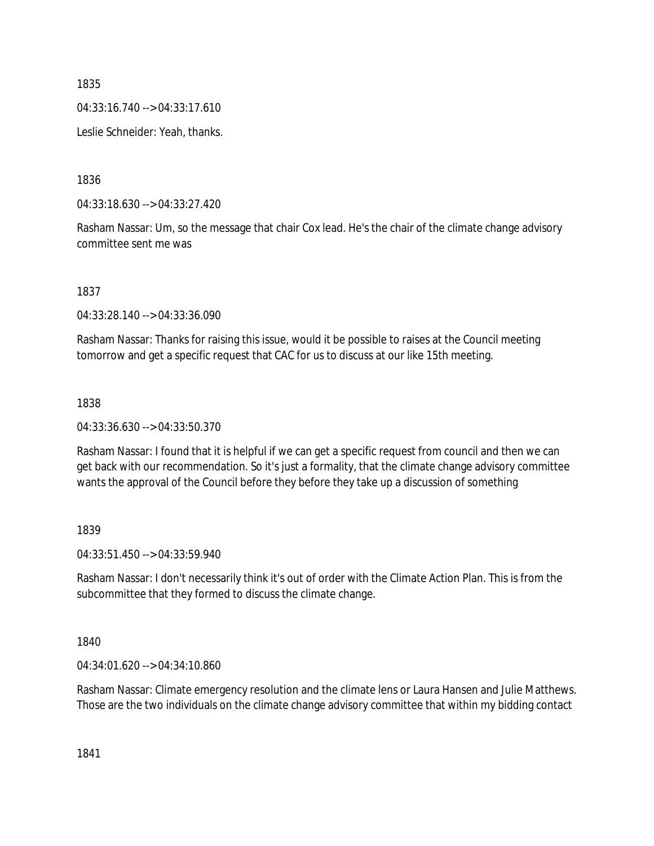04:33:16.740 --> 04:33:17.610

Leslie Schneider: Yeah, thanks.

1836

04:33:18.630 --> 04:33:27.420

Rasham Nassar: Um, so the message that chair Cox lead. He's the chair of the climate change advisory committee sent me was

1837

04:33:28.140 --> 04:33:36.090

Rasham Nassar: Thanks for raising this issue, would it be possible to raises at the Council meeting tomorrow and get a specific request that CAC for us to discuss at our like 15th meeting.

## 1838

04:33:36.630 --> 04:33:50.370

Rasham Nassar: I found that it is helpful if we can get a specific request from council and then we can get back with our recommendation. So it's just a formality, that the climate change advisory committee wants the approval of the Council before they before they take up a discussion of something

1839

04:33:51.450 --> 04:33:59.940

Rasham Nassar: I don't necessarily think it's out of order with the Climate Action Plan. This is from the subcommittee that they formed to discuss the climate change.

1840

04:34:01.620 --> 04:34:10.860

Rasham Nassar: Climate emergency resolution and the climate lens or Laura Hansen and Julie Matthews. Those are the two individuals on the climate change advisory committee that within my bidding contact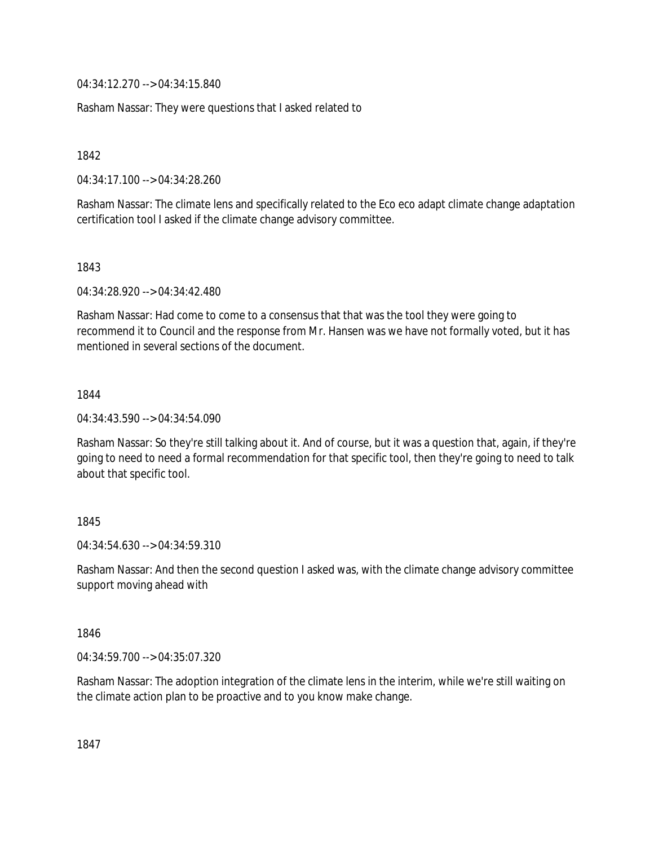04:34:12.270 --> 04:34:15.840

Rasham Nassar: They were questions that I asked related to

1842

04:34:17.100 --> 04:34:28.260

Rasham Nassar: The climate lens and specifically related to the Eco eco adapt climate change adaptation certification tool I asked if the climate change advisory committee.

1843

04:34:28.920 --> 04:34:42.480

Rasham Nassar: Had come to come to a consensus that that was the tool they were going to recommend it to Council and the response from Mr. Hansen was we have not formally voted, but it has mentioned in several sections of the document.

1844

04:34:43.590 --> 04:34:54.090

Rasham Nassar: So they're still talking about it. And of course, but it was a question that, again, if they're going to need to need a formal recommendation for that specific tool, then they're going to need to talk about that specific tool.

## 1845

04:34:54.630 --> 04:34:59.310

Rasham Nassar: And then the second question I asked was, with the climate change advisory committee support moving ahead with

1846

04:34:59.700 --> 04:35:07.320

Rasham Nassar: The adoption integration of the climate lens in the interim, while we're still waiting on the climate action plan to be proactive and to you know make change.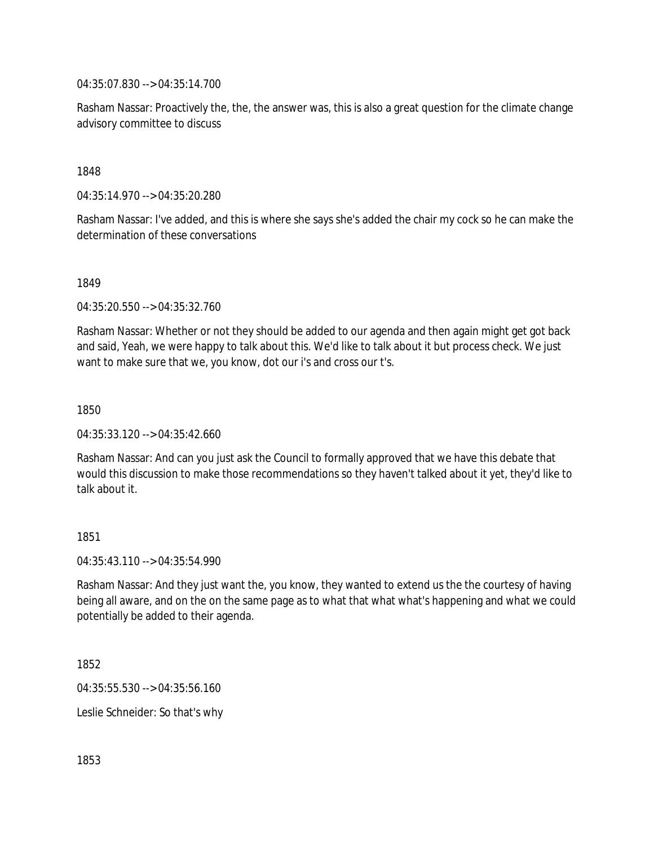04:35:07.830 --> 04:35:14.700

Rasham Nassar: Proactively the, the, the answer was, this is also a great question for the climate change advisory committee to discuss

#### 1848

04:35:14.970 --> 04:35:20.280

Rasham Nassar: I've added, and this is where she says she's added the chair my cock so he can make the determination of these conversations

1849

04:35:20.550 --> 04:35:32.760

Rasham Nassar: Whether or not they should be added to our agenda and then again might get got back and said, Yeah, we were happy to talk about this. We'd like to talk about it but process check. We just want to make sure that we, you know, dot our i's and cross our t's.

1850

04:35:33.120 --> 04:35:42.660

Rasham Nassar: And can you just ask the Council to formally approved that we have this debate that would this discussion to make those recommendations so they haven't talked about it yet, they'd like to talk about it.

#### 1851

04:35:43.110 --> 04:35:54.990

Rasham Nassar: And they just want the, you know, they wanted to extend us the the courtesy of having being all aware, and on the on the same page as to what that what what's happening and what we could potentially be added to their agenda.

1852

04:35:55.530 --> 04:35:56.160

Leslie Schneider: So that's why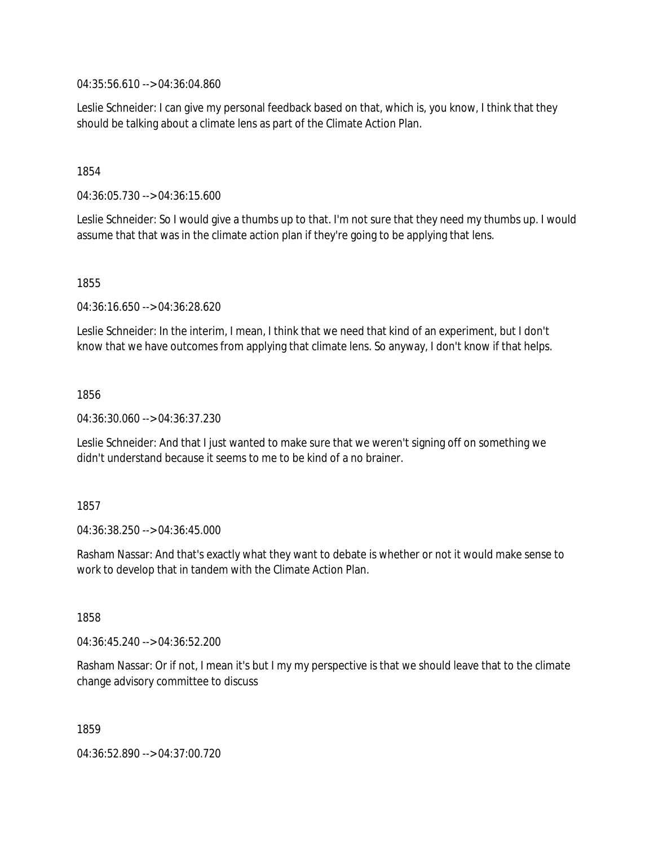04:35:56.610 --> 04:36:04.860

Leslie Schneider: I can give my personal feedback based on that, which is, you know, I think that they should be talking about a climate lens as part of the Climate Action Plan.

1854

04:36:05.730 --> 04:36:15.600

Leslie Schneider: So I would give a thumbs up to that. I'm not sure that they need my thumbs up. I would assume that that was in the climate action plan if they're going to be applying that lens.

1855

04:36:16.650 --> 04:36:28.620

Leslie Schneider: In the interim, I mean, I think that we need that kind of an experiment, but I don't know that we have outcomes from applying that climate lens. So anyway, I don't know if that helps.

1856

04:36:30.060 --> 04:36:37.230

Leslie Schneider: And that I just wanted to make sure that we weren't signing off on something we didn't understand because it seems to me to be kind of a no brainer.

1857

04:36:38.250 --> 04:36:45.000

Rasham Nassar: And that's exactly what they want to debate is whether or not it would make sense to work to develop that in tandem with the Climate Action Plan.

1858

04:36:45.240 --> 04:36:52.200

Rasham Nassar: Or if not, I mean it's but I my my perspective is that we should leave that to the climate change advisory committee to discuss

1859

04:36:52.890 --> 04:37:00.720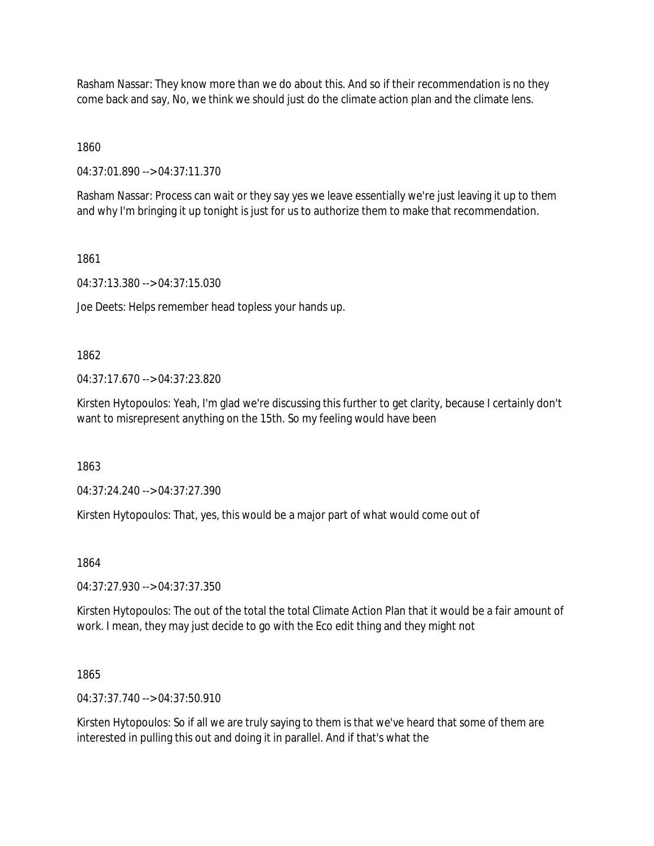Rasham Nassar: They know more than we do about this. And so if their recommendation is no they come back and say, No, we think we should just do the climate action plan and the climate lens.

1860

04:37:01.890 --> 04:37:11.370

Rasham Nassar: Process can wait or they say yes we leave essentially we're just leaving it up to them and why I'm bringing it up tonight is just for us to authorize them to make that recommendation.

1861

04:37:13.380 --> 04:37:15.030

Joe Deets: Helps remember head topless your hands up.

1862

04:37:17.670 --> 04:37:23.820

Kirsten Hytopoulos: Yeah, I'm glad we're discussing this further to get clarity, because I certainly don't want to misrepresent anything on the 15th. So my feeling would have been

1863

04:37:24.240 --> 04:37:27.390

Kirsten Hytopoulos: That, yes, this would be a major part of what would come out of

1864

04:37:27.930 --> 04:37:37.350

Kirsten Hytopoulos: The out of the total the total Climate Action Plan that it would be a fair amount of work. I mean, they may just decide to go with the Eco edit thing and they might not

1865

04:37:37.740 --> 04:37:50.910

Kirsten Hytopoulos: So if all we are truly saying to them is that we've heard that some of them are interested in pulling this out and doing it in parallel. And if that's what the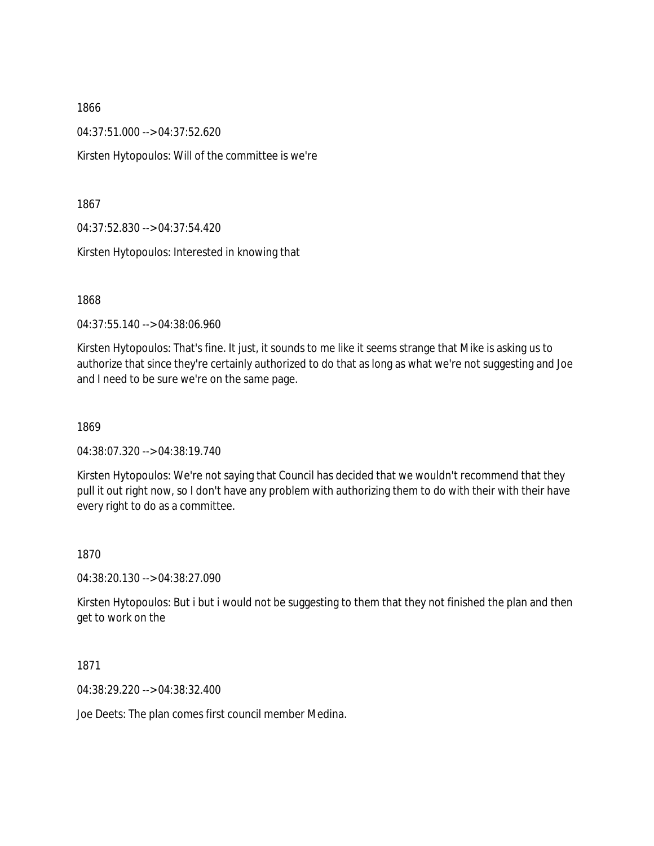04:37:51.000 --> 04:37:52.620

Kirsten Hytopoulos: Will of the committee is we're

1867

04:37:52.830 --> 04:37:54.420

Kirsten Hytopoulos: Interested in knowing that

1868

04:37:55.140 --> 04:38:06.960

Kirsten Hytopoulos: That's fine. It just, it sounds to me like it seems strange that Mike is asking us to authorize that since they're certainly authorized to do that as long as what we're not suggesting and Joe and I need to be sure we're on the same page.

1869

04:38:07.320 --> 04:38:19.740

Kirsten Hytopoulos: We're not saying that Council has decided that we wouldn't recommend that they pull it out right now, so I don't have any problem with authorizing them to do with their with their have every right to do as a committee.

1870

04:38:20.130 --> 04:38:27.090

Kirsten Hytopoulos: But i but i would not be suggesting to them that they not finished the plan and then get to work on the

1871

04:38:29.220 --> 04:38:32.400

Joe Deets: The plan comes first council member Medina.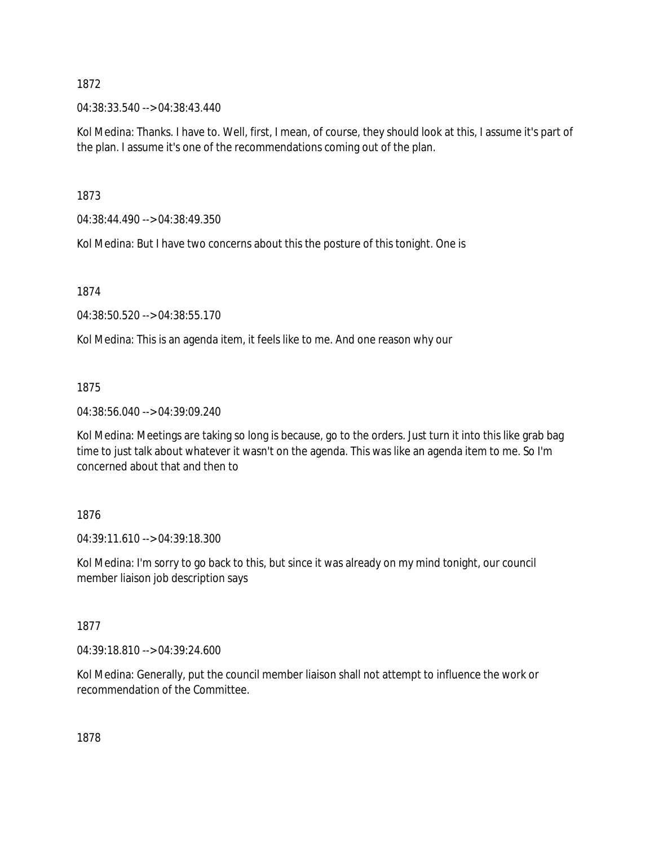04:38:33.540 --> 04:38:43.440

Kol Medina: Thanks. I have to. Well, first, I mean, of course, they should look at this, I assume it's part of the plan. I assume it's one of the recommendations coming out of the plan.

1873

04:38:44.490 --> 04:38:49.350

Kol Medina: But I have two concerns about this the posture of this tonight. One is

1874

04:38:50.520 --> 04:38:55.170

Kol Medina: This is an agenda item, it feels like to me. And one reason why our

1875

04:38:56.040 --> 04:39:09.240

Kol Medina: Meetings are taking so long is because, go to the orders. Just turn it into this like grab bag time to just talk about whatever it wasn't on the agenda. This was like an agenda item to me. So I'm concerned about that and then to

## 1876

04:39:11.610 --> 04:39:18.300

Kol Medina: I'm sorry to go back to this, but since it was already on my mind tonight, our council member liaison job description says

1877

04:39:18.810 --> 04:39:24.600

Kol Medina: Generally, put the council member liaison shall not attempt to influence the work or recommendation of the Committee.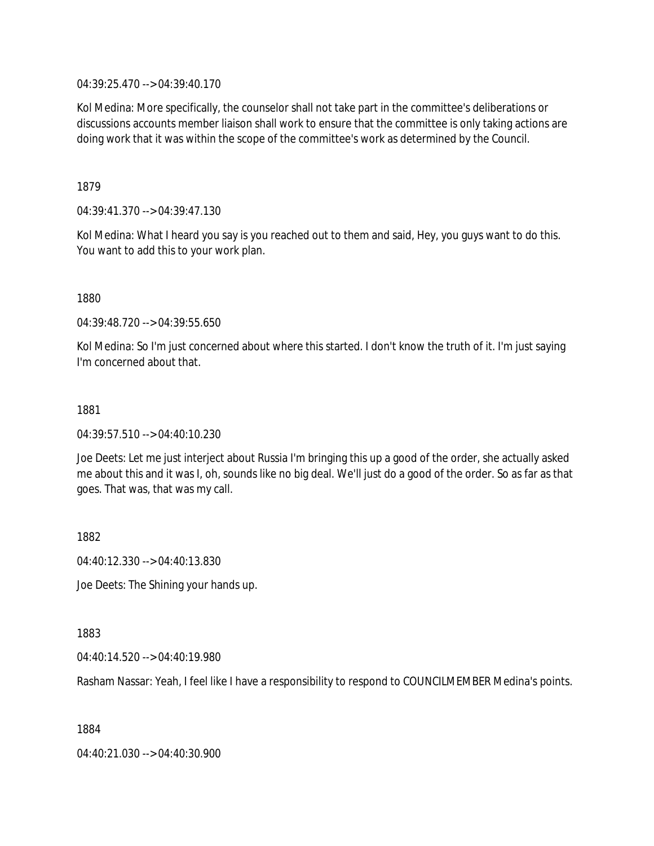04:39:25.470 --> 04:39:40.170

Kol Medina: More specifically, the counselor shall not take part in the committee's deliberations or discussions accounts member liaison shall work to ensure that the committee is only taking actions are doing work that it was within the scope of the committee's work as determined by the Council.

1879

04:39:41.370 --> 04:39:47.130

Kol Medina: What I heard you say is you reached out to them and said, Hey, you guys want to do this. You want to add this to your work plan.

1880

04:39:48.720 --> 04:39:55.650

Kol Medina: So I'm just concerned about where this started. I don't know the truth of it. I'm just saying I'm concerned about that.

1881

04:39:57.510 --> 04:40:10.230

Joe Deets: Let me just interject about Russia I'm bringing this up a good of the order, she actually asked me about this and it was I, oh, sounds like no big deal. We'll just do a good of the order. So as far as that goes. That was, that was my call.

1882

04:40:12.330 --> 04:40:13.830

Joe Deets: The Shining your hands up.

1883

04:40:14.520 --> 04:40:19.980

Rasham Nassar: Yeah, I feel like I have a responsibility to respond to COUNCILMEMBER Medina's points.

1884

04:40:21.030 --> 04:40:30.900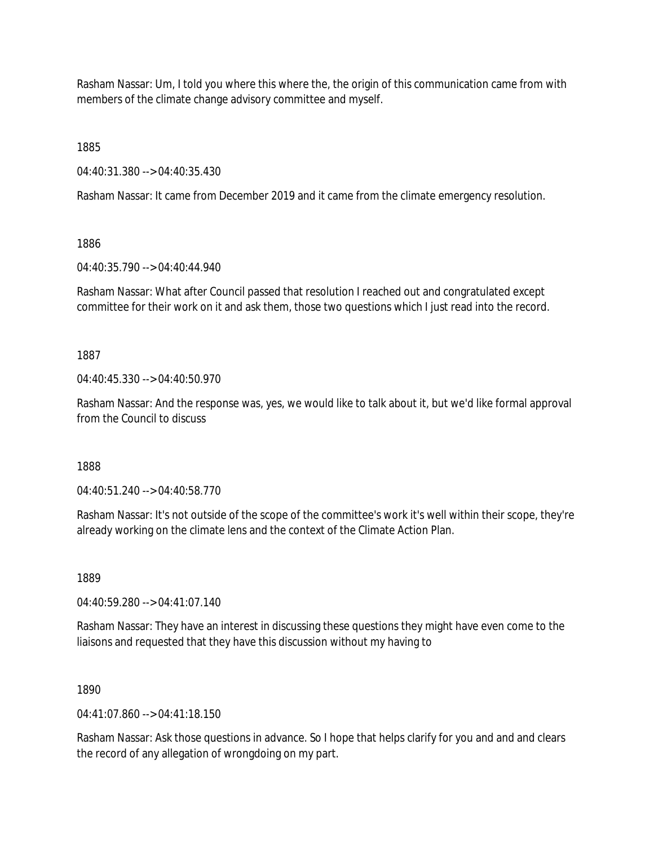Rasham Nassar: Um, I told you where this where the, the origin of this communication came from with members of the climate change advisory committee and myself.

1885

04:40:31.380 --> 04:40:35.430

Rasham Nassar: It came from December 2019 and it came from the climate emergency resolution.

1886

04:40:35.790 --> 04:40:44.940

Rasham Nassar: What after Council passed that resolution I reached out and congratulated except committee for their work on it and ask them, those two questions which I just read into the record.

1887

 $04.40.45.330 -> 04.40.50.970$ 

Rasham Nassar: And the response was, yes, we would like to talk about it, but we'd like formal approval from the Council to discuss

1888

04:40:51.240 --> 04:40:58.770

Rasham Nassar: It's not outside of the scope of the committee's work it's well within their scope, they're already working on the climate lens and the context of the Climate Action Plan.

1889

04:40:59.280 --> 04:41:07.140

Rasham Nassar: They have an interest in discussing these questions they might have even come to the liaisons and requested that they have this discussion without my having to

1890

 $04.41.07.860 -> 04.41.18.150$ 

Rasham Nassar: Ask those questions in advance. So I hope that helps clarify for you and and and clears the record of any allegation of wrongdoing on my part.